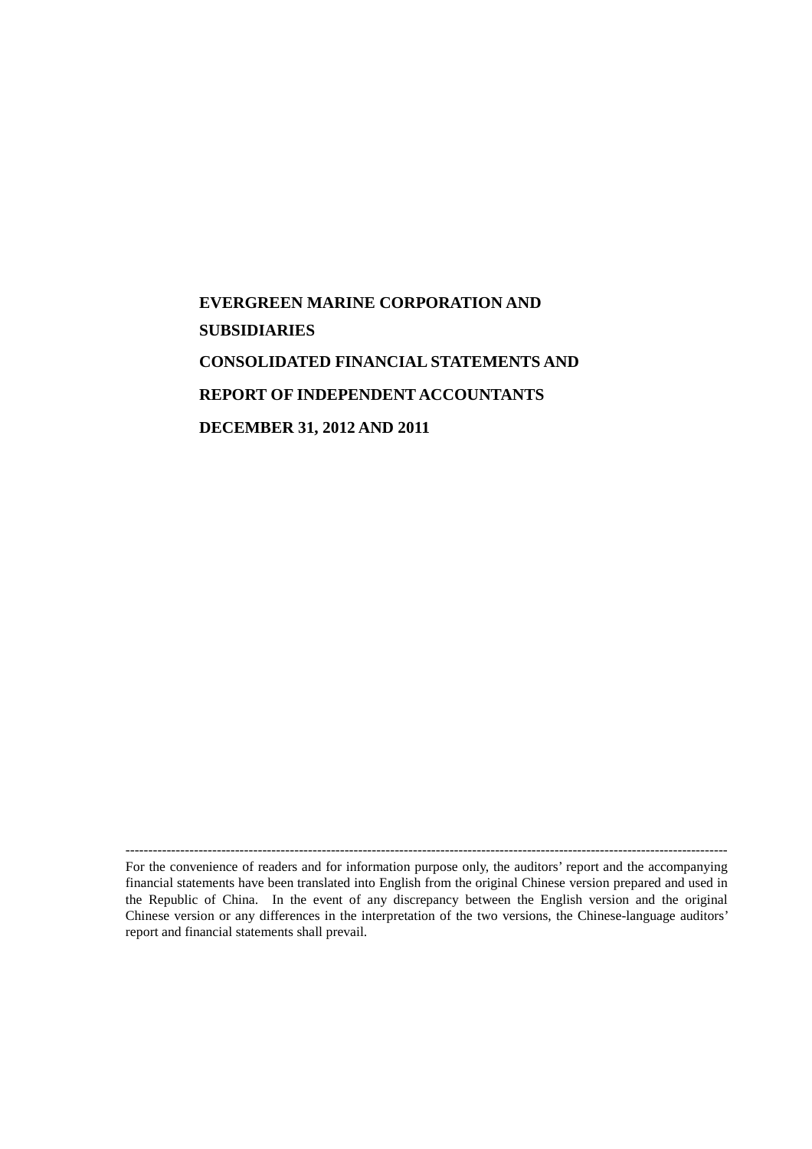# **EVERGREEN MARINE CORPORATION AND SUBSIDIARIES CONSOLIDATED FINANCIAL STATEMENTS AND REPORT OF INDEPENDENT ACCOUNTANTS DECEMBER 31, 2012 AND 2011**

------------------------------------------------------------------------------------------------------------------------------------ For the convenience of readers and for information purpose only, the auditors' report and the accompanying financial statements have been translated into English from the original Chinese version prepared and used in the Republic of China. In the event of any discrepancy between the English version and the original Chinese version or any differences in the interpretation of the two versions, the Chinese-language auditors' report and financial statements shall prevail.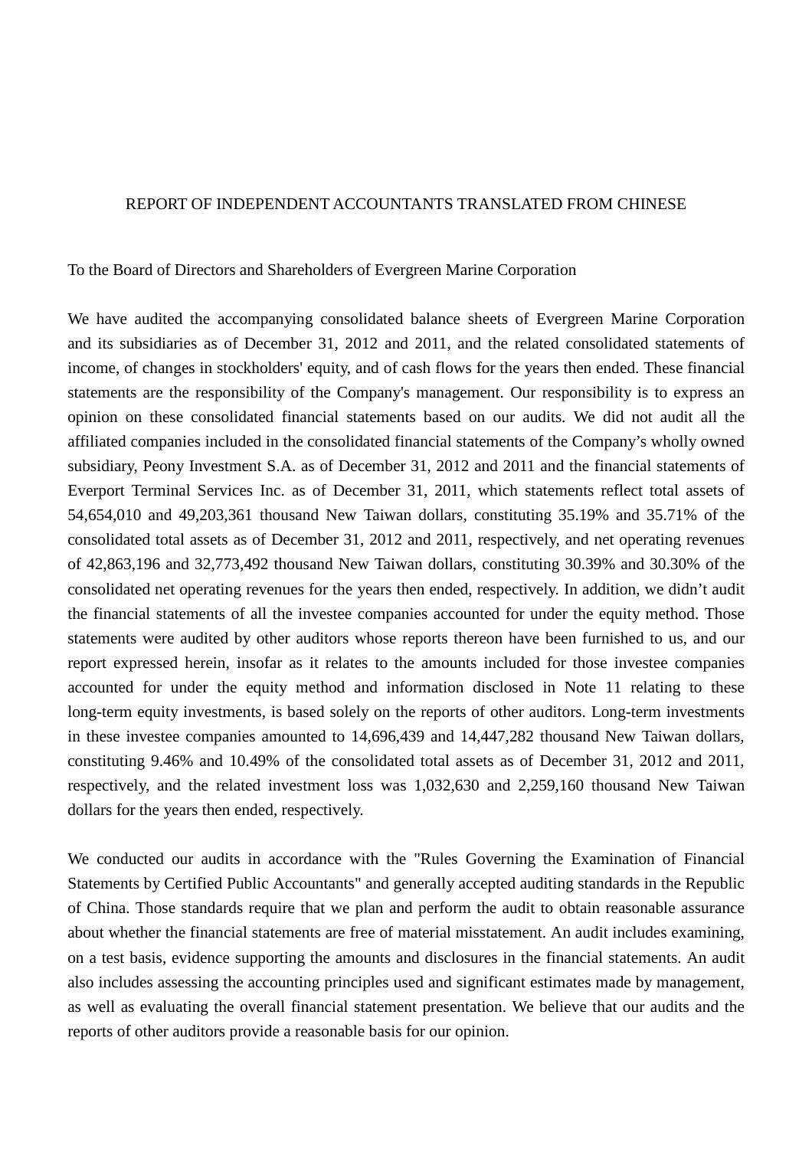#### REPORT OF INDEPENDENT ACCOUNTANTS TRANSLATED FROM CHINESE

To the Board of Directors and Shareholders of Evergreen Marine Corporation

We have audited the accompanying consolidated balance sheets of Evergreen Marine Corporation and its subsidiaries as of December 31, 2012 and 2011, and the related consolidated statements of income, of changes in stockholders' equity, and of cash flows for the years then ended. These financial statements are the responsibility of the Company's management. Our responsibility is to express an opinion on these consolidated financial statements based on our audits. We did not audit all the affiliated companies included in the consolidated financial statements of the Company's wholly owned subsidiary, Peony Investment S.A. as of December 31, 2012 and 2011 and the financial statements of Everport Terminal Services Inc. as of December 31, 2011, which statements reflect total assets of 54,654,010 and 49,203,361 thousand New Taiwan dollars, constituting 35.19% and 35.71% of the consolidated total assets as of December 31, 2012 and 2011, respectively, and net operating revenues of 42,863,196 and 32,773,492 thousand New Taiwan dollars, constituting 30.39% and 30.30% of the consolidated net operating revenues for the years then ended, respectively. In addition, we didn't audit the financial statements of all the investee companies accounted for under the equity method. Those statements were audited by other auditors whose reports thereon have been furnished to us, and our report expressed herein, insofar as it relates to the amounts included for those investee companies accounted for under the equity method and information disclosed in Note 11 relating to these long-term equity investments, is based solely on the reports of other auditors. Long-term investments in these investee companies amounted to 14,696,439 and 14,447,282 thousand New Taiwan dollars, constituting 9.46% and 10.49% of the consolidated total assets as of December 31, 2012 and 2011, respectively, and the related investment loss was 1,032,630 and 2,259,160 thousand New Taiwan dollars for the years then ended, respectively.

We conducted our audits in accordance with the "Rules Governing the Examination of Financial Statements by Certified Public Accountants" and generally accepted auditing standards in the Republic of China. Those standards require that we plan and perform the audit to obtain reasonable assurance about whether the financial statements are free of material misstatement. An audit includes examining, on a test basis, evidence supporting the amounts and disclosures in the financial statements. An audit also includes assessing the accounting principles used and significant estimates made by management, as well as evaluating the overall financial statement presentation. We believe that our audits and the reports of other auditors provide a reasonable basis for our opinion.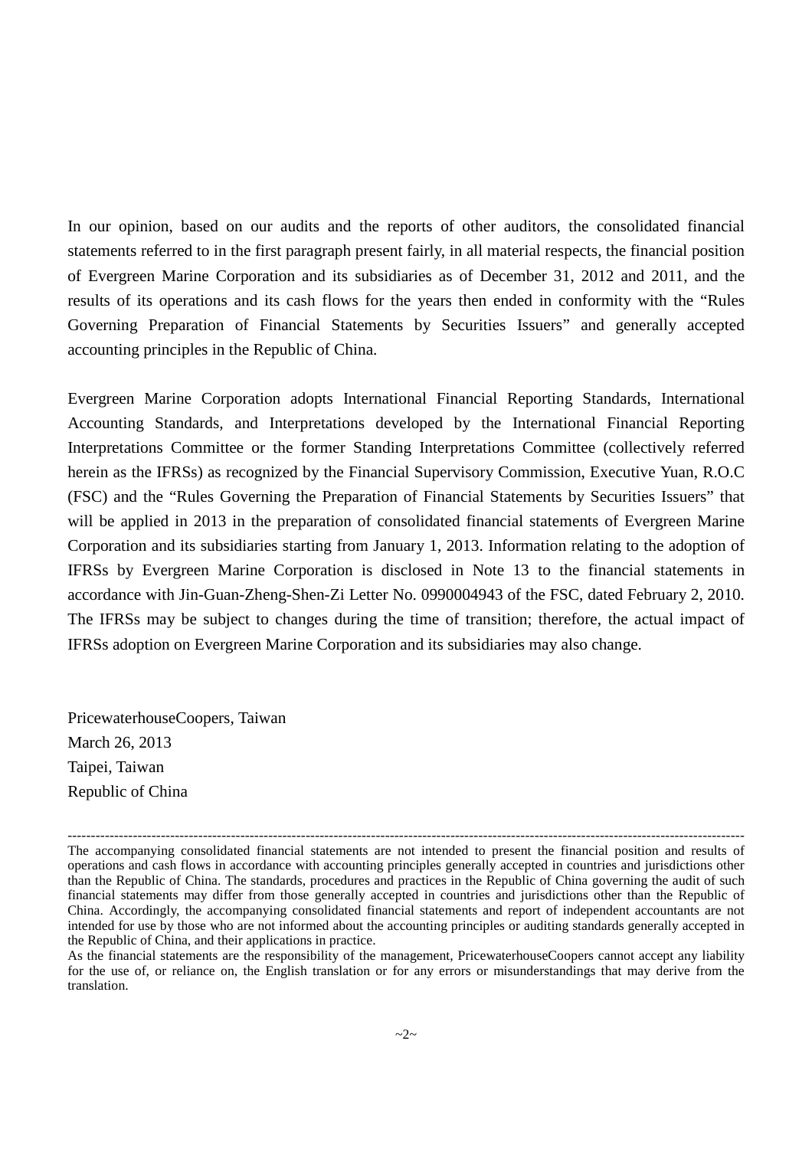In our opinion, based on our audits and the reports of other auditors, the consolidated financial statements referred to in the first paragraph present fairly, in all material respects, the financial position of Evergreen Marine Corporation and its subsidiaries as of December 31, 2012 and 2011, and the results of its operations and its cash flows for the years then ended in conformity with the "Rules Governing Preparation of Financial Statements by Securities Issuers" and generally accepted accounting principles in the Republic of China.

Evergreen Marine Corporation adopts International Financial Reporting Standards, International Accounting Standards, and Interpretations developed by the International Financial Reporting Interpretations Committee or the former Standing Interpretations Committee (collectively referred herein as the IFRSs) as recognized by the Financial Supervisory Commission, Executive Yuan, R.O.C (FSC) and the "Rules Governing the Preparation of Financial Statements by Securities Issuers" that will be applied in 2013 in the preparation of consolidated financial statements of Evergreen Marine Corporation and its subsidiaries starting from January 1, 2013. Information relating to the adoption of IFRSs by Evergreen Marine Corporation is disclosed in Note 13 to the financial statements in accordance with Jin-Guan-Zheng-Shen-Zi Letter No. 0990004943 of the FSC, dated February 2, 2010. The IFRSs may be subject to changes during the time of transition; therefore, the actual impact of IFRSs adoption on Evergreen Marine Corporation and its subsidiaries may also change.

PricewaterhouseCoopers, Taiwan March 26, 2013 Taipei, Taiwan Republic of China

<sup>-------------------------------------------------------------------------------------------------------------------------------------------------</sup> The accompanying consolidated financial statements are not intended to present the financial position and results of operations and cash flows in accordance with accounting principles generally accepted in countries and jurisdictions other than the Republic of China. The standards, procedures and practices in the Republic of China governing the audit of such financial statements may differ from those generally accepted in countries and jurisdictions other than the Republic of China. Accordingly, the accompanying consolidated financial statements and report of independent accountants are not intended for use by those who are not informed about the accounting principles or auditing standards generally accepted in the Republic of China, and their applications in practice.

As the financial statements are the responsibility of the management, PricewaterhouseCoopers cannot accept any liability for the use of, or reliance on, the English translation or for any errors or misunderstandings that may derive from the translation.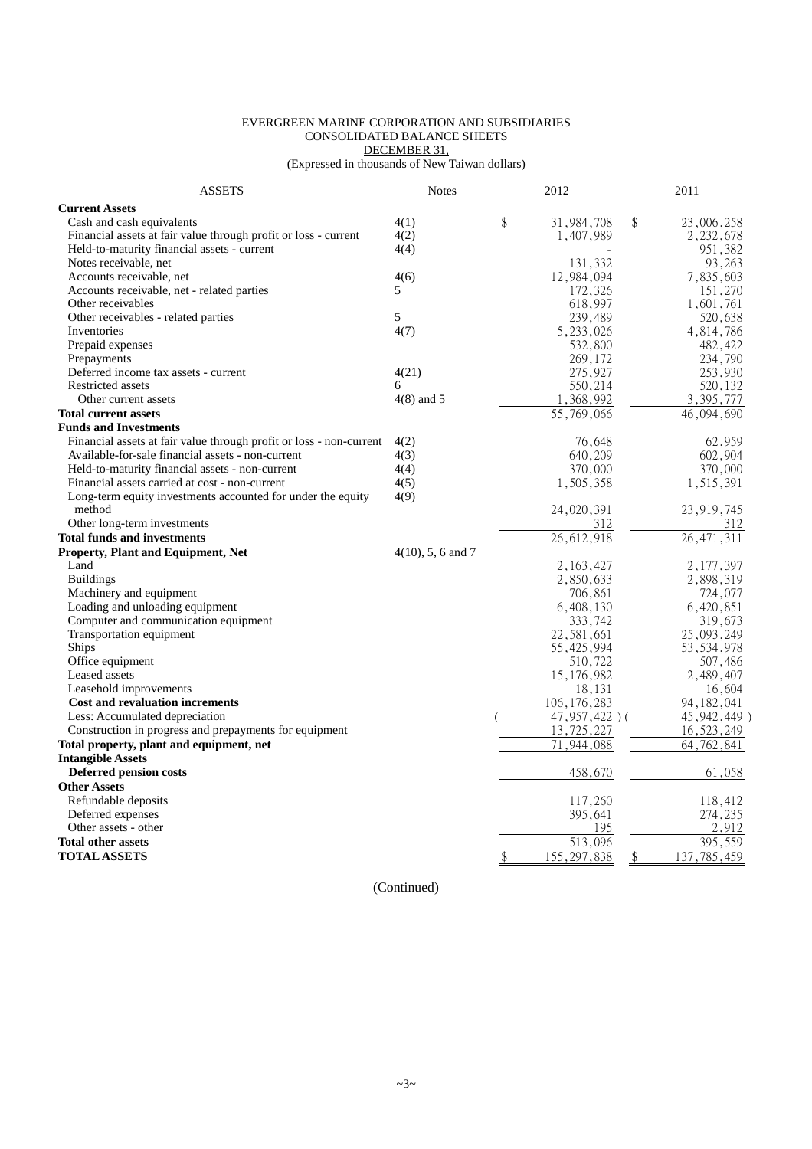#### EVERGREEN MARINE CORPORATION AND SUBSIDIARIES CONSOLIDATED BALANCE SHEETS DECEMBER 31,

(Expressed in thousands of New Taiwan dollars)

| <b>ASSETS</b>                                                       | <b>Notes</b>         | 2012                     |                           | 2011                     |
|---------------------------------------------------------------------|----------------------|--------------------------|---------------------------|--------------------------|
| <b>Current Assets</b>                                               |                      |                          |                           |                          |
| Cash and cash equivalents                                           | 4(1)                 | \$<br>31,984,708         | \$                        | 23,006,258               |
| Financial assets at fair value through profit or loss - current     | 4(2)                 | 1,407,989                |                           | 2,232,678                |
| Held-to-maturity financial assets - current                         | 4(4)                 |                          |                           | 951,382                  |
| Notes receivable, net                                               |                      | 131,332                  |                           | 93,263                   |
| Accounts receivable, net                                            | 4(6)                 | 12,984,094               |                           | 7,835,603                |
| Accounts receivable, net - related parties                          | 5                    | 172,326                  |                           | 151,270                  |
| Other receivables                                                   |                      | 618,997                  |                           | 1,601,761                |
| Other receivables - related parties                                 | 5                    | 239,489                  |                           | 520,638                  |
| Inventories                                                         | 4(7)                 | 5, 233, 026              |                           | 4,814,786                |
| Prepaid expenses                                                    |                      | 532,800                  |                           | 482,422                  |
| Prepayments                                                         |                      | 269,172                  |                           | 234,790                  |
| Deferred income tax assets - current                                | 4(21)                | 275,927                  |                           | 253,930                  |
| Restricted assets                                                   | 6                    | 550,214                  |                           | 520,132                  |
| Other current assets                                                | $4(8)$ and 5         | 1,368,992                |                           | 3,395,777                |
| <b>Total current assets</b>                                         |                      | 55,769,066               |                           | 46,094,690               |
| <b>Funds and Investments</b>                                        |                      |                          |                           |                          |
| Financial assets at fair value through profit or loss - non-current | 4(2)                 | 76,648                   |                           | 62,959                   |
| Available-for-sale financial assets - non-current                   | 4(3)                 | 640,209                  |                           | 602,904                  |
| Held-to-maturity financial assets - non-current                     | 4(4)                 | 370,000                  |                           | 370,000                  |
| Financial assets carried at cost - non-current                      | 4(5)                 | 1,505,358                |                           | 1,515,391                |
| Long-term equity investments accounted for under the equity         | 4(9)                 |                          |                           |                          |
| method                                                              |                      | 24,020,391               |                           | 23, 919, 745             |
| Other long-term investments                                         |                      | 312                      |                           | 312                      |
| <b>Total funds and investments</b>                                  |                      | 26,612,918               |                           | 311<br>26.471            |
| <b>Property, Plant and Equipment, Net</b>                           | $4(10)$ , 5, 6 and 7 |                          |                           |                          |
| Land                                                                |                      |                          |                           |                          |
| <b>Buildings</b>                                                    |                      | 2, 163, 427<br>2,850,633 |                           | 2, 177, 397<br>2,898,319 |
| Machinery and equipment                                             |                      |                          |                           |                          |
|                                                                     |                      | 706,861                  |                           | 724,077                  |
| Loading and unloading equipment                                     |                      | 6,408,130                |                           | 6,420,851                |
| Computer and communication equipment                                |                      | 333,742                  |                           | 319,673                  |
| Transportation equipment                                            |                      | 22,581,661               |                           | 25,093,249               |
| <b>Ships</b>                                                        |                      | 55, 425, 994             |                           | 53, 534, 978             |
| Office equipment                                                    |                      | 510,722                  |                           | 507,486                  |
| Leased assets                                                       |                      | 15, 176, 982             |                           | 2,489,407                |
| Leasehold improvements                                              |                      | 18,131                   |                           | 16,604                   |
| <b>Cost and revaluation increments</b>                              |                      | 106, 176, 283            |                           | 94, 182, 041             |
| Less: Accumulated depreciation                                      |                      | 47,957,422)(             |                           | 45, 942, 449)            |
| Construction in progress and prepayments for equipment              |                      | 13,725,227               |                           | 16,523,249               |
| Total property, plant and equipment, net                            |                      | 71,944,088               |                           | 64, 762, 841             |
| <b>Intangible Assets</b>                                            |                      |                          |                           |                          |
| Deferred pension costs                                              |                      | 458,670                  |                           | 61,058                   |
| <b>Other Assets</b>                                                 |                      |                          |                           |                          |
| Refundable deposits                                                 |                      | 117,260                  |                           | 118,412                  |
| Deferred expenses                                                   |                      | 395,641                  |                           | 274,235                  |
| Other assets - other                                                |                      | 195                      |                           | 2,912                    |
| <b>Total other assets</b>                                           |                      | 513,096                  |                           | 395.559                  |
| <b>TOTAL ASSETS</b>                                                 |                      | \$<br>155, 297, 838      | $\boldsymbol{\mathsf{S}}$ | 137, 785, 459            |
|                                                                     |                      |                          |                           |                          |

(Continued)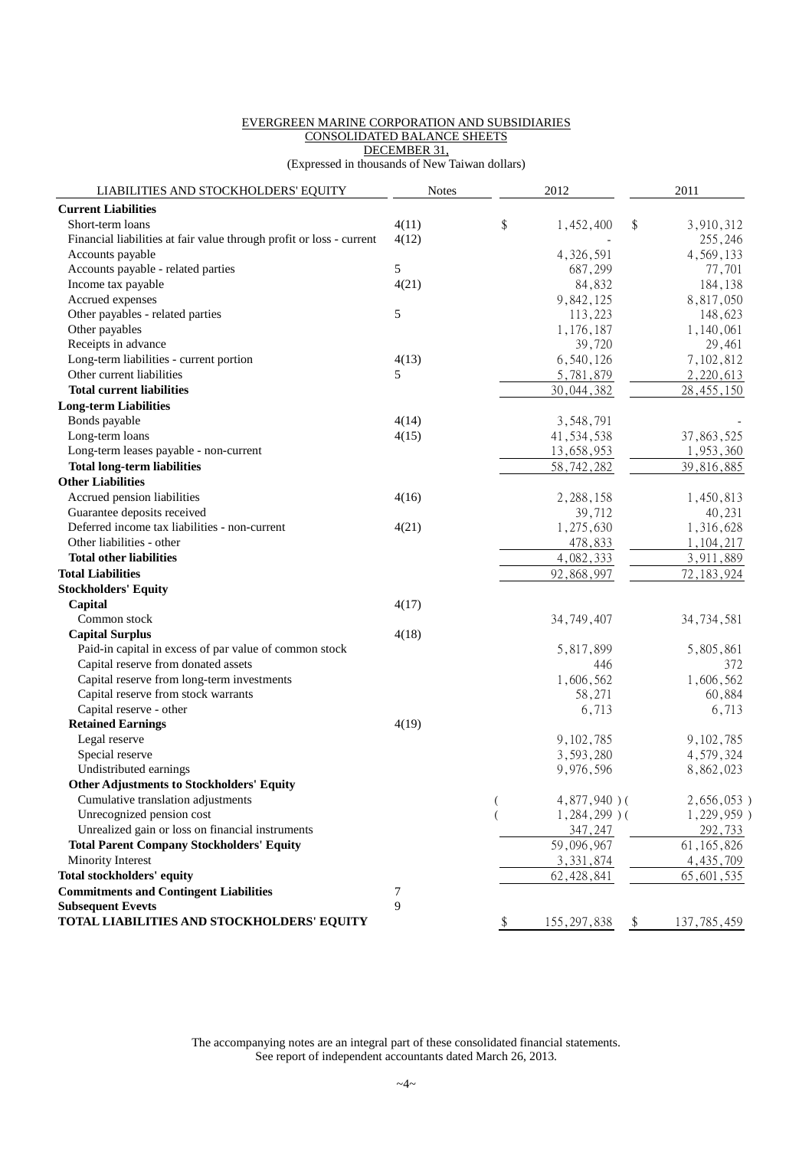#### EVERGREEN MARINE CORPORATION AND SUBSIDIARIES CONSOLIDATED BALANCE SHEETS DECEMBER 31,

(Expressed in thousands of New Taiwan dollars)

| LIABILITIES AND STOCKHOLDERS' EQUITY                                                          | <b>Notes</b> |               | 2012                             |               | 2011                   |
|-----------------------------------------------------------------------------------------------|--------------|---------------|----------------------------------|---------------|------------------------|
| <b>Current Liabilities</b>                                                                    |              |               |                                  |               |                        |
| Short-term loans                                                                              | 4(11)        | \$            | 1,452,400                        | \$            | 3,910,312              |
| Financial liabilities at fair value through profit or loss - current                          | 4(12)        |               |                                  |               | 255,246                |
| Accounts payable                                                                              |              |               | 4,326,591                        |               | 4,569,133              |
| Accounts payable - related parties                                                            | 5            |               | 687,299                          |               | 77,701                 |
| Income tax payable                                                                            | 4(21)        |               | 84,832                           |               | 184,138                |
| Accrued expenses                                                                              |              |               | 9,842,125                        |               | 8,817,050              |
| Other payables - related parties                                                              | 5            |               | 113,223                          |               | 148,623                |
| Other payables                                                                                |              |               | 1,176,187                        |               | 1,140,061              |
| Receipts in advance                                                                           |              |               | 39,720                           |               | 29,461                 |
| Long-term liabilities - current portion                                                       | 4(13)        |               | 6,540,126                        |               | 7,102,812              |
| Other current liabilities                                                                     | 5            |               | 5,781,879                        |               | 2,220,613              |
| <b>Total current liabilities</b>                                                              |              |               | 30,044,382                       |               | 28, 455, 150           |
| <b>Long-term Liabilities</b>                                                                  |              |               |                                  |               |                        |
| Bonds payable                                                                                 | 4(14)        |               | 3,548,791                        |               |                        |
| Long-term loans                                                                               | 4(15)        |               | 41,534,538                       |               | 37,863,525             |
| Long-term leases payable - non-current                                                        |              |               | 13,658,953                       |               | 1,953,360              |
| <b>Total long-term liabilities</b>                                                            |              |               | 58, 742, 282                     |               | 39,816,885             |
| <b>Other Liabilities</b>                                                                      |              |               |                                  |               |                        |
| Accrued pension liabilities                                                                   | 4(16)        |               | 2,288,158                        |               | 1,450,813              |
| Guarantee deposits received                                                                   |              |               | 39,712                           |               | 40,231                 |
| Deferred income tax liabilities - non-current                                                 | 4(21)        |               | 1,275,630                        |               | 1,316,628              |
| Other liabilities - other                                                                     |              |               | 478,833                          |               | 1,104,217              |
| <b>Total other liabilities</b>                                                                |              |               | 4,082,333                        |               | 3,911,889              |
| <b>Total Liabilities</b>                                                                      |              |               | 92,868,997                       |               | 72, 183, 924           |
| <b>Stockholders' Equity</b>                                                                   |              |               |                                  |               |                        |
| Capital                                                                                       | 4(17)        |               |                                  |               |                        |
| Common stock                                                                                  |              |               |                                  |               |                        |
|                                                                                               |              |               | 34, 749, 407                     |               | 34, 734, 581           |
| <b>Capital Surplus</b>                                                                        | 4(18)        |               |                                  |               |                        |
| Paid-in capital in excess of par value of common stock<br>Capital reserve from donated assets |              |               | 5,817,899                        |               | 5,805,861              |
|                                                                                               |              |               | 446                              |               | 372                    |
| Capital reserve from long-term investments<br>Capital reserve from stock warrants             |              |               | 1,606,562                        |               | 1,606,562<br>60,884    |
| Capital reserve - other                                                                       |              |               | 58,271                           |               |                        |
| <b>Retained Earnings</b>                                                                      |              |               | 6,713                            |               | 6,713                  |
| Legal reserve                                                                                 | 4(19)        |               | 9,102,785                        |               | 9,102,785              |
| Special reserve                                                                               |              |               |                                  |               |                        |
| Undistributed earnings                                                                        |              |               | 3,593,280<br>9,976,596           |               | 4,579,324<br>8,862,023 |
| <b>Other Adjustments to Stockholders' Equity</b>                                              |              |               |                                  |               |                        |
|                                                                                               |              |               |                                  |               | 2,656,053)             |
| Cumulative translation adjustments<br>Unrecognized pension cost                               |              |               | $4,877,940$ )(<br>$1,284,299$ )( |               |                        |
|                                                                                               |              |               |                                  |               | 1,229,959)             |
| Unrealized gain or loss on financial instruments                                              |              |               | 347,247                          |               | 292,733                |
| <b>Total Parent Company Stockholders' Equity</b>                                              |              |               | 59,096,967                       |               | 61, 165, 826           |
| Minority Interest                                                                             |              |               | 3, 331, 874                      |               | 4, 435, 709            |
| <b>Total stockholders' equity</b>                                                             |              |               | 62, 428, 841                     |               | 65,601,535             |
| <b>Commitments and Contingent Liabilities</b>                                                 | 7            |               |                                  |               |                        |
| <b>Subsequent Evevts</b>                                                                      | 9            |               |                                  |               |                        |
| TOTAL LIABILITIES AND STOCKHOLDERS' EQUITY                                                    |              | $\frac{1}{2}$ | <u>155, 297, 838</u>             | $\frac{1}{2}$ | <u>137, 785, 459</u>   |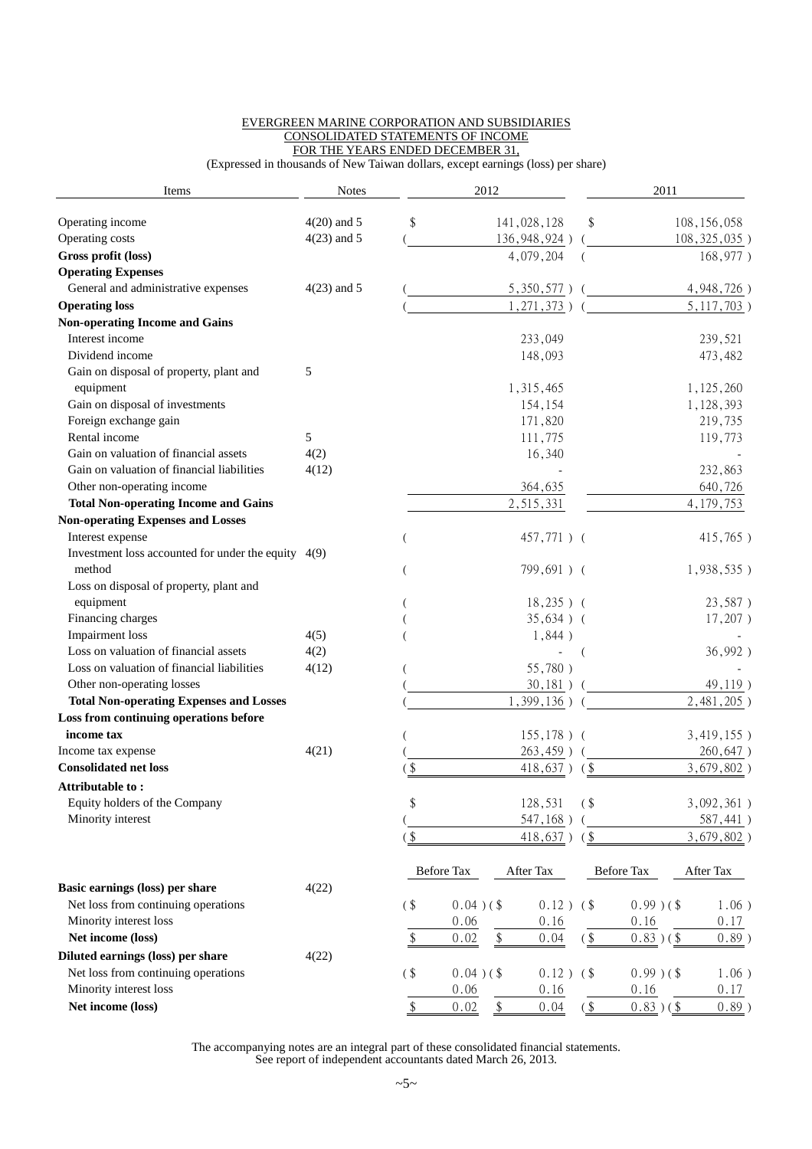#### EVERGREEN MARINE CORPORATION AND SUBSIDIARIES CONSOLIDATED STATEMENTS OF INCOME FOR THE YEARS ENDED DECEMBER 31,

(Expressed in thousands of New Taiwan dollars, except earnings (loss) per share)

| Items                                                 | <b>Notes</b>  |                   |                   | 2012          |                |               | 2011              |                |
|-------------------------------------------------------|---------------|-------------------|-------------------|---------------|----------------|---------------|-------------------|----------------|
| Operating income                                      | $4(20)$ and 5 | \$                |                   |               | 141,028,128    | \$            |                   | 108, 156, 058  |
| Operating costs                                       | $4(23)$ and 5 |                   |                   |               | 136, 948, 924) |               |                   | 108, 325, 035) |
| Gross profit (loss)                                   |               |                   |                   |               | 4,079,204      |               |                   | 168,977)       |
| <b>Operating Expenses</b>                             |               |                   |                   |               |                |               |                   |                |
| General and administrative expenses                   | $4(23)$ and 5 |                   |                   |               | 5,350,577      |               |                   | 4,948,726)     |
| <b>Operating loss</b>                                 |               |                   |                   |               | 1, 271, 373)   |               |                   | 5, 117, 703)   |
| <b>Non-operating Income and Gains</b>                 |               |                   |                   |               |                |               |                   |                |
| Interest income                                       |               |                   |                   |               | 233,049        |               |                   | 239,521        |
| Dividend income                                       |               |                   |                   |               | 148,093        |               |                   | 473,482        |
| Gain on disposal of property, plant and               | 5             |                   |                   |               |                |               |                   |                |
| equipment                                             |               |                   |                   |               | 1,315,465      |               |                   | 1,125,260      |
| Gain on disposal of investments                       |               |                   |                   |               | 154,154        |               |                   | 1,128,393      |
| Foreign exchange gain                                 |               |                   |                   |               | 171,820        |               |                   | 219,735        |
| Rental income                                         | 5             |                   |                   |               | 111,775        |               |                   | 119,773        |
| Gain on valuation of financial assets                 | 4(2)          |                   |                   |               | 16,340         |               |                   |                |
| Gain on valuation of financial liabilities            | 4(12)         |                   |                   |               |                |               |                   | 232,863        |
| Other non-operating income                            |               |                   |                   |               | 364,635        |               |                   | 640,726        |
| <b>Total Non-operating Income and Gains</b>           |               |                   |                   |               | 2,515,331      |               |                   | 4, 179, 753    |
| <b>Non-operating Expenses and Losses</b>              |               |                   |                   |               |                |               |                   |                |
| Interest expense                                      |               |                   |                   |               | 457,771) (     |               |                   | 415,765)       |
| Investment loss accounted for under the equity $4(9)$ |               |                   |                   |               |                |               |                   |                |
| method                                                |               |                   |                   |               | 799,691) (     |               |                   | $1,938,535$ )  |
| Loss on disposal of property, plant and               |               |                   |                   |               |                |               |                   |                |
| equipment                                             |               |                   |                   |               | $18,235$ ) (   |               |                   | 23,587)        |
| Financing charges                                     |               |                   |                   |               | $35,634$ ) (   |               |                   | $17,207$ )     |
| <b>Impairment</b> loss                                | 4(5)          |                   |                   |               | $1,844$ )      |               |                   |                |
| Loss on valuation of financial assets                 | 4(2)          |                   |                   |               |                |               |                   | 36,992)        |
| Loss on valuation of financial liabilities            | 4(12)         |                   |                   |               | 55,780)        |               |                   |                |
| Other non-operating losses                            |               |                   |                   |               | 30,181)        |               |                   | 49,119)        |
| <b>Total Non-operating Expenses and Losses</b>        |               |                   |                   |               | 1,399,136)     |               |                   | 2,481,205)     |
| Loss from continuing operations before                |               |                   |                   |               |                |               |                   |                |
| income tax                                            |               |                   |                   |               | $155, 178$ ) ( |               |                   | 3,419,155)     |
| Income tax expense                                    | 4(21)         |                   |                   |               | 263,459)       |               |                   | 260,647)       |
| <b>Consolidated net loss</b>                          |               | \$                |                   |               | 418,637        | $($ \$        |                   | 3,679,802)     |
| Attributable to:                                      |               |                   |                   |               |                |               |                   |                |
| Equity holders of the Company                         |               | $\boldsymbol{\$}$ |                   |               | 128,531        | $($ \$        |                   | 3,092,361)     |
| Minority interest                                     |               |                   |                   |               | 547,168)       |               |                   | 587,441)       |
|                                                       |               | $($ \$            |                   |               | 418,637)       | $($ \$        |                   | $3,679,802$ )  |
|                                                       |               |                   | <b>Before Tax</b> |               | After Tax      |               | <b>Before Tax</b> | After Tax      |
| Basic earnings (loss) per share                       | 4(22)         |                   |                   |               |                |               |                   |                |
| Net loss from continuing operations                   |               | $($ \$            | $0.04$ ) (\$      |               | $0.12$ )       | (             | $0.99$ ) (\$      | $1.06$ )       |
| Minority interest loss                                |               |                   | 0.06              |               | 0.16           |               | 0.16              | 0.17           |
| Net income (loss)                                     |               | \$                | 0.02              | $\frac{1}{2}$ | 0.04           | $\frac{1}{2}$ | $0.83)$ (\$       | $0.89$ )       |
| Diluted earnings (loss) per share                     | 4(22)         |                   |                   |               |                |               |                   |                |
| Net loss from continuing operations                   |               | $($ \$            | $0.04$ ) (\$      |               | $0.12$ )       | $($ \$        | $0.99$ ) (\$      | $1.06$ )       |
| Minority interest loss                                |               |                   | 0.06              |               | 0.16           |               | 0.16              | 0.17           |
| Net income (loss)                                     |               | \$                | 0.02              | \$            | 0.04           | $($ \$        | $0.83$ ) (\$      | $0.89$ )       |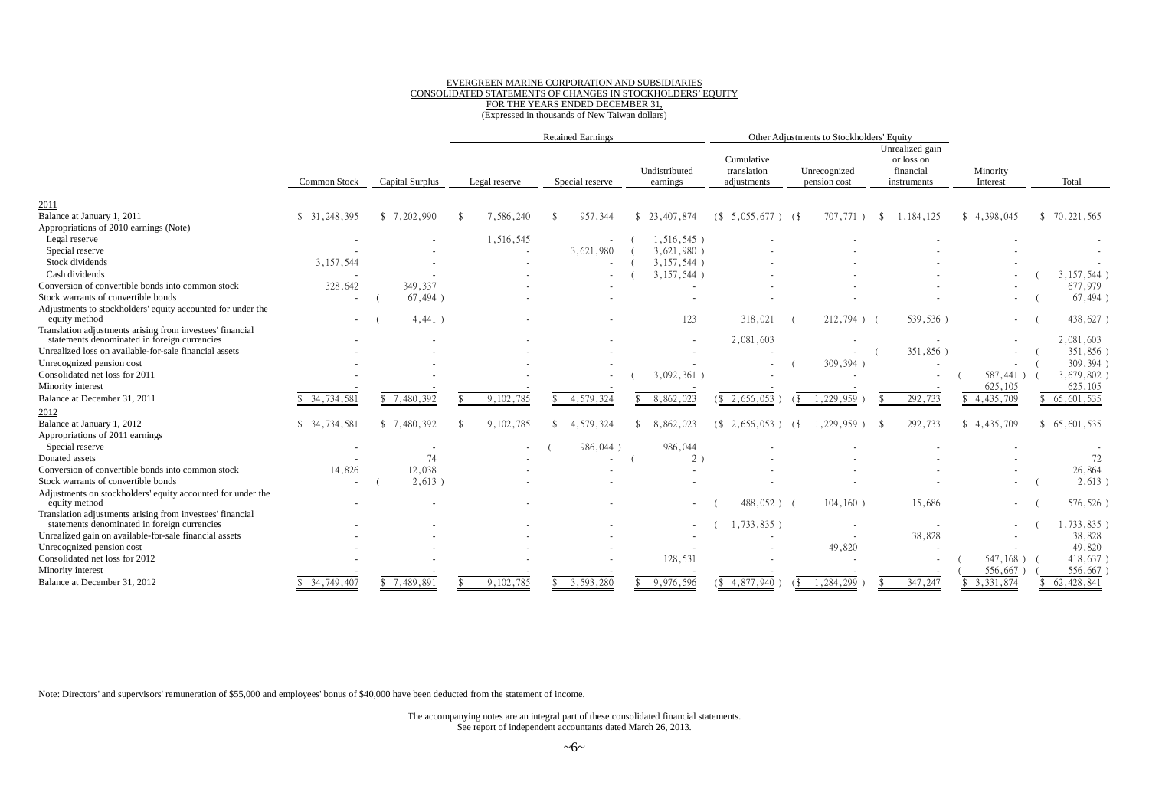#### EVERGREEN MARINE CORPORATION AND SUBSIDIARIES CONSOLIDATED STATEMENTS OF CHANGES IN STOCKHOLDERS' EQUITY FOR THE YEARS ENDED DECEMBER 31, (Expressed in thousands of New Taiwan dollars)

|                                                                                                           |                            |                 |               | <b>Retained Earnings</b> |                           |    |                                          |     | Other Adjustments to Stockholders' Equity |    |                                                           |                      |             |               |
|-----------------------------------------------------------------------------------------------------------|----------------------------|-----------------|---------------|--------------------------|---------------------------|----|------------------------------------------|-----|-------------------------------------------|----|-----------------------------------------------------------|----------------------|-------------|---------------|
|                                                                                                           | Common Stock               | Capital Surplus | Legal reserve | Special reserve          | Undistributed<br>earnings |    | Cumulative<br>translation<br>adjustments |     | Unrecognized<br>pension cost              |    | Unrealized gain<br>or loss on<br>financial<br>instruments | Minority<br>Interest |             | Total         |
|                                                                                                           |                            |                 |               |                          |                           |    |                                          |     |                                           |    |                                                           |                      |             |               |
| 2011<br>Balance at January 1, 2011                                                                        | 31, 248, 395<br>\$.        | \$7,202,990     | 7,586,240     | 957,344                  | \$23,407,874              | (S | $5,055,677$ ) (\$                        |     | 707,771                                   | -S | 1,184,125                                                 | \$4,398,045          |             | \$70,221,565  |
| Appropriations of 2010 earnings (Note)                                                                    |                            |                 |               |                          |                           |    |                                          |     |                                           |    |                                                           |                      |             |               |
| Legal reserve                                                                                             |                            |                 | 1,516,545     |                          | $1,516,545$ )             |    |                                          |     |                                           |    |                                                           |                      |             |               |
| Special reserve                                                                                           |                            |                 |               | 3,621,980                | $3,621,980$ )             |    |                                          |     |                                           |    |                                                           |                      |             |               |
| Stock dividends                                                                                           | 3,157,544                  |                 |               |                          | $3,157,544$ )             |    |                                          |     |                                           |    |                                                           |                      |             |               |
| Cash dividends                                                                                            |                            |                 |               |                          | 3,157,544                 |    |                                          |     |                                           |    |                                                           |                      |             | $3,157,544$ ) |
| Conversion of convertible bonds into common stock                                                         | 328,642                    | 349,337         |               |                          |                           |    |                                          |     |                                           |    |                                                           |                      |             | 677,979       |
| Stock warrants of convertible bonds                                                                       | $\sim$                     | $67,494$ )      |               |                          |                           |    |                                          |     |                                           |    |                                                           |                      |             | 67,494)       |
| Adjustments to stockholders' equity accounted for under the<br>equity method                              | $\overline{\phantom{a}}$   | $4,441$ )       |               |                          | 123                       |    | 318,021                                  |     | $212,794$ ) (                             |    | 539,536)                                                  |                      | $\sim$      | 438,627)      |
| Translation adjustments arising from investees' financial<br>statements denominated in foreign currencies |                            |                 |               |                          |                           |    | 2,081,603                                |     |                                           |    |                                                           |                      |             | 2,081,603     |
| Unrealized loss on available-for-sale financial assets                                                    |                            |                 |               |                          |                           |    |                                          |     |                                           |    | 351,856)                                                  |                      |             | 351,856)      |
| Unrecognized pension cost                                                                                 |                            |                 |               |                          |                           |    |                                          |     | 309,394)                                  |    |                                                           |                      |             | 309,394)      |
| Consolidated net loss for 2011                                                                            |                            |                 |               |                          | 3,092,361                 |    |                                          |     |                                           |    |                                                           |                      | $587,441$ ) | 3,679,802)    |
| Minority interest                                                                                         |                            |                 |               |                          |                           |    |                                          |     |                                           |    |                                                           | 625,105              |             | 625,105       |
| Balance at December 31, 2011                                                                              | $\overline{34}$ , 734, 581 | \$7,480,392     | 9,102,785     | 4,579,324                | 8,862,023                 |    | \$2,656,053                              |     | 1,229,959                                 |    | 292,733                                                   | \$4,435,709          |             | 65,601,535    |
| 2012                                                                                                      |                            |                 |               |                          |                           |    |                                          |     |                                           |    |                                                           |                      |             |               |
| Balance at January 1, 2012                                                                                | 34,734,581<br>\$           | \$7,480,392     | 9,102,785     | 4,579,324                | 8,862,023                 |    | (S, 2, 656, 053)                         | (\$ | 1,229,959)                                |    | 292,733                                                   | \$4,435,709          |             | \$65,601,535  |
| Appropriations of 2011 earnings                                                                           |                            |                 |               |                          |                           |    |                                          |     |                                           |    |                                                           |                      |             |               |
| Special reserve                                                                                           |                            |                 |               | 986,044)                 | 986,044                   |    |                                          |     |                                           |    |                                                           |                      |             |               |
| Donated assets                                                                                            |                            | 74              |               |                          | 2)                        |    |                                          |     |                                           |    |                                                           |                      |             | 72            |
| Conversion of convertible bonds into common stock                                                         | 14,826                     | 12,038          |               |                          |                           |    |                                          |     |                                           |    |                                                           |                      |             | 26,864        |
| Stock warrants of convertible bonds                                                                       |                            | $2,613$ )       |               |                          |                           |    |                                          |     |                                           |    |                                                           |                      |             | 2,613)        |
| Adjustments on stockholders' equity accounted for under the<br>equity method                              |                            |                 |               |                          |                           |    | $488,052$ )                              |     | $104, 160$ )                              |    | 15,686                                                    |                      | $\sim$      | 576,526)      |
| Translation adjustments arising from investees' financial<br>statements denominated in foreign currencies |                            |                 |               |                          |                           |    | $,733,835$ )                             |     |                                           |    |                                                           |                      |             | ,733,835)     |
| Unrealized gain on available-for-sale financial assets                                                    |                            |                 |               |                          |                           |    |                                          |     |                                           |    | 38,828                                                    |                      |             | 38,828        |
| Unrecognized pension cost                                                                                 |                            |                 |               |                          |                           |    |                                          |     | 49,820                                    |    |                                                           |                      |             | 49,820        |
| Consolidated net loss for 2012                                                                            |                            |                 |               |                          | 128,531                   |    |                                          |     |                                           |    |                                                           |                      | $547,168$ ) | 418,637)      |
| Minority interest                                                                                         |                            |                 |               |                          |                           |    |                                          |     |                                           |    |                                                           | 556,667              |             | 556,667       |
| Balance at December 31, 2012                                                                              | 34,749,407                 | \$7,489,891     | 9,102,785     | 3,593,280                | 9,976,596                 |    | $\sqrt{\$$ 4,877,940                     |     | 1,284,299                                 |    | 347,247                                                   | \$3,331,874          |             | 62,428,841    |

Note: Directors' and supervisors' remuneration of \$55,000 and employees' bonus of \$40,000 have been deducted from the statement of income.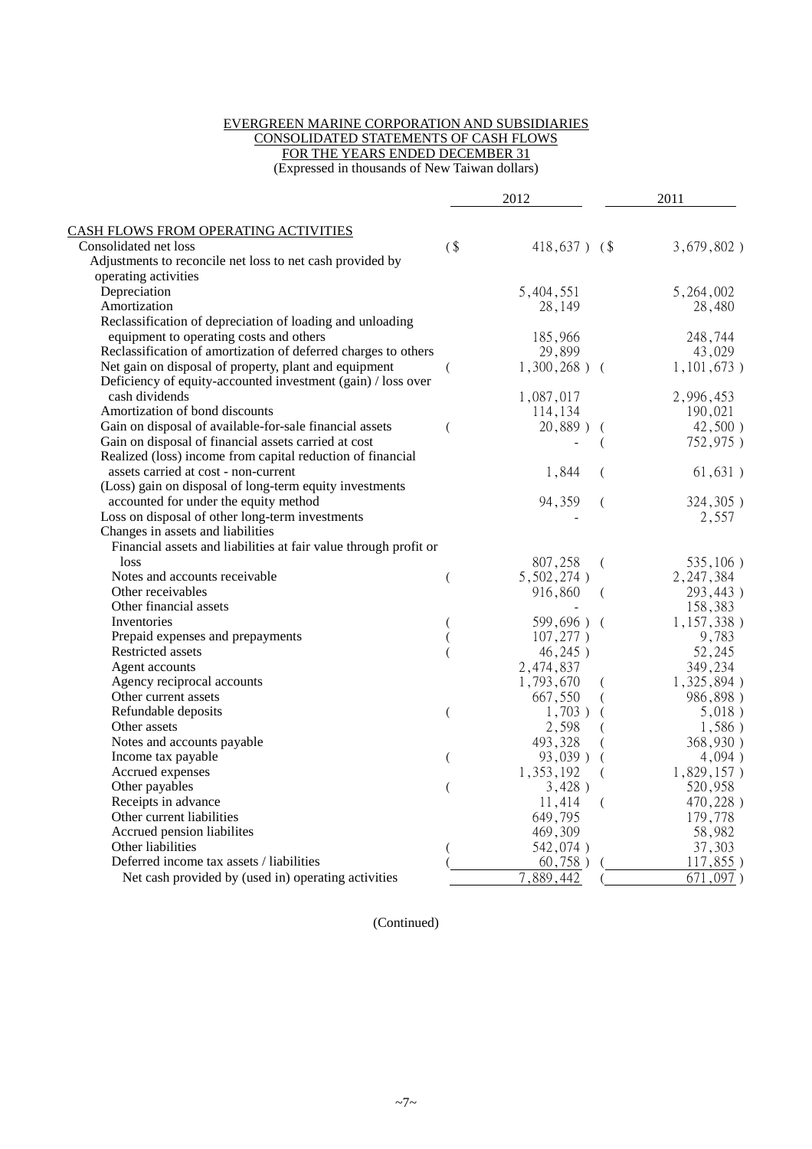#### EVERGREEN MARINE CORPORATION AND SUBSIDIARIES CONSOLIDATED STATEMENTS OF CASH FLOWS

FOR THE YEARS ENDED DECEMBER 31

(Expressed in thousands of New Taiwan dollars)

|                                                                  |   | 2012                      |                | 2011          |
|------------------------------------------------------------------|---|---------------------------|----------------|---------------|
| <b>CASH FLOWS FROM OPERATING ACTIVITIES</b>                      |   |                           |                |               |
| Consolidated net loss                                            | ( | $418,637$ ) (\$           |                | $3,679,802$ ) |
| Adjustments to reconcile net loss to net cash provided by        |   |                           |                |               |
| operating activities                                             |   |                           |                |               |
| Depreciation                                                     |   | 5,404,551                 |                | 5,264,002     |
| Amortization                                                     |   | 28,149                    |                | 28,480        |
| Reclassification of depreciation of loading and unloading        |   |                           |                |               |
| equipment to operating costs and others                          |   | 185,966                   |                | 248,744       |
| Reclassification of amortization of deferred charges to others   |   | 29,899                    |                | 43,029        |
| Net gain on disposal of property, plant and equipment            |   | $1,300,268$ ) (           |                | 1,101,673)    |
| Deficiency of equity-accounted investment (gain) / loss over     |   |                           |                |               |
| cash dividends                                                   |   | 1,087,017                 |                | 2,996,453     |
| Amortization of bond discounts                                   |   | 114,134                   |                | 190,021       |
| Gain on disposal of available-for-sale financial assets          |   | $20,889$ )                |                | $42,500$ )    |
| Gain on disposal of financial assets carried at cost             |   |                           | $\overline{ }$ | 752,975)      |
| Realized (loss) income from capital reduction of financial       |   |                           |                |               |
| assets carried at cost - non-current                             |   |                           |                |               |
|                                                                  |   | 1,844                     | €              | 61,631)       |
| (Loss) gain on disposal of long-term equity investments          |   |                           |                |               |
| accounted for under the equity method                            |   | 94,359                    | (              | 324,305)      |
| Loss on disposal of other long-term investments                  |   |                           |                | 2,557         |
| Changes in assets and liabilities                                |   |                           |                |               |
| Financial assets and liabilities at fair value through profit or |   |                           |                |               |
| loss                                                             |   | 807,258                   | (              | 535,106)      |
| Notes and accounts receivable.                                   | ( | 5,502,274)                |                | 2, 247, 384   |
| Other receivables                                                |   | 916,860                   | (              | 293,443)      |
| Other financial assets                                           |   |                           |                | 158,383       |
| Inventories                                                      |   | 599,696) (                |                | 1, 157, 338)  |
| Prepaid expenses and prepayments                                 |   | 107,277)                  |                | 9,783         |
| Restricted assets                                                |   | 46,245)                   |                | 52,245        |
| Agent accounts                                                   |   | 2,474,837                 |                | 349,234       |
| Agency reciprocal accounts                                       |   | 1,793,670                 |                | 1,325,894)    |
| Other current assets                                             |   | 667,550                   |                | 986,898)      |
| Refundable deposits                                              |   | $1,703$ )                 |                | 5,018)        |
| Other assets                                                     |   | 2,598                     |                | 1,586)        |
| Notes and accounts payable                                       |   | 493,328                   |                | 368,930)      |
| Income tax payable                                               |   | 93,039)                   |                | 4,094)        |
| Accrued expenses                                                 |   | 1,353,192                 |                | $1,829,157$ ) |
| Other payables                                                   |   | 3,428)                    |                | 520,958       |
| Receipts in advance                                              |   | 11,414                    | (              | 470,228)      |
| Other current liabilities                                        |   | 649,795                   |                | 179,778       |
| Accrued pension liabilites                                       |   | 469,309                   |                | 58,982        |
| Other liabilities                                                |   | 542,074)                  |                | 37,303        |
| Deferred income tax assets / liabilities                         |   | 60,758)                   |                | $117,855$ )   |
| Net cash provided by (used in) operating activities              |   | $\overline{7}$ , 889, 442 |                | 671,097)      |

(Continued)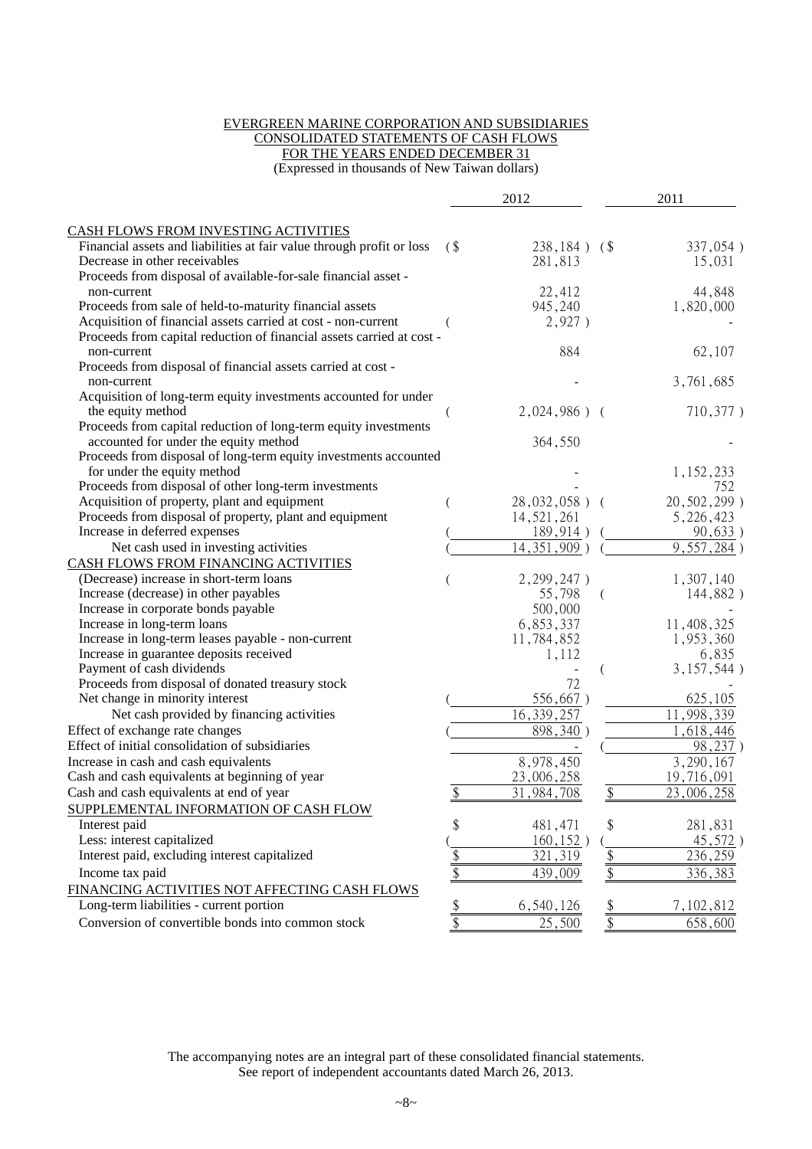#### EVERGREEN MARINE CORPORATION AND SUBSIDIARIES CONSOLIDATED STATEMENTS OF CASH FLOWS

FOR THE YEARS ENDED DECEMBER 31

(Expressed in thousands of New Taiwan dollars)

|                                                                       |                 | 2012             |                 | 2011                     |
|-----------------------------------------------------------------------|-----------------|------------------|-----------------|--------------------------|
| CASH FLOWS FROM INVESTING ACTIVITIES                                  |                 |                  |                 |                          |
| Financial assets and liabilities at fair value through profit or loss | (               | $238,184$ ) (\$  |                 | 337,054)                 |
| Decrease in other receivables                                         |                 | 281,813          |                 | 15,031                   |
| Proceeds from disposal of available-for-sale financial asset -        |                 |                  |                 |                          |
| non-current                                                           |                 | 22,412           |                 | 44,848                   |
| Proceeds from sale of held-to-maturity financial assets               |                 | 945,240          |                 | 1,820,000                |
| Acquisition of financial assets carried at cost - non-current         |                 | 2,927)           |                 |                          |
| Proceeds from capital reduction of financial assets carried at cost - |                 |                  |                 |                          |
| non-current                                                           |                 | 884              |                 | 62,107                   |
| Proceeds from disposal of financial assets carried at cost -          |                 |                  |                 |                          |
| non-current                                                           |                 |                  |                 | 3,761,685                |
| Acquisition of long-term equity investments accounted for under       |                 |                  |                 |                          |
| the equity method                                                     |                 | $2,024,986$ ) (  |                 | 710,377)                 |
| Proceeds from capital reduction of long-term equity investments       |                 |                  |                 |                          |
| accounted for under the equity method                                 |                 | 364,550          |                 |                          |
| Proceeds from disposal of long-term equity investments accounted      |                 |                  |                 |                          |
| for under the equity method                                           |                 |                  |                 | 1,152,233                |
| Proceeds from disposal of other long-term investments                 |                 |                  |                 | 752                      |
| Acquisition of property, plant and equipment                          |                 | $28,032,058$ ) ( |                 | 20,502,299)              |
| Proceeds from disposal of property, plant and equipment               |                 | 14, 521, 261     |                 | 5, 226, 423              |
| Increase in deferred expenses                                         |                 | 189,914)         |                 | 90,633)                  |
| Net cash used in investing activities                                 |                 | 14, 351, 909)    |                 | $\overline{9,557,284}$ ) |
| CASH FLOWS FROM FINANCING ACTIVITIES                                  |                 |                  |                 |                          |
| (Decrease) increase in short-term loans                               |                 | 2, 299, 247)     |                 | 1,307,140                |
| Increase (decrease) in other payables                                 |                 | 55,798           |                 | 144,882)                 |
| Increase in corporate bonds payable                                   |                 | 500,000          |                 |                          |
| Increase in long-term loans                                           |                 | 6,853,337        |                 | 11,408,325               |
| Increase in long-term leases payable - non-current                    |                 | 11,784,852       |                 | 1,953,360                |
| Increase in guarantee deposits received                               |                 | 1,112            |                 | 6,835                    |
| Payment of cash dividends                                             |                 |                  |                 | 3,157,544)               |
| Proceeds from disposal of donated treasury stock                      |                 | 72               |                 |                          |
| Net change in minority interest                                       |                 | 556,667)         |                 | 625,105                  |
| Net cash provided by financing activities                             |                 | 16, 339, 257     |                 | 11,998,339               |
| Effect of exchange rate changes                                       |                 | 898,340)         |                 | 1,618,446                |
| Effect of initial consolidation of subsidiaries                       |                 |                  |                 | 98,237)                  |
| Increase in cash and cash equivalents                                 |                 | 8,978,450        |                 | 3,290,167                |
| Cash and cash equivalents at beginning of year                        |                 | 23,006,258       |                 | 19,716,091               |
| Cash and cash equivalents at end of year                              | \$              | 31, 984, 708     | $\frac{1}{2}$   | 23,006,258               |
| SUPPLEMENTAL INFORMATION OF CASH FLOW                                 |                 |                  |                 |                          |
| Interest paid                                                         | \$              | 481,471          | \$              | 281,831                  |
| Less: interest capitalized                                            |                 | 160, 152)        |                 | 45,572)                  |
| Interest paid, excluding interest capitalized                         |                 | 321,319          | $\frac{1}{2}$   | 236,259                  |
|                                                                       | $\frac{\$}{\$}$ |                  |                 |                          |
| Income tax paid                                                       |                 | 439,009          | $\overline{\$}$ | 336,383                  |
| FINANCING ACTIVITIES NOT AFFECTING CASH FLOWS                         |                 |                  |                 |                          |
| Long-term liabilities - current portion                               | $\frac{\$}{\$}$ | 6,540,126        | $rac{1}{2}$     | 7,102,812                |
| Conversion of convertible bonds into common stock                     |                 | 25,500           |                 | 658,600                  |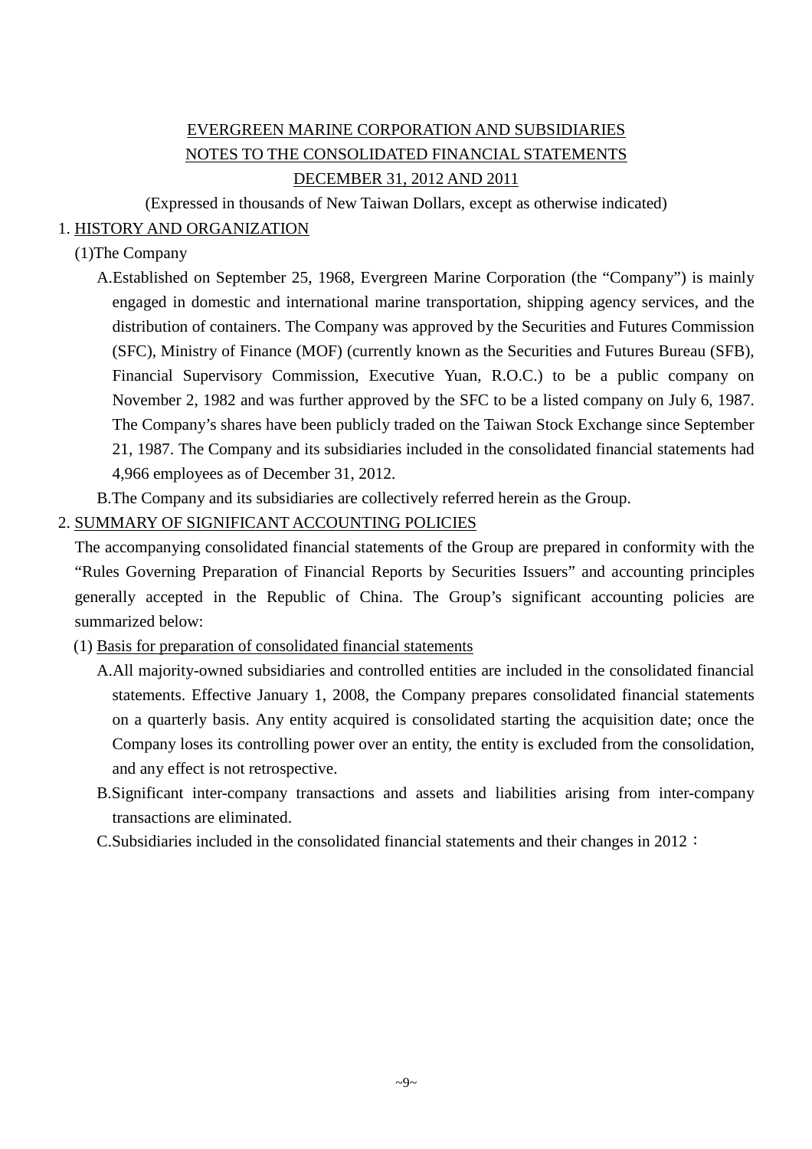## EVERGREEN MARINE CORPORATION AND SUBSIDIARIES NOTES TO THE CONSOLIDATED FINANCIAL STATEMENTS DECEMBER 31, 2012 AND 2011

(Expressed in thousands of New Taiwan Dollars, except as otherwise indicated)

### 1. HISTORY AND ORGANIZATION

### (1)The Company

- A.Established on September 25, 1968, Evergreen Marine Corporation (the "Company") is mainly engaged in domestic and international marine transportation, shipping agency services, and the distribution of containers. The Company was approved by the Securities and Futures Commission (SFC), Ministry of Finance (MOF) (currently known as the Securities and Futures Bureau (SFB), Financial Supervisory Commission, Executive Yuan, R.O.C.) to be a public company on November 2, 1982 and was further approved by the SFC to be a listed company on July 6, 1987. The Company's shares have been publicly traded on the Taiwan Stock Exchange since September 21, 1987. The Company and its subsidiaries included in the consolidated financial statements had 4,966 employees as of December 31, 2012.
- B.The Company and its subsidiaries are collectively referred herein as the Group.

### 2. SUMMARY OF SIGNIFICANT ACCOUNTING POLICIES

The accompanying consolidated financial statements of the Group are prepared in conformity with the "Rules Governing Preparation of Financial Reports by Securities Issuers" and accounting principles generally accepted in the Republic of China. The Group's significant accounting policies are summarized below:

- (1) Basis for preparation of consolidated financial statements
	- A.All majority-owned subsidiaries and controlled entities are included in the consolidated financial statements. Effective January 1, 2008, the Company prepares consolidated financial statements on a quarterly basis. Any entity acquired is consolidated starting the acquisition date; once the Company loses its controlling power over an entity, the entity is excluded from the consolidation, and any effect is not retrospective.
	- B.Significant inter-company transactions and assets and liabilities arising from inter-company transactions are eliminated.
	- C.Subsidiaries included in the consolidated financial statements and their changes in 2012: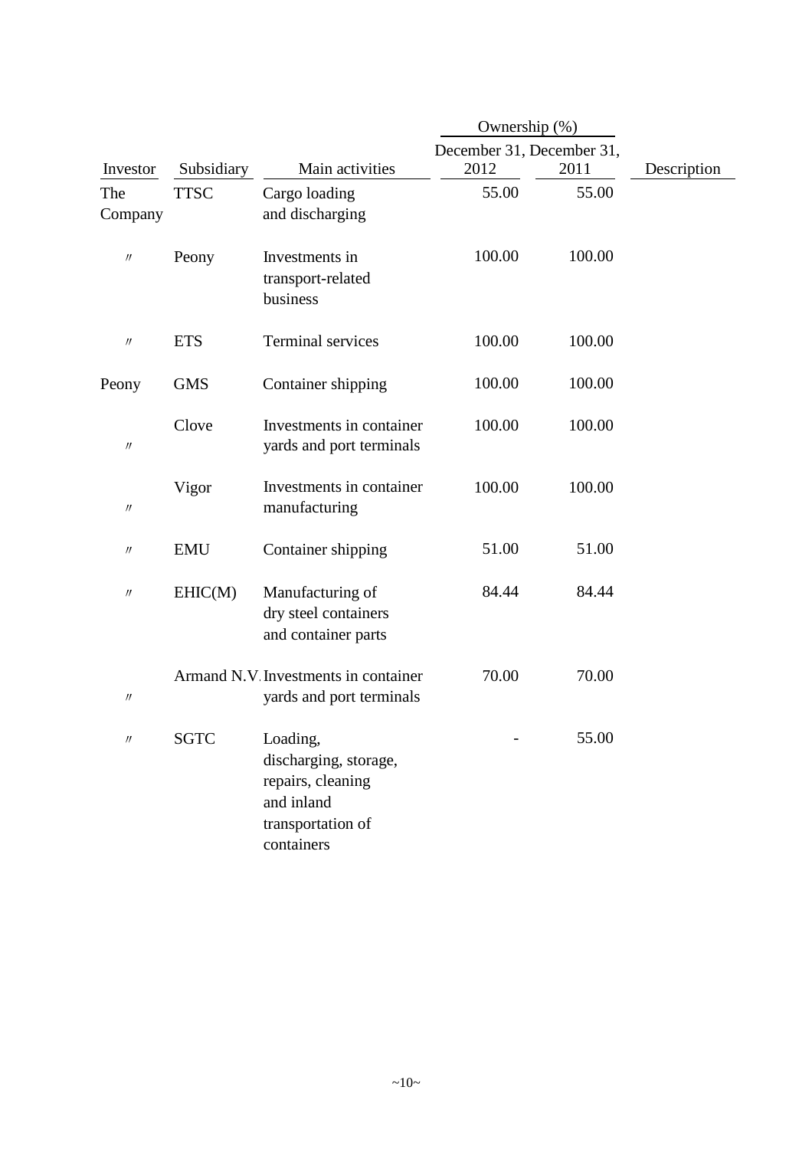|                               |             |                                                                                                         | Ownership (%)             |        |             |
|-------------------------------|-------------|---------------------------------------------------------------------------------------------------------|---------------------------|--------|-------------|
|                               |             |                                                                                                         | December 31, December 31, |        |             |
| Investor                      | Subsidiary  | Main activities                                                                                         | 2012                      | 2011   | Description |
| The<br>Company                | <b>TTSC</b> | Cargo loading<br>and discharging                                                                        | 55.00                     | 55.00  |             |
| $\prime\prime$                | Peony       | Investments in<br>transport-related<br>business                                                         | 100.00                    | 100.00 |             |
| $\prime\prime$                | <b>ETS</b>  | <b>Terminal services</b>                                                                                | 100.00                    | 100.00 |             |
| Peony                         | <b>GMS</b>  | Container shipping                                                                                      | 100.00                    | 100.00 |             |
| $\ensuremath{\mathnormal{H}}$ | Clove       | Investments in container<br>yards and port terminals                                                    | 100.00                    | 100.00 |             |
| $\prime\prime$                | Vigor       | Investments in container<br>manufacturing                                                               | 100.00                    | 100.00 |             |
| $\prime\prime$                | <b>EMU</b>  | Container shipping                                                                                      | 51.00                     | 51.00  |             |
| $^{\prime\prime}$             | EHIC(M)     | Manufacturing of<br>dry steel containers<br>and container parts                                         | 84.44                     | 84.44  |             |
| $\label{eq:1} \mathcal{W}$    |             | Armand N.V. Investments in container<br>yards and port terminals                                        | 70.00                     | 70.00  |             |
| $\prime\prime$                | <b>SGTC</b> | Loading,<br>discharging, storage,<br>repairs, cleaning<br>and inland<br>transportation of<br>containers |                           | 55.00  |             |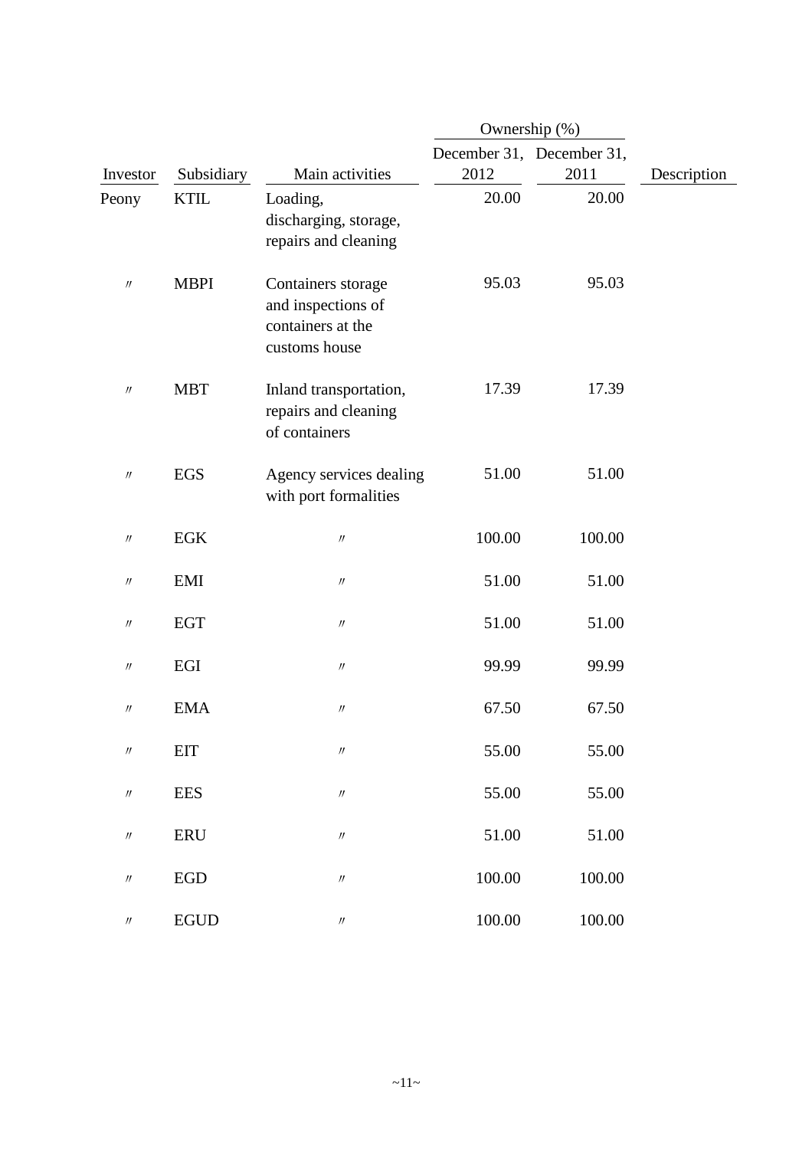|                               |             |                                                                                | Ownership (%)             |        |             |
|-------------------------------|-------------|--------------------------------------------------------------------------------|---------------------------|--------|-------------|
|                               |             |                                                                                | December 31, December 31, |        |             |
| Investor                      | Subsidiary  | Main activities                                                                | 2012                      | 2011   | Description |
| Peony                         | <b>KTIL</b> | Loading,<br>discharging, storage,<br>repairs and cleaning                      | 20.00                     | 20.00  |             |
| $\prime\prime$                | <b>MBPI</b> | Containers storage<br>and inspections of<br>containers at the<br>customs house | 95.03                     | 95.03  |             |
| $\prime\prime$                | <b>MBT</b>  | Inland transportation,<br>repairs and cleaning<br>of containers                | 17.39                     | 17.39  |             |
| $\prime\prime$                | <b>EGS</b>  | Agency services dealing<br>with port formalities                               | 51.00                     | 51.00  |             |
| $\prime\prime$                | EGK         | $\ensuremath{\mathnormal{H}}$                                                  | 100.00                    | 100.00 |             |
| $\prime\prime$                | <b>EMI</b>  | $\prime\prime$                                                                 | 51.00                     | 51.00  |             |
| $\prime\prime$                | <b>EGT</b>  | $^{\prime\prime}$                                                              | 51.00                     | 51.00  |             |
| $\prime\prime$                | EGI         | $^{\prime\prime}$                                                              | 99.99                     | 99.99  |             |
| $\prime\prime$                | <b>EMA</b>  | $\prime\prime$                                                                 | 67.50                     | 67.50  |             |
| $\ensuremath{\mathnormal{H}}$ | <b>EIT</b>  | $\ensuremath{\mathnormal{H}}$                                                  | 55.00                     | 55.00  |             |
| $\prime\prime$                | <b>EES</b>  | $\ensuremath{\mathnormal{II}}$                                                 | 55.00                     | 55.00  |             |
| $\prime\prime$                | <b>ERU</b>  | $\prime\prime$                                                                 | 51.00                     | 51.00  |             |
| $\prime\prime$                | ${\rm EGD}$ | $\ensuremath{\mathnormal{H}}$                                                  | 100.00                    | 100.00 |             |
| $\prime\prime$                | <b>EGUD</b> | $\prime\prime$                                                                 | 100.00                    | 100.00 |             |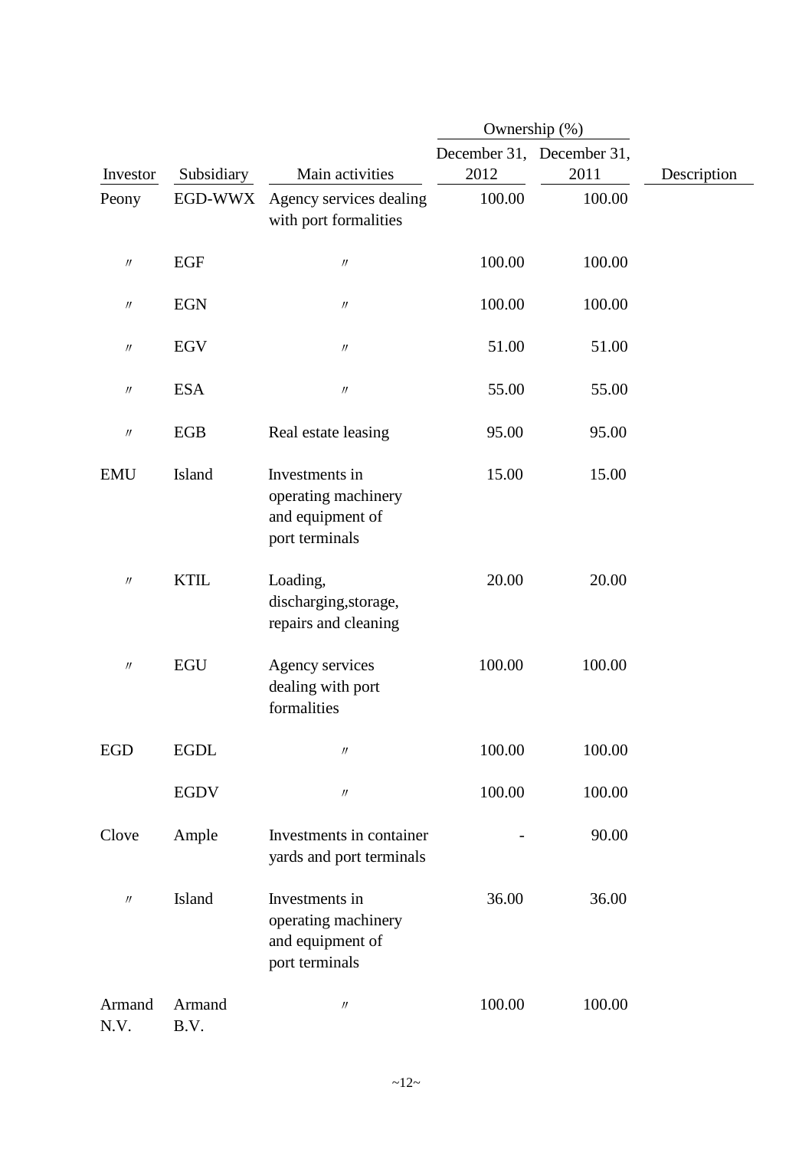|                   |                |                                                                             | Ownership (%)                     |        |             |
|-------------------|----------------|-----------------------------------------------------------------------------|-----------------------------------|--------|-------------|
| Investor          | Subsidiary     | Main activities                                                             | December 31, December 31,<br>2012 | 2011   | Description |
| Peony             | EGD-WWX        | Agency services dealing<br>with port formalities                            | 100.00                            | 100.00 |             |
| $^{\prime\prime}$ | EGF            | $\prime\prime$                                                              | 100.00                            | 100.00 |             |
| $^{\prime\prime}$ | <b>EGN</b>     | $\prime\prime$                                                              | 100.00                            | 100.00 |             |
| $\prime\prime$    | EGV            | $\prime\prime$                                                              | 51.00                             | 51.00  |             |
| $\prime\prime$    | <b>ESA</b>     | $\prime\prime$                                                              | 55.00                             | 55.00  |             |
| $\prime\prime$    | <b>EGB</b>     | Real estate leasing                                                         | 95.00                             | 95.00  |             |
| <b>EMU</b>        | <b>Island</b>  | Investments in<br>operating machinery<br>and equipment of<br>port terminals | 15.00                             | 15.00  |             |
| $\prime\prime$    | <b>KTIL</b>    | Loading,<br>discharging, storage,<br>repairs and cleaning                   | 20.00                             | 20.00  |             |
| $\prime\prime$    | <b>EGU</b>     | Agency services<br>dealing with port<br>formalities                         | 100.00                            | 100.00 |             |
| <b>EGD</b>        | <b>EGDL</b>    | $\prime\prime$                                                              | 100.00                            | 100.00 |             |
|                   | <b>EGDV</b>    | $\prime\prime$                                                              | 100.00                            | 100.00 |             |
| Clove             | Ample          | Investments in container<br>yards and port terminals                        |                                   | 90.00  |             |
| $\prime\prime$    | <b>Island</b>  | Investments in<br>operating machinery<br>and equipment of<br>port terminals | 36.00                             | 36.00  |             |
| Armand<br>N.V.    | Armand<br>B.V. | $\prime\prime$                                                              | 100.00                            | 100.00 |             |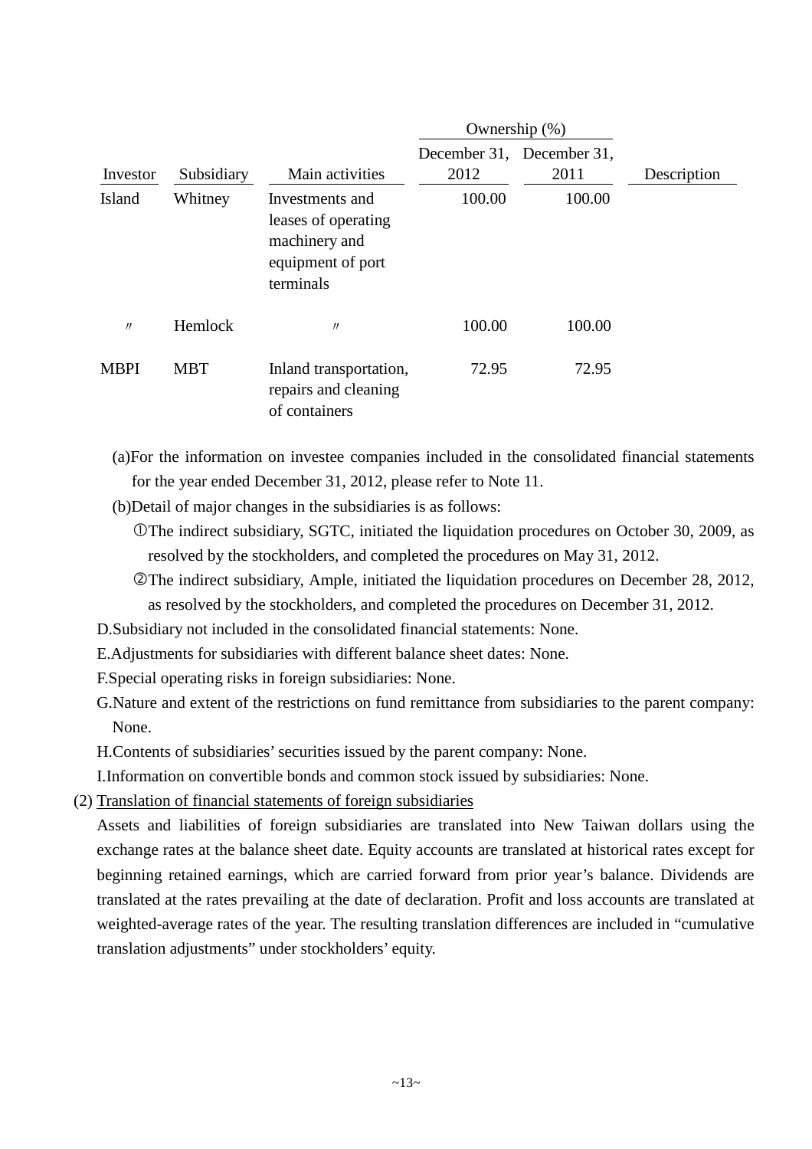|             |            |                                                                                           |        | Ownership $(\%)$                  |             |
|-------------|------------|-------------------------------------------------------------------------------------------|--------|-----------------------------------|-------------|
| Investor    | Subsidiary | Main activities                                                                           | 2012   | December 31, December 31,<br>2011 | Description |
| Island      | Whitney    | Investments and<br>leases of operating<br>machinery and<br>equipment of port<br>terminals | 100.00 | 100.00                            |             |
| $\prime$    | Hemlock    | $\prime$                                                                                  | 100.00 | 100.00                            |             |
| <b>MBPI</b> | <b>MBT</b> | Inland transportation,<br>repairs and cleaning<br>of containers                           | 72.95  | 72.95                             |             |

(a)For the information on investee companies included in the consolidated financial statements for the year ended December 31, 2012, please refer to Note 11.

(b)Detail of major changes in the subsidiaries is as follows:

- The indirect subsidiary, SGTC, initiated the liquidation procedures on October 30, 2009, as resolved by the stockholders, and completed the procedures on May 31, 2012.
- The indirect subsidiary, Ample, initiated the liquidation procedures on December 28, 2012, as resolved by the stockholders, and completed the procedures on December 31, 2012.

D.Subsidiary not included in the consolidated financial statements: None.

E.Adjustments for subsidiaries with different balance sheet dates: None.

F.Special operating risks in foreign subsidiaries: None.

G.Nature and extent of the restrictions on fund remittance from subsidiaries to the parent company: None.

H.Contents of subsidiaries' securities issued by the parent company: None.

I.Information on convertible bonds and common stock issued by subsidiaries: None.

(2) Translation of financial statements of foreign subsidiaries

Assets and liabilities of foreign subsidiaries are translated into New Taiwan dollars using the exchange rates at the balance sheet date. Equity accounts are translated at historical rates except for beginning retained earnings, which are carried forward from prior year's balance. Dividends are translated at the rates prevailing at the date of declaration. Profit and loss accounts are translated at weighted-average rates of the year. The resulting translation differences are included in "cumulative translation adjustments" under stockholders' equity.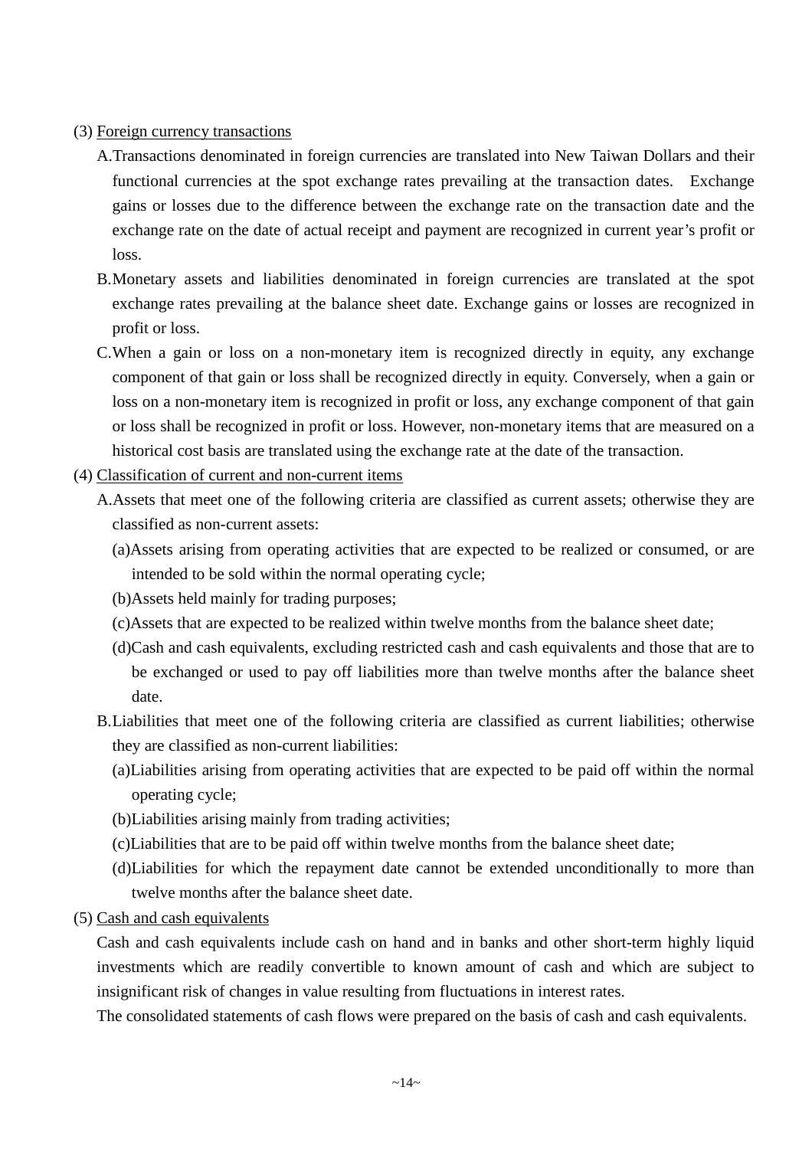#### (3) Foreign currency transactions

- A.Transactions denominated in foreign currencies are translated into New Taiwan Dollars and their functional currencies at the spot exchange rates prevailing at the transaction dates. Exchange gains or losses due to the difference between the exchange rate on the transaction date and the exchange rate on the date of actual receipt and payment are recognized in current year's profit or loss.
- B.Monetary assets and liabilities denominated in foreign currencies are translated at the spot exchange rates prevailing at the balance sheet date. Exchange gains or losses are recognized in profit or loss.
- C.When a gain or loss on a non-monetary item is recognized directly in equity, any exchange component of that gain or loss shall be recognized directly in equity. Conversely, when a gain or loss on a non-monetary item is recognized in profit or loss, any exchange component of that gain or loss shall be recognized in profit or loss. However, non-monetary items that are measured on a historical cost basis are translated using the exchange rate at the date of the transaction.
- (4) Classification of current and non-current items
	- A.Assets that meet one of the following criteria are classified as current assets; otherwise they are classified as non-current assets:
		- (a)Assets arising from operating activities that are expected to be realized or consumed, or are intended to be sold within the normal operating cycle;
		- (b)Assets held mainly for trading purposes;
		- (c)Assets that are expected to be realized within twelve months from the balance sheet date;
		- (d)Cash and cash equivalents, excluding restricted cash and cash equivalents and those that are to be exchanged or used to pay off liabilities more than twelve months after the balance sheet date.
	- B.Liabilities that meet one of the following criteria are classified as current liabilities; otherwise they are classified as non-current liabilities:
		- (a)Liabilities arising from operating activities that are expected to be paid off within the normal operating cycle;
		- (b)Liabilities arising mainly from trading activities;
		- (c)Liabilities that are to be paid off within twelve months from the balance sheet date;
		- (d)Liabilities for which the repayment date cannot be extended unconditionally to more than twelve months after the balance sheet date.
- (5) Cash and cash equivalents

Cash and cash equivalents include cash on hand and in banks and other short-term highly liquid investments which are readily convertible to known amount of cash and which are subject to insignificant risk of changes in value resulting from fluctuations in interest rates.

The consolidated statements of cash flows were prepared on the basis of cash and cash equivalents.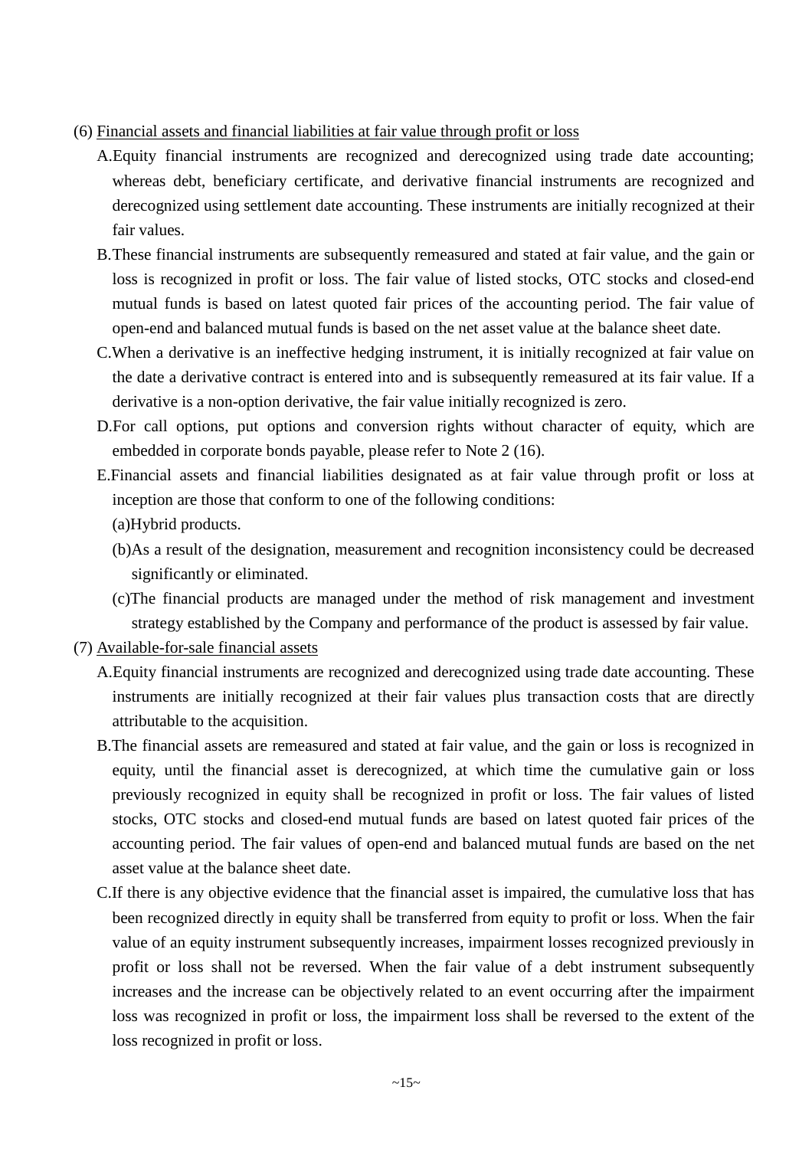- (6) Financial assets and financial liabilities at fair value through profit or loss
	- A.Equity financial instruments are recognized and derecognized using trade date accounting; whereas debt, beneficiary certificate, and derivative financial instruments are recognized and derecognized using settlement date accounting. These instruments are initially recognized at their fair values.
	- B.These financial instruments are subsequently remeasured and stated at fair value, and the gain or loss is recognized in profit or loss. The fair value of listed stocks, OTC stocks and closed-end mutual funds is based on latest quoted fair prices of the accounting period. The fair value of open-end and balanced mutual funds is based on the net asset value at the balance sheet date.
	- C.When a derivative is an ineffective hedging instrument, it is initially recognized at fair value on the date a derivative contract is entered into and is subsequently remeasured at its fair value. If a derivative is a non-option derivative, the fair value initially recognized is zero.
	- D.For call options, put options and conversion rights without character of equity, which are embedded in corporate bonds payable, please refer to Note 2 (16).
	- E.Financial assets and financial liabilities designated as at fair value through profit or loss at inception are those that conform to one of the following conditions: (a)Hybrid products.
		- (b)As a result of the designation, measurement and recognition inconsistency could be decreased significantly or eliminated.
		- (c)The financial products are managed under the method of risk management and investment strategy established by the Company and performance of the product is assessed by fair value.
- (7) Available-for-sale financial assets
	- A.Equity financial instruments are recognized and derecognized using trade date accounting. These instruments are initially recognized at their fair values plus transaction costs that are directly attributable to the acquisition.
	- B.The financial assets are remeasured and stated at fair value, and the gain or loss is recognized in equity, until the financial asset is derecognized, at which time the cumulative gain or loss previously recognized in equity shall be recognized in profit or loss. The fair values of listed stocks, OTC stocks and closed-end mutual funds are based on latest quoted fair prices of the accounting period. The fair values of open-end and balanced mutual funds are based on the net asset value at the balance sheet date.
	- C.If there is any objective evidence that the financial asset is impaired, the cumulative loss that has been recognized directly in equity shall be transferred from equity to profit or loss. When the fair value of an equity instrument subsequently increases, impairment losses recognized previously in profit or loss shall not be reversed. When the fair value of a debt instrument subsequently increases and the increase can be objectively related to an event occurring after the impairment loss was recognized in profit or loss, the impairment loss shall be reversed to the extent of the loss recognized in profit or loss.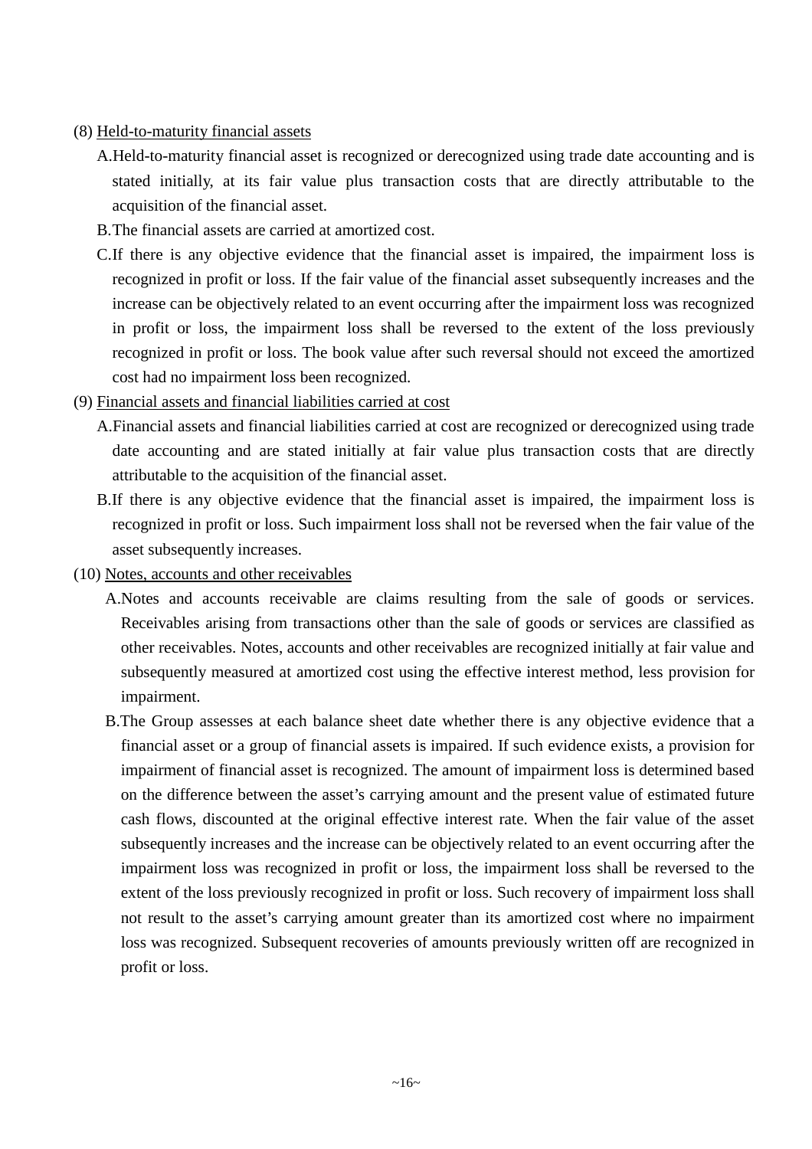#### (8) Held-to-maturity financial assets

- A.Held-to-maturity financial asset is recognized or derecognized using trade date accounting and is stated initially, at its fair value plus transaction costs that are directly attributable to the acquisition of the financial asset.
- B.The financial assets are carried at amortized cost.
- C.If there is any objective evidence that the financial asset is impaired, the impairment loss is recognized in profit or loss. If the fair value of the financial asset subsequently increases and the increase can be objectively related to an event occurring after the impairment loss was recognized in profit or loss, the impairment loss shall be reversed to the extent of the loss previously recognized in profit or loss. The book value after such reversal should not exceed the amortized cost had no impairment loss been recognized.
- (9) Financial assets and financial liabilities carried at cost
	- A.Financial assets and financial liabilities carried at cost are recognized or derecognized using trade date accounting and are stated initially at fair value plus transaction costs that are directly attributable to the acquisition of the financial asset.
	- B.If there is any objective evidence that the financial asset is impaired, the impairment loss is recognized in profit or loss. Such impairment loss shall not be reversed when the fair value of the asset subsequently increases.
- (10) Notes, accounts and other receivables
	- A.Notes and accounts receivable are claims resulting from the sale of goods or services. Receivables arising from transactions other than the sale of goods or services are classified as other receivables. Notes, accounts and other receivables are recognized initially at fair value and subsequently measured at amortized cost using the effective interest method, less provision for impairment.
	- B.The Group assesses at each balance sheet date whether there is any objective evidence that a financial asset or a group of financial assets is impaired. If such evidence exists, a provision for impairment of financial asset is recognized. The amount of impairment loss is determined based on the difference between the asset's carrying amount and the present value of estimated future cash flows, discounted at the original effective interest rate. When the fair value of the asset subsequently increases and the increase can be objectively related to an event occurring after the impairment loss was recognized in profit or loss, the impairment loss shall be reversed to the extent of the loss previously recognized in profit or loss. Such recovery of impairment loss shall not result to the asset's carrying amount greater than its amortized cost where no impairment loss was recognized. Subsequent recoveries of amounts previously written off are recognized in profit or loss.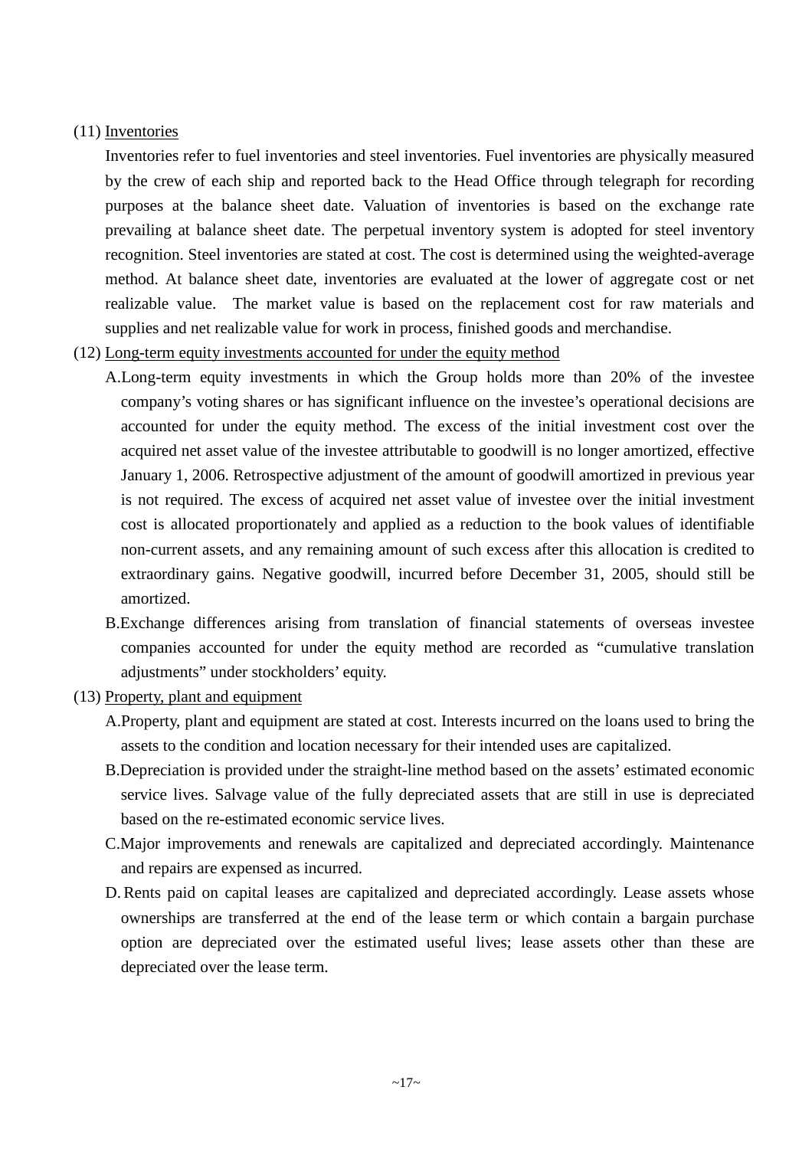#### (11) Inventories

Inventories refer to fuel inventories and steel inventories. Fuel inventories are physically measured by the crew of each ship and reported back to the Head Office through telegraph for recording purposes at the balance sheet date. Valuation of inventories is based on the exchange rate prevailing at balance sheet date. The perpetual inventory system is adopted for steel inventory recognition. Steel inventories are stated at cost. The cost is determined using the weighted-average method. At balance sheet date, inventories are evaluated at the lower of aggregate cost or net realizable value. The market value is based on the replacement cost for raw materials and supplies and net realizable value for work in process, finished goods and merchandise.

(12) Long-term equity investments accounted for under the equity method

A.Long-term equity investments in which the Group holds more than 20% of the investee company's voting shares or has significant influence on the investee's operational decisions are accounted for under the equity method. The excess of the initial investment cost over the acquired net asset value of the investee attributable to goodwill is no longer amortized, effective January 1, 2006. Retrospective adjustment of the amount of goodwill amortized in previous year is not required. The excess of acquired net asset value of investee over the initial investment cost is allocated proportionately and applied as a reduction to the book values of identifiable non-current assets, and any remaining amount of such excess after this allocation is credited to extraordinary gains. Negative goodwill, incurred before December 31, 2005, should still be amortized.

- B.Exchange differences arising from translation of financial statements of overseas investee companies accounted for under the equity method are recorded as "cumulative translation adjustments" under stockholders' equity.
- (13) Property, plant and equipment
	- A.Property, plant and equipment are stated at cost. Interests incurred on the loans used to bring the assets to the condition and location necessary for their intended uses are capitalized.
	- B.Depreciation is provided under the straight-line method based on the assets' estimated economic service lives. Salvage value of the fully depreciated assets that are still in use is depreciated based on the re-estimated economic service lives.
	- C.Major improvements and renewals are capitalized and depreciated accordingly. Maintenance and repairs are expensed as incurred.
	- D. Rents paid on capital leases are capitalized and depreciated accordingly. Lease assets whose ownerships are transferred at the end of the lease term or which contain a bargain purchase option are depreciated over the estimated useful lives; lease assets other than these are depreciated over the lease term.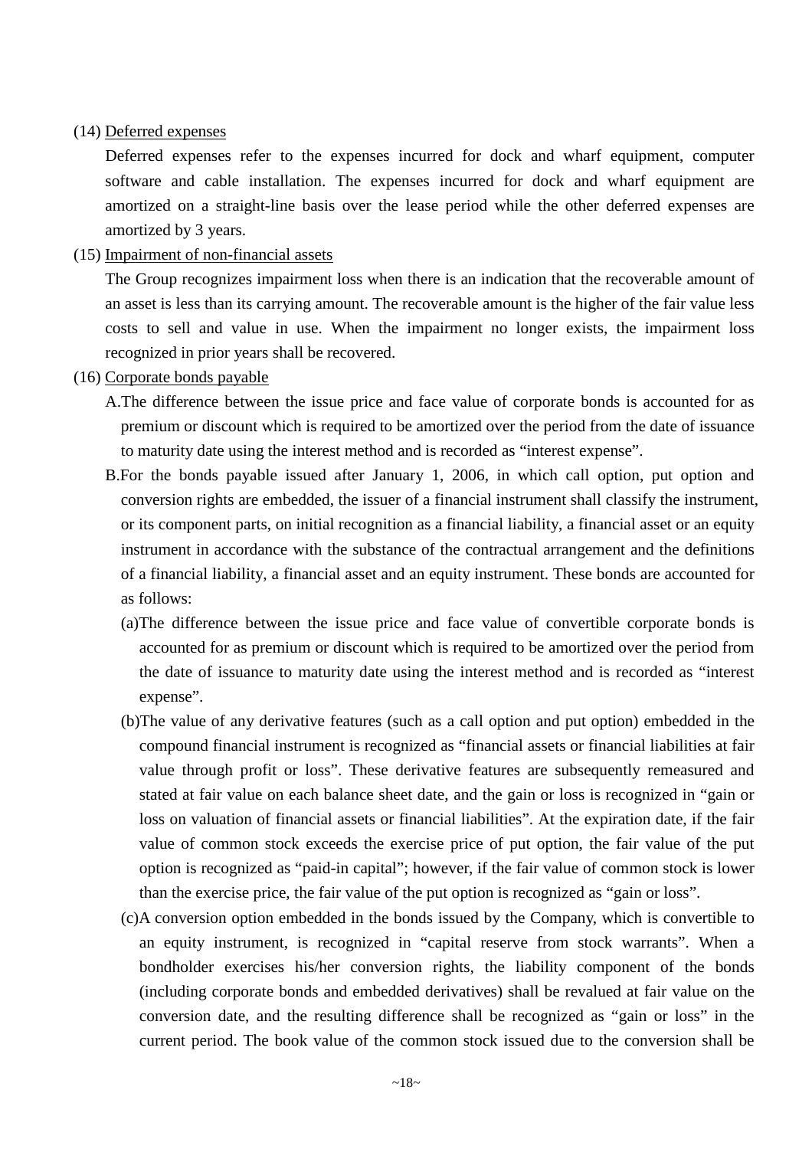#### (14) Deferred expenses

Deferred expenses refer to the expenses incurred for dock and wharf equipment, computer software and cable installation. The expenses incurred for dock and wharf equipment are amortized on a straight-line basis over the lease period while the other deferred expenses are amortized by 3 years.

#### (15) Impairment of non-financial assets

The Group recognizes impairment loss when there is an indication that the recoverable amount of an asset is less than its carrying amount. The recoverable amount is the higher of the fair value less costs to sell and value in use. When the impairment no longer exists, the impairment loss recognized in prior years shall be recovered.

#### (16) Corporate bonds payable

- A.The difference between the issue price and face value of corporate bonds is accounted for as premium or discount which is required to be amortized over the period from the date of issuance to maturity date using the interest method and is recorded as "interest expense".
- B.For the bonds payable issued after January 1, 2006, in which call option, put option and conversion rights are embedded, the issuer of a financial instrument shall classify the instrument, or its component parts, on initial recognition as a financial liability, a financial asset or an equity instrument in accordance with the substance of the contractual arrangement and the definitions of a financial liability, a financial asset and an equity instrument. These bonds are accounted for as follows:
	- (a)The difference between the issue price and face value of convertible corporate bonds is accounted for as premium or discount which is required to be amortized over the period from the date of issuance to maturity date using the interest method and is recorded as "interest expense".
	- (b)The value of any derivative features (such as a call option and put option) embedded in the compound financial instrument is recognized as "financial assets or financial liabilities at fair value through profit or loss". These derivative features are subsequently remeasured and stated at fair value on each balance sheet date, and the gain or loss is recognized in "gain or loss on valuation of financial assets or financial liabilities". At the expiration date, if the fair value of common stock exceeds the exercise price of put option, the fair value of the put option is recognized as "paid-in capital"; however, if the fair value of common stock is lower than the exercise price, the fair value of the put option is recognized as "gain or loss".
	- (c)A conversion option embedded in the bonds issued by the Company, which is convertible to an equity instrument, is recognized in "capital reserve from stock warrants". When a bondholder exercises his/her conversion rights, the liability component of the bonds (including corporate bonds and embedded derivatives) shall be revalued at fair value on the conversion date, and the resulting difference shall be recognized as "gain or loss" in the current period. The book value of the common stock issued due to the conversion shall be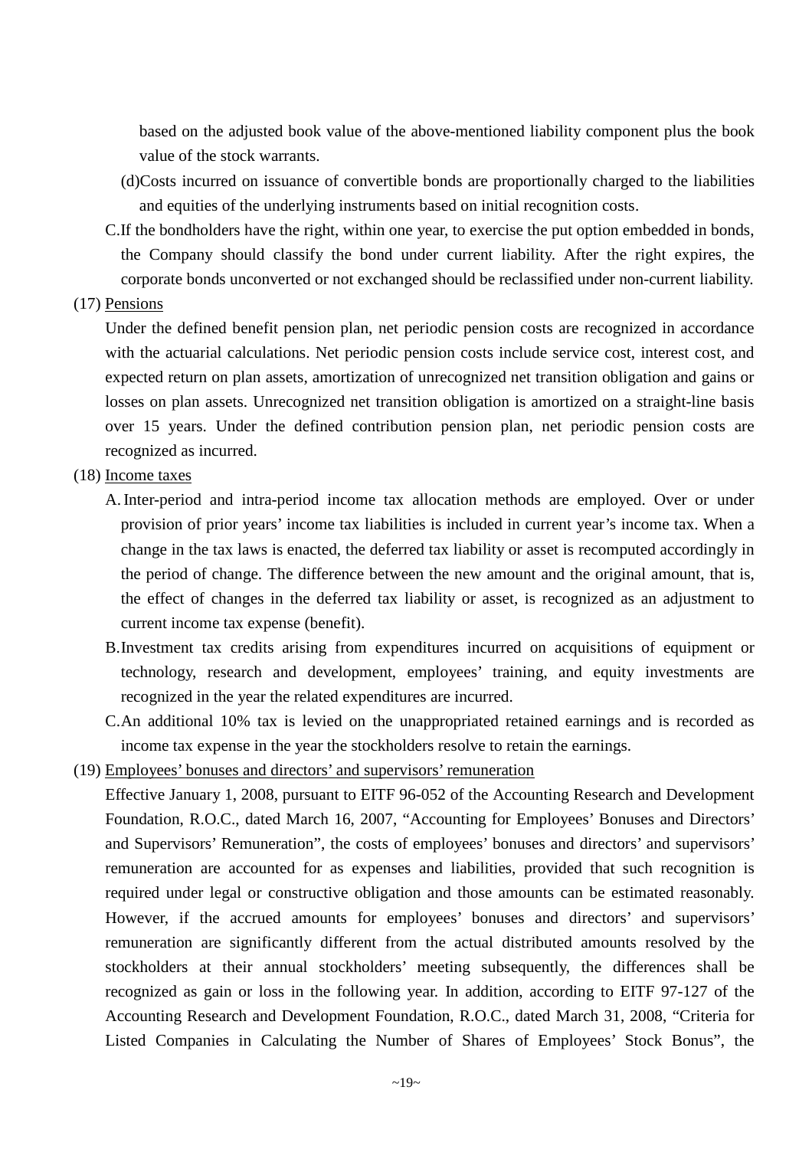based on the adjusted book value of the above-mentioned liability component plus the book value of the stock warrants.

- (d)Costs incurred on issuance of convertible bonds are proportionally charged to the liabilities and equities of the underlying instruments based on initial recognition costs.
- C.If the bondholders have the right, within one year, to exercise the put option embedded in bonds, the Company should classify the bond under current liability. After the right expires, the corporate bonds unconverted or not exchanged should be reclassified under non-current liability.

#### (17) Pensions

Under the defined benefit pension plan, net periodic pension costs are recognized in accordance with the actuarial calculations. Net periodic pension costs include service cost, interest cost, and expected return on plan assets, amortization of unrecognized net transition obligation and gains or losses on plan assets. Unrecognized net transition obligation is amortized on a straight-line basis over 15 years. Under the defined contribution pension plan, net periodic pension costs are recognized as incurred.

### (18) Income taxes

- A. Inter-period and intra-period income tax allocation methods are employed. Over or under provision of prior years' income tax liabilities is included in current year's income tax. When a change in the tax laws is enacted, the deferred tax liability or asset is recomputed accordingly in the period of change. The difference between the new amount and the original amount, that is, the effect of changes in the deferred tax liability or asset, is recognized as an adjustment to current income tax expense (benefit).
- B.Investment tax credits arising from expenditures incurred on acquisitions of equipment or technology, research and development, employees' training, and equity investments are recognized in the year the related expenditures are incurred.
- C.An additional 10% tax is levied on the unappropriated retained earnings and is recorded as income tax expense in the year the stockholders resolve to retain the earnings.
- (19) Employees' bonuses and directors' and supervisors' remuneration

Effective January 1, 2008, pursuant to EITF 96-052 of the Accounting Research and Development Foundation, R.O.C., dated March 16, 2007, "Accounting for Employees' Bonuses and Directors' and Supervisors' Remuneration", the costs of employees' bonuses and directors' and supervisors' remuneration are accounted for as expenses and liabilities, provided that such recognition is required under legal or constructive obligation and those amounts can be estimated reasonably. However, if the accrued amounts for employees' bonuses and directors' and supervisors' remuneration are significantly different from the actual distributed amounts resolved by the stockholders at their annual stockholders' meeting subsequently, the differences shall be recognized as gain or loss in the following year. In addition, according to EITF 97-127 of the Accounting Research and Development Foundation, R.O.C., dated March 31, 2008, "Criteria for Listed Companies in Calculating the Number of Shares of Employees' Stock Bonus", the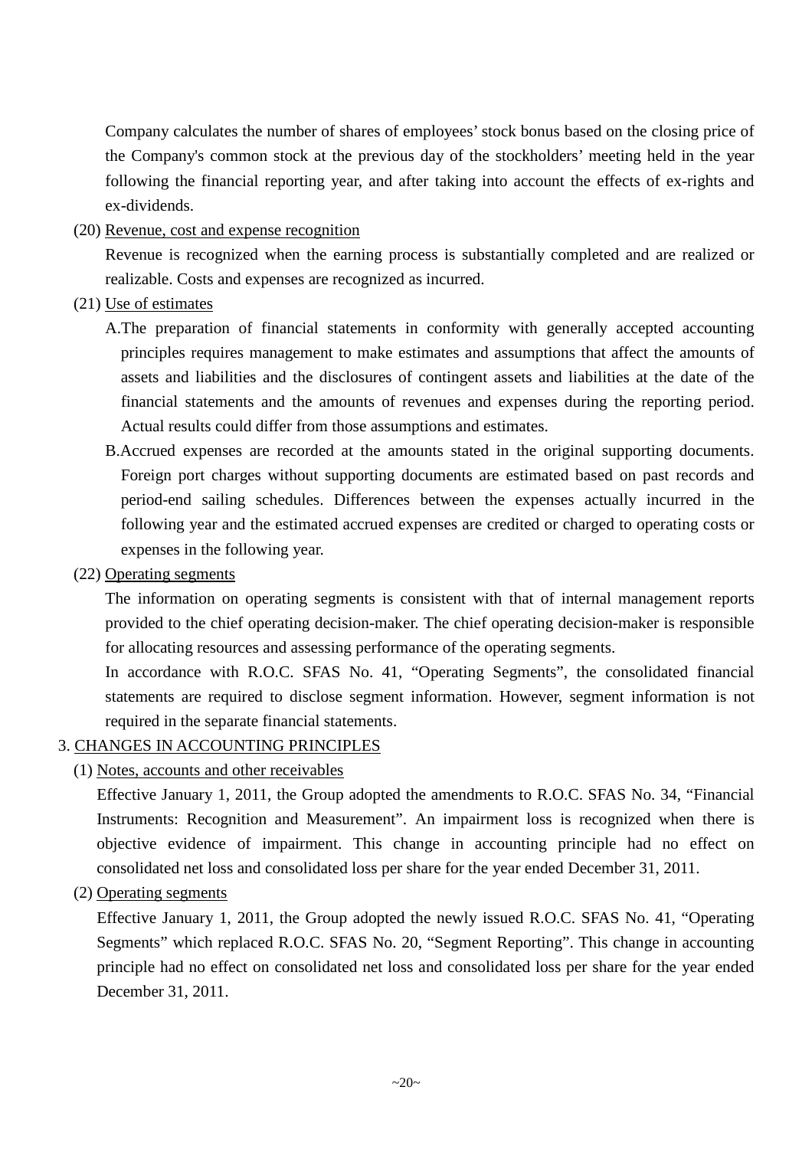Company calculates the number of shares of employees' stock bonus based on the closing price of the Company's common stock at the previous day of the stockholders' meeting held in the year following the financial reporting year, and after taking into account the effects of ex-rights and ex-dividends.

(20) Revenue, cost and expense recognition

Revenue is recognized when the earning process is substantially completed and are realized or realizable. Costs and expenses are recognized as incurred.

- (21) Use of estimates
	- A.The preparation of financial statements in conformity with generally accepted accounting principles requires management to make estimates and assumptions that affect the amounts of assets and liabilities and the disclosures of contingent assets and liabilities at the date of the financial statements and the amounts of revenues and expenses during the reporting period. Actual results could differ from those assumptions and estimates.
	- B.Accrued expenses are recorded at the amounts stated in the original supporting documents. Foreign port charges without supporting documents are estimated based on past records and period-end sailing schedules. Differences between the expenses actually incurred in the following year and the estimated accrued expenses are credited or charged to operating costs or expenses in the following year.
- (22) Operating segments

The information on operating segments is consistent with that of internal management reports provided to the chief operating decision-maker. The chief operating decision-maker is responsible for allocating resources and assessing performance of the operating segments.

In accordance with R.O.C. SFAS No. 41, "Operating Segments", the consolidated financial statements are required to disclose segment information. However, segment information is not required in the separate financial statements.

### 3. CHANGES IN ACCOUNTING PRINCIPLES

(1) Notes, accounts and other receivables

Effective January 1, 2011, the Group adopted the amendments to R.O.C. SFAS No. 34, "Financial Instruments: Recognition and Measurement". An impairment loss is recognized when there is objective evidence of impairment. This change in accounting principle had no effect on consolidated net loss and consolidated loss per share for the year ended December 31, 2011.

(2) Operating segments

Effective January 1, 2011, the Group adopted the newly issued R.O.C. SFAS No. 41, "Operating Segments" which replaced R.O.C. SFAS No. 20, "Segment Reporting". This change in accounting principle had no effect on consolidated net loss and consolidated loss per share for the year ended December 31, 2011.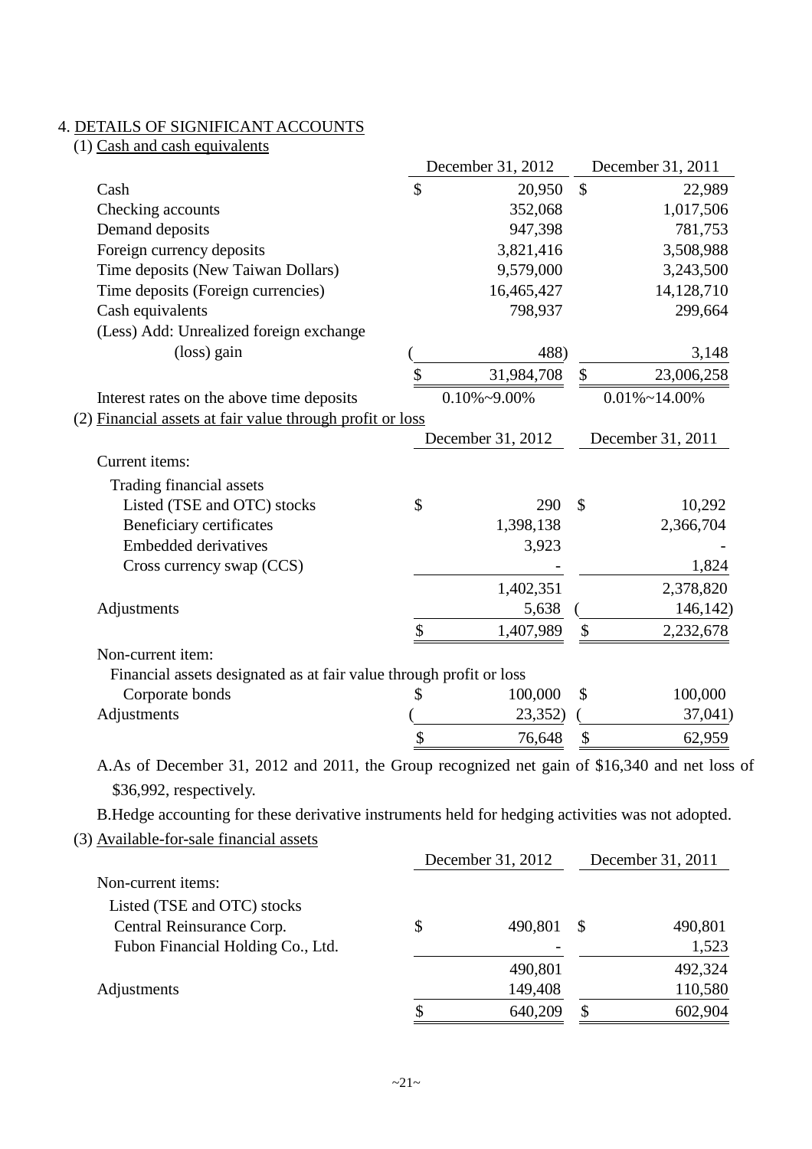## 4. DETAILS OF SIGNIFICANT ACCOUNTS

|  |  | (1) Cash and cash equivalents |  |
|--|--|-------------------------------|--|
|  |  |                               |  |

|                                                                     | December 31, 2012    |               | December 31, 2011     |
|---------------------------------------------------------------------|----------------------|---------------|-----------------------|
| Cash                                                                | \$<br>20,950         | $\mathcal{S}$ | 22,989                |
| Checking accounts                                                   | 352,068              |               | 1,017,506             |
| Demand deposits                                                     | 947,398              |               | 781,753               |
| Foreign currency deposits                                           | 3,821,416            |               | 3,508,988             |
| Time deposits (New Taiwan Dollars)                                  | 9,579,000            |               | 3,243,500             |
| Time deposits (Foreign currencies)                                  | 16,465,427           |               | 14,128,710            |
| Cash equivalents                                                    | 798,937              |               | 299,664               |
| (Less) Add: Unrealized foreign exchange                             |                      |               |                       |
| (loss) gain                                                         | 488)                 |               | 3,148                 |
|                                                                     | \$<br>31,984,708     | \$            | 23,006,258            |
| Interest rates on the above time deposits                           | $0.10\% \sim 9.00\%$ |               | $0.01\% \sim 14.00\%$ |
| (2) Financial assets at fair value through profit or loss           |                      |               |                       |
|                                                                     | December 31, 2012    |               | December 31, 2011     |
| Current items:                                                      |                      |               |                       |
| Trading financial assets                                            |                      |               |                       |
| Listed (TSE and OTC) stocks                                         | \$<br>290            | $\mathcal{S}$ | 10,292                |
| <b>Beneficiary certificates</b>                                     | 1,398,138            |               | 2,366,704             |
| <b>Embedded derivatives</b>                                         | 3,923                |               |                       |
| Cross currency swap (CCS)                                           |                      |               | 1,824                 |
|                                                                     | 1,402,351            |               | 2,378,820             |
| Adjustments                                                         | 5,638                |               | 146,142)              |
|                                                                     | \$<br>1,407,989      | \$            | 2,232,678             |
| Non-current item:                                                   |                      |               |                       |
| Financial assets designated as at fair value through profit or loss |                      |               |                       |
| Corporate bonds                                                     | 100,000              | \$            | 100,000               |
|                                                                     | 23,352)              |               | 37,041)               |
| Adjustments                                                         |                      |               |                       |

B.Hedge accounting for these derivative instruments held for hedging activities was not adopted.

<sup>(3)</sup> Available-for-sale financial assets

|                                   | December 31, 2012 |          | December 31, 2011 |  |
|-----------------------------------|-------------------|----------|-------------------|--|
| Non-current items:                |                   |          |                   |  |
| Listed (TSE and OTC) stocks       |                   |          |                   |  |
| Central Reinsurance Corp.         | \$<br>490,801     | <b>S</b> | 490,801           |  |
| Fubon Financial Holding Co., Ltd. |                   |          | 1,523             |  |
|                                   | 490,801           |          | 492,324           |  |
| Adjustments                       | 149,408           |          | 110,580           |  |
|                                   | 640,209           | S        | 602,904           |  |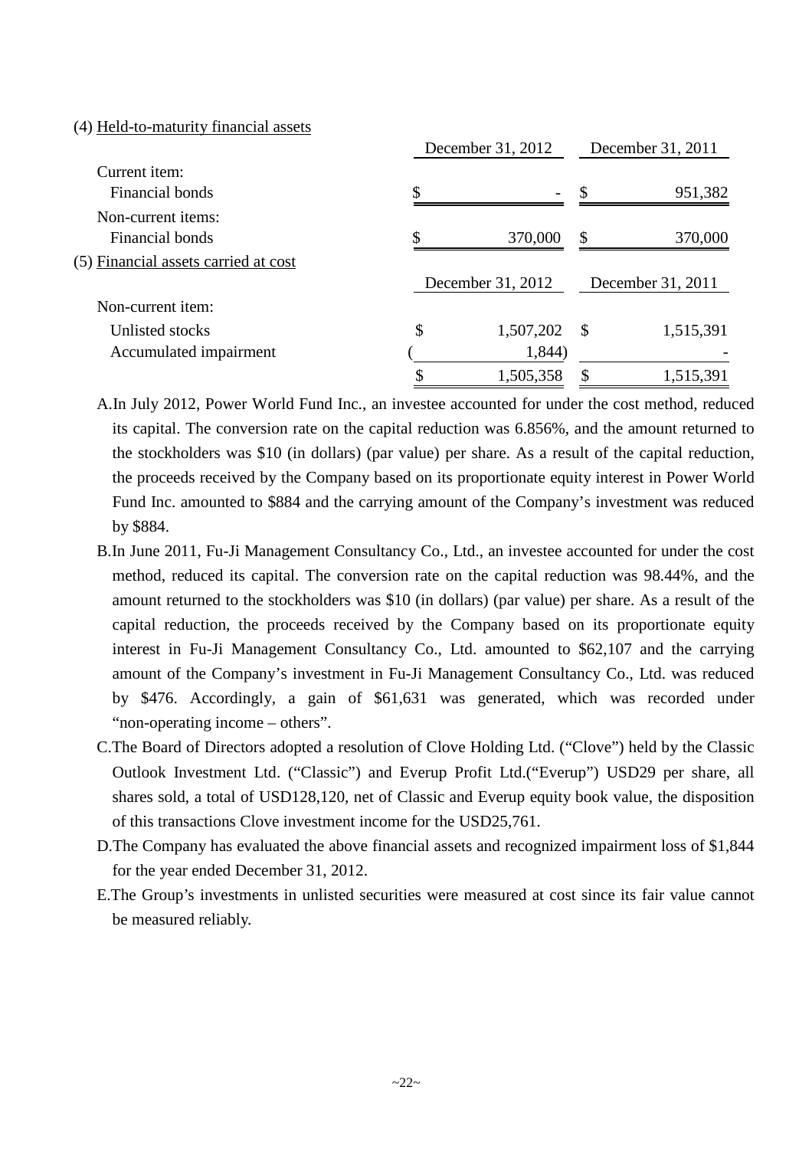#### (4) Held-to-maturity financial assets

| Current <i>item</i> :<br>\$<br>Financial bonds<br>S<br>$\overline{\phantom{a}}$<br>Non-current items:<br>Φ<br>370,000<br>Financial bonds<br>\$<br>December 31, 2012<br>December 31, 2011 | December 31, 2011 |  |  |
|------------------------------------------------------------------------------------------------------------------------------------------------------------------------------------------|-------------------|--|--|
| (5) Financial assets carried at cost                                                                                                                                                     |                   |  |  |
|                                                                                                                                                                                          | 951,382           |  |  |
|                                                                                                                                                                                          |                   |  |  |
|                                                                                                                                                                                          | 370,000           |  |  |
|                                                                                                                                                                                          |                   |  |  |
|                                                                                                                                                                                          |                   |  |  |
| Non-current item:                                                                                                                                                                        |                   |  |  |
| \$<br>1,507,202<br>Unlisted stocks<br>$\mathcal{S}$                                                                                                                                      | 1,515,391         |  |  |
| 1,844)<br>Accumulated impairment                                                                                                                                                         |                   |  |  |
| 1,505,358                                                                                                                                                                                | 1,515,391         |  |  |

A.In July 2012, Power World Fund Inc., an investee accounted for under the cost method, reduced its capital. The conversion rate on the capital reduction was 6.856%, and the amount returned to the stockholders was \$10 (in dollars) (par value) per share. As a result of the capital reduction, the proceeds received by the Company based on its proportionate equity interest in Power World Fund Inc. amounted to \$884 and the carrying amount of the Company's investment was reduced by \$884.

- B.In June 2011, Fu-Ji Management Consultancy Co., Ltd., an investee accounted for under the cost method, reduced its capital. The conversion rate on the capital reduction was 98.44%, and the amount returned to the stockholders was \$10 (in dollars) (par value) per share. As a result of the capital reduction, the proceeds received by the Company based on its proportionate equity interest in Fu-Ji Management Consultancy Co., Ltd. amounted to \$62,107 and the carrying amount of the Company's investment in Fu-Ji Management Consultancy Co., Ltd. was reduced by \$476. Accordingly, a gain of \$61,631 was generated, which was recorded under "non-operating income – others".
- C.The Board of Directors adopted a resolution of Clove Holding Ltd. ("Clove") held by the Classic Outlook Investment Ltd. ("Classic") and Everup Profit Ltd.("Everup") USD29 per share, all shares sold, a total of USD128,120, net of Classic and Everup equity book value, the disposition of this transactions Clove investment income for the USD25,761.
- D.The Company has evaluated the above financial assets and recognized impairment loss of \$1,844 for the year ended December 31, 2012.
- E.The Group's investments in unlisted securities were measured at cost since its fair value cannot be measured reliably.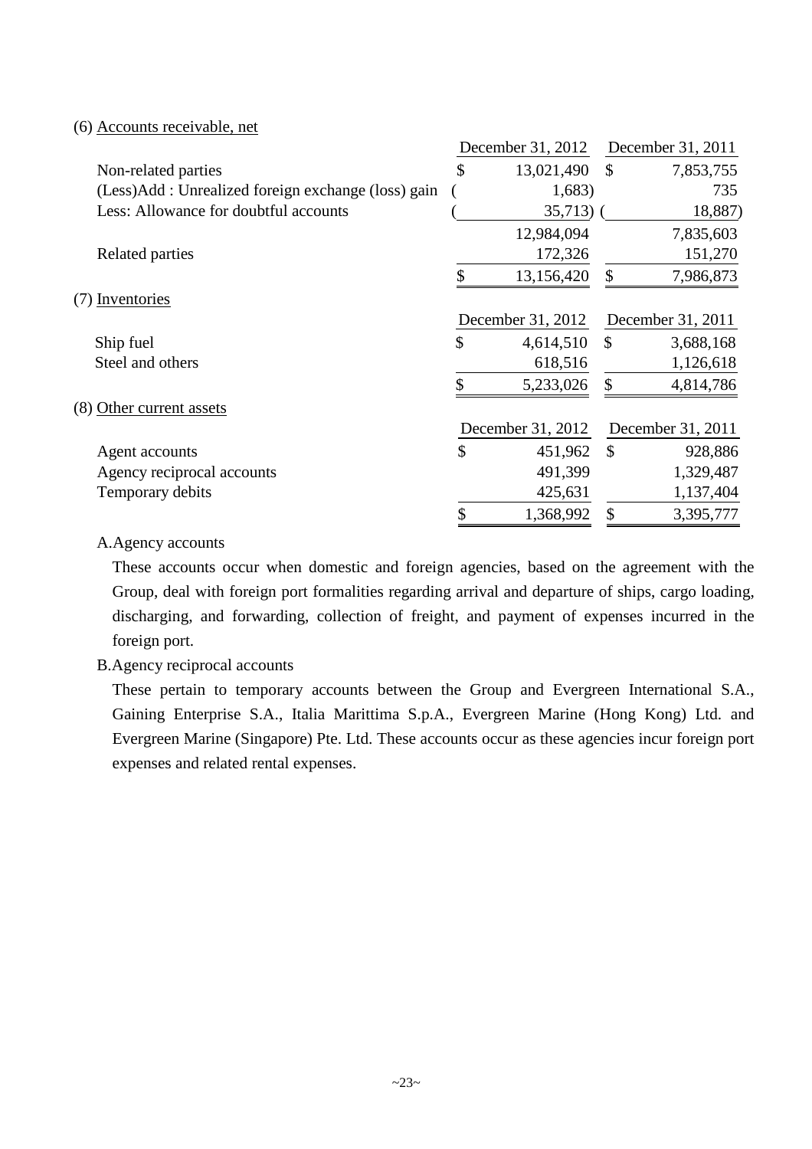#### (6) Accounts receivable, net

|                                                     | December 31, 2012 |               | December 31, 2011 |
|-----------------------------------------------------|-------------------|---------------|-------------------|
| Non-related parties                                 | \$<br>13,021,490  | $\mathbb{S}$  | 7,853,755         |
| (Less)Add : Unrealized foreign exchange (loss) gain | 1,683)            |               | 735               |
| Less: Allowance for doubtful accounts               | $35,713$ (        |               | 18,887)           |
|                                                     | 12,984,094        |               | 7,835,603         |
| Related parties                                     | 172,326           |               | 151,270           |
|                                                     | \$<br>13,156,420  | S             | 7,986,873         |
| (7) Inventories                                     |                   |               |                   |
|                                                     | December 31, 2012 |               | December 31, 2011 |
| Ship fuel                                           | \$<br>4,614,510   | $\mathbb{S}$  | 3,688,168         |
| Steel and others                                    | 618,516           |               | 1,126,618         |
|                                                     | \$<br>5,233,026   | \$            | 4,814,786         |
| (8) Other current assets                            |                   |               |                   |
|                                                     | December 31, 2012 |               | December 31, 2011 |
| Agent accounts                                      | \$<br>451,962     | $\mathcal{S}$ | 928,886           |
| Agency reciprocal accounts                          | 491,399           |               | 1,329,487         |
| Temporary debits                                    | 425,631           |               | 1,137,404         |
|                                                     | \$<br>1,368,992   | \$            | 3,395,777         |

#### A.Agency accounts

These accounts occur when domestic and foreign agencies, based on the agreement with the Group, deal with foreign port formalities regarding arrival and departure of ships, cargo loading, discharging, and forwarding, collection of freight, and payment of expenses incurred in the foreign port.

### B.Agency reciprocal accounts

These pertain to temporary accounts between the Group and Evergreen International S.A., Gaining Enterprise S.A., Italia Marittima S.p.A., Evergreen Marine (Hong Kong) Ltd. and Evergreen Marine (Singapore) Pte. Ltd. These accounts occur as these agencies incur foreign port expenses and related rental expenses.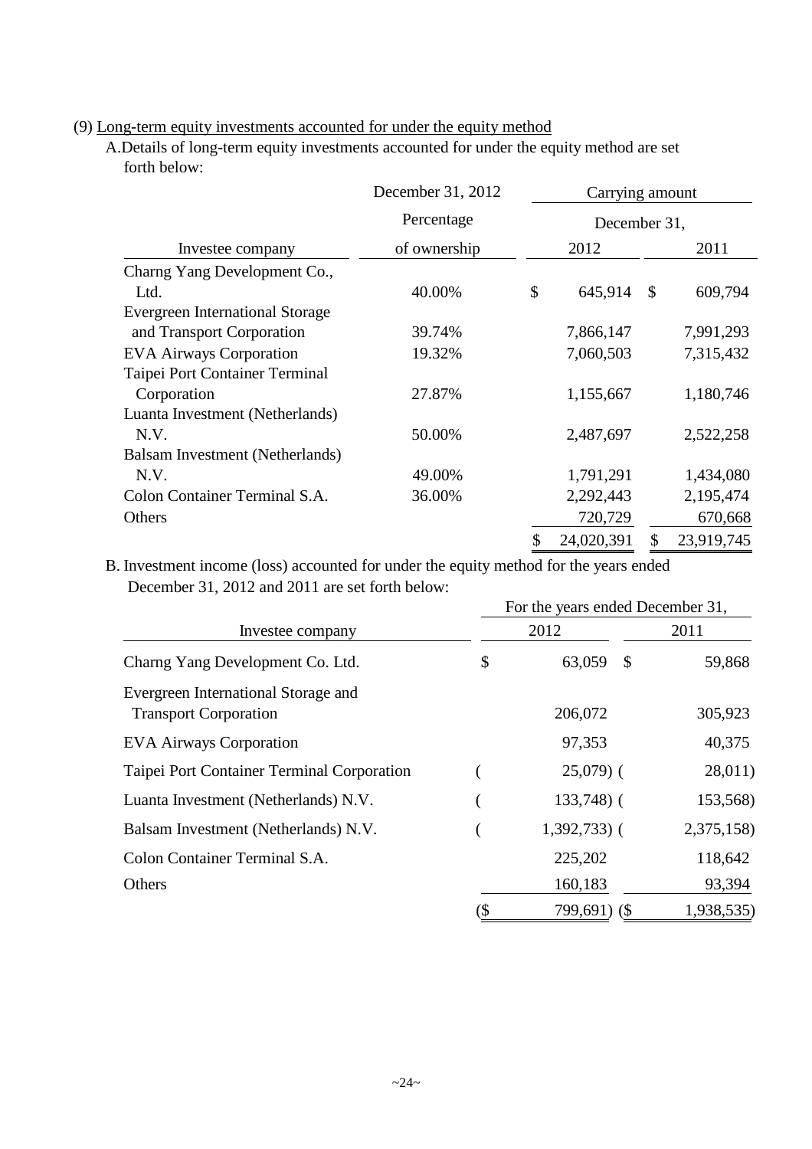### (9) Long-term equity investments accounted for under the equity method

A.Details of long-term equity investments accounted for under the equity method are set forth below:

|                                        | December 31, 2012 | Carrying amount |            |               |            |
|----------------------------------------|-------------------|-----------------|------------|---------------|------------|
|                                        | Percentage        |                 |            | December 31,  |            |
| Investee company                       | of ownership      |                 | 2012       |               | 2011       |
| Charng Yang Development Co.,           |                   |                 |            |               |            |
| Ltd.                                   | 40.00%            | \$              | 645,914    | $\mathcal{S}$ | 609,794    |
| <b>Evergreen International Storage</b> |                   |                 |            |               |            |
| and Transport Corporation              | 39.74%            |                 | 7,866,147  |               | 7,991,293  |
| <b>EVA Airways Corporation</b>         | 19.32%            |                 | 7,060,503  |               | 7,315,432  |
| Taipei Port Container Terminal         |                   |                 |            |               |            |
| Corporation                            | 27.87%            |                 | 1,155,667  |               | 1,180,746  |
| Luanta Investment (Netherlands)        |                   |                 |            |               |            |
| N.V.                                   | 50.00%            |                 | 2,487,697  |               | 2,522,258  |
| Balsam Investment (Netherlands)        |                   |                 |            |               |            |
| N.V.                                   | 49.00%            |                 | 1,791,291  |               | 1,434,080  |
| Colon Container Terminal S.A.          | 36.00%            |                 | 2,292,443  |               | 2,195,474  |
| Others                                 |                   |                 | 720,729    |               | 670,668    |
|                                        |                   | \$              | 24,020,391 | \$            | 23,919,745 |

B. Investment income (loss) accounted for under the equity method for the years ended December 31, 2012 and 2011 are set forth below:

|                                                                     |     | For the years ended December 31, |            |
|---------------------------------------------------------------------|-----|----------------------------------|------------|
| Investee company                                                    |     | 2012                             | 2011       |
| Charng Yang Development Co. Ltd.                                    | \$  | 63,059<br>$\mathbb{S}$           | 59,868     |
| Evergreen International Storage and<br><b>Transport Corporation</b> |     | 206,072                          | 305,923    |
| <b>EVA Airways Corporation</b>                                      |     | 97,353                           | 40,375     |
| Taipei Port Container Terminal Corporation                          |     | $25,079$ (                       | 28,011)    |
| Luanta Investment (Netherlands) N.V.                                |     | $133,748$ ) (                    | 153,568)   |
| Balsam Investment (Netherlands) N.V.                                |     | $1,392,733$ (                    | 2,375,158) |
| Colon Container Terminal S.A.                                       |     | 225,202                          | 118,642    |
| Others                                                              |     | 160,183                          | 93,394     |
|                                                                     | (\$ | 799,691) (\$                     | 1,938,535) |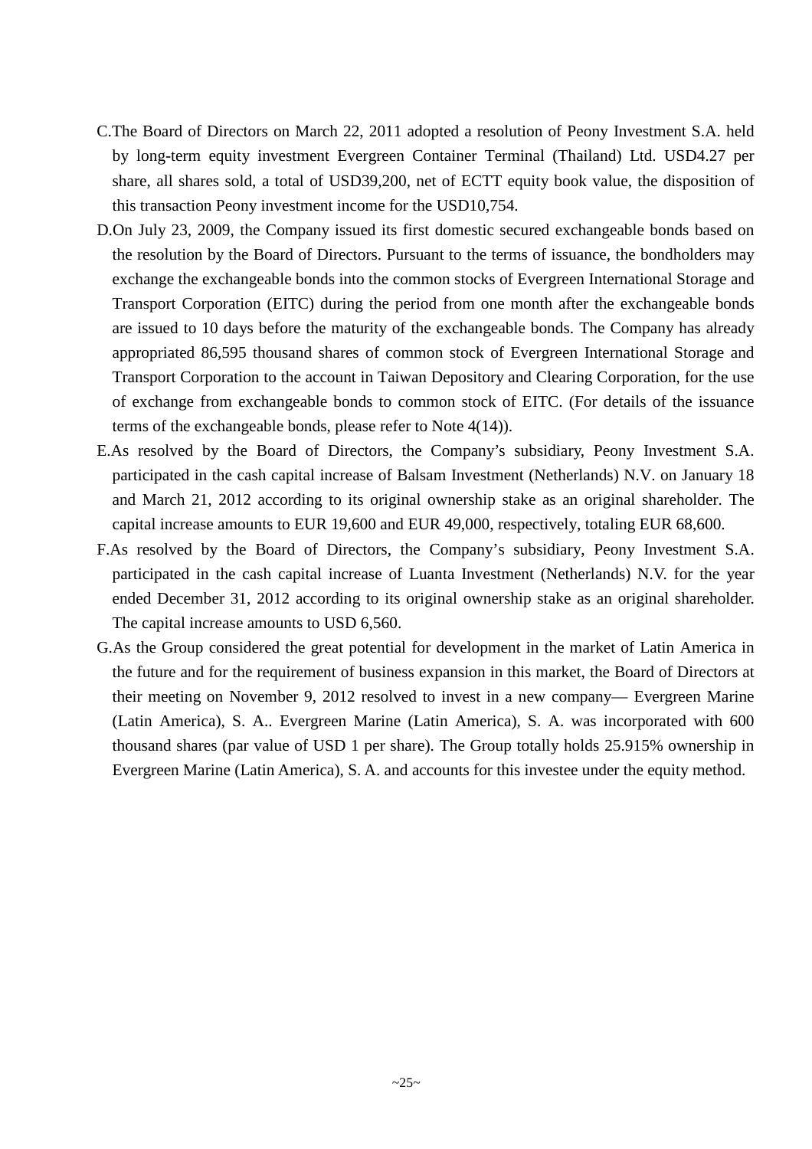- C.The Board of Directors on March 22, 2011 adopted a resolution of Peony Investment S.A. held by long-term equity investment Evergreen Container Terminal (Thailand) Ltd. USD4.27 per share, all shares sold, a total of USD39,200, net of ECTT equity book value, the disposition of this transaction Peony investment income for the USD10,754.
- D.On July 23, 2009, the Company issued its first domestic secured exchangeable bonds based on the resolution by the Board of Directors. Pursuant to the terms of issuance, the bondholders may exchange the exchangeable bonds into the common stocks of Evergreen International Storage and Transport Corporation (EITC) during the period from one month after the exchangeable bonds are issued to 10 days before the maturity of the exchangeable bonds. The Company has already appropriated 86,595 thousand shares of common stock of Evergreen International Storage and Transport Corporation to the account in Taiwan Depository and Clearing Corporation, for the use of exchange from exchangeable bonds to common stock of EITC. (For details of the issuance terms of the exchangeable bonds, please refer to Note 4(14)).
- E.As resolved by the Board of Directors, the Company's subsidiary, Peony Investment S.A. participated in the cash capital increase of Balsam Investment (Netherlands) N.V. on January 18 and March 21, 2012 according to its original ownership stake as an original shareholder. The capital increase amounts to EUR 19,600 and EUR 49,000, respectively, totaling EUR 68,600.
- F.As resolved by the Board of Directors, the Company's subsidiary, Peony Investment S.A. participated in the cash capital increase of Luanta Investment (Netherlands) N.V. for the year ended December 31, 2012 according to its original ownership stake as an original shareholder. The capital increase amounts to USD 6,560.
- G.As the Group considered the great potential for development in the market of Latin America in the future and for the requirement of business expansion in this market, the Board of Directors at their meeting on November 9, 2012 resolved to invest in a new company— Evergreen Marine (Latin America), S. A.. Evergreen Marine (Latin America), S. A. was incorporated with 600 thousand shares (par value of USD 1 per share). The Group totally holds 25.915% ownership in Evergreen Marine (Latin America), S. A. and accounts for this investee under the equity method.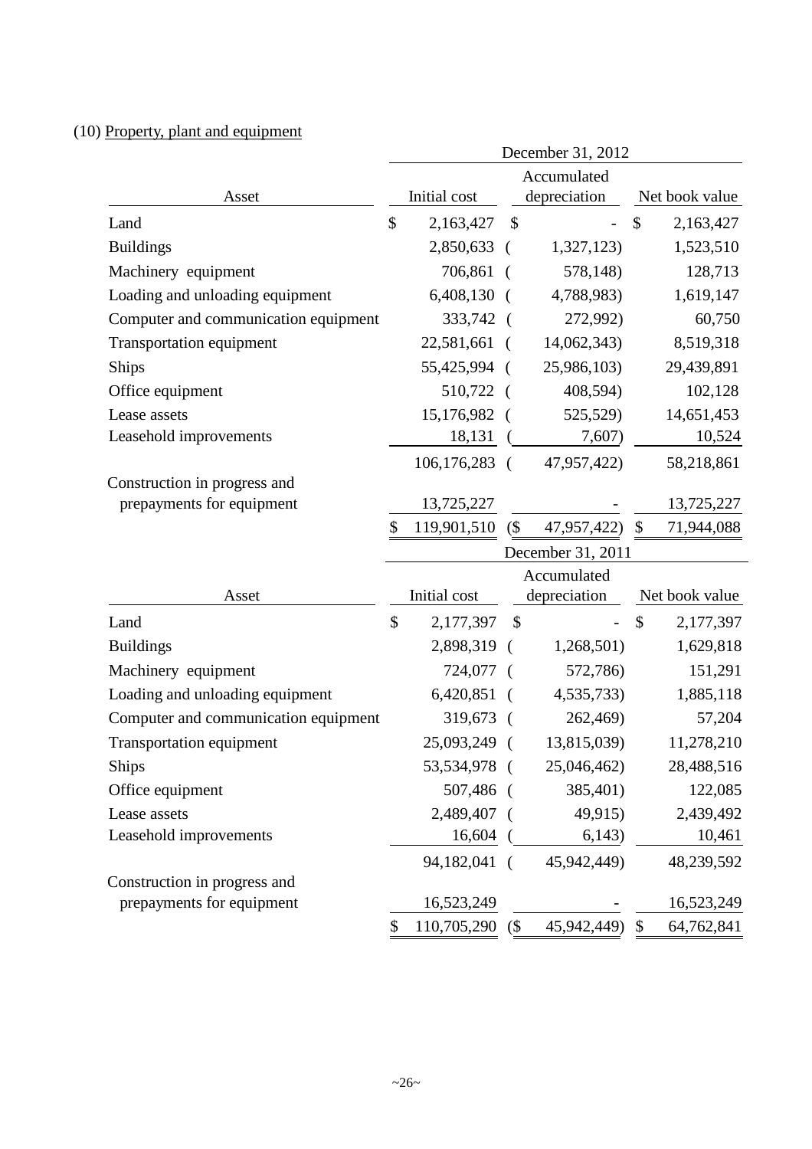## (10) Property, plant and equipment

|                                      | December 31, 2012 |                           |            |                          |               |                          |
|--------------------------------------|-------------------|---------------------------|------------|--------------------------|---------------|--------------------------|
|                                      | Accumulated       |                           |            |                          |               |                          |
| Asset                                |                   | Initial cost              |            | depreciation             |               | Net book value           |
| Land                                 | $\mathcal{S}$     | 2,163,427                 | \$         |                          | \$            | 2,163,427                |
| <b>Buildings</b>                     |                   | 2,850,633                 | $\left($   | 1,327,123                |               | 1,523,510                |
| Machinery equipment                  |                   | 706,861                   |            | 578,148)                 |               | 128,713                  |
| Loading and unloading equipment      |                   | $6,408,130$ (             |            | 4,788,983)               |               | 1,619,147                |
| Computer and communication equipment |                   | 333,742                   |            | 272,992)                 |               | 60,750                   |
| <b>Transportation equipment</b>      |                   | 22,581,661                |            | 14,062,343)              |               | 8,519,318                |
| Ships                                |                   | 55,425,994                |            | 25,986,103)              |               | 29,439,891               |
| Office equipment                     |                   | 510,722 (                 |            | 408,594)                 |               | 102,128                  |
| Lease assets                         |                   | 15,176,982                |            | 525,529)                 |               | 14,651,453               |
| Leasehold improvements               |                   | 18,131                    |            | 7,607)                   |               | 10,524                   |
|                                      |                   | 106, 176, 283             | - (        | 47,957,422)              |               | 58,218,861               |
| Construction in progress and         |                   |                           |            |                          |               |                          |
| prepayments for equipment            |                   | 13,725,227                |            |                          |               | 13,725,227               |
|                                      | \$                | 119,901,510               | $($ \$     | 47,957,422)              | \$            | 71,944,088               |
|                                      |                   |                           |            | December 31, 2011        |               |                          |
|                                      |                   |                           |            | Accumulated              |               |                          |
| Asset                                |                   | Initial cost              |            | depreciation             |               | Net book value           |
| Land                                 | $\mathcal{S}$     | 2,177,397                 | \$         | $\overline{\phantom{0}}$ | $\mathcal{S}$ | 2,177,397                |
| <b>Buildings</b>                     |                   | 2,898,319                 | $\left($   | 1,268,501)               |               | 1,629,818                |
| Machinery equipment                  |                   | 724,077                   |            | 572,786)                 |               | 151,291                  |
| Loading and unloading equipment      |                   | 6,420,851                 |            | 4,535,733)               |               | 1,885,118                |
| Computer and communication equipment |                   | 319,673                   | - (        | 262,469)                 |               | 57,204                   |
| <b>Transportation equipment</b>      |                   | 25,093,249                | $\left($   | 13,815,039)              |               | 11,278,210               |
| Ships                                |                   | 53,534,978 (              |            | 25,046,462)              |               | 28,488,516               |
| Office equipment                     |                   | 507,486                   | $\sqrt{ }$ | 385,401)                 |               | 122,085                  |
| Lease assets                         |                   | 2,489,407                 |            | 49,915)                  |               | 2,439,492                |
| Leasehold improvements               |                   | 16,604                    |            | 6,143)                   |               | 10,461                   |
|                                      |                   | 94,182,041                | $\left($   | 45,942,449)              |               | 48,239,592               |
| Construction in progress and         |                   |                           |            |                          |               |                          |
| prepayments for equipment            |                   |                           |            |                          |               |                          |
|                                      | \$                | 16,523,249<br>110,705,290 | $($ \$     | 45,942,449)              | \$            | 16,523,249<br>64,762,841 |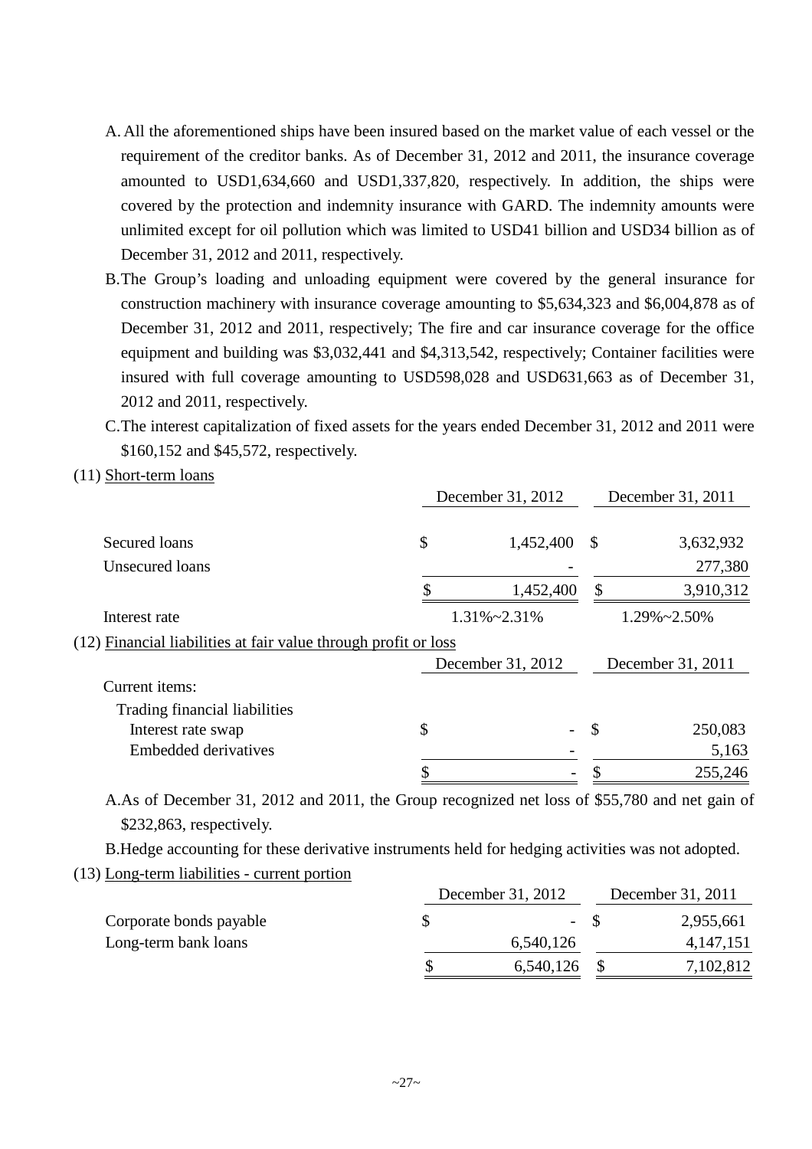- A. All the aforementioned ships have been insured based on the market value of each vessel or the requirement of the creditor banks. As of December 31, 2012 and 2011, the insurance coverage amounted to USD1,634,660 and USD1,337,820, respectively. In addition, the ships were covered by the protection and indemnity insurance with GARD. The indemnity amounts were unlimited except for oil pollution which was limited to USD41 billion and USD34 billion as of December 31, 2012 and 2011, respectively.
- B.The Group's loading and unloading equipment were covered by the general insurance for construction machinery with insurance coverage amounting to \$5,634,323 and \$6,004,878 as of December 31, 2012 and 2011, respectively; The fire and car insurance coverage for the office equipment and building was \$3,032,441 and \$4,313,542, respectively; Container facilities were insured with full coverage amounting to USD598,028 and USD631,663 as of December 31, 2012 and 2011, respectively.
- C.The interest capitalization of fixed assets for the years ended December 31, 2012 and 2011 were \$160,152 and \$45,572, respectively.
- (11) Short-term loans

|                                                                 |           |                                        | December 31, 2011 |  |
|-----------------------------------------------------------------|-----------|----------------------------------------|-------------------|--|
| \$                                                              | 1,452,400 | \$                                     | 3,632,932         |  |
|                                                                 |           |                                        | 277,380           |  |
|                                                                 | 1,452,400 | \$                                     | 3,910,312         |  |
| $1.31\% \sim 2.31\%$                                            |           | $1.29\% \sim 2.50\%$                   |                   |  |
| (12) Financial liabilities at fair value through profit or loss |           |                                        |                   |  |
|                                                                 |           |                                        | December 31, 2011 |  |
|                                                                 |           |                                        |                   |  |
|                                                                 |           |                                        |                   |  |
| \$                                                              |           | \$                                     | 250,083           |  |
|                                                                 |           |                                        | 5,163             |  |
|                                                                 |           |                                        | 255,246           |  |
|                                                                 |           | December 31, 2012<br>December 31, 2012 |                   |  |

A.As of December 31, 2012 and 2011, the Group recognized net loss of \$55,780 and net gain of \$232,863, respectively.

B.Hedge accounting for these derivative instruments held for hedging activities was not adopted.

(13) Long-term liabilities - current portion

|                         | December 31, 2012 | December 31, 2011 |             |  |
|-------------------------|-------------------|-------------------|-------------|--|
| Corporate bonds payable | $-$ S             |                   | 2,955,661   |  |
| Long-term bank loans    | 6,540,126         |                   | 4, 147, 151 |  |
|                         | 6,540,126         |                   | 7,102,812   |  |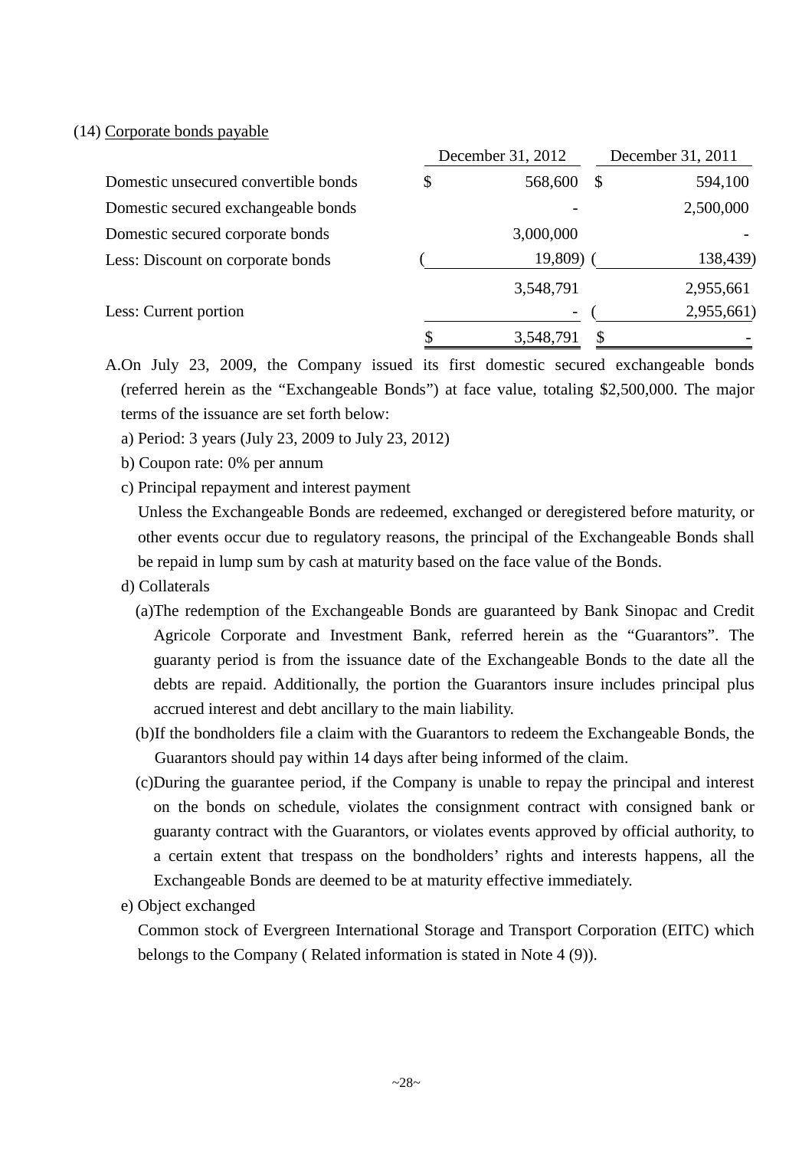#### (14) Corporate bonds payable

|                                      | December 31, 2012 |               | December 31, 2011 |
|--------------------------------------|-------------------|---------------|-------------------|
| Domestic unsecured convertible bonds | \$<br>568,600     | $\mathcal{S}$ | 594,100           |
| Domestic secured exchangeable bonds  |                   |               | 2,500,000         |
| Domestic secured corporate bonds     | 3,000,000         |               |                   |
| Less: Discount on corporate bonds    | 19,809)           |               | 138,439)          |
|                                      | 3,548,791         |               | 2,955,661         |
| Less: Current portion                | -                 |               | 2,955,661)        |
|                                      | 3,548,791         |               |                   |

A.On July 23, 2009, the Company issued its first domestic secured exchangeable bonds (referred herein as the "Exchangeable Bonds") at face value, totaling \$2,500,000. The major terms of the issuance are set forth below:

- a) Period: 3 years (July 23, 2009 to July 23, 2012)
- b) Coupon rate: 0% per annum
- c) Principal repayment and interest payment

Unless the Exchangeable Bonds are redeemed, exchanged or deregistered before maturity, or other events occur due to regulatory reasons, the principal of the Exchangeable Bonds shall be repaid in lump sum by cash at maturity based on the face value of the Bonds.

- d) Collaterals
	- (a)The redemption of the Exchangeable Bonds are guaranteed by Bank Sinopac and Credit Agricole Corporate and Investment Bank, referred herein as the "Guarantors". The guaranty period is from the issuance date of the Exchangeable Bonds to the date all the debts are repaid. Additionally, the portion the Guarantors insure includes principal plus accrued interest and debt ancillary to the main liability.
	- (b)If the bondholders file a claim with the Guarantors to redeem the Exchangeable Bonds, the Guarantors should pay within 14 days after being informed of the claim.
	- (c)During the guarantee period, if the Company is unable to repay the principal and interest on the bonds on schedule, violates the consignment contract with consigned bank or guaranty contract with the Guarantors, or violates events approved by official authority, to a certain extent that trespass on the bondholders' rights and interests happens, all the Exchangeable Bonds are deemed to be at maturity effective immediately.
- e) Object exchanged

Common stock of Evergreen International Storage and Transport Corporation (EITC) which belongs to the Company ( Related information is stated in Note 4 (9)).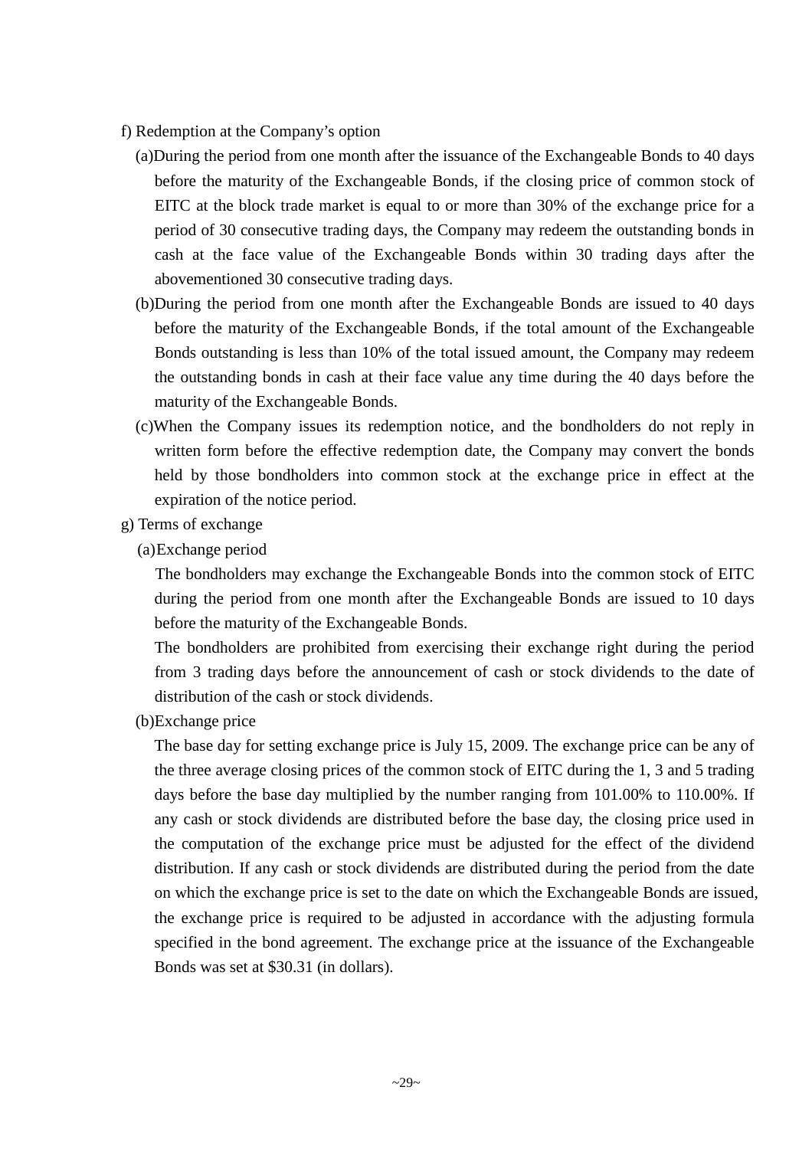- f) Redemption at the Company's option
	- (a)During the period from one month after the issuance of the Exchangeable Bonds to 40 days before the maturity of the Exchangeable Bonds, if the closing price of common stock of EITC at the block trade market is equal to or more than 30% of the exchange price for a period of 30 consecutive trading days, the Company may redeem the outstanding bonds in cash at the face value of the Exchangeable Bonds within 30 trading days after the abovementioned 30 consecutive trading days.
	- (b)During the period from one month after the Exchangeable Bonds are issued to 40 days before the maturity of the Exchangeable Bonds, if the total amount of the Exchangeable Bonds outstanding is less than 10% of the total issued amount, the Company may redeem the outstanding bonds in cash at their face value any time during the 40 days before the maturity of the Exchangeable Bonds.
	- (c)When the Company issues its redemption notice, and the bondholders do not reply in written form before the effective redemption date, the Company may convert the bonds held by those bondholders into common stock at the exchange price in effect at the expiration of the notice period.
- g) Terms of exchange
	- (a)Exchange period

The bondholders may exchange the Exchangeable Bonds into the common stock of EITC during the period from one month after the Exchangeable Bonds are issued to 10 days before the maturity of the Exchangeable Bonds.

The bondholders are prohibited from exercising their exchange right during the period from 3 trading days before the announcement of cash or stock dividends to the date of distribution of the cash or stock dividends.

(b)Exchange price

The base day for setting exchange price is July 15, 2009. The exchange price can be any of the three average closing prices of the common stock of EITC during the 1, 3 and 5 trading days before the base day multiplied by the number ranging from 101.00% to 110.00%. If any cash or stock dividends are distributed before the base day, the closing price used in the computation of the exchange price must be adjusted for the effect of the dividend distribution. If any cash or stock dividends are distributed during the period from the date on which the exchange price is set to the date on which the Exchangeable Bonds are issued, the exchange price is required to be adjusted in accordance with the adjusting formula specified in the bond agreement. The exchange price at the issuance of the Exchangeable Bonds was set at \$30.31 (in dollars).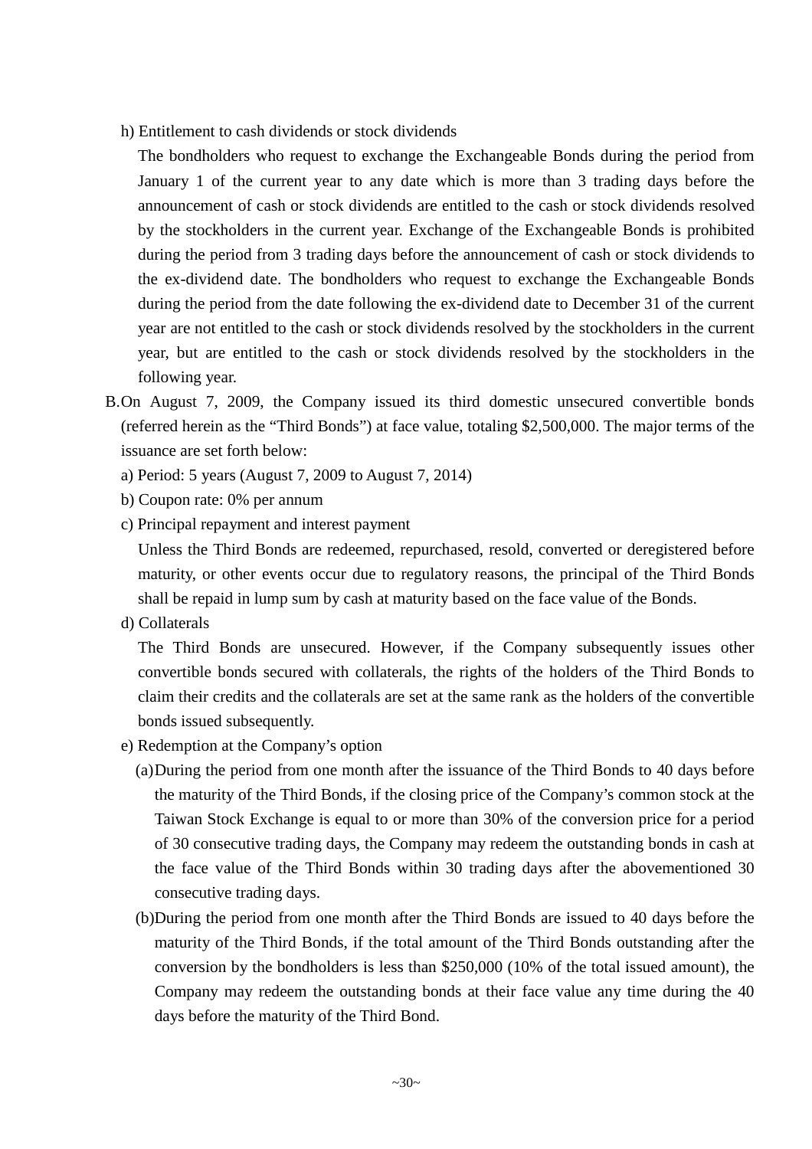h) Entitlement to cash dividends or stock dividends

The bondholders who request to exchange the Exchangeable Bonds during the period from January 1 of the current year to any date which is more than 3 trading days before the announcement of cash or stock dividends are entitled to the cash or stock dividends resolved by the stockholders in the current year. Exchange of the Exchangeable Bonds is prohibited during the period from 3 trading days before the announcement of cash or stock dividends to the ex-dividend date. The bondholders who request to exchange the Exchangeable Bonds during the period from the date following the ex-dividend date to December 31 of the current year are not entitled to the cash or stock dividends resolved by the stockholders in the current year, but are entitled to the cash or stock dividends resolved by the stockholders in the following year.

- B.On August 7, 2009, the Company issued its third domestic unsecured convertible bonds (referred herein as the "Third Bonds") at face value, totaling \$2,500,000. The major terms of the issuance are set forth below:
	- a) Period: 5 years (August 7, 2009 to August 7, 2014)
	- b) Coupon rate: 0% per annum
	- c) Principal repayment and interest payment

Unless the Third Bonds are redeemed, repurchased, resold, converted or deregistered before maturity, or other events occur due to regulatory reasons, the principal of the Third Bonds shall be repaid in lump sum by cash at maturity based on the face value of the Bonds.

d) Collaterals

The Third Bonds are unsecured. However, if the Company subsequently issues other convertible bonds secured with collaterals, the rights of the holders of the Third Bonds to claim their credits and the collaterals are set at the same rank as the holders of the convertible bonds issued subsequently.

- e) Redemption at the Company's option
	- (a)During the period from one month after the issuance of the Third Bonds to 40 days before the maturity of the Third Bonds, if the closing price of the Company's common stock at the Taiwan Stock Exchange is equal to or more than 30% of the conversion price for a period of 30 consecutive trading days, the Company may redeem the outstanding bonds in cash at the face value of the Third Bonds within 30 trading days after the abovementioned 30 consecutive trading days.
	- (b)During the period from one month after the Third Bonds are issued to 40 days before the maturity of the Third Bonds, if the total amount of the Third Bonds outstanding after the conversion by the bondholders is less than \$250,000 (10% of the total issued amount), the Company may redeem the outstanding bonds at their face value any time during the 40 days before the maturity of the Third Bond.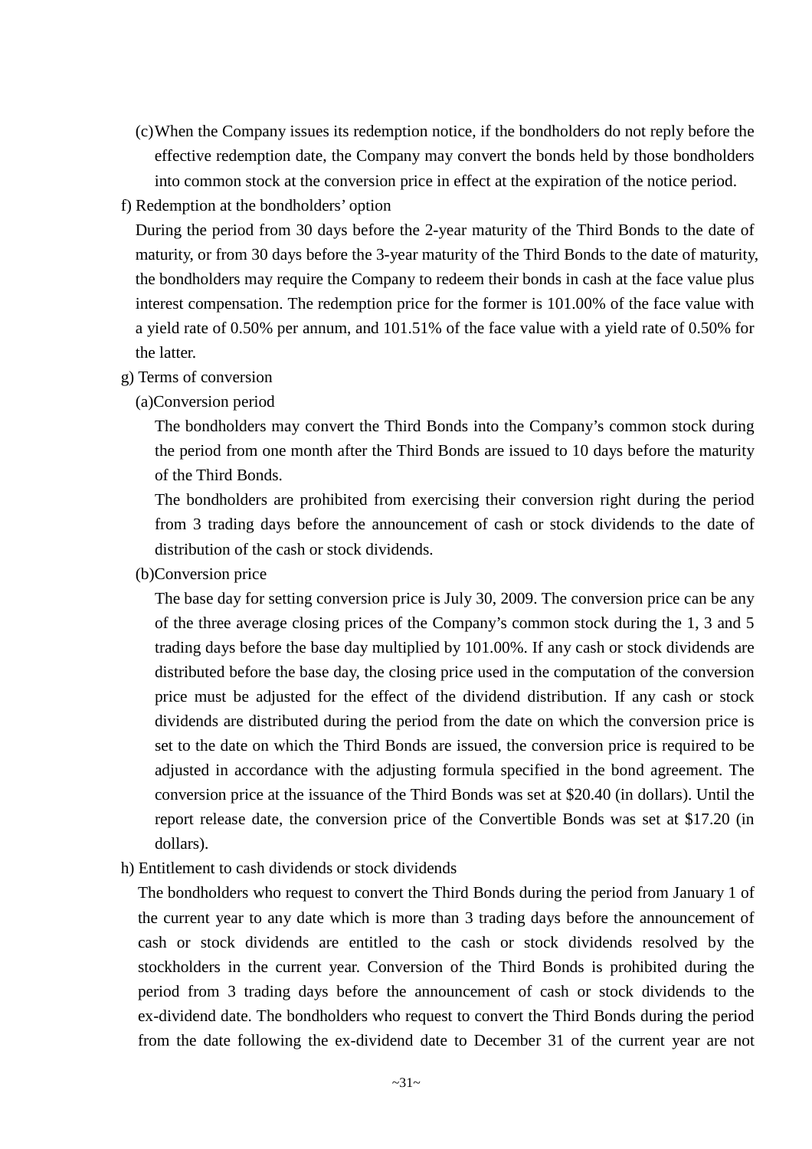(c)When the Company issues its redemption notice, if the bondholders do not reply before the effective redemption date, the Company may convert the bonds held by those bondholders into common stock at the conversion price in effect at the expiration of the notice period.

#### f) Redemption at the bondholders' option

During the period from 30 days before the 2-year maturity of the Third Bonds to the date of maturity, or from 30 days before the 3-year maturity of the Third Bonds to the date of maturity, the bondholders may require the Company to redeem their bonds in cash at the face value plus interest compensation. The redemption price for the former is 101.00% of the face value with a yield rate of 0.50% per annum, and 101.51% of the face value with a yield rate of 0.50% for the latter.

#### g) Terms of conversion

#### (a)Conversion period

The bondholders may convert the Third Bonds into the Company's common stock during the period from one month after the Third Bonds are issued to 10 days before the maturity of the Third Bonds.

The bondholders are prohibited from exercising their conversion right during the period from 3 trading days before the announcement of cash or stock dividends to the date of distribution of the cash or stock dividends.

(b)Conversion price

The base day for setting conversion price is July 30, 2009. The conversion price can be any of the three average closing prices of the Company's common stock during the 1, 3 and 5 trading days before the base day multiplied by 101.00%. If any cash or stock dividends are distributed before the base day, the closing price used in the computation of the conversion price must be adjusted for the effect of the dividend distribution. If any cash or stock dividends are distributed during the period from the date on which the conversion price is set to the date on which the Third Bonds are issued, the conversion price is required to be adjusted in accordance with the adjusting formula specified in the bond agreement. The conversion price at the issuance of the Third Bonds was set at \$20.40 (in dollars). Until the report release date, the conversion price of the Convertible Bonds was set at \$17.20 (in dollars).

h) Entitlement to cash dividends or stock dividends

The bondholders who request to convert the Third Bonds during the period from January 1 of the current year to any date which is more than 3 trading days before the announcement of cash or stock dividends are entitled to the cash or stock dividends resolved by the stockholders in the current year. Conversion of the Third Bonds is prohibited during the period from 3 trading days before the announcement of cash or stock dividends to the ex-dividend date. The bondholders who request to convert the Third Bonds during the period from the date following the ex-dividend date to December 31 of the current year are not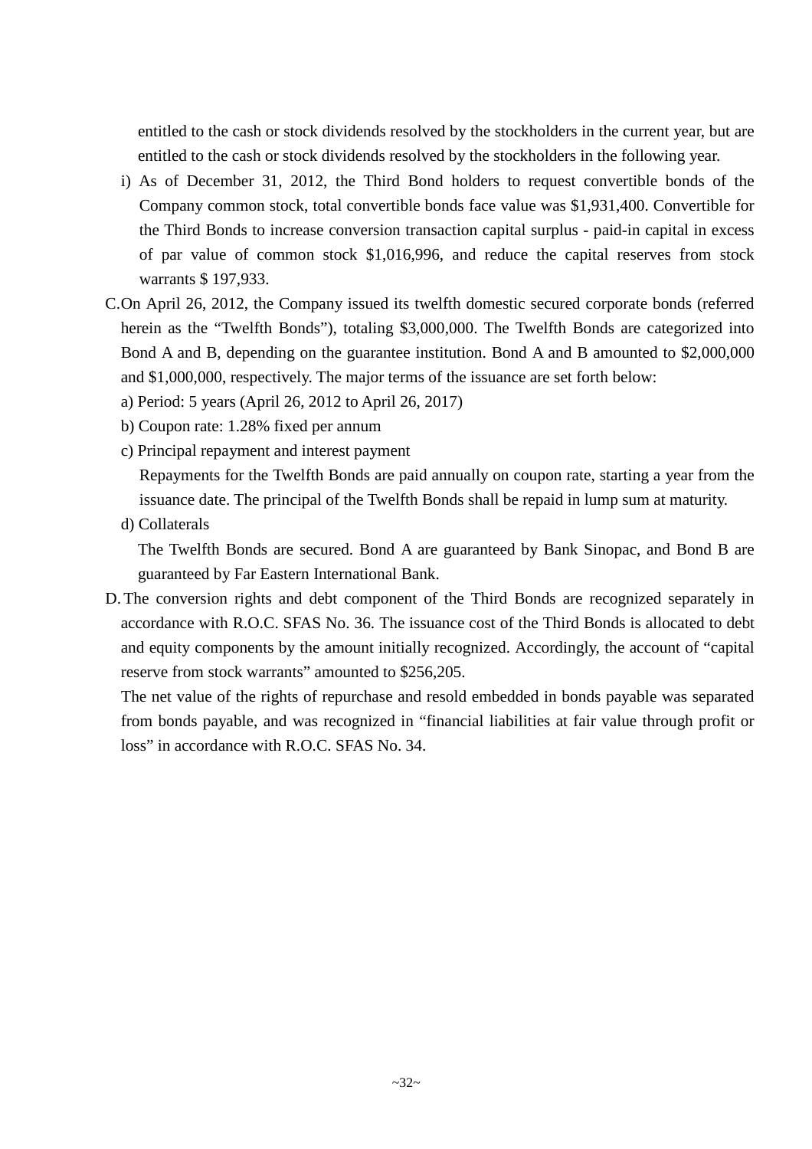entitled to the cash or stock dividends resolved by the stockholders in the current year, but are entitled to the cash or stock dividends resolved by the stockholders in the following year.

- i) As of December 31, 2012, the Third Bond holders to request convertible bonds of the Company common stock, total convertible bonds face value was \$1,931,400. Convertible for the Third Bonds to increase conversion transaction capital surplus - paid-in capital in excess of par value of common stock \$1,016,996, and reduce the capital reserves from stock warrants \$ 197,933.
- C.On April 26, 2012, the Company issued its twelfth domestic secured corporate bonds (referred herein as the "Twelfth Bonds"), totaling \$3,000,000. The Twelfth Bonds are categorized into Bond A and B, depending on the guarantee institution. Bond A and B amounted to \$2,000,000 and \$1,000,000, respectively. The major terms of the issuance are set forth below:
	- a) Period: 5 years (April 26, 2012 to April 26, 2017)
	- b) Coupon rate: 1.28% fixed per annum
	- c) Principal repayment and interest payment
		- Repayments for the Twelfth Bonds are paid annually on coupon rate, starting a year from the issuance date. The principal of the Twelfth Bonds shall be repaid in lump sum at maturity.
	- d) Collaterals

The Twelfth Bonds are secured. Bond A are guaranteed by Bank Sinopac, and Bond B are guaranteed by Far Eastern International Bank.

D. The conversion rights and debt component of the Third Bonds are recognized separately in accordance with R.O.C. SFAS No. 36. The issuance cost of the Third Bonds is allocated to debt and equity components by the amount initially recognized. Accordingly, the account of "capital reserve from stock warrants" amounted to \$256,205.

The net value of the rights of repurchase and resold embedded in bonds payable was separated from bonds payable, and was recognized in "financial liabilities at fair value through profit or loss" in accordance with R.O.C. SFAS No. 34.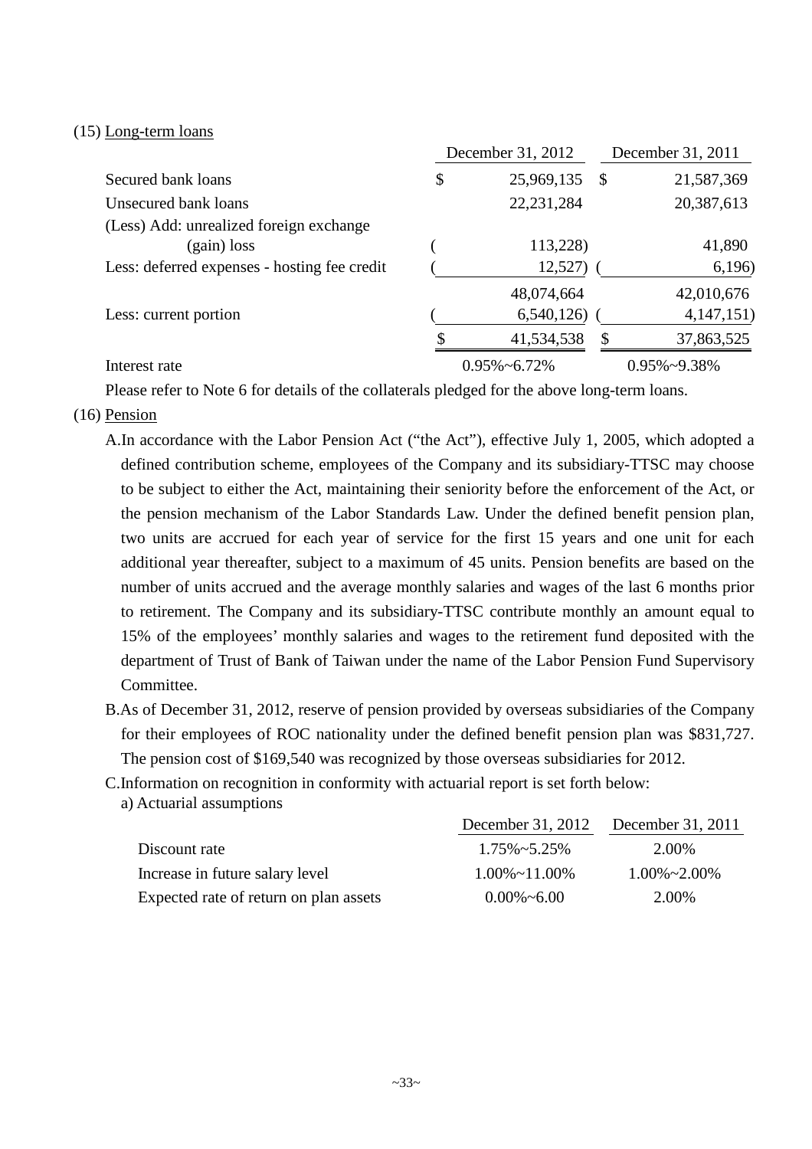#### (15) Long-term loans

|                                              | December 31, 2012 |                      |               | December 31, 2011    |  |  |
|----------------------------------------------|-------------------|----------------------|---------------|----------------------|--|--|
| Secured bank loans                           |                   | 25,969,135           | $\mathcal{S}$ | 21,587,369           |  |  |
| Unsecured bank loans                         |                   | 22, 231, 284         |               | 20,387,613           |  |  |
| (Less) Add: unrealized foreign exchange      |                   |                      |               |                      |  |  |
| $(gain)$ loss                                |                   | 113,228)             |               | 41,890               |  |  |
| Less: deferred expenses - hosting fee credit |                   | 12,527)              |               | 6,196)               |  |  |
|                                              |                   | 48,074,664           |               | 42,010,676           |  |  |
| Less: current portion                        |                   | 6,540,126            |               | 4,147,151)           |  |  |
|                                              |                   | 41,534,538           | \$            | 37,863,525           |  |  |
| Interest rate                                |                   | $0.95\% \sim 6.72\%$ |               | $0.95\% \sim 9.38\%$ |  |  |

Please refer to Note 6 for details of the collaterals pledged for the above long-term loans.

#### (16) Pension

- A.In accordance with the Labor Pension Act ("the Act"), effective July 1, 2005, which adopted a defined contribution scheme, employees of the Company and its subsidiary-TTSC may choose to be subject to either the Act, maintaining their seniority before the enforcement of the Act, or the pension mechanism of the Labor Standards Law. Under the defined benefit pension plan, two units are accrued for each year of service for the first 15 years and one unit for each additional year thereafter, subject to a maximum of 45 units. Pension benefits are based on the number of units accrued and the average monthly salaries and wages of the last 6 months prior to retirement. The Company and its subsidiary-TTSC contribute monthly an amount equal to 15% of the employees' monthly salaries and wages to the retirement fund deposited with the department of Trust of Bank of Taiwan under the name of the Labor Pension Fund Supervisory Committee.
- B.As of December 31, 2012, reserve of pension provided by overseas subsidiaries of the Company for their employees of ROC nationality under the defined benefit pension plan was \$831,727. The pension cost of \$169,540 was recognized by those overseas subsidiaries for 2012.

C.Information on recognition in conformity with actuarial report is set forth below:

a) Actuarial assumptions

|                                        | December 31, 2012       | December 31, 2011    |
|----------------------------------------|-------------------------|----------------------|
| Discount rate                          | $1.75\% \approx 5.25\%$ | 2.00%                |
| Increase in future salary level        | $1.00\% \sim 11.00\%$   | $1.00\% \sim 2.00\%$ |
| Expected rate of return on plan assets | $0.00\% \sim 6.00$      | 2.00%                |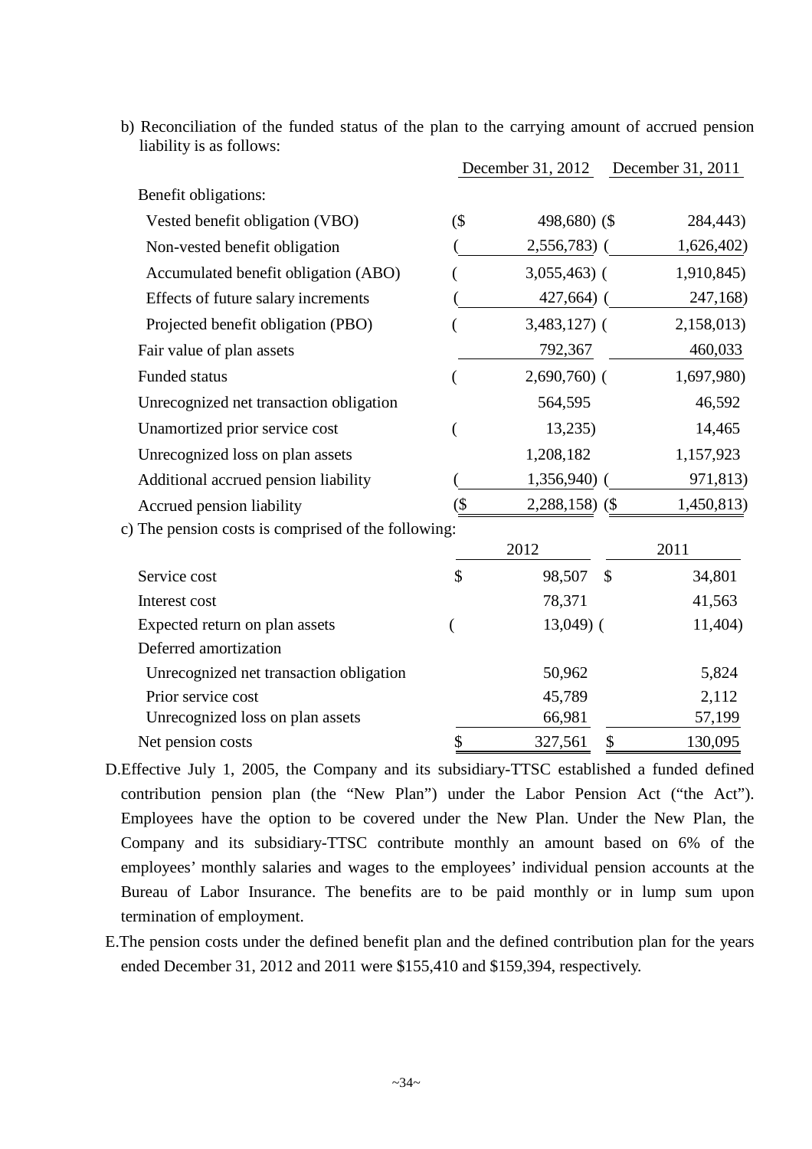b) Reconciliation of the funded status of the plan to the carrying amount of accrued pension liability is as follows:

|                                                     |                          | December 31, 2012 | December 31, 2011 |
|-----------------------------------------------------|--------------------------|-------------------|-------------------|
| Benefit obligations:                                |                          |                   |                   |
| Vested benefit obligation (VBO)                     | $($ \$                   | 498,680) (\$      | 284,443)          |
| Non-vested benefit obligation                       |                          | 2,556,783)        | 1,626,402)        |
| Accumulated benefit obligation (ABO)                |                          | $3,055,463$ (     | 1,910,845)        |
| Effects of future salary increments                 |                          | $427,664$ ) (     | 247,168)          |
| Projected benefit obligation (PBO)                  |                          | $3,483,127$ (     | 2,158,013)        |
| Fair value of plan assets                           |                          | 792,367           | 460,033           |
| <b>Funded status</b>                                |                          | $2,690,760$ (     | 1,697,980)        |
| Unrecognized net transaction obligation             |                          | 564,595           | 46,592            |
| Unamortized prior service cost                      |                          | 13,235            | 14,465            |
| Unrecognized loss on plan assets                    |                          | 1,208,182         | 1,157,923         |
| Additional accrued pension liability                |                          | 1,356,940)        | 971,813)          |
| Accrued pension liability                           | $\overline{\mathcal{S}}$ | $2,288,158$ (\$)  | 1,450,813)        |
| c) The pension costs is comprised of the following: |                          |                   |                   |
|                                                     |                          | 2012              | 2011              |
| Service cost                                        | \$                       | 98,507            | \$<br>34,801      |
| Interest cost                                       |                          | 78,371            | 41,563            |
| Expected return on plan assets                      |                          | $13,049$ (        | 11,404)           |
| Deferred amortization                               |                          |                   |                   |
| Unrecognized net transaction obligation             |                          | 50,962            | 5,824             |
| Prior service cost                                  |                          | 45,789            | 2,112             |
| Unrecognized loss on plan assets                    |                          | 66,981            | 57,199            |
| Net pension costs                                   | \$                       | 327,561           | \$<br>130,095     |

- D.Effective July 1, 2005, the Company and its subsidiary-TTSC established a funded defined contribution pension plan (the "New Plan") under the Labor Pension Act ("the Act"). Employees have the option to be covered under the New Plan. Under the New Plan, the Company and its subsidiary-TTSC contribute monthly an amount based on 6% of the employees' monthly salaries and wages to the employees' individual pension accounts at the Bureau of Labor Insurance. The benefits are to be paid monthly or in lump sum upon termination of employment.
- E.The pension costs under the defined benefit plan and the defined contribution plan for the years ended December 31, 2012 and 2011 were \$155,410 and \$159,394, respectively.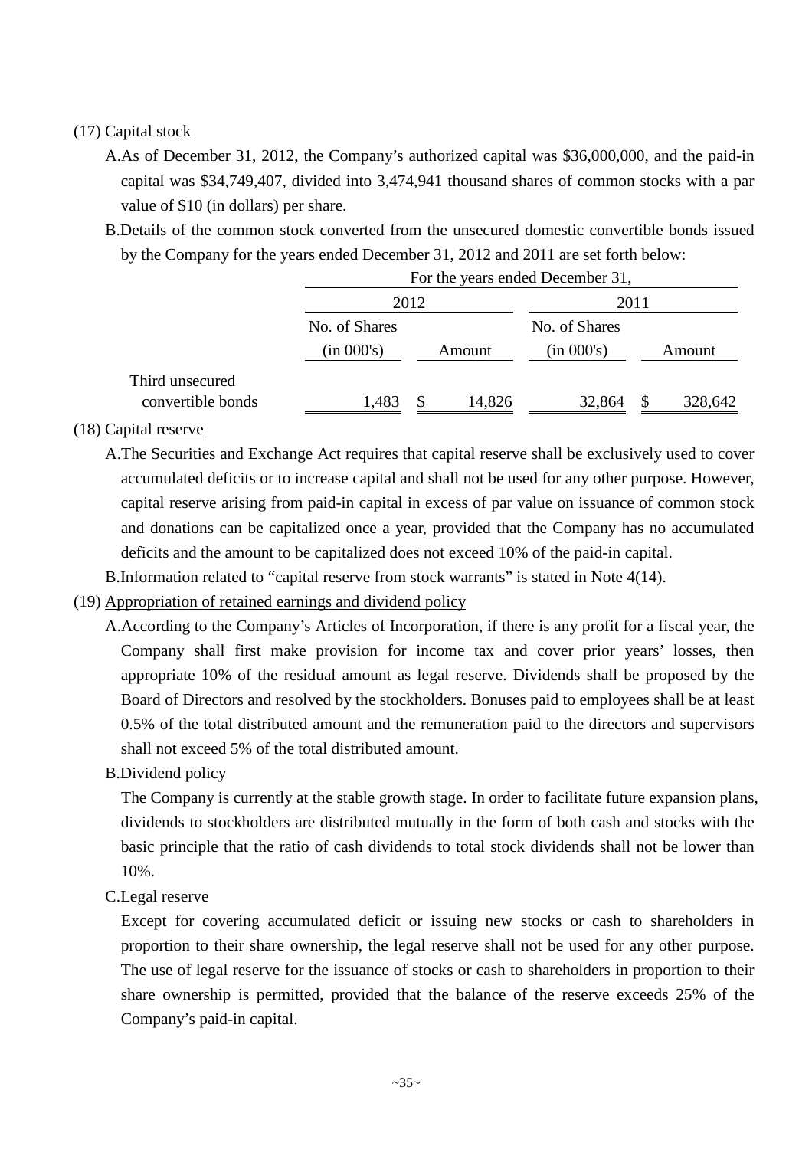### (17) Capital stock

- A.As of December 31, 2012, the Company's authorized capital was \$36,000,000, and the paid-in capital was \$34,749,407, divided into 3,474,941 thousand shares of common stocks with a par value of \$10 (in dollars) per share.
- B.Details of the common stock converted from the unsecured domestic convertible bonds issued by the Company for the years ended December 31, 2012 and 2011 are set forth below:

|                                      |               | For the years ended December 31, |        |               |          |         |  |
|--------------------------------------|---------------|----------------------------------|--------|---------------|----------|---------|--|
|                                      |               | 2012                             |        |               | 2011     |         |  |
|                                      | No. of Shares |                                  |        | No. of Shares |          |         |  |
|                                      | (in 000's)    |                                  | Amount | (in 000's)    |          | Amount  |  |
| Third unsecured<br>convertible bonds | 1,483         | S                                | 14,826 | 32,864        | <b>S</b> | 328,642 |  |

#### (18) Capital reserve

- A.The Securities and Exchange Act requires that capital reserve shall be exclusively used to cover accumulated deficits or to increase capital and shall not be used for any other purpose. However, capital reserve arising from paid-in capital in excess of par value on issuance of common stock and donations can be capitalized once a year, provided that the Company has no accumulated deficits and the amount to be capitalized does not exceed 10% of the paid-in capital.
- B.Information related to "capital reserve from stock warrants" is stated in Note 4(14).
- (19) Appropriation of retained earnings and dividend policy
	- A.According to the Company's Articles of Incorporation, if there is any profit for a fiscal year, the Company shall first make provision for income tax and cover prior years' losses, then appropriate 10% of the residual amount as legal reserve. Dividends shall be proposed by the Board of Directors and resolved by the stockholders. Bonuses paid to employees shall be at least 0.5% of the total distributed amount and the remuneration paid to the directors and supervisors shall not exceed 5% of the total distributed amount.
	- B.Dividend policy

The Company is currently at the stable growth stage. In order to facilitate future expansion plans, dividends to stockholders are distributed mutually in the form of both cash and stocks with the basic principle that the ratio of cash dividends to total stock dividends shall not be lower than 10%.

C.Legal reserve

Except for covering accumulated deficit or issuing new stocks or cash to shareholders in proportion to their share ownership, the legal reserve shall not be used for any other purpose. The use of legal reserve for the issuance of stocks or cash to shareholders in proportion to their share ownership is permitted, provided that the balance of the reserve exceeds 25% of the Company's paid-in capital.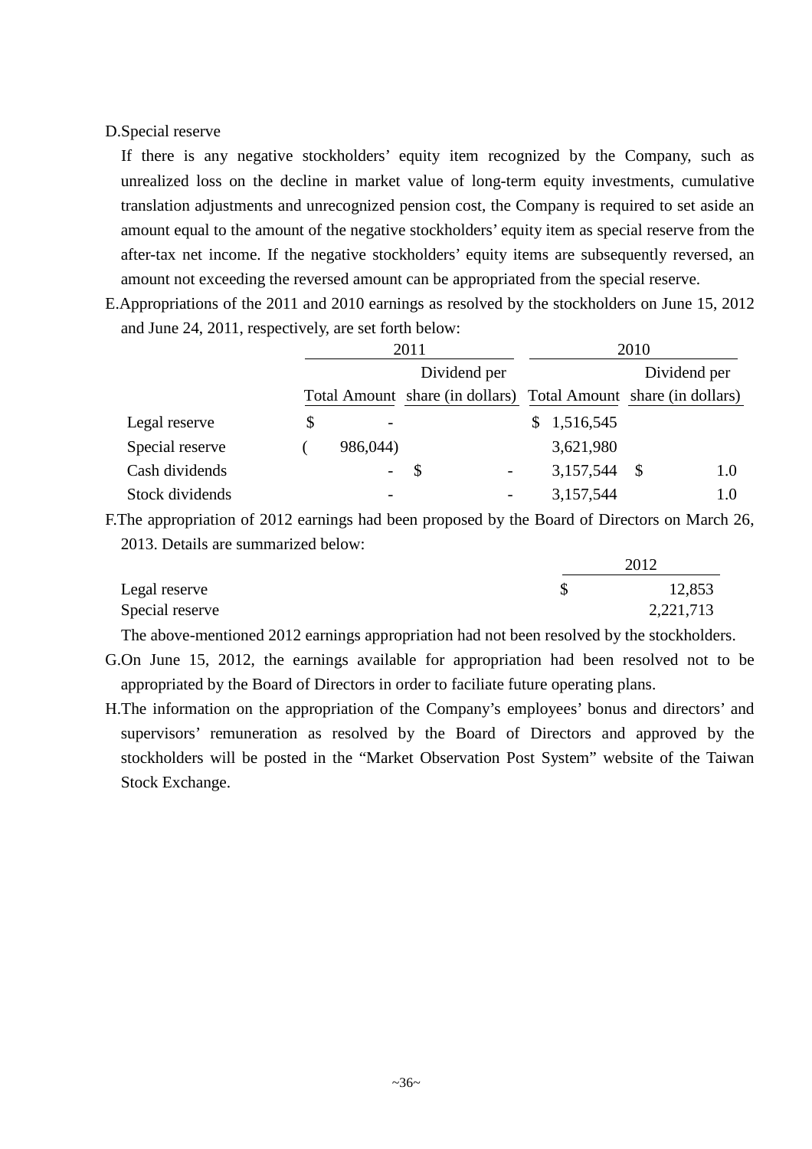#### D.Special reserve

If there is any negative stockholders' equity item recognized by the Company, such as unrealized loss on the decline in market value of long-term equity investments, cumulative translation adjustments and unrecognized pension cost, the Company is required to set aside an amount equal to the amount of the negative stockholders' equity item as special reserve from the after-tax net income. If the negative stockholders' equity items are subsequently reversed, an amount not exceeding the reversed amount can be appropriated from the special reserve.

E.Appropriations of the 2011 and 2010 earnings as resolved by the stockholders on June 15, 2012 and June 24, 2011, respectively, are set forth below:

|                 |                          | 2011                                                            | 2010        |              |  |  |  |
|-----------------|--------------------------|-----------------------------------------------------------------|-------------|--------------|--|--|--|
|                 |                          | Dividend per                                                    |             | Dividend per |  |  |  |
|                 |                          | Total Amount share (in dollars) Total Amount share (in dollars) |             |              |  |  |  |
| Legal reserve   | \$                       |                                                                 | \$1,516,545 |              |  |  |  |
| Special reserve | 986,044)                 |                                                                 | 3,621,980   |              |  |  |  |
| Cash dividends  | $\overline{\phantom{0}}$ | S                                                               | 3,157,544   | -S<br>1.0    |  |  |  |
| Stock dividends |                          |                                                                 | 3,157,544   |              |  |  |  |

F.The appropriation of 2012 earnings had been proposed by the Board of Directors on March 26, 2013. Details are summarized below:  $2012$ 

|                 | 2012      |
|-----------------|-----------|
| Legal reserve   | 12,853    |
| Special reserve | 2,221,713 |

The above-mentioned 2012 earnings appropriation had not been resolved by the stockholders.

- G.On June 15, 2012, the earnings available for appropriation had been resolved not to be appropriated by the Board of Directors in order to faciliate future operating plans.
- H.The information on the appropriation of the Company's employees' bonus and directors' and supervisors' remuneration as resolved by the Board of Directors and approved by the stockholders will be posted in the "Market Observation Post System" website of the Taiwan Stock Exchange.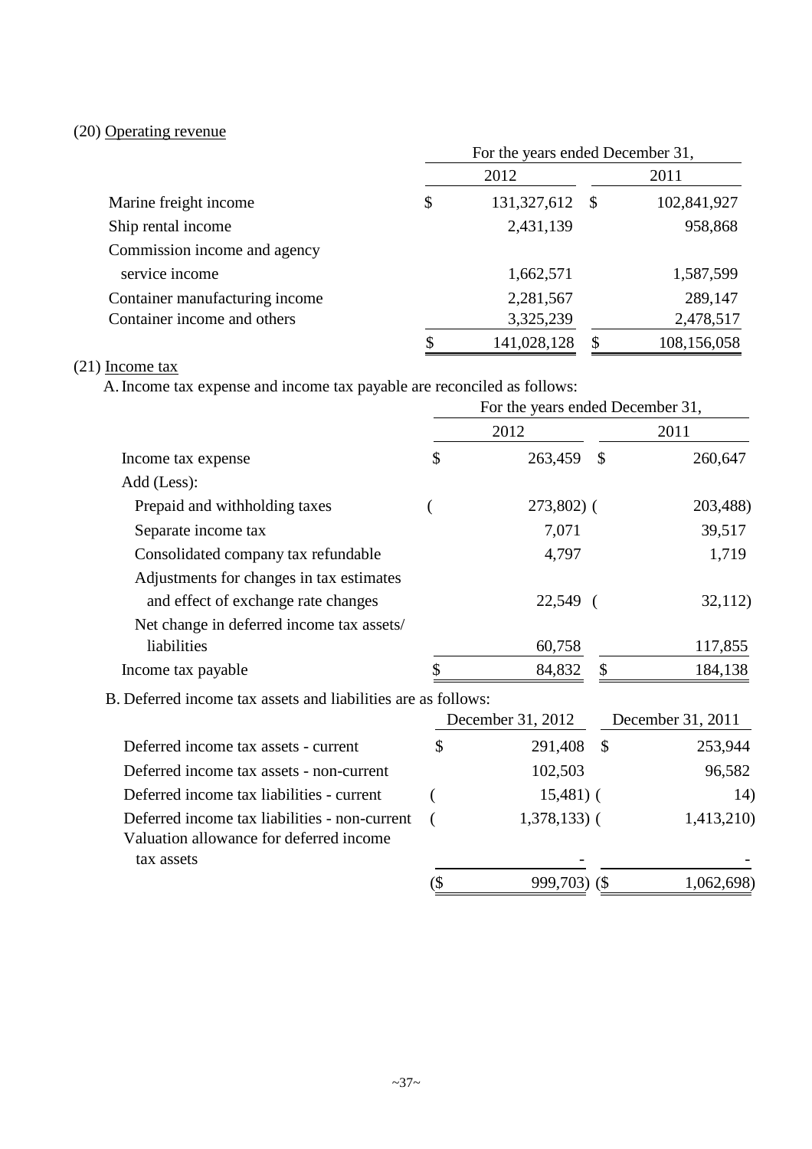# (20) Operating revenue

|                                | For the years ended December 31, |             |      |             |  |  |  |  |
|--------------------------------|----------------------------------|-------------|------|-------------|--|--|--|--|
|                                |                                  | 2012        | 2011 |             |  |  |  |  |
| Marine freight income          | \$                               | 131,327,612 | - \$ | 102,841,927 |  |  |  |  |
| Ship rental income             |                                  | 2,431,139   |      | 958,868     |  |  |  |  |
| Commission income and agency   |                                  |             |      |             |  |  |  |  |
| service income                 |                                  | 1,662,571   |      | 1,587,599   |  |  |  |  |
| Container manufacturing income |                                  | 2,281,567   |      | 289,147     |  |  |  |  |
| Container income and others    |                                  | 3,325,239   |      | 2,478,517   |  |  |  |  |
|                                | \$                               | 141,028,128 | S    | 108,156,058 |  |  |  |  |

## (21) Income tax

A.Income tax expense and income tax payable are reconciled as follows:

|                                                                                          |        | For the years ended December 31, |               |                   |  |
|------------------------------------------------------------------------------------------|--------|----------------------------------|---------------|-------------------|--|
|                                                                                          |        | 2012                             | 2011          |                   |  |
| Income tax expense                                                                       | \$     | 263,459                          | \$            | 260,647           |  |
| Add (Less):                                                                              |        |                                  |               |                   |  |
| Prepaid and withholding taxes                                                            |        | 273,802) (                       |               | 203,488)          |  |
| Separate income tax                                                                      |        | 7,071                            |               | 39,517            |  |
| Consolidated company tax refundable                                                      |        | 4,797                            |               | 1,719             |  |
| Adjustments for changes in tax estimates                                                 |        |                                  |               |                   |  |
| and effect of exchange rate changes                                                      |        | 22,549 (                         |               | 32,112)           |  |
| Net change in deferred income tax assets/                                                |        |                                  |               |                   |  |
| liabilities                                                                              |        | 60,758                           |               | 117,855           |  |
| Income tax payable                                                                       |        | 84,832                           | \$            | 184,138           |  |
| B. Deferred income tax assets and liabilities are as follows:                            |        |                                  |               |                   |  |
|                                                                                          |        | December 31, 2012                |               | December 31, 2011 |  |
| Deferred income tax assets - current                                                     | \$     | 291,408                          | $\mathcal{S}$ | 253,944           |  |
| Deferred income tax assets - non-current                                                 |        | 102,503                          |               | 96,582            |  |
| Deferred income tax liabilities - current                                                |        | $15,481$ ) (                     |               | 14)               |  |
| Deferred income tax liabilities - non-current<br>Valuation allowance for deferred income |        | $1,378,133$ (                    |               | 1,413,210)        |  |
| tax assets                                                                               |        |                                  |               |                   |  |
|                                                                                          | $($ \$ | 999,703) (\$                     |               | 1,062,698)        |  |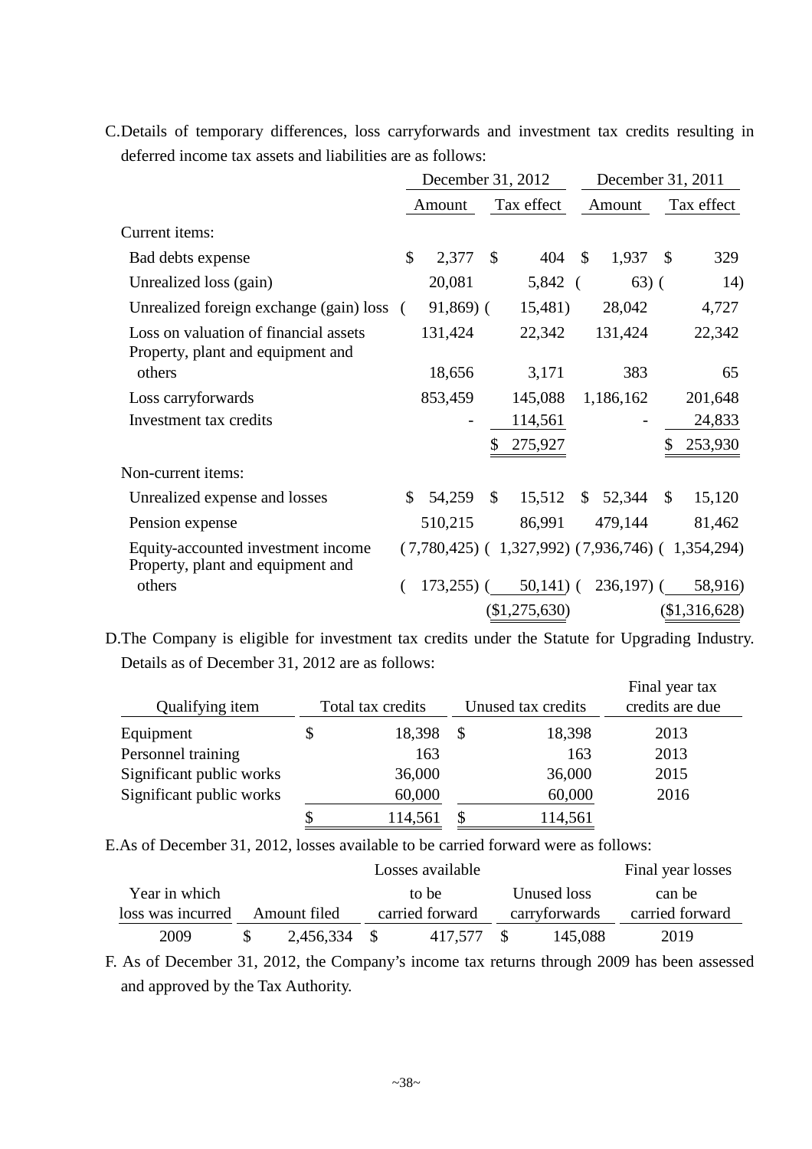|  |  | C. Details of temporary differences, loss carryforwards and investment tax credits resulting in |  |  |  |
|--|--|-------------------------------------------------------------------------------------------------|--|--|--|
|  |  | deferred income tax assets and liabilities are as follows:                                      |  |  |  |

|                                                                            |               | December 31, 2012 |              |                                                     |               | December 31, 2011 |              |               |  |
|----------------------------------------------------------------------------|---------------|-------------------|--------------|-----------------------------------------------------|---------------|-------------------|--------------|---------------|--|
|                                                                            |               | Amount            |              | Tax effect                                          |               | Amount            |              | Tax effect    |  |
| Current items:                                                             |               |                   |              |                                                     |               |                   |              |               |  |
| Bad debts expense                                                          | $\mathcal{S}$ | 2,377             | $\mathbb{S}$ | 404                                                 | $\mathbf{s}$  | 1,937             | $\mathbb{S}$ | 329           |  |
| Unrealized loss (gain)                                                     |               | 20,081            |              | 5,842                                               | $\left($      | $63)$ (           |              | 14)           |  |
| Unrealized foreign exchange (gain) loss (                                  |               | $91,869$ (        |              | 15,481)                                             |               | 28,042            |              | 4,727         |  |
| Loss on valuation of financial assets<br>Property, plant and equipment and |               | 131,424           |              | 22,342                                              |               | 131,424           |              | 22,342        |  |
| others                                                                     |               | 18,656            |              | 3,171                                               |               | 383               |              | 65            |  |
| Loss carryforwards                                                         |               | 853,459           |              | 145,088                                             |               | 1,186,162         |              | 201,648       |  |
| Investment tax credits                                                     |               |                   |              | 114,561                                             |               |                   |              | 24,833        |  |
|                                                                            |               |                   | \$           | 275,927                                             |               |                   |              | 253,930       |  |
| Non-current items:                                                         |               |                   |              |                                                     |               |                   |              |               |  |
| Unrealized expense and losses                                              | $\mathbb{S}$  | 54,259            | $\mathbb{S}$ | 15,512                                              | $\mathcal{S}$ | 52,344            | $\mathbb{S}$ | 15,120        |  |
| Pension expense                                                            |               | 510,215           |              | 86,991                                              |               | 479,144           |              | 81,462        |  |
| Equity-accounted investment income<br>Property, plant and equipment and    |               |                   |              | $(7,780,425)$ (1,327,992) $(7,936,746)$ (1,354,294) |               |                   |              |               |  |
| others                                                                     |               | $173,255$ ) (     |              | $50,141$ ) (                                        |               | $236,197$ ) (     |              | 58,916)       |  |
|                                                                            |               |                   |              | (\$1,275,630)                                       |               |                   |              | (\$1,316,628) |  |

D.The Company is eligible for investment tax credits under the Statute for Upgrading Industry. Details as of December 31, 2012 are as follows:

| Qualifying item          | Total tax credits |          | Unused tax credits | Final year tax<br>credits are due |
|--------------------------|-------------------|----------|--------------------|-----------------------------------|
| Equipment                | 18,398            | <b>S</b> | 18,398             | 2013                              |
| Personnel training       | 163               |          | 163                | 2013                              |
| Significant public works | 36,000            |          | 36,000             | 2015                              |
| Significant public works | 60,000            |          | 60,000             | 2016                              |
|                          | 114,561           | \$       | 114,561            |                                   |

E.As of December 31, 2012, losses available to be carried forward were as follows:

|                   |              |      | Losses available |               |             | Final year losses |
|-------------------|--------------|------|------------------|---------------|-------------|-------------------|
| Year in which     |              |      | to be            |               | Unused loss | can be            |
| loss was incurred | Amount filed |      | carried forward  | carryforwards |             | carried forward   |
| 2009              | 2,456,334    | - \$ | 417.577          |               | 145,088     | 2019              |

F. As of December 31, 2012, the Company's income tax returns through 2009 has been assessed and approved by the Tax Authority.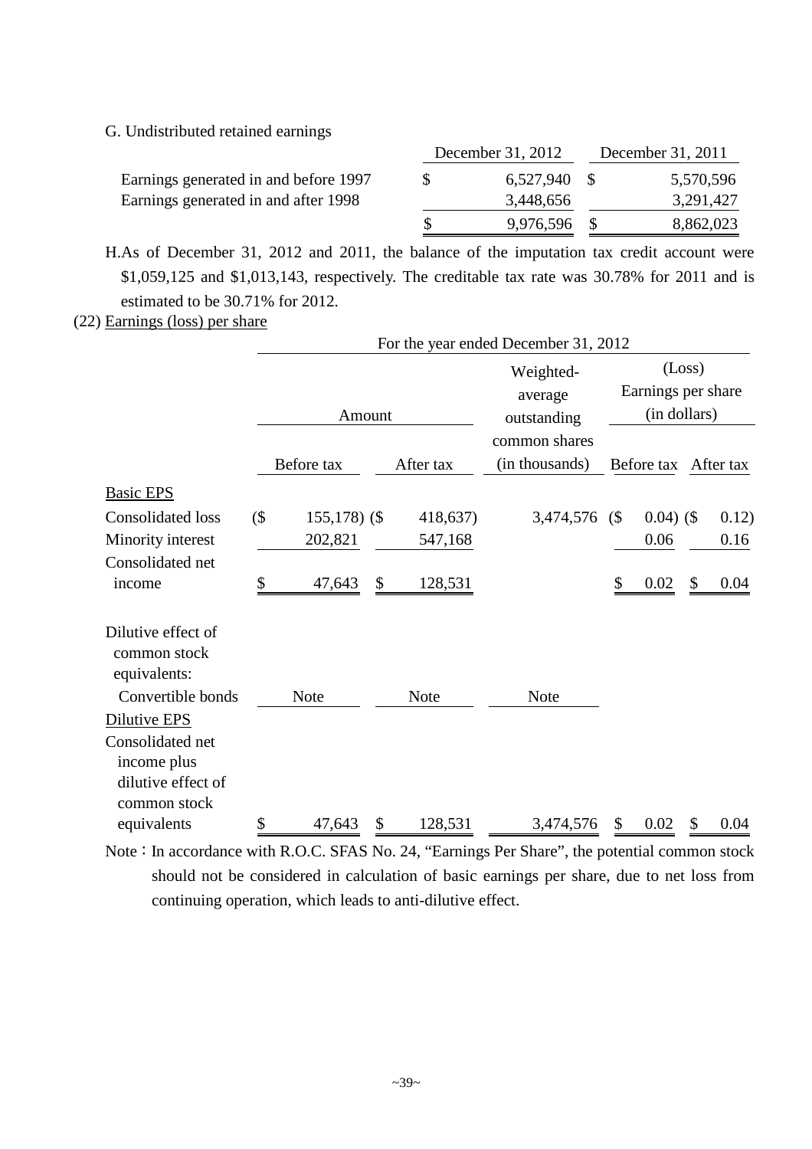### G. Undistributed retained earnings

|                                       |    | December 31, 2012 | December 31, 2011 |           |  |
|---------------------------------------|----|-------------------|-------------------|-----------|--|
| Earnings generated in and before 1997 |    | 6,527,940 \$      |                   | 5,570,596 |  |
| Earnings generated in and after 1998  |    | 3,448,656         |                   | 3,291,427 |  |
|                                       | -S | 9,976,596 \$      |                   | 8,862,023 |  |

H.As of December 31, 2012 and 2011, the balance of the imputation tax credit account were \$1,059,125 and \$1,013,143, respectively. The creditable tax rate was 30.78% for 2011 and is estimated to be 30.71% for 2012.

(22) Earnings (loss) per share

|                                                    |        |                |               | For the year ended December 31, 2012 |    |                                    |        |           |
|----------------------------------------------------|--------|----------------|---------------|--------------------------------------|----|------------------------------------|--------|-----------|
|                                                    |        | Amount         |               | Weighted-<br>average<br>outstanding  |    | Earnings per share<br>(in dollars) | (Loss) |           |
|                                                    |        | Before tax     | After tax     | common shares<br>(in thousands)      |    | Before tax                         |        | After tax |
| <b>Basic EPS</b>                                   |        |                |               |                                      |    |                                    |        |           |
| <b>Consolidated loss</b>                           | $($ \$ | $155,178$ (\$) | 418,637)      | 3,474,576                            | (  | $0.04)$ (\$)                       |        | 0.12)     |
| Minority interest                                  |        | 202,821        | 547,168       |                                      |    | 0.06                               |        | 0.16      |
| Consolidated net<br>income                         | \$     | 47,643         | \$<br>128,531 |                                      | \$ | 0.02                               | \$     | 0.04      |
| Dilutive effect of<br>common stock<br>equivalents: |        |                |               |                                      |    |                                    |        |           |
| Convertible bonds                                  |        | <b>Note</b>    | <b>Note</b>   | <b>Note</b>                          |    |                                    |        |           |
| Dilutive EPS                                       |        |                |               |                                      |    |                                    |        |           |
| Consolidated net                                   |        |                |               |                                      |    |                                    |        |           |
| income plus                                        |        |                |               |                                      |    |                                    |        |           |
| dilutive effect of                                 |        |                |               |                                      |    |                                    |        |           |
| common stock                                       |        |                |               |                                      |    |                                    |        |           |
| equivalents                                        | \$     | 47,643         | \$<br>128,531 | 3,474,576                            | \$ | 0.02                               | \$     | 0.04      |

Note: In accordance with R.O.C. SFAS No. 24, "Earnings Per Share", the potential common stock should not be considered in calculation of basic earnings per share, due to net loss from continuing operation, which leads to anti-dilutive effect.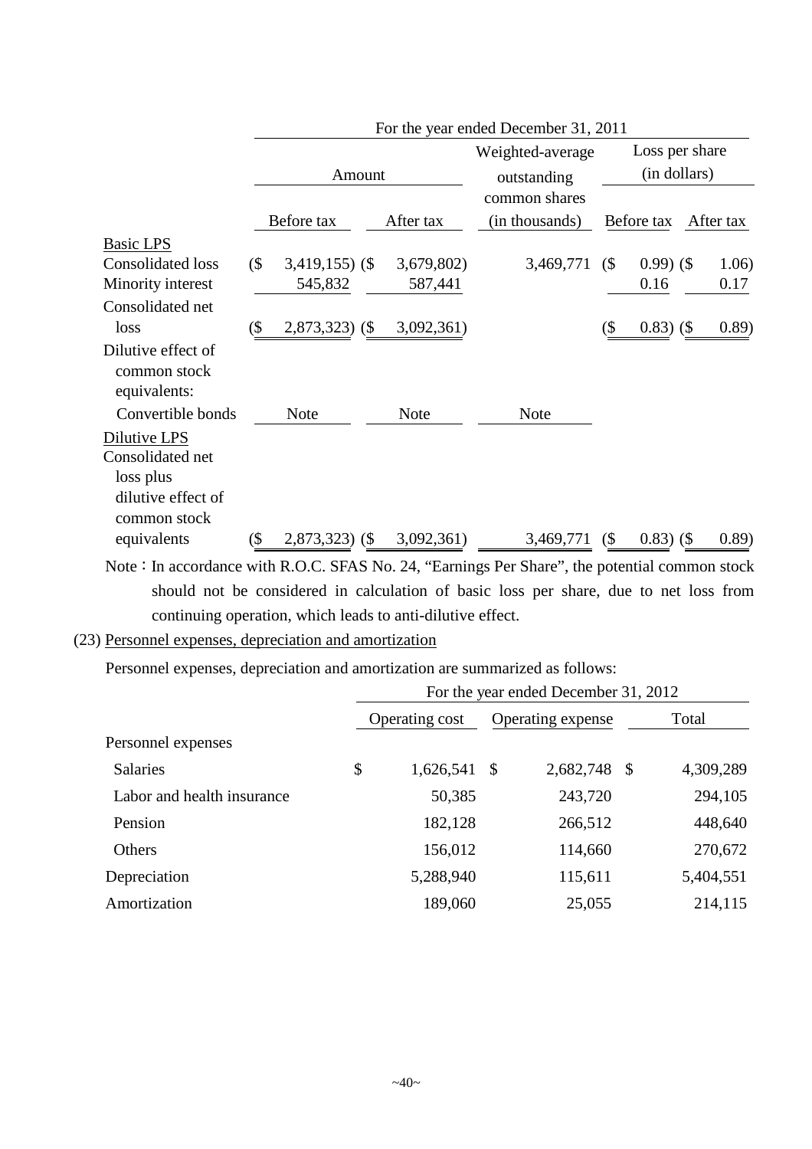|                                                                                                  |        |                  |  |                                 | For the year ended December 31, 2011 |                                |              |           |        |
|--------------------------------------------------------------------------------------------------|--------|------------------|--|---------------------------------|--------------------------------------|--------------------------------|--------------|-----------|--------|
|                                                                                                  |        | Amount           |  | Weighted-average<br>outstanding |                                      | Loss per share<br>(in dollars) |              |           |        |
|                                                                                                  |        |                  |  |                                 | common shares                        |                                |              |           |        |
|                                                                                                  |        | Before tax       |  | After tax                       | (in thousands)                       |                                | Before tax   | After tax |        |
| <b>Basic LPS</b>                                                                                 |        |                  |  |                                 |                                      |                                |              |           |        |
| <b>Consolidated loss</b>                                                                         | $($ \$ | $3,419,155$ (\$) |  | 3,679,802)                      | 3,469,771                            | (                              | $0.99)$ (\$  |           | 1.06)  |
| Minority interest                                                                                |        | 545,832          |  | 587,441                         |                                      |                                | 0.16         |           | 0.17   |
| Consolidated net                                                                                 |        |                  |  |                                 |                                      |                                |              |           |        |
| loss                                                                                             | (\$    | $2,873,323$ (\$) |  | 3,092,361)                      |                                      | (\$                            | $0.83)$ (\$) |           | (0.89) |
| Dilutive effect of<br>common stock<br>equivalents:                                               |        |                  |  |                                 |                                      |                                |              |           |        |
| Convertible bonds                                                                                |        | Note             |  | <b>Note</b>                     | <b>Note</b>                          |                                |              |           |        |
| Dilutive LPS<br>Consolidated net<br>loss plus<br>dilutive effect of                              |        |                  |  |                                 |                                      |                                |              |           |        |
| common stock                                                                                     |        |                  |  |                                 |                                      |                                |              |           |        |
| equivalents                                                                                      | (\$    | $2,873,323$ (\$) |  | 3,092,361)                      | 3,469,771                            | $($ \$                         | $0.83)$ (\$  |           | (0.89) |
| Note : In accordance with $R.O.C.$ SEAS No. 24. "Earnings Per Share", the notential common stock |        |                  |  |                                 |                                      |                                |              |           |        |

Note: In accordance with R.O.C. SFAS No. 24, "Earnings Per Share", the potential con should not be considered in calculation of basic loss per share, due to net loss from continuing operation, which leads to anti-dilutive effect.

## (23) Personnel expenses, depreciation and amortization

Personnel expenses, depreciation and amortization are summarized as follows:

|                            | For the year ended December 31, 2012 |                |    |                   |     |           |  |  |  |  |
|----------------------------|--------------------------------------|----------------|----|-------------------|-----|-----------|--|--|--|--|
|                            |                                      | Operating cost |    | Operating expense |     | Total     |  |  |  |  |
| Personnel expenses         |                                      |                |    |                   |     |           |  |  |  |  |
| <b>Salaries</b>            | \$                                   | 1,626,541      | -S | 2,682,748         | -\$ | 4,309,289 |  |  |  |  |
| Labor and health insurance |                                      | 50,385         |    | 243,720           |     | 294,105   |  |  |  |  |
| Pension                    |                                      | 182,128        |    | 266,512           |     | 448,640   |  |  |  |  |
| <b>Others</b>              |                                      | 156,012        |    | 114,660           |     | 270,672   |  |  |  |  |
| Depreciation               |                                      | 5,288,940      |    | 115,611           |     | 5,404,551 |  |  |  |  |
| Amortization               |                                      | 189,060        |    | 25,055            |     | 214,115   |  |  |  |  |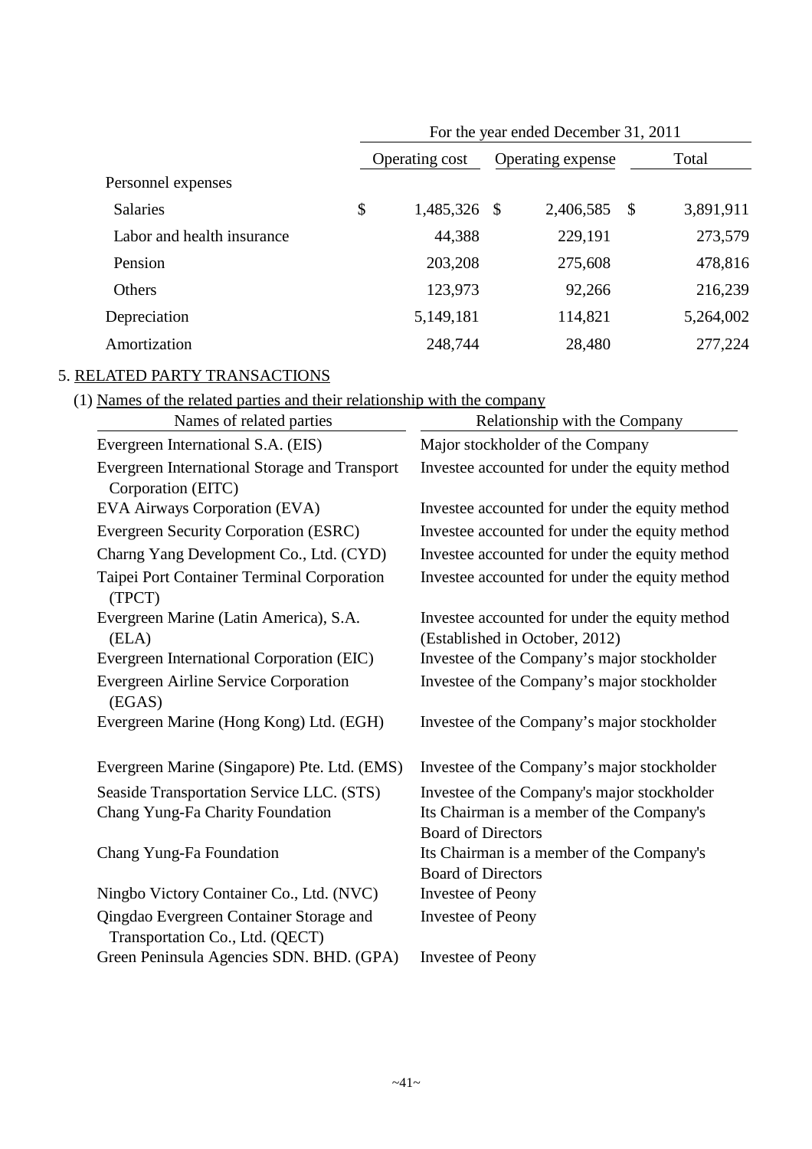|                            |                 | For the year ended December 31, 2011 |           |               |           |
|----------------------------|-----------------|--------------------------------------|-----------|---------------|-----------|
|                            | Operating cost  | Operating expense                    |           |               | Total     |
| Personnel expenses         |                 |                                      |           |               |           |
| <b>Salaries</b>            | \$<br>1,485,326 | \$                                   | 2,406,585 | $\mathcal{S}$ | 3,891,911 |
| Labor and health insurance | 44,388          |                                      | 229,191   |               | 273,579   |
| Pension                    | 203,208         |                                      | 275,608   |               | 478,816   |
| Others                     | 123,973         |                                      | 92,266    |               | 216,239   |
| Depreciation               | 5,149,181       |                                      | 114,821   |               | 5,264,002 |
| Amortization               | 248,744         |                                      | 28,480    |               | 277,224   |

# 5. RELATED PARTY TRANSACTIONS

(1) Names of the related parties and their relationship with the company

| Names of related parties                                                   | Relationship with the Company                                                    |
|----------------------------------------------------------------------------|----------------------------------------------------------------------------------|
| Evergreen International S.A. (EIS)                                         | Major stockholder of the Company                                                 |
| Evergreen International Storage and Transport                              | Investee accounted for under the equity method                                   |
| Corporation (EITC)                                                         |                                                                                  |
| EVA Airways Corporation (EVA)                                              | Investee accounted for under the equity method                                   |
| Evergreen Security Corporation (ESRC)                                      | Investee accounted for under the equity method                                   |
| Charng Yang Development Co., Ltd. (CYD)                                    | Investee accounted for under the equity method                                   |
| Taipei Port Container Terminal Corporation<br>(TPCT)                       | Investee accounted for under the equity method                                   |
| Evergreen Marine (Latin America), S.A.<br>(ELA)                            | Investee accounted for under the equity method<br>(Established in October, 2012) |
| Evergreen International Corporation (EIC)                                  | Investee of the Company's major stockholder                                      |
| <b>Evergreen Airline Service Corporation</b><br>(EGAS)                     | Investee of the Company's major stockholder                                      |
| Evergreen Marine (Hong Kong) Ltd. (EGH)                                    | Investee of the Company's major stockholder                                      |
| Evergreen Marine (Singapore) Pte. Ltd. (EMS)                               | Investee of the Company's major stockholder                                      |
| Seaside Transportation Service LLC. (STS)                                  | Investee of the Company's major stockholder                                      |
| Chang Yung-Fa Charity Foundation                                           | Its Chairman is a member of the Company's                                        |
|                                                                            | <b>Board of Directors</b>                                                        |
| Chang Yung-Fa Foundation                                                   | Its Chairman is a member of the Company's                                        |
|                                                                            | <b>Board of Directors</b>                                                        |
| Ningbo Victory Container Co., Ltd. (NVC)                                   | Investee of Peony                                                                |
| Qingdao Evergreen Container Storage and<br>Transportation Co., Ltd. (QECT) | <b>Investee of Peony</b>                                                         |
| Green Peninsula Agencies SDN. BHD. (GPA)                                   | <b>Investee of Peony</b>                                                         |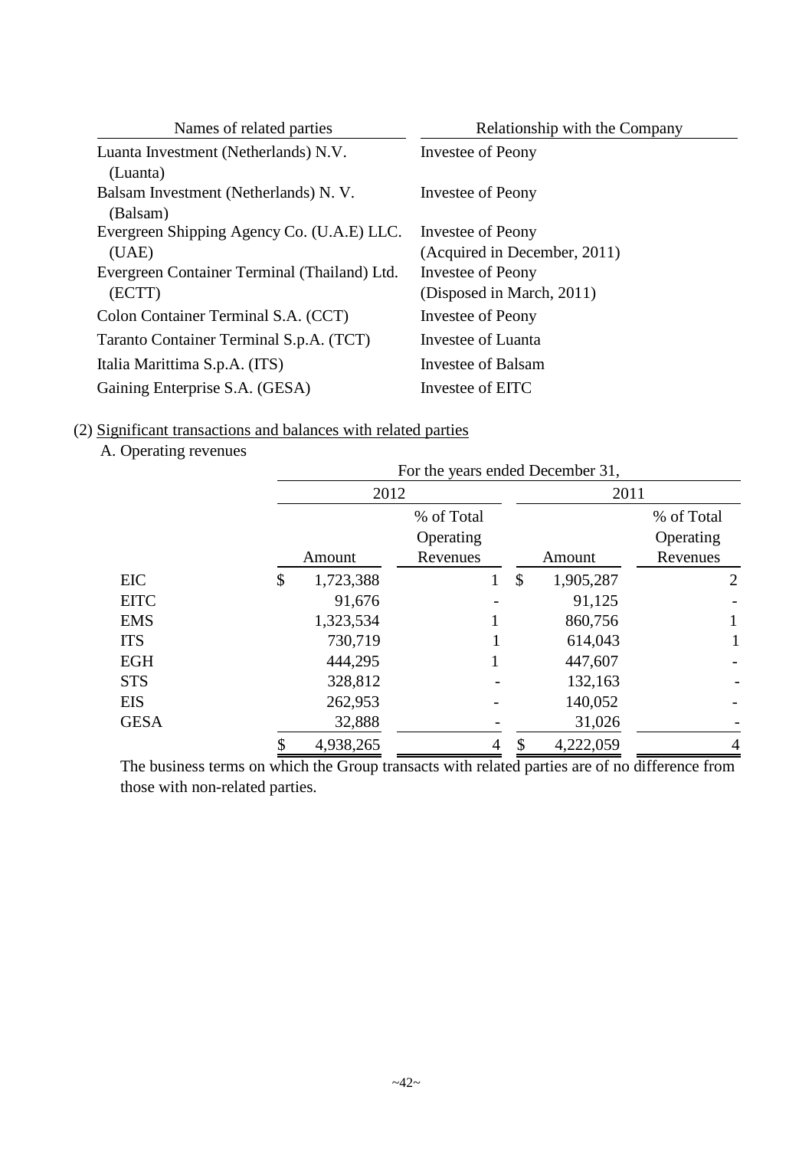| Names of related parties                               | Relationship with the Company                     |
|--------------------------------------------------------|---------------------------------------------------|
| Luanta Investment (Netherlands) N.V.<br>(Luanta)       | Investee of Peony                                 |
| Balsam Investment (Netherlands) N.V.<br>(Balsam)       | Investee of Peony                                 |
| Evergreen Shipping Agency Co. (U.A.E) LLC.<br>(UAE)    | Investee of Peony<br>(Acquired in December, 2011) |
| Evergreen Container Terminal (Thailand) Ltd.<br>(ECTT) | Investee of Peony<br>(Disposed in March, 2011)    |
| Colon Container Terminal S.A. (CCT)                    | Investee of Peony                                 |
| Taranto Container Terminal S.p.A. (TCT)                | Investee of Luanta                                |
| Italia Marittima S.p.A. (ITS)                          | Investee of Balsam                                |
| Gaining Enterprise S.A. (GESA)                         | Investee of EITC                                  |

(2) Significant transactions and balances with related parties

A. Operating revenues

|             |                 |                                     |   |    | For the years ended December 31, |                                     |  |  |
|-------------|-----------------|-------------------------------------|---|----|----------------------------------|-------------------------------------|--|--|
|             | 2012            |                                     |   |    | 2011                             |                                     |  |  |
|             | Amount          | % of Total<br>Operating<br>Revenues |   |    | Amount                           | % of Total<br>Operating<br>Revenues |  |  |
| <b>EIC</b>  | \$<br>1,723,388 |                                     |   | \$ | 1,905,287                        | $\overline{2}$                      |  |  |
| <b>EITC</b> | 91,676          |                                     |   |    | 91,125                           |                                     |  |  |
| <b>EMS</b>  | 1,323,534       |                                     |   |    | 860,756                          |                                     |  |  |
| <b>ITS</b>  | 730,719         |                                     |   |    | 614,043                          |                                     |  |  |
| <b>EGH</b>  | 444,295         |                                     |   |    | 447,607                          |                                     |  |  |
| <b>STS</b>  | 328,812         |                                     |   |    | 132,163                          |                                     |  |  |
| <b>EIS</b>  | 262,953         |                                     |   |    | 140,052                          |                                     |  |  |
| <b>GESA</b> | 32,888          |                                     |   |    | 31,026                           |                                     |  |  |
|             | \$<br>4,938,265 |                                     | 4 | \$ | 4,222,059                        | 4                                   |  |  |

The business terms on which the Group transacts with related parties are of no difference from those with non-related parties.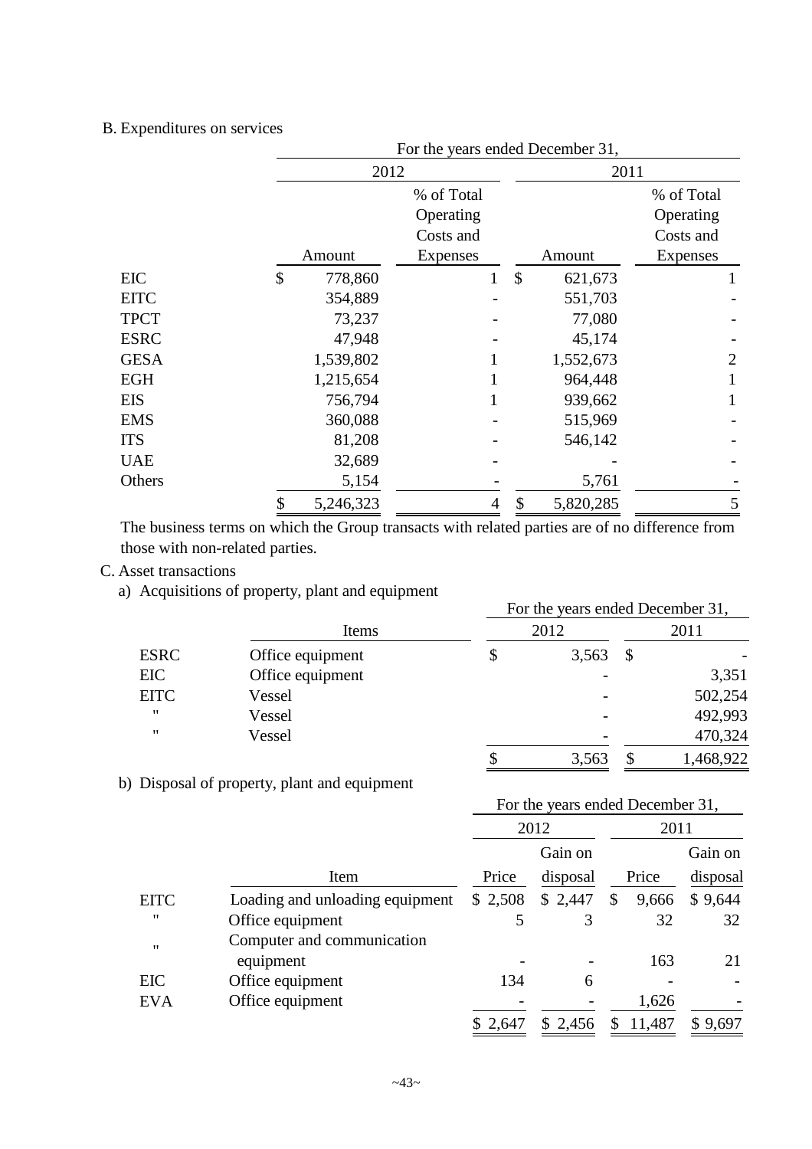## B. Expenditures on services

|             |                 |                | For the years ended December 31, |            |
|-------------|-----------------|----------------|----------------------------------|------------|
|             |                 | 2012           |                                  | 2011       |
|             |                 | % of Total     |                                  | % of Total |
|             |                 | Operating      |                                  | Operating  |
|             |                 | Costs and      |                                  | Costs and  |
|             | Amount          | Expenses       | Amount                           | Expenses   |
| EIC         | \$<br>778,860   | 1              | \$<br>621,673                    |            |
| <b>EITC</b> | 354,889         |                | 551,703                          |            |
| <b>TPCT</b> |                 | 73,237         | 77,080                           |            |
| <b>ESRC</b> |                 | 47,948         | 45,174                           |            |
| <b>GESA</b> | 1,539,802       |                | 1,552,673                        | 2          |
| EGH         | 1,215,654       |                | 964,448                          |            |
| EIS         | 756,794         |                | 939,662                          |            |
| EMS         | 360,088         |                | 515,969                          |            |
| ITS         |                 | 81,208         | 546,142                          |            |
| UAE         |                 | 32,689         |                                  |            |
| Others      |                 | 5,154          | 5,761                            |            |
|             | 5,246,323<br>\$ | $\overline{4}$ | 5,820,285<br>\$                  | 5          |

The business terms on which the Group transacts with related parties are of no difference from those with non-related parties.

# C. Asset transactions

a) Acquisitions of property, plant and equipment

|                   |                  | For the years ended December 31, |       |    |           |  |  |  |
|-------------------|------------------|----------------------------------|-------|----|-----------|--|--|--|
|                   | Items            |                                  | 2012  |    | 2011      |  |  |  |
| <b>ESRC</b>       | Office equipment |                                  | 3,563 | \$ |           |  |  |  |
| EIC               | Office equipment |                                  |       |    | 3,351     |  |  |  |
| <b>EITC</b>       | Vessel           |                                  |       |    | 502,254   |  |  |  |
| $^{\prime\prime}$ | Vessel           |                                  |       |    | 492,993   |  |  |  |
| $^{\prime\prime}$ | Vessel           |                                  |       |    | 470,324   |  |  |  |
|                   |                  |                                  | 3,563 |    | 1,468,922 |  |  |  |

b) Disposal of property, plant and equipment

|                   |                                 |          |          | For the years ended December 31, |          |
|-------------------|---------------------------------|----------|----------|----------------------------------|----------|
|                   |                                 | 2012     |          | 2011                             |          |
|                   |                                 |          | Gain on  |                                  | Gain on  |
|                   | Item                            | Price    | disposal | Price                            | disposal |
| <b>EITC</b>       | Loading and unloading equipment | \$2,508  | \$2,447  | \$<br>9,666                      | \$9,644  |
| 11                | Office equipment                | 5        | 3        | 32                               | 32       |
| $^{\prime\prime}$ | Computer and communication      |          |          |                                  |          |
|                   | equipment                       |          |          | 163                              | 21       |
| EIC               | Office equipment                | 134      | 6        |                                  |          |
| <b>EVA</b>        | Office equipment                |          |          | 1,626                            |          |
|                   |                                 | \$ 2,647 | \$2,456  | 11,487<br>S.                     | \$9,697  |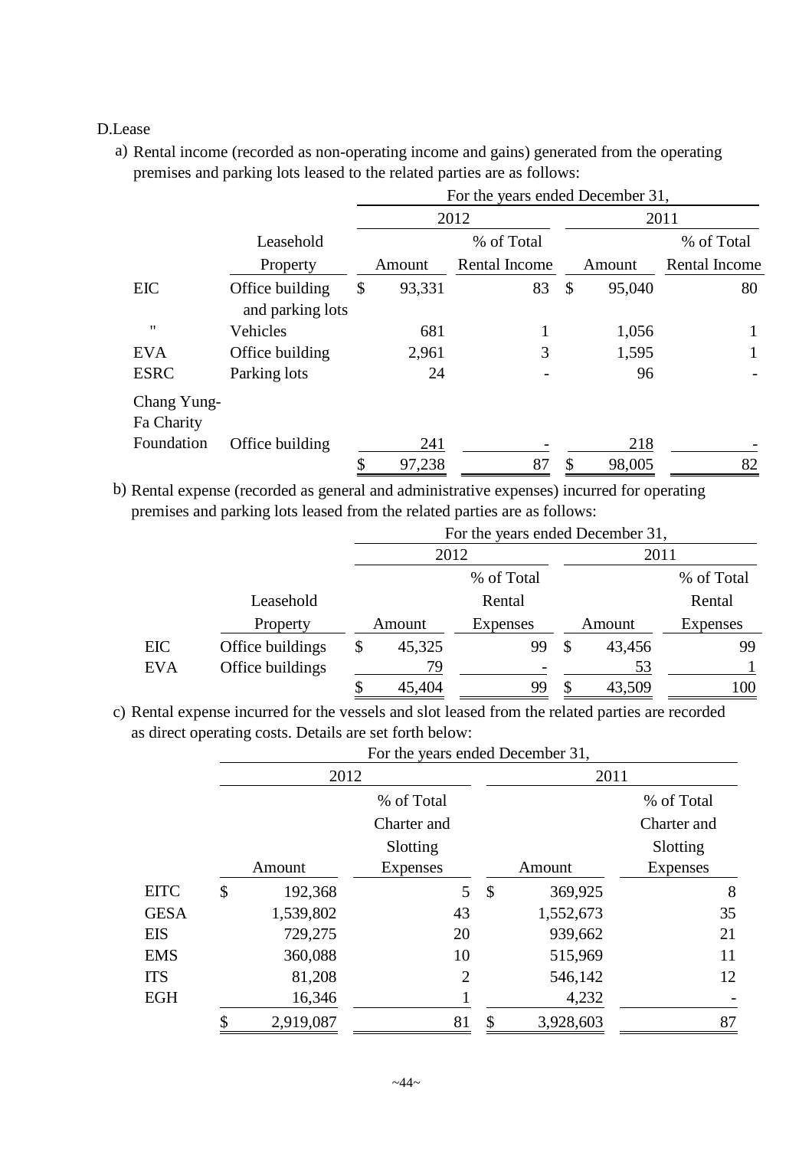## D.Lease

a) Rental income (recorded as non-operating income and gains) generated from the operating premises and parking lots leased to the related parties are as follows:

|                           |                                     | For the years ended December 31, |                      |                           |        |               |  |  |  |
|---------------------------|-------------------------------------|----------------------------------|----------------------|---------------------------|--------|---------------|--|--|--|
|                           |                                     | 2012                             |                      |                           | 2011   |               |  |  |  |
|                           | Leasehold                           | % of Total                       |                      |                           |        | % of Total    |  |  |  |
|                           | Property                            | Amount                           | <b>Rental Income</b> |                           | Amount | Rental Income |  |  |  |
| <b>EIC</b>                | Office building<br>and parking lots | \$<br>93,331                     | 83                   | $\boldsymbol{\mathsf{S}}$ | 95,040 | 80            |  |  |  |
| "                         | Vehicles                            | 681                              |                      |                           | 1,056  | 1             |  |  |  |
| <b>EVA</b>                | Office building                     | 2,961                            | 3                    |                           | 1,595  |               |  |  |  |
| <b>ESRC</b>               | Parking lots                        | 24                               |                      |                           | 96     |               |  |  |  |
| Chang Yung-<br>Fa Charity |                                     |                                  |                      |                           |        |               |  |  |  |
| Foundation                | Office building                     | 241                              |                      |                           | 218    |               |  |  |  |
|                           |                                     | \$<br>97,238                     | 87                   | \$                        | 98,005 | 82            |  |  |  |

b) Rental expense (recorded as general and administrative expenses) incurred for operating premises and parking lots leased from the related parties are as follows:

|            |                  | For the years ended December 31, |            |    |        |                 |  |  |  |  |
|------------|------------------|----------------------------------|------------|----|--------|-----------------|--|--|--|--|
|            |                  | 2012                             |            |    | 2011   |                 |  |  |  |  |
|            |                  |                                  | % of Total |    |        | % of Total      |  |  |  |  |
|            | Leasehold        |                                  | Rental     |    |        | Rental          |  |  |  |  |
|            | Property         | Amount                           | Expenses   |    | Amount | <b>Expenses</b> |  |  |  |  |
| EIC        | Office buildings | \$<br>45,325                     | 99         | \$ | 43,456 | 99              |  |  |  |  |
| <b>EVA</b> | Office buildings | 79                               |            |    | 53     |                 |  |  |  |  |
|            |                  | \$<br>45,404                     | 99         | \$ | 43,509 | 100             |  |  |  |  |

c) Rental expense incurred for the vessels and slot leased from the related parties are recorded as direct operating costs. Details are set forth below:

|             |        |           | For the years ended December 31, |               |           |             |  |  |
|-------------|--------|-----------|----------------------------------|---------------|-----------|-------------|--|--|
|             |        | 2012      |                                  |               | 2011      |             |  |  |
|             |        |           | % of Total                       |               |           | % of Total  |  |  |
|             |        |           | Charter and                      |               |           | Charter and |  |  |
|             |        |           | Slotting                         |               |           | Slotting    |  |  |
|             |        | Amount    | <b>Expenses</b>                  |               | Amount    | Expenses    |  |  |
| <b>EITC</b> | \$     | 192,368   | 5                                | $\mathcal{S}$ | 369,925   | 8           |  |  |
| <b>GESA</b> |        | 1,539,802 | 43                               |               | 1,552,673 | 35          |  |  |
| EIS         |        | 729,275   | 20                               |               | 939,662   | 21          |  |  |
| <b>EMS</b>  |        | 360,088   | 10                               |               | 515,969   | 11          |  |  |
| <b>ITS</b>  |        | 81,208    | $\overline{2}$                   |               | 546,142   | 12          |  |  |
| EGH<br>\$   | 16,346 |           |                                  | 4,232         |           |             |  |  |
|             |        | 2,919,087 | 81                               | \$            | 3,928,603 | 87          |  |  |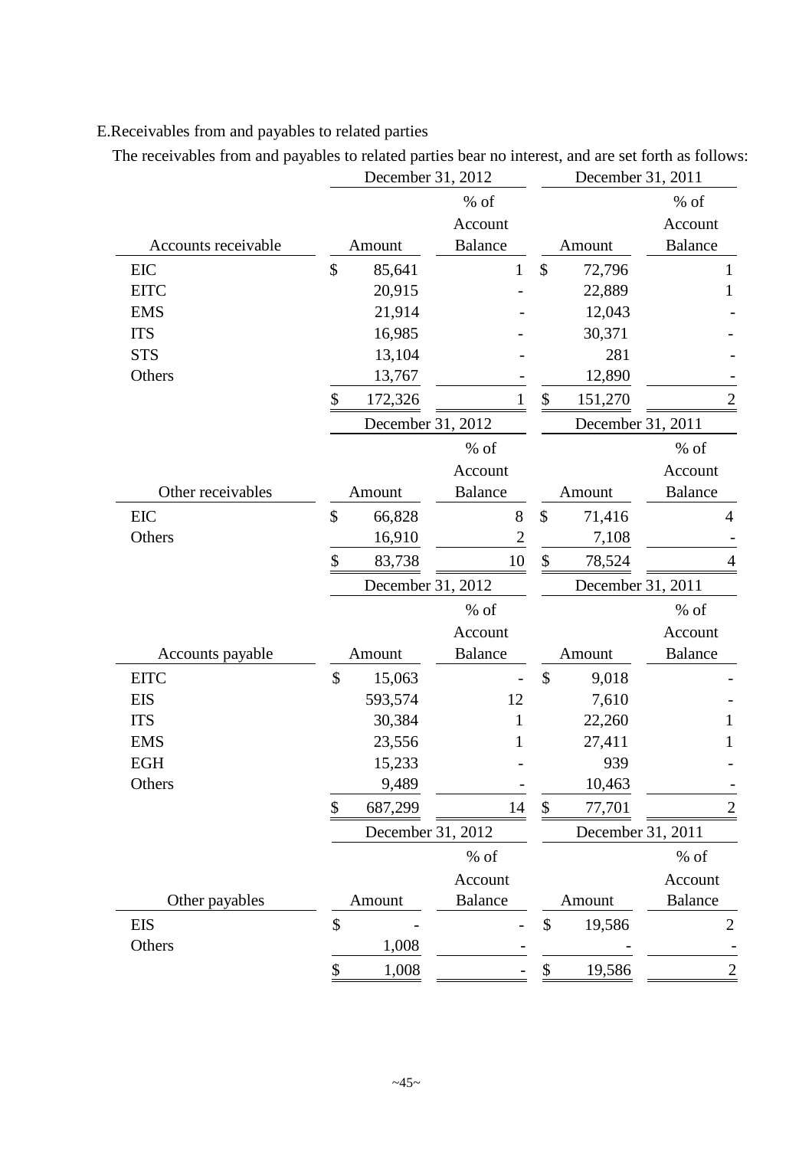# E.Receivables from and payables to related parties

The receivables from and payables to related parties bear no interest, and are set forth as follows:<br>December 31, 2012

|                     | December 31, 2012               |                | December 31, 2011            |                |
|---------------------|---------------------------------|----------------|------------------------------|----------------|
|                     |                                 | % of           |                              | % of           |
|                     |                                 | Account        |                              | Account        |
| Accounts receivable | Amount                          | <b>Balance</b> | Amount                       | <b>Balance</b> |
| <b>EIC</b>          | \$<br>85,641                    | $\mathbf{1}$   | \$<br>72,796                 | 1              |
| <b>EITC</b>         | 20,915                          |                | 22,889                       | 1              |
| <b>EMS</b>          | 21,914                          |                | 12,043                       |                |
| <b>ITS</b>          | 16,985                          |                | 30,371                       |                |
| <b>STS</b>          | 13,104                          |                | 281                          |                |
| Others              | 13,767                          |                | 12,890                       |                |
|                     | \$<br>172,326                   |                | $\boldsymbol{\$}$<br>151,270 |                |
|                     | December 31, 2012               |                | December 31, 2011            |                |
|                     |                                 | % of           |                              | $%$ of         |
|                     |                                 | Account        |                              | Account        |
| Other receivables   | Amount                          | <b>Balance</b> | Amount                       | <b>Balance</b> |
| <b>EIC</b>          | \$<br>66,828                    | 8              | \$<br>71,416                 | 4              |
| Others              | 16,910                          | $\overline{2}$ | 7,108                        |                |
|                     | \$<br>83,738                    | 10             | \$<br>78,524                 |                |
|                     | December 31, 2012               |                | December 31, 2011            |                |
|                     |                                 | % of           |                              | % of           |
|                     |                                 | Account        |                              | Account        |
| Accounts payable    | Amount                          | <b>Balance</b> | Amount                       | <b>Balance</b> |
| <b>EITC</b>         | \$<br>15,063                    |                | $\mathcal{S}$<br>9,018       |                |
| <b>EIS</b>          | 593,574                         | 12             | 7,610                        |                |
| <b>ITS</b>          | 30,384                          | 1              | 22,260                       |                |
| <b>EMS</b>          | 23,556                          | 1              | 27,411                       | 1              |
| <b>EGH</b>          | 15,233                          |                | 939                          |                |
| Others              | 9,489                           |                | 10,463                       |                |
|                     | \$<br>687,299                   | 14             | 77,701<br>\$                 | $\overline{2}$ |
|                     | December 31, 2012               |                | December 31, 2011            |                |
|                     |                                 | $%$ of         |                              | $%$ of         |
|                     |                                 | Account        |                              | Account        |
| Other payables      | Amount                          | <b>Balance</b> | Amount                       | <b>Balance</b> |
| <b>EIS</b>          | $\boldsymbol{\hat{\mathsf{S}}}$ |                | \$<br>19,586                 | $\overline{2}$ |
| Others              | 1,008                           |                |                              |                |
|                     | 1,008<br>\$                     |                | 19,586<br>\$                 | $\overline{2}$ |
|                     |                                 |                |                              |                |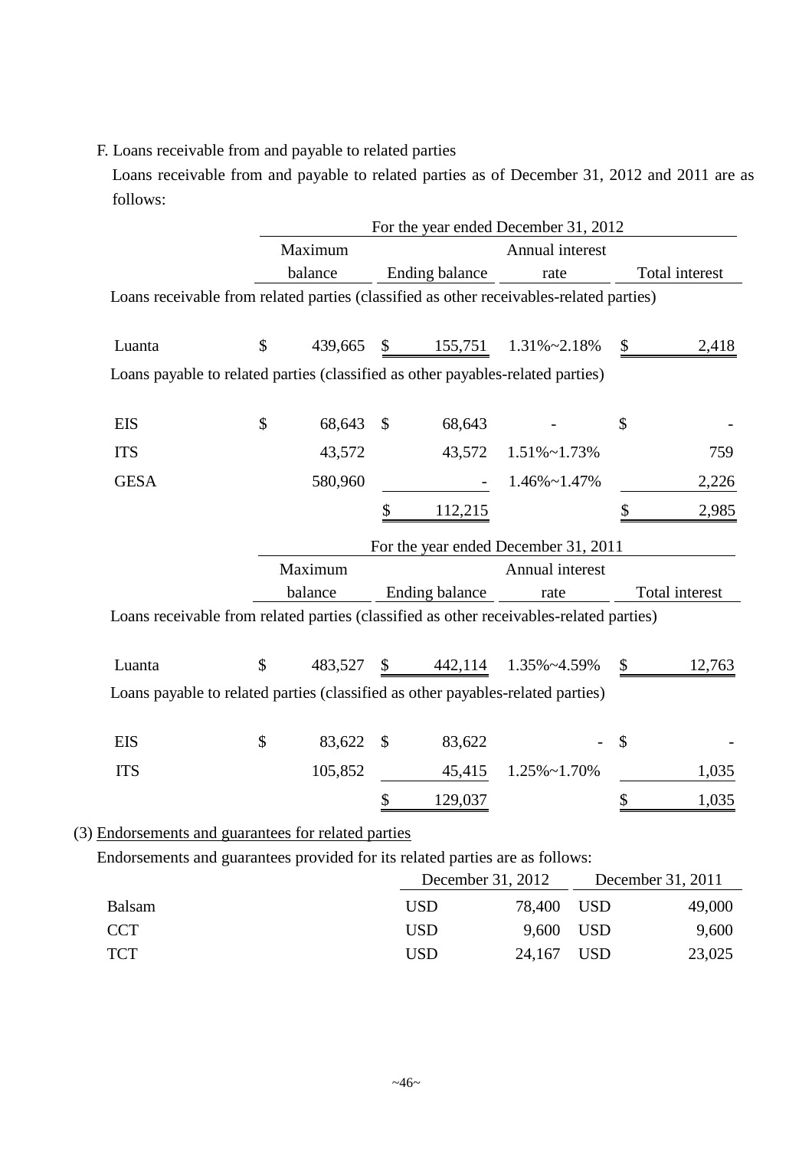## F. Loans receivable from and payable to related parties

Loans receivable from and payable to related parties as of December 31, 2012 and 2011 are as follows:

|                                                                                         |               |              | For the year ended December 31, 2012 |                      |                |                   |
|-----------------------------------------------------------------------------------------|---------------|--------------|--------------------------------------|----------------------|----------------|-------------------|
|                                                                                         | Maximum       |              |                                      | Annual interest      |                |                   |
|                                                                                         | balance       |              | <b>Ending balance</b>                | rate                 |                | Total interest    |
| Loans receivable from related parties (classified as other receivables-related parties) |               |              |                                      |                      |                |                   |
| Luanta                                                                                  | \$<br>439,665 |              | $\frac{\$}{155,751}$ 1.31%~2.18%     |                      | $\mathbb{S}$   | 2,418             |
| Loans payable to related parties (classified as other payables-related parties)         |               |              |                                      |                      |                |                   |
| <b>EIS</b>                                                                              | \$<br>68,643  | $\mathbb{S}$ | 68,643                               |                      | \$             |                   |
| <b>ITS</b>                                                                              | 43,572        |              | 43,572                               | $1.51\% \sim 1.73\%$ |                | 759               |
| <b>GESA</b>                                                                             | 580,960       |              |                                      | $1.46\% \sim 1.47\%$ |                | 2,226             |
|                                                                                         |               | \$           | 112,215                              |                      | \$             | 2,985             |
|                                                                                         |               |              | For the year ended December 31, 2011 |                      |                |                   |
|                                                                                         | Maximum       |              |                                      | Annual interest      |                |                   |
|                                                                                         | balance       |              | Ending balance                       | rate                 |                | Total interest    |
| Loans receivable from related parties (classified as other receivables-related parties) |               |              |                                      |                      |                |                   |
| Luanta                                                                                  | \$            |              | 483,527 \$ 442,114 1.35%~4.59%       |                      | $\mathbb{S}^-$ | 12,763            |
| Loans payable to related parties (classified as other payables-related parties)         |               |              |                                      |                      |                |                   |
| <b>EIS</b>                                                                              | \$<br>83,622  | \$           | 83,622                               |                      | \$             |                   |
| <b>ITS</b>                                                                              | 105,852       |              | 45,415                               | $1.25\% \sim 1.70\%$ |                | 1,035             |
|                                                                                         |               |              | 129,037                              |                      |                | 1,035             |
| (3) Endorsements and guarantees for related parties                                     |               |              |                                      |                      |                |                   |
| Endorsements and guarantees provided for its related parties are as follows:            |               |              |                                      |                      |                |                   |
|                                                                                         |               |              | December 31, 2012                    |                      |                | December 31, 2011 |
| <b>Balsam</b>                                                                           |               |              | <b>USD</b>                           | 78,400               | <b>USD</b>     | 49,000            |
| <b>CCT</b>                                                                              |               |              | <b>USD</b>                           | 9,600                | <b>USD</b>     | 9,600             |

TCT USD 24,167 USD 23,025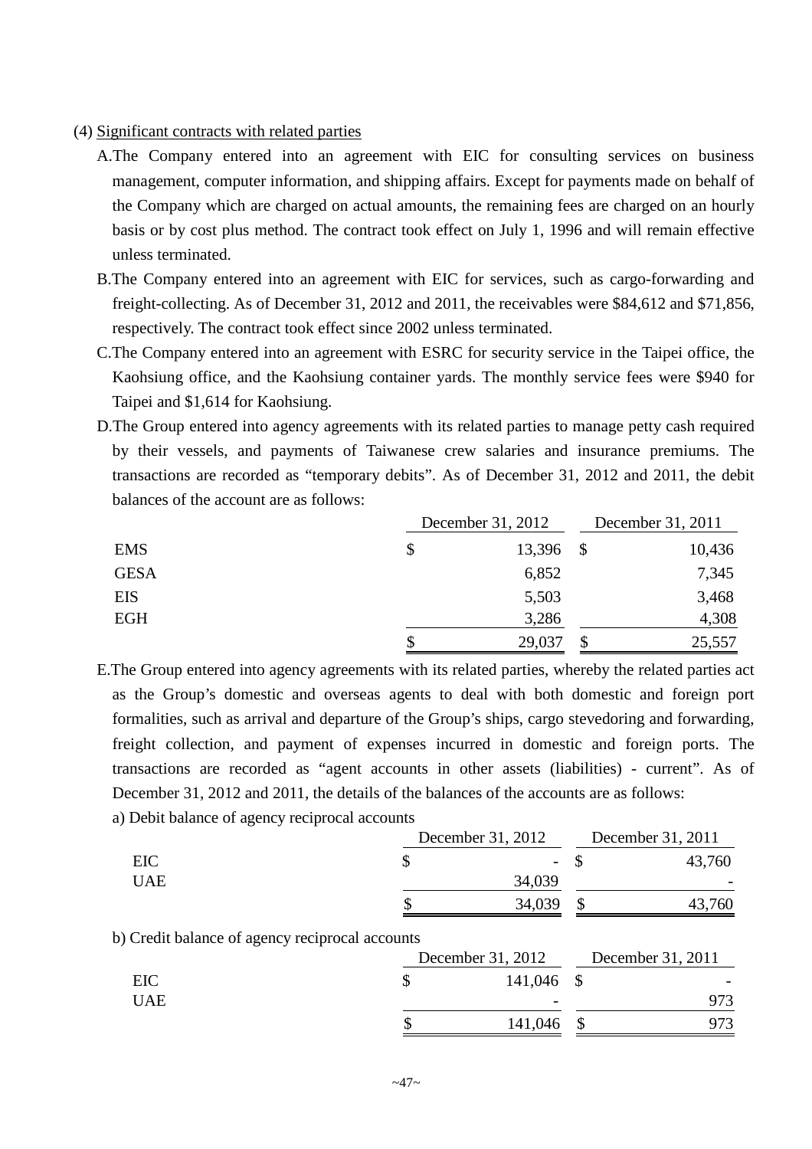- (4) Significant contracts with related parties
	- A.The Company entered into an agreement with EIC for consulting services on business management, computer information, and shipping affairs. Except for payments made on behalf of the Company which are charged on actual amounts, the remaining fees are charged on an hourly basis or by cost plus method. The contract took effect on July 1, 1996 and will remain effective unless terminated.
	- B.The Company entered into an agreement with EIC for services, such as cargo-forwarding and freight-collecting. As of December 31, 2012 and 2011, the receivables were \$84,612 and \$71,856, respectively. The contract took effect since 2002 unless terminated.
	- C.The Company entered into an agreement with ESRC for security service in the Taipei office, the Kaohsiung office, and the Kaohsiung container yards. The monthly service fees were \$940 for Taipei and \$1,614 for Kaohsiung.
	- D.The Group entered into agency agreements with its related parties to manage petty cash required by their vessels, and payments of Taiwanese crew salaries and insurance premiums. The transactions are recorded as "temporary debits". As of December 31, 2012 and 2011, the debit balances of the account are as follows:

|             | December 31, 2012 |   |        |
|-------------|-------------------|---|--------|
| <b>EMS</b>  | 13,396 \$         |   | 10,436 |
| <b>GESA</b> | 6,852             |   | 7,345  |
| EIS         | 5,503             |   | 3,468  |
| <b>EGH</b>  | 3,286             |   | 4,308  |
|             | 29,037            | S | 25,557 |

- E.The Group entered into agency agreements with its related parties, whereby the related parties act as the Group's domestic and overseas agents to deal with both domestic and foreign port formalities, such as arrival and departure of the Group's ships, cargo stevedoring and forwarding, freight collection, and payment of expenses incurred in domestic and foreign ports. The transactions are recorded as "agent accounts in other assets (liabilities) - current". As of December 31, 2012 and 2011, the details of the balances of the accounts are as follows:
	- a) Debit balance of agency reciprocal accounts

|            | December 31, 2012        | December 31, 2011 |
|------------|--------------------------|-------------------|
| EIC        | $\overline{\phantom{a}}$ | 43,760            |
| <b>UAE</b> | 34,039                   |                   |
|            | 34,039                   | ,760              |

b) Credit balance of agency reciprocal accounts

|            | December 31, 2012 | December 31, 2011 |                          |  |
|------------|-------------------|-------------------|--------------------------|--|
| EIC        | 141,046 \$        |                   | $\overline{\phantom{0}}$ |  |
| <b>UAE</b> |                   |                   |                          |  |
|            | 141,046           |                   |                          |  |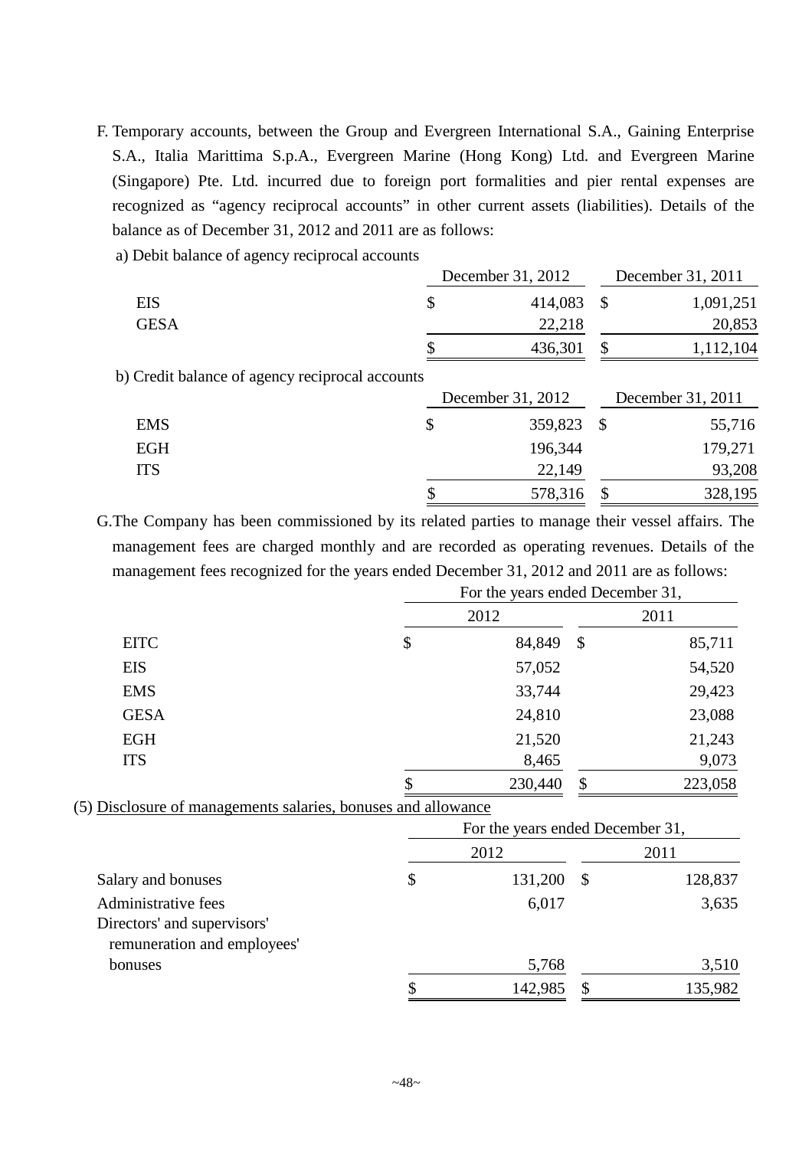F. Temporary accounts, between the Group and Evergreen International S.A., Gaining Enterprise S.A., Italia Marittima S.p.A., Evergreen Marine (Hong Kong) Ltd. and Evergreen Marine (Singapore) Pte. Ltd. incurred due to foreign port formalities and pier rental expenses are recognized as "agency reciprocal accounts" in other current assets (liabilities). Details of the balance as of December 31, 2012 and 2011 are as follows:

a) Debit balance of agency reciprocal accounts

|                                                 | December 31, 2012 |               | December 31, 2011 |
|-------------------------------------------------|-------------------|---------------|-------------------|
| <b>EIS</b>                                      | \$<br>414,083     | $\mathcal{S}$ | 1,091,251         |
| <b>GESA</b>                                     | 22,218            |               | 20,853            |
|                                                 | 436,301           | \$            | 1,112,104         |
| b) Credit balance of agency reciprocal accounts |                   |               |                   |
|                                                 |                   |               |                   |
|                                                 | December 31, 2012 |               | December 31, 2011 |
| <b>EMS</b>                                      | \$<br>359,823     | $\mathcal{S}$ | 55,716            |
| <b>EGH</b>                                      | 196,344           |               | 179,271           |
| <b>ITS</b>                                      | 22,149            |               | 93,208            |

G.The Company has been commissioned by its related parties to manage their vessel affairs. The management fees are charged monthly and are recorded as operating revenues. Details of the management fees recognized for the years ended December 31, 2012 and 2011 are as follows:

|                                                               | For the years ended December 31, |                                  |               |         |  |
|---------------------------------------------------------------|----------------------------------|----------------------------------|---------------|---------|--|
|                                                               |                                  | 2012                             |               | 2011    |  |
| <b>EITC</b>                                                   | \$                               | 84,849                           | $\mathcal{S}$ | 85,711  |  |
| <b>EIS</b>                                                    |                                  | 57,052                           |               | 54,520  |  |
| <b>EMS</b>                                                    |                                  | 33,744                           |               | 29,423  |  |
| <b>GESA</b>                                                   |                                  | 24,810                           |               | 23,088  |  |
| EGH                                                           |                                  | 21,520                           |               | 21,243  |  |
| <b>ITS</b>                                                    |                                  | 8,465                            |               | 9,073   |  |
|                                                               | \$                               | 230,440                          | \$            | 223,058 |  |
| (5) Disclosure of managements salaries, bonuses and allowance |                                  |                                  |               |         |  |
|                                                               |                                  | For the years ended December 31, |               |         |  |
|                                                               |                                  | 2012                             |               | 2011    |  |
| Salary and bonuses                                            | \$                               | 131,200                          | $\mathcal{S}$ | 128,837 |  |
| Administrative fees                                           |                                  | 6,017                            |               | 3,635   |  |
| Directors' and supervisors'<br>remuneration and employees'    |                                  |                                  |               |         |  |
| bonuses                                                       |                                  | 5,768                            |               | 3,510   |  |
|                                                               | \$                               | 142,985                          | \$            | 135,982 |  |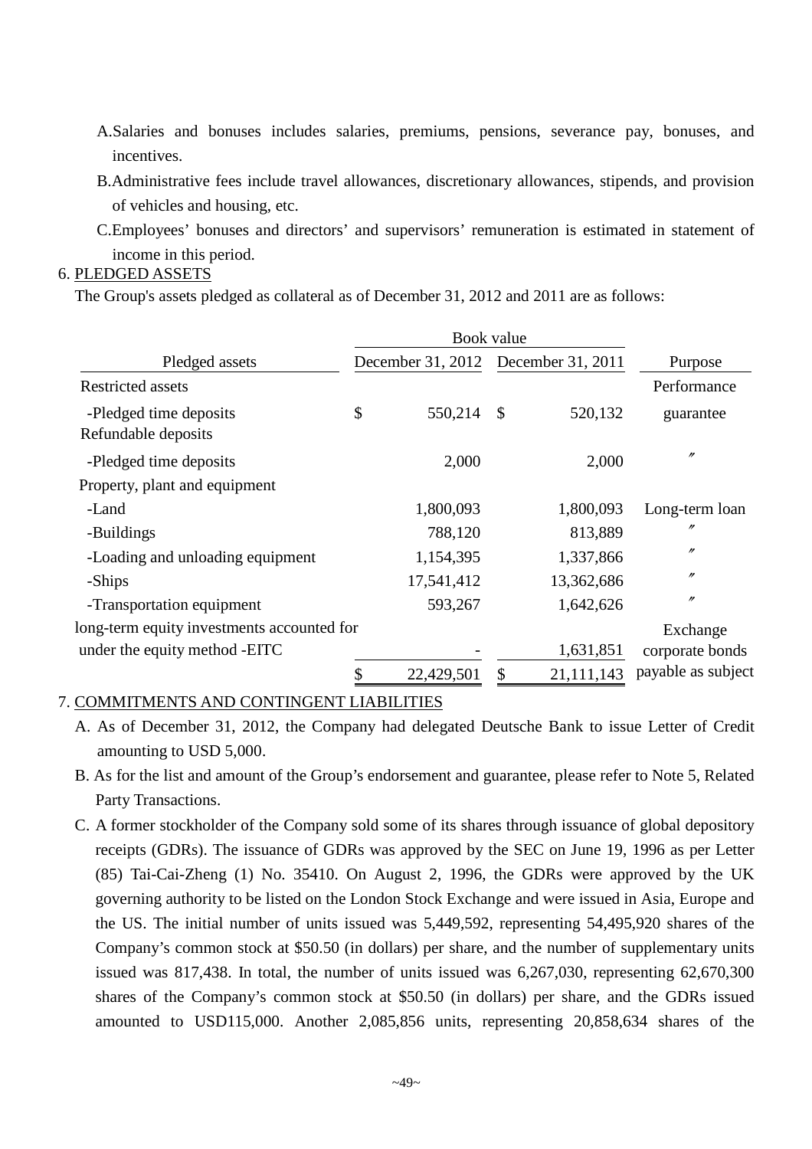- A.Salaries and bonuses includes salaries, premiums, pensions, severance pay, bonuses, and incentives.
- B.Administrative fees include travel allowances, discretionary allowances, stipends, and provision of vehicles and housing, etc.
- C.Employees' bonuses and directors' and supervisors' remuneration is estimated in statement of income in this period.

#### 6. PLEDGED ASSETS

The Group's assets pledged as collateral as of December 31, 2012 and 2011 are as follows:

|                                               |    |                   | Book value        |            |                    |  |
|-----------------------------------------------|----|-------------------|-------------------|------------|--------------------|--|
| Pledged assets                                |    | December 31, 2012 | December 31, 2011 |            | Purpose            |  |
| <b>Restricted assets</b>                      |    |                   |                   |            | Performance        |  |
| -Pledged time deposits<br>Refundable deposits | \$ | 550,214           | $\mathbb{S}$      | 520,132    | guarantee          |  |
| -Pledged time deposits                        |    | 2,000             |                   | 2,000      | $^{\prime\prime}$  |  |
| Property, plant and equipment                 |    |                   |                   |            |                    |  |
| -Land                                         |    | 1,800,093         |                   | 1,800,093  | Long-term loan     |  |
| -Buildings                                    |    | 788,120           |                   | 813,889    | "                  |  |
| -Loading and unloading equipment              |    | 1,154,395         |                   | 1,337,866  | $^{\prime\prime}$  |  |
| -Ships                                        |    | 17,541,412        |                   | 13,362,686 | $^{\prime\prime}$  |  |
| -Transportation equipment                     |    | 593,267           |                   | 1,642,626  | $^{\prime\prime}$  |  |
| long-term equity investments accounted for    |    |                   |                   |            | Exchange           |  |
| under the equity method -EITC                 |    |                   |                   | 1,631,851  | corporate bonds    |  |
|                                               |    | 22,429,501        | \$                | 21,111,143 | payable as subject |  |

#### 7. COMMITMENTS AND CONTINGENT LIABILITIES

- A. As of December 31, 2012, the Company had delegated Deutsche Bank to issue Letter of Credit amounting to USD 5,000.
- B. As for the list and amount of the Group's endorsement and guarantee, please refer to Note 5, Related Party Transactions.
- C. A former stockholder of the Company sold some of its shares through issuance of global depository receipts (GDRs). The issuance of GDRs was approved by the SEC on June 19, 1996 as per Letter (85) Tai-Cai-Zheng (1) No. 35410. On August 2, 1996, the GDRs were approved by the UK governing authority to be listed on the London Stock Exchange and were issued in Asia, Europe and the US. The initial number of units issued was 5,449,592, representing 54,495,920 shares of the Company's common stock at \$50.50 (in dollars) per share, and the number of supplementary units issued was 817,438. In total, the number of units issued was 6,267,030, representing 62,670,300 shares of the Company's common stock at \$50.50 (in dollars) per share, and the GDRs issued amounted to USD115,000. Another 2,085,856 units, representing 20,858,634 shares of the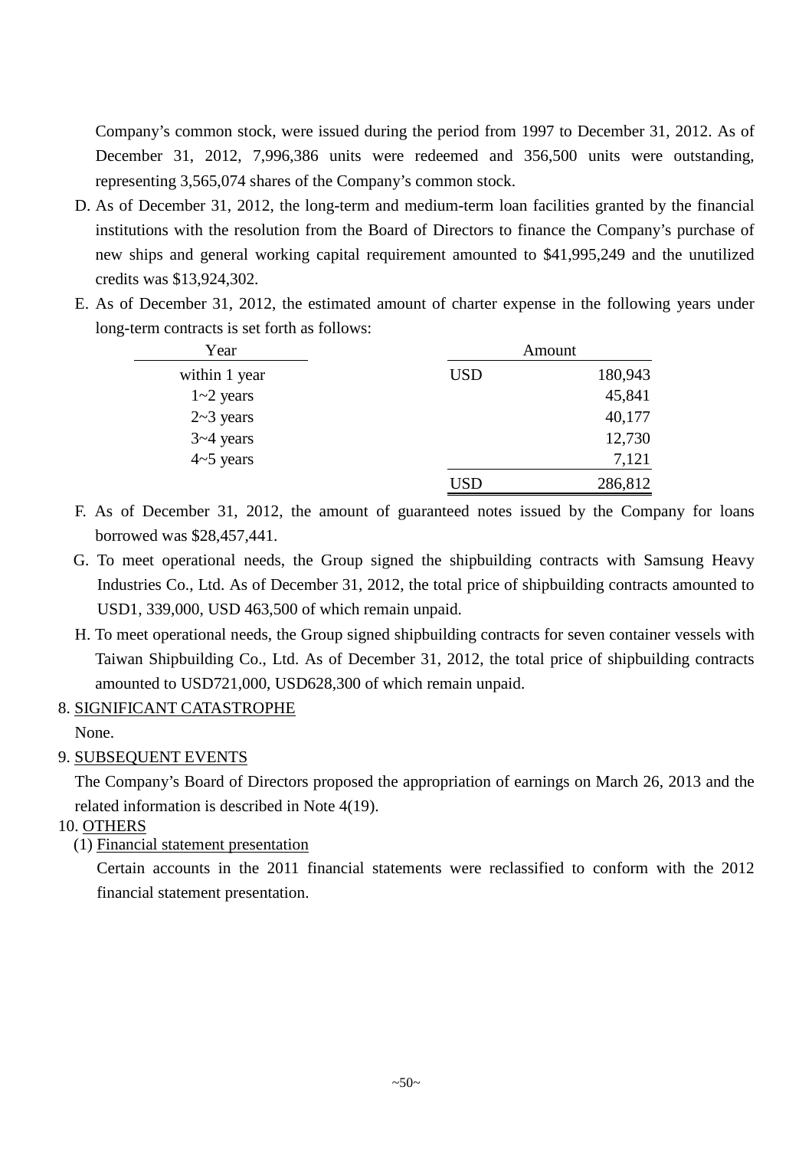Company's common stock, were issued during the period from 1997 to December 31, 2012. As of December 31, 2012, 7,996,386 units were redeemed and 356,500 units were outstanding, representing 3,565,074 shares of the Company's common stock.

- D. As of December 31, 2012, the long-term and medium-term loan facilities granted by the financial institutions with the resolution from the Board of Directors to finance the Company's purchase of new ships and general working capital requirement amounted to \$41,995,249 and the unutilized credits was \$13,924,302.
- E. As of December 31, 2012, the estimated amount of charter expense in the following years under long-term contracts is set forth as follows:

| Year          |            | Amount  |
|---------------|------------|---------|
| within 1 year | <b>USD</b> | 180,943 |
| $1 - 2$ years |            | 45,841  |
| $2-3$ years   |            | 40,177  |
| $3 - 4$ years |            | 12,730  |
| $4-5$ years   |            | 7,121   |
|               | USD        | 286,812 |

- F. As of December 31, 2012, the amount of guaranteed notes issued by the Company for loans borrowed was \$28,457,441.
- G. To meet operational needs, the Group signed the shipbuilding contracts with Samsung Heavy Industries Co., Ltd. As of December 31, 2012, the total price of shipbuilding contracts amounted to USD1, 339,000, USD 463,500 of which remain unpaid.
- H. To meet operational needs, the Group signed shipbuilding contracts for seven container vessels with Taiwan Shipbuilding Co., Ltd. As of December 31, 2012, the total price of shipbuilding contracts amounted to USD721,000, USD628,300 of which remain unpaid.

## 8. SIGNIFICANT CATASTROPHE

None.

## 9. SUBSEQUENT EVENTS

The Company's Board of Directors proposed the appropriation of earnings on March 26, 2013 and the related information is described in Note 4(19).

- 10. OTHERS
	- (1) Financial statement presentation

Certain accounts in the 2011 financial statements were reclassified to conform with the 2012 financial statement presentation.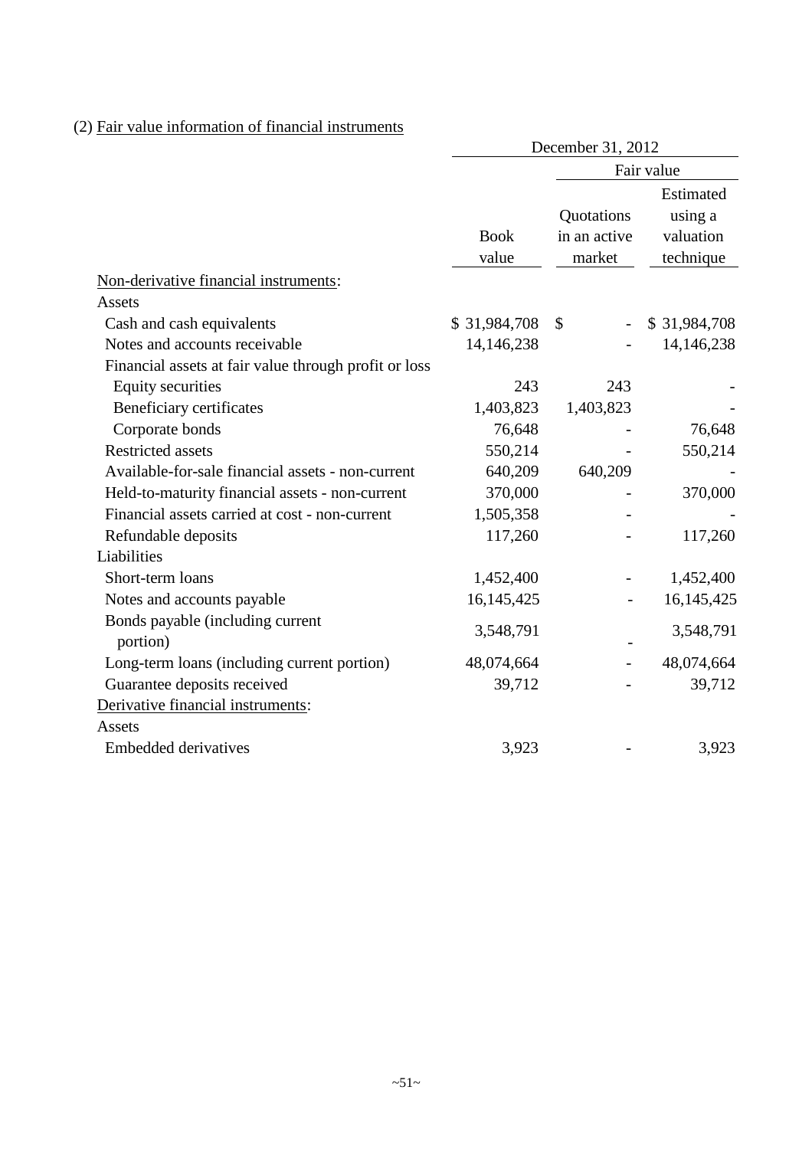## (2) Fair value information of financial instruments

|                                                       | December 31, 2012 |               |                      |  |  |
|-------------------------------------------------------|-------------------|---------------|----------------------|--|--|
|                                                       |                   | Fair value    |                      |  |  |
|                                                       |                   | Quotations    | Estimated<br>using a |  |  |
|                                                       | <b>Book</b>       | in an active  | valuation            |  |  |
|                                                       | value             | market        | technique            |  |  |
| Non-derivative financial instruments:                 |                   |               |                      |  |  |
| Assets                                                |                   |               |                      |  |  |
| Cash and cash equivalents                             | \$31,984,708      | $\mathcal{S}$ | \$31,984,708         |  |  |
| Notes and accounts receivable                         | 14,146,238        |               | 14,146,238           |  |  |
| Financial assets at fair value through profit or loss |                   |               |                      |  |  |
| <b>Equity securities</b>                              | 243               | 243           |                      |  |  |
| Beneficiary certificates                              | 1,403,823         | 1,403,823     |                      |  |  |
| Corporate bonds                                       | 76,648            |               | 76,648               |  |  |
| <b>Restricted assets</b>                              | 550,214           |               | 550,214              |  |  |
| Available-for-sale financial assets - non-current     | 640,209           | 640,209       |                      |  |  |
| Held-to-maturity financial assets - non-current       | 370,000           |               | 370,000              |  |  |
| Financial assets carried at cost - non-current        | 1,505,358         |               |                      |  |  |
| Refundable deposits                                   | 117,260           |               | 117,260              |  |  |
| Liabilities                                           |                   |               |                      |  |  |
| Short-term loans                                      | 1,452,400         |               | 1,452,400            |  |  |
| Notes and accounts payable                            | 16, 145, 425      |               | 16, 145, 425         |  |  |
| Bonds payable (including current<br>portion)          | 3,548,791         |               | 3,548,791            |  |  |
| Long-term loans (including current portion)           | 48,074,664        |               | 48,074,664           |  |  |
| Guarantee deposits received                           | 39,712            |               | 39,712               |  |  |
| Derivative financial instruments:                     |                   |               |                      |  |  |
| Assets                                                |                   |               |                      |  |  |
| <b>Embedded derivatives</b>                           | 3,923             |               | 3,923                |  |  |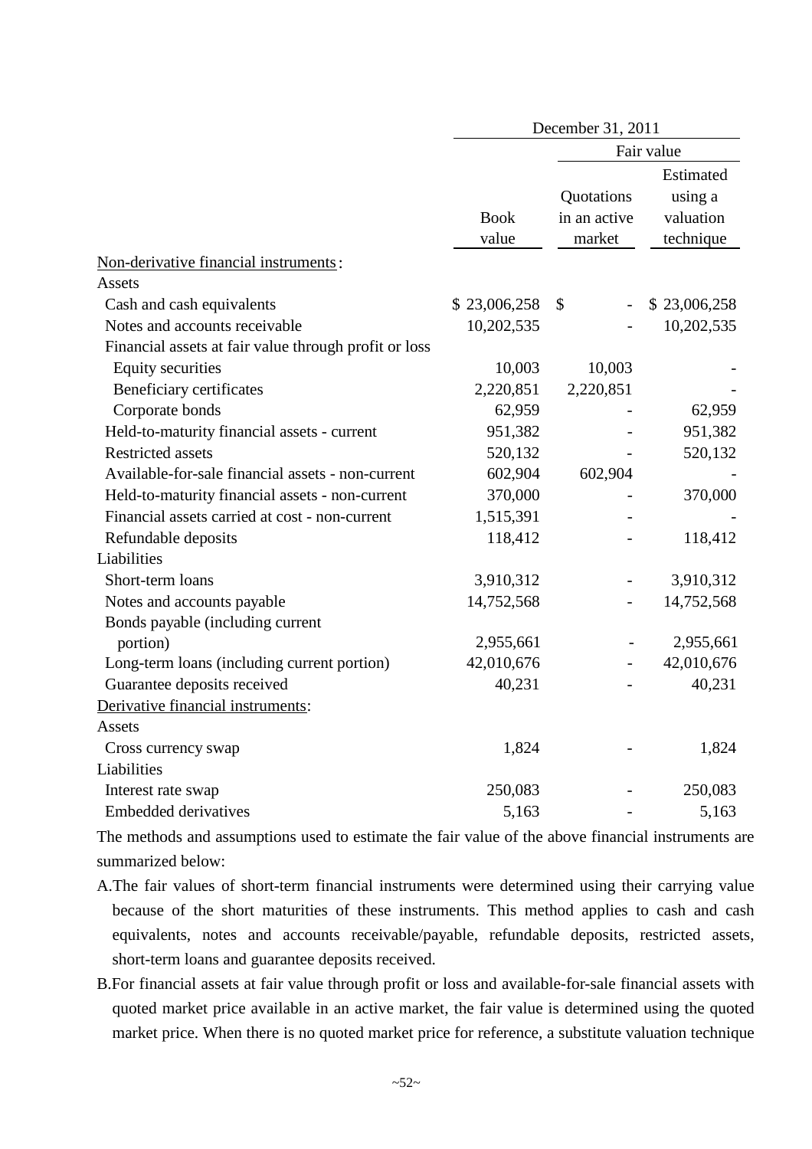|                                                       | December 31, 2011    |                                      |                                                |  |
|-------------------------------------------------------|----------------------|--------------------------------------|------------------------------------------------|--|
|                                                       |                      |                                      | Fair value                                     |  |
|                                                       | <b>Book</b><br>value | Quotations<br>in an active<br>market | Estimated<br>using a<br>valuation<br>technique |  |
| Non-derivative financial instruments:                 |                      |                                      |                                                |  |
| Assets                                                |                      |                                      |                                                |  |
| Cash and cash equivalents                             | \$23,006,258         | \$                                   | \$23,006,258                                   |  |
| Notes and accounts receivable                         | 10,202,535           |                                      | 10,202,535                                     |  |
| Financial assets at fair value through profit or loss |                      |                                      |                                                |  |
| <b>Equity securities</b>                              | 10,003               | 10,003                               |                                                |  |
| Beneficiary certificates                              | 2,220,851            | 2,220,851                            |                                                |  |
| Corporate bonds                                       | 62,959               |                                      | 62,959                                         |  |
| Held-to-maturity financial assets - current           | 951,382              |                                      | 951,382                                        |  |
| <b>Restricted assets</b>                              | 520,132              |                                      | 520,132                                        |  |
| Available-for-sale financial assets - non-current     | 602,904              | 602,904                              |                                                |  |
| Held-to-maturity financial assets - non-current       | 370,000              |                                      | 370,000                                        |  |
| Financial assets carried at cost - non-current        | 1,515,391            |                                      |                                                |  |
| Refundable deposits                                   | 118,412              | $\overline{a}$                       | 118,412                                        |  |
| Liabilities                                           |                      |                                      |                                                |  |
| Short-term loans                                      | 3,910,312            |                                      | 3,910,312                                      |  |
| Notes and accounts payable                            | 14,752,568           |                                      | 14,752,568                                     |  |
| Bonds payable (including current                      |                      |                                      |                                                |  |
| portion)                                              | 2,955,661            |                                      | 2,955,661                                      |  |
| Long-term loans (including current portion)           | 42,010,676           |                                      | 42,010,676                                     |  |
| Guarantee deposits received                           | 40,231               |                                      | 40,231                                         |  |
| Derivative financial instruments:                     |                      |                                      |                                                |  |
| Assets                                                |                      |                                      |                                                |  |
| Cross currency swap                                   | 1,824                |                                      | 1,824                                          |  |
| Liabilities                                           |                      |                                      |                                                |  |
| Interest rate swap                                    | 250,083              |                                      | 250,083                                        |  |
| <b>Embedded derivatives</b>                           | 5,163                |                                      | 5,163                                          |  |

The methods and assumptions used to estimate the fair value of the above financial instruments are summarized below:

- A.The fair values of short-term financial instruments were determined using their carrying value because of the short maturities of these instruments. This method applies to cash and cash equivalents, notes and accounts receivable/payable, refundable deposits, restricted assets, short-term loans and guarantee deposits received.
- B.For financial assets at fair value through profit or loss and available-for-sale financial assets with quoted market price available in an active market, the fair value is determined using the quoted market price. When there is no quoted market price for reference, a substitute valuation technique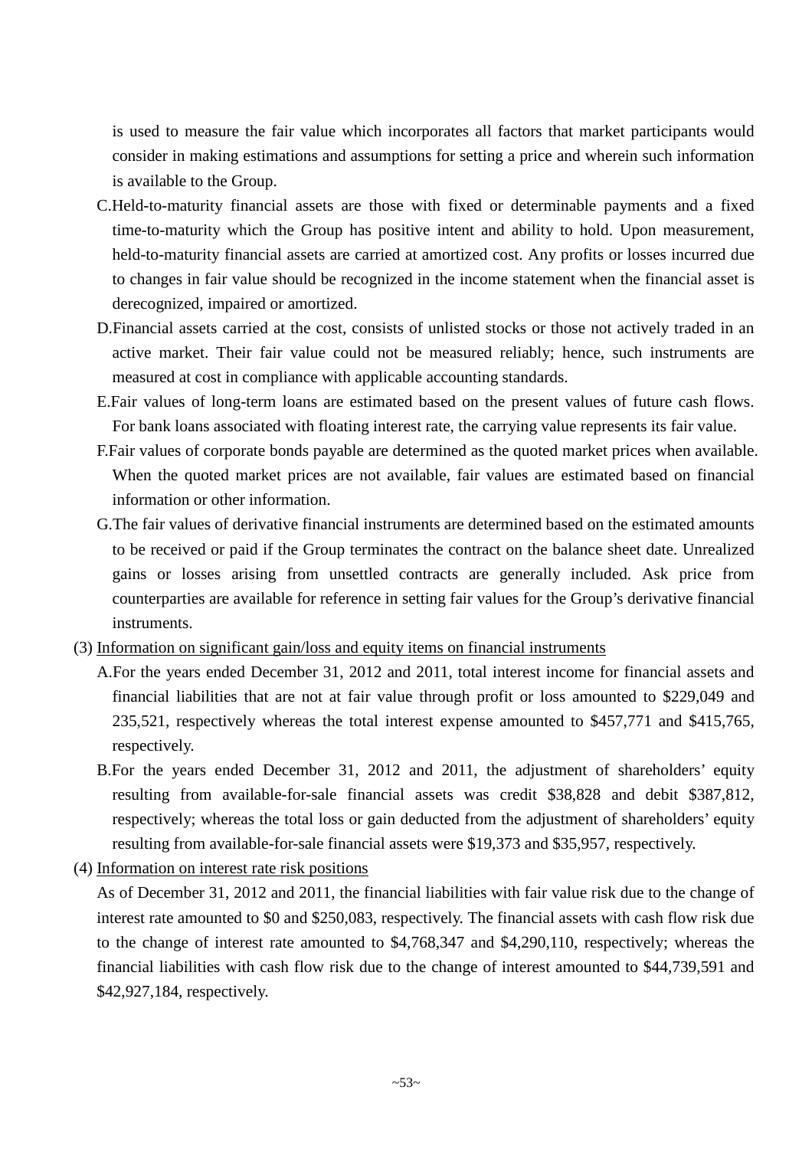is used to measure the fair value which incorporates all factors that market participants would consider in making estimations and assumptions for setting a price and wherein such information is available to the Group.

- C.Held-to-maturity financial assets are those with fixed or determinable payments and a fixed time-to-maturity which the Group has positive intent and ability to hold. Upon measurement, held-to-maturity financial assets are carried at amortized cost. Any profits or losses incurred due to changes in fair value should be recognized in the income statement when the financial asset is derecognized, impaired or amortized.
- D.Financial assets carried at the cost, consists of unlisted stocks or those not actively traded in an active market. Their fair value could not be measured reliably; hence, such instruments are measured at cost in compliance with applicable accounting standards.
- E.Fair values of long-term loans are estimated based on the present values of future cash flows. For bank loans associated with floating interest rate, the carrying value represents its fair value.
- F.Fair values of corporate bonds payable are determined as the quoted market prices when available. When the quoted market prices are not available, fair values are estimated based on financial information or other information.
- G.The fair values of derivative financial instruments are determined based on the estimated amounts to be received or paid if the Group terminates the contract on the balance sheet date. Unrealized gains or losses arising from unsettled contracts are generally included. Ask price from counterparties are available for reference in setting fair values for the Group's derivative financial instruments.
- (3) Information on significant gain/loss and equity items on financial instruments
	- A.For the years ended December 31, 2012 and 2011, total interest income for financial assets and financial liabilities that are not at fair value through profit or loss amounted to \$229,049 and 235,521, respectively whereas the total interest expense amounted to \$457,771 and \$415,765, respectively.
	- B.For the years ended December 31, 2012 and 2011, the adjustment of shareholders' equity resulting from available-for-sale financial assets was credit \$38,828 and debit \$387,812, respectively; whereas the total loss or gain deducted from the adjustment of shareholders' equity resulting from available-for-sale financial assets were \$19,373 and \$35,957, respectively.
- (4) Information on interest rate risk positions

As of December 31, 2012 and 2011, the financial liabilities with fair value risk due to the change of interest rate amounted to \$0 and \$250,083, respectively. The financial assets with cash flow risk due to the change of interest rate amounted to \$4,768,347 and \$4,290,110, respectively; whereas the financial liabilities with cash flow risk due to the change of interest amounted to \$44,739,591 and \$42,927,184, respectively.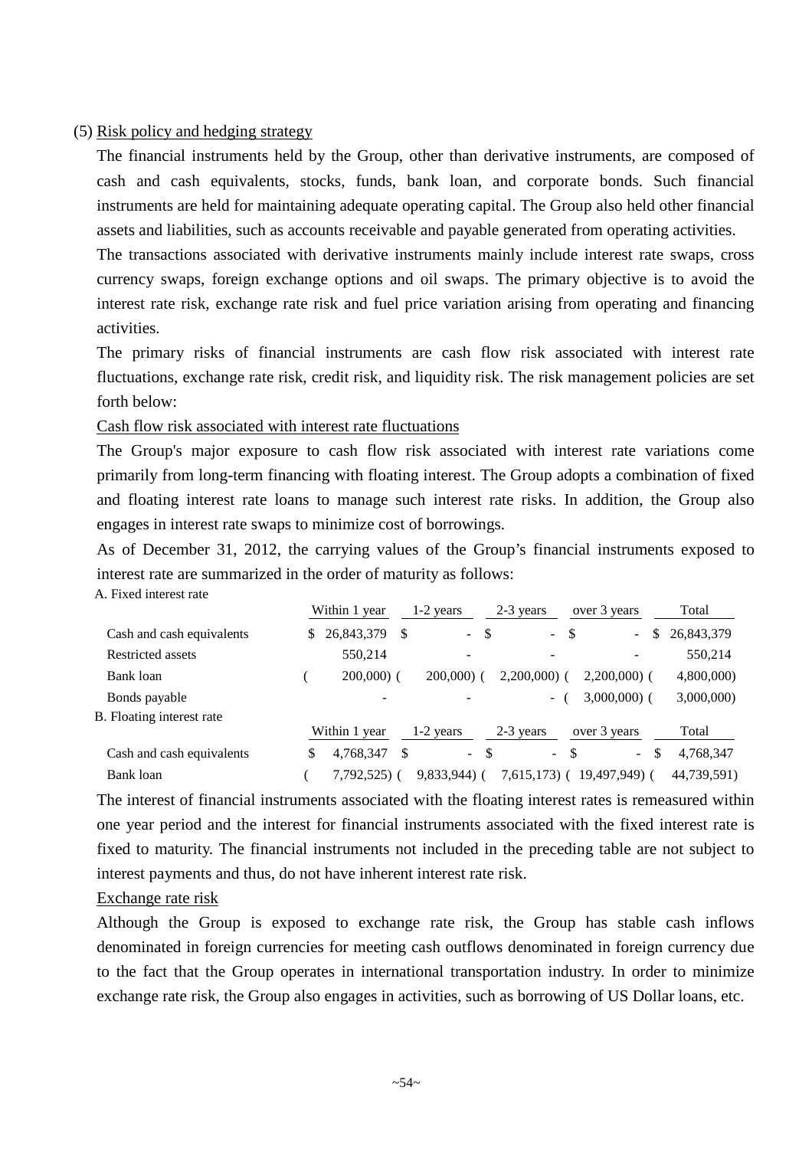#### (5) Risk policy and hedging strategy

The financial instruments held by the Group, other than derivative instruments, are composed of cash and cash equivalents, stocks, funds, bank loan, and corporate bonds. Such financial instruments are held for maintaining adequate operating capital. The Group also held other financial assets and liabilities, such as accounts receivable and payable generated from operating activities.

The transactions associated with derivative instruments mainly include interest rate swaps, cross currency swaps, foreign exchange options and oil swaps. The primary objective is to avoid the interest rate risk, exchange rate risk and fuel price variation arising from operating and financing activities.

The primary risks of financial instruments are cash flow risk associated with interest rate fluctuations, exchange rate risk, credit risk, and liquidity risk. The risk management policies are set forth below:

Cash flow risk associated with interest rate fluctuations

The Group's major exposure to cash flow risk associated with interest rate variations come primarily from long-term financing with floating interest. The Group adopts a combination of fixed and floating interest rate loans to manage such interest rate risks. In addition, the Group also engages in interest rate swaps to minimize cost of borrowings.

As of December 31, 2012, the carrying values of the Group's financial instruments exposed to interest rate are summarized in the order of maturity as follows:

A. Fixed interest rate

|                           | Within 1 year            |     | $1-2$ years                     | 2-3 years                | over 3 years  |    | Total       |
|---------------------------|--------------------------|-----|---------------------------------|--------------------------|---------------|----|-------------|
| Cash and cash equivalents | 26,843,379               | -S  | -\$<br>$\sim$                   | $\mathcal{L}^{\pm}$      | -\$<br>$\sim$ | \$ | 26,843,379  |
| Restricted assets         | 550,214                  |     | ۰                               |                          |               |    | 550,214     |
| Bank loan                 | $200,000$ (              |     | $200,000$ (                     | $2,200,000$ (            | $2,200,000$ ( |    | 4,800,000)  |
| Bonds payable             | $\overline{\phantom{a}}$ |     |                                 | $\sim$                   | $3,000,000$ ( |    | 3,000,000)  |
| B. Floating interest rate |                          |     |                                 |                          |               |    |             |
|                           | Within 1 year            |     | $1-2$ years                     | 2-3 years                | over 3 years  |    | Total       |
| Cash and cash equivalents | 4,768,347                | \$. | -\$<br>$\overline{\phantom{a}}$ | $\overline{\phantom{a}}$ | -S<br>$\sim$  | -S | 4,768,347   |
| Bank loan                 | 7,792,525) (             |     | $9,833,944$ ) (                 | $7,615,173$ (            | 19,497,949) ( |    | 44,739,591) |

The interest of financial instruments associated with the floating interest rates is remeasured within one year period and the interest for financial instruments associated with the fixed interest rate is fixed to maturity. The financial instruments not included in the preceding table are not subject to interest payments and thus, do not have inherent interest rate risk.

#### Exchange rate risk

Although the Group is exposed to exchange rate risk, the Group has stable cash inflows denominated in foreign currencies for meeting cash outflows denominated in foreign currency due to the fact that the Group operates in international transportation industry. In order to minimize exchange rate risk, the Group also engages in activities, such as borrowing of US Dollar loans, etc.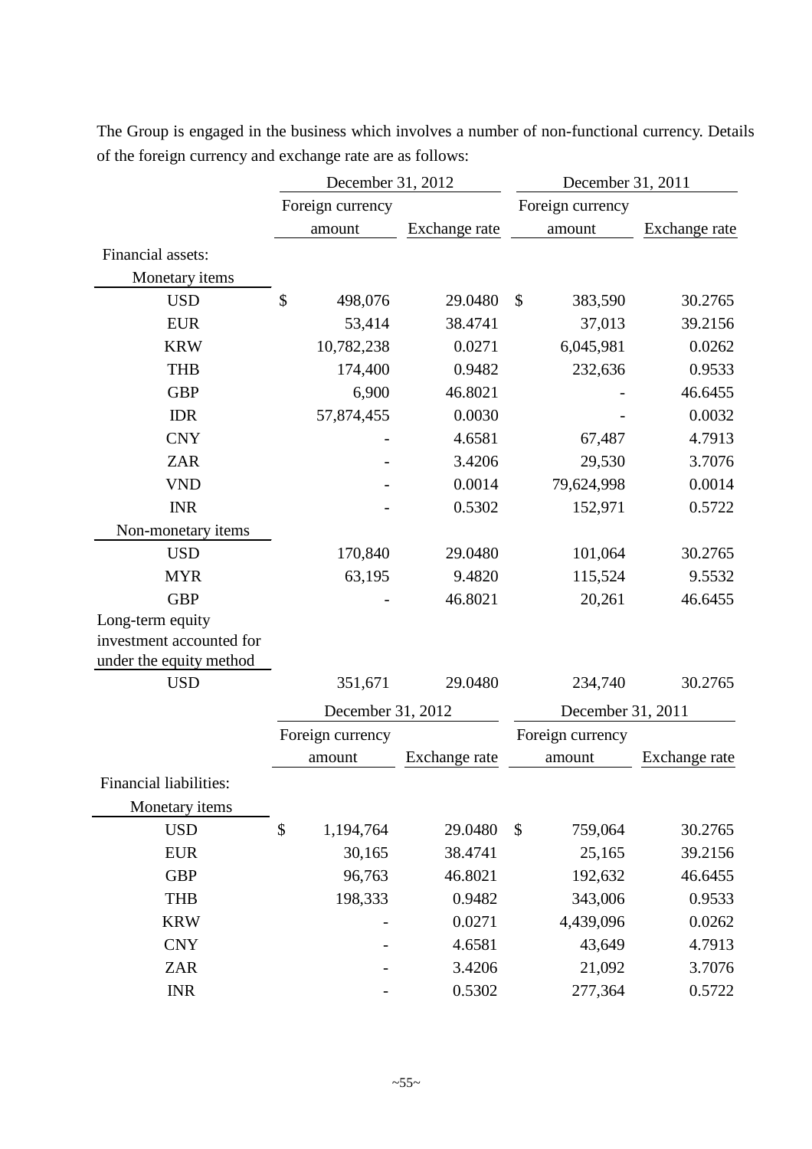|                          | December 31, 2012 |                   | December 31, 2011 |                           |                   |               |  |
|--------------------------|-------------------|-------------------|-------------------|---------------------------|-------------------|---------------|--|
|                          |                   | Foreign currency  |                   |                           | Foreign currency  |               |  |
|                          |                   | amount            | Exchange rate     |                           | amount            | Exchange rate |  |
| Financial assets:        |                   |                   |                   |                           |                   |               |  |
| Monetary items           |                   |                   |                   |                           |                   |               |  |
| <b>USD</b>               | \$                | 498,076           | 29.0480           | $\boldsymbol{\mathsf{S}}$ | 383,590           | 30.2765       |  |
| <b>EUR</b>               |                   | 53,414            | 38.4741           |                           | 37,013            | 39.2156       |  |
| <b>KRW</b>               |                   | 10,782,238        | 0.0271            |                           | 6,045,981         | 0.0262        |  |
| <b>THB</b>               |                   | 174,400           | 0.9482            |                           | 232,636           | 0.9533        |  |
| <b>GBP</b>               |                   | 6,900             | 46.8021           |                           |                   | 46.6455       |  |
| <b>IDR</b>               |                   | 57,874,455        | 0.0030            |                           |                   | 0.0032        |  |
| <b>CNY</b>               |                   |                   | 4.6581            |                           | 67,487            | 4.7913        |  |
| <b>ZAR</b>               |                   |                   | 3.4206            |                           | 29,530            | 3.7076        |  |
| <b>VND</b>               |                   |                   | 0.0014            |                           | 79,624,998        | 0.0014        |  |
| <b>INR</b>               |                   |                   | 0.5302            |                           | 152,971           | 0.5722        |  |
| Non-monetary items       |                   |                   |                   |                           |                   |               |  |
| <b>USD</b>               |                   | 170,840           | 29.0480           |                           | 101,064           | 30.2765       |  |
| <b>MYR</b>               |                   | 63,195            | 9.4820            |                           | 115,524           | 9.5532        |  |
| <b>GBP</b>               |                   |                   | 46.8021           |                           | 20,261            | 46.6455       |  |
| Long-term equity         |                   |                   |                   |                           |                   |               |  |
| investment accounted for |                   |                   |                   |                           |                   |               |  |
| under the equity method  |                   |                   |                   |                           |                   |               |  |
| <b>USD</b>               |                   | 351,671           | 29.0480           |                           | 234,740           | 30.2765       |  |
|                          |                   | December 31, 2012 |                   |                           | December 31, 2011 |               |  |
|                          |                   | Foreign currency  |                   |                           | Foreign currency  |               |  |
|                          |                   | amount            | Exchange rate     |                           | amount            | Exchange rate |  |
| Financial liabilities:   |                   |                   |                   |                           |                   |               |  |
| Monetary items           |                   |                   |                   |                           |                   |               |  |
| <b>USD</b>               | \$                | 1,194,764         | 29.0480           | \$                        | 759,064           | 30.2765       |  |
| <b>EUR</b>               |                   | 30,165            | 38.4741           |                           | 25,165            | 39.2156       |  |
| <b>GBP</b>               |                   | 96,763            | 46.8021           |                           | 192,632           | 46.6455       |  |
| <b>THB</b>               |                   | 198,333           | 0.9482            |                           | 343,006           | 0.9533        |  |
| <b>KRW</b>               |                   |                   | 0.0271            |                           | 4,439,096         | 0.0262        |  |
| <b>CNY</b>               |                   |                   | 4.6581            |                           | 43,649            | 4.7913        |  |
| <b>ZAR</b>               |                   |                   | 3.4206            |                           | 21,092            | 3.7076        |  |
| <b>INR</b>               |                   |                   | 0.5302            |                           | 277,364           | 0.5722        |  |

The Group is engaged in the business which involves a number of non-functional currency. Details of the foreign currency and exchange rate are as follows: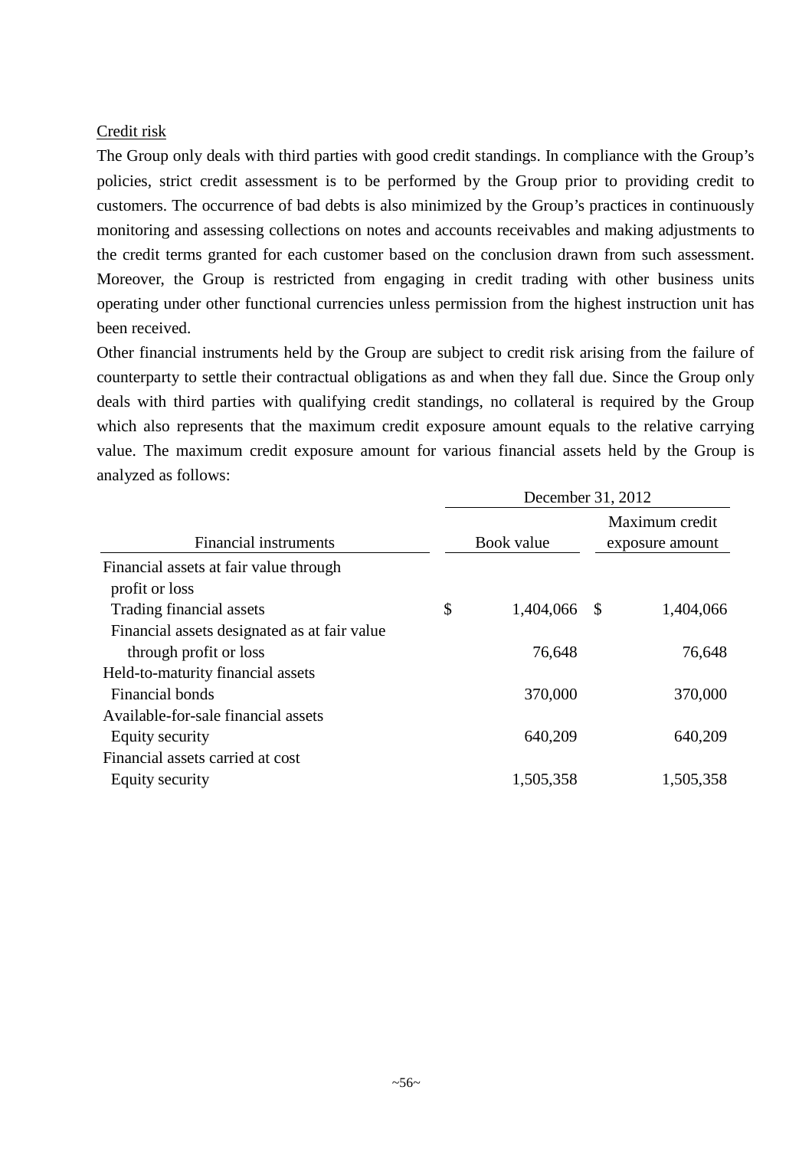### Credit risk

The Group only deals with third parties with good credit standings. In compliance with the Group's policies, strict credit assessment is to be performed by the Group prior to providing credit to customers. The occurrence of bad debts is also minimized by the Group's practices in continuously monitoring and assessing collections on notes and accounts receivables and making adjustments to the credit terms granted for each customer based on the conclusion drawn from such assessment. Moreover, the Group is restricted from engaging in credit trading with other business units operating under other functional currencies unless permission from the highest instruction unit has been received.

Other financial instruments held by the Group are subject to credit risk arising from the failure of counterparty to settle their contractual obligations as and when they fall due. Since the Group only deals with third parties with qualifying credit standings, no collateral is required by the Group which also represents that the maximum credit exposure amount equals to the relative carrying value. The maximum credit exposure amount for various financial assets held by the Group is analyzed as follows:

|                                                          |    |              | December 31, 2012 |  |
|----------------------------------------------------------|----|--------------|-------------------|--|
|                                                          |    |              | Maximum credit    |  |
| <b>Financial instruments</b>                             |    | Book value   | exposure amount   |  |
| Financial assets at fair value through<br>profit or loss |    |              |                   |  |
| Trading financial assets                                 | \$ | 1,404,066 \$ | 1,404,066         |  |
| Financial assets designated as at fair value             |    |              |                   |  |
| through profit or loss                                   |    | 76,648       | 76,648            |  |
| Held-to-maturity financial assets                        |    |              |                   |  |
| Financial bonds                                          |    | 370,000      | 370,000           |  |
| Available-for-sale financial assets                      |    |              |                   |  |
| Equity security                                          |    | 640,209      | 640,209           |  |
| Financial assets carried at cost                         |    |              |                   |  |
| Equity security                                          |    | 1,505,358    | 1,505,358         |  |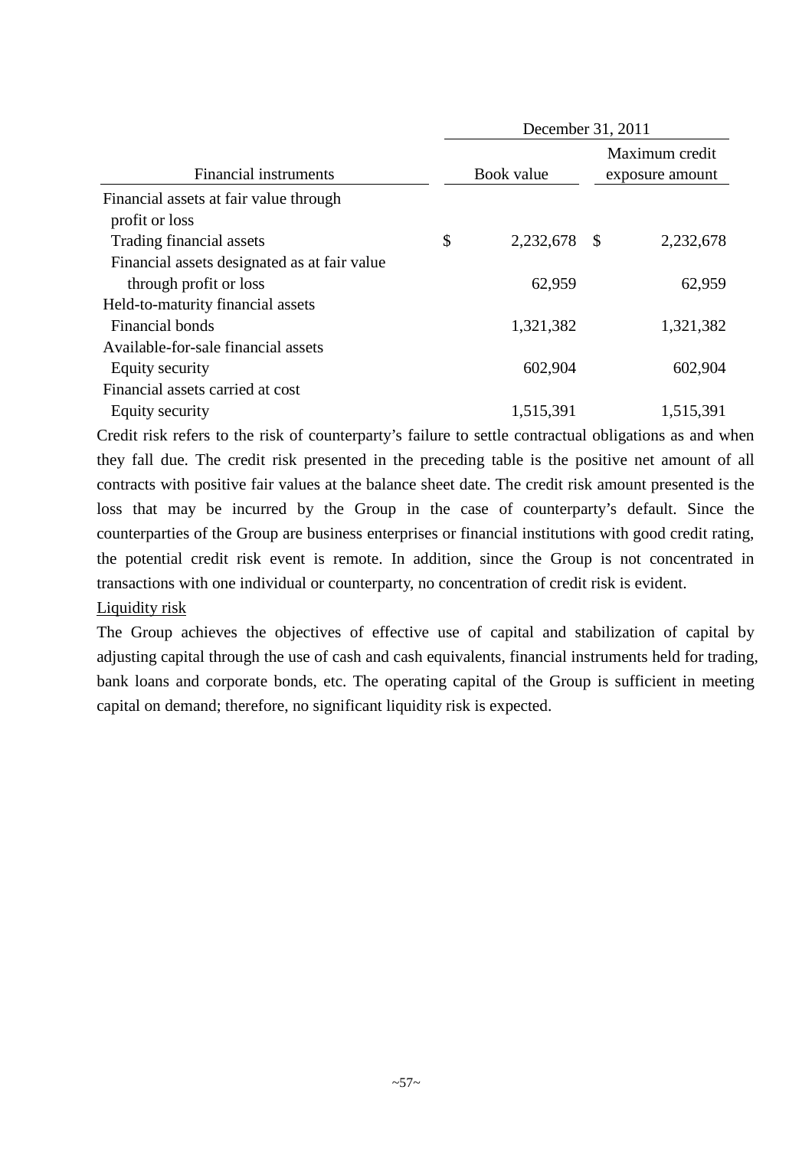|                                                                        |                    | December 31, 2011                 |
|------------------------------------------------------------------------|--------------------|-----------------------------------|
| <b>Financial instruments</b>                                           | Book value         | Maximum credit<br>exposure amount |
| Financial assets at fair value through<br>profit or loss               |                    |                                   |
| Trading financial assets                                               | \$<br>2,232,678 \$ | 2,232,678                         |
| Financial assets designated as at fair value<br>through profit or loss | 62,959             | 62,959                            |
| Held-to-maturity financial assets                                      |                    |                                   |
| Financial bonds                                                        | 1,321,382          | 1,321,382                         |
| Available-for-sale financial assets                                    |                    |                                   |
| Equity security                                                        | 602,904            | 602,904                           |
| Financial assets carried at cost                                       |                    |                                   |
| Equity security                                                        | 1,515,391          | 1,515,391                         |

Credit risk refers to the risk of counterparty's failure to settle contractual obligations as and when they fall due. The credit risk presented in the preceding table is the positive net amount of all contracts with positive fair values at the balance sheet date. The credit risk amount presented is the loss that may be incurred by the Group in the case of counterparty's default. Since the counterparties of the Group are business enterprises or financial institutions with good credit rating, the potential credit risk event is remote. In addition, since the Group is not concentrated in transactions with one individual or counterparty, no concentration of credit risk is evident. Liquidity risk

The Group achieves the objectives of effective use of capital and stabilization of capital by adjusting capital through the use of cash and cash equivalents, financial instruments held for trading, bank loans and corporate bonds, etc. The operating capital of the Group is sufficient in meeting capital on demand; therefore, no significant liquidity risk is expected.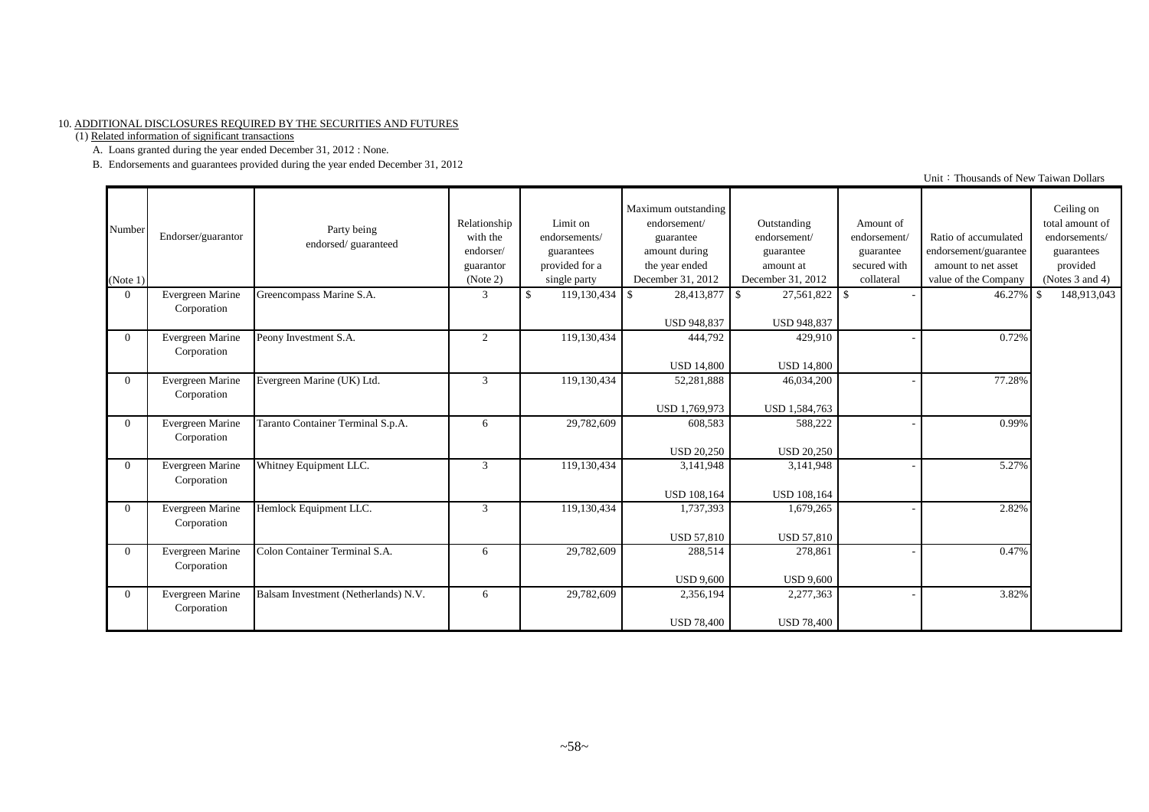#### 10. ADDITIONAL DISCLOSURES REQUIRED BY THE SECURITIES AND FUTURES

(1) Related information of significant transactions

A. Loans granted during the year ended December 31, 2012 : None.

B. Endorsements and guarantees provided during the year ended December 31, 2012

| Number<br>(Note 1) | Endorser/guarantor              | Party being<br>endorsed/guaranteed   | Relationship<br>with the<br>endorser/<br>guarantor<br>(Note 2) | Limit on<br>endorsements/<br>guarantees<br>provided for a<br>single party | Maximum outstanding<br>endorsement/<br>guarantee<br>amount during<br>the year ended<br>December 31, 2012 | Outstanding<br>endorsement/<br>guarantee<br>amount at<br>December 31, 2012 | Amount of<br>endorsement/<br>guarantee<br>secured with<br>collateral | Ratio of accumulated<br>endorsement/guarantee<br>amount to net asset<br>value of the Company | Ceiling on<br>total amount of<br>endorsements/<br>guarantees<br>provided<br>(Notes $3$ and $4$ ) |
|--------------------|---------------------------------|--------------------------------------|----------------------------------------------------------------|---------------------------------------------------------------------------|----------------------------------------------------------------------------------------------------------|----------------------------------------------------------------------------|----------------------------------------------------------------------|----------------------------------------------------------------------------------------------|--------------------------------------------------------------------------------------------------|
| $\Omega$           | Evergreen Marine<br>Corporation | Greencompass Marine S.A.             | 3                                                              | $119,130,434$ \$<br>$\mathcal{S}$                                         | 28,413,877<br><b>USD 948,837</b>                                                                         | $27,561,822$ \$<br>$\mathbf{s}$<br><b>USD 948.837</b>                      |                                                                      | 46.27%                                                                                       | 148,913,043<br>l \$                                                                              |
| $\theta$           | Evergreen Marine<br>Corporation | Peony Investment S.A.                | 2                                                              | 119,130,434                                                               | 444,792<br><b>USD 14,800</b>                                                                             | 429,910<br><b>USD 14,800</b>                                               |                                                                      | 0.72%                                                                                        |                                                                                                  |
| $\Omega$           | Evergreen Marine<br>Corporation | Evergreen Marine (UK) Ltd.           | 3                                                              | 119,130,434                                                               | 52,281,888<br>USD 1,769,973                                                                              | 46,034,200<br>USD 1,584,763                                                |                                                                      | 77.28%                                                                                       |                                                                                                  |
| $\Omega$           | Evergreen Marine<br>Corporation | Taranto Container Terminal S.p.A.    | 6                                                              | 29,782,609                                                                | 608,583<br><b>USD 20,250</b>                                                                             | 588,222<br><b>USD 20,250</b>                                               |                                                                      | 0.99%                                                                                        |                                                                                                  |
| $\theta$           | Evergreen Marine<br>Corporation | Whitney Equipment LLC.               | 3                                                              | 119,130,434                                                               | 3,141,948<br><b>USD 108,164</b>                                                                          | 3,141,948<br><b>USD 108,164</b>                                            |                                                                      | 5.27%                                                                                        |                                                                                                  |
| $\Omega$           | Evergreen Marine<br>Corporation | Hemlock Equipment LLC.               | 3                                                              | 119,130,434                                                               | 1,737,393<br><b>USD 57,810</b>                                                                           | 1,679,265<br><b>USD 57,810</b>                                             |                                                                      | 2.82%                                                                                        |                                                                                                  |
| $\theta$           | Evergreen Marine<br>Corporation | Colon Container Terminal S.A.        | 6                                                              | 29,782,609                                                                | 288,514<br><b>USD 9.600</b>                                                                              | 278,861<br><b>USD 9.600</b>                                                |                                                                      | 0.47%                                                                                        |                                                                                                  |
| $\theta$           | Evergreen Marine<br>Corporation | Balsam Investment (Netherlands) N.V. | 6                                                              | 29,782,609                                                                | 2,356,194<br><b>USD 78,400</b>                                                                           | 2,277,363<br><b>USD 78,400</b>                                             |                                                                      | 3.82%                                                                                        |                                                                                                  |

Unit: Thousands of New Taiwan Dollars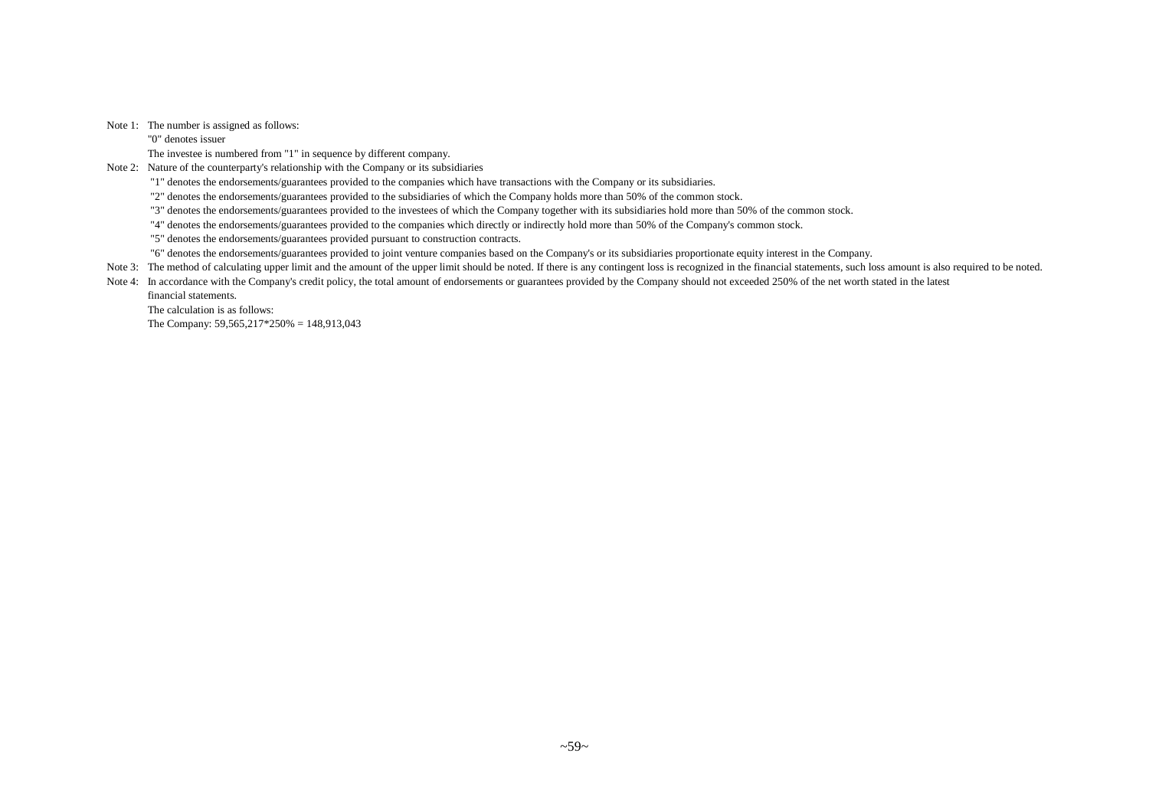#### Note 1: The number is assigned as follows:

"0" denotes issuer

The investee is numbered from "1" in sequence by different company.

Note 2: Nature of the counterparty's relationship with the Company or its subsidiaries

"1" denotes the endorsements/guarantees provided to the companies which have transactions with the Company or its subsidiaries.

"2" denotes the endorsements/guarantees provided to the subsidiaries of which the Company holds more than 50% of the common stock.

"3" denotes the endorsements/guarantees provided to the investees of which the Company together with its subsidiaries hold more than 50% of the common stock.

"4" denotes the endorsements/guarantees provided to the companies which directly or indirectly hold more than 50% of the Company's common stock.

"5" denotes the endorsements/guarantees provided pursuant to construction contracts.

"6" denotes the endorsements/guarantees provided to joint venture companies based on the Company's or its subsidiaries proportionate equity interest in the Company.

Note 3: The method of calculating upper limit and the amount of the upper limit should be noted. If there is any contingent loss is recognized in the financial statements, such loss amount is also required to be noted.

Note 4: In accordance with the Company's credit policy, the total amount of endorsements or guarantees provided by the Company should not exceeded 250% of the net worth stated in the latest

financial statements.

The calculation is as follows: The Company: 59,565,217\*250% = 148,913,043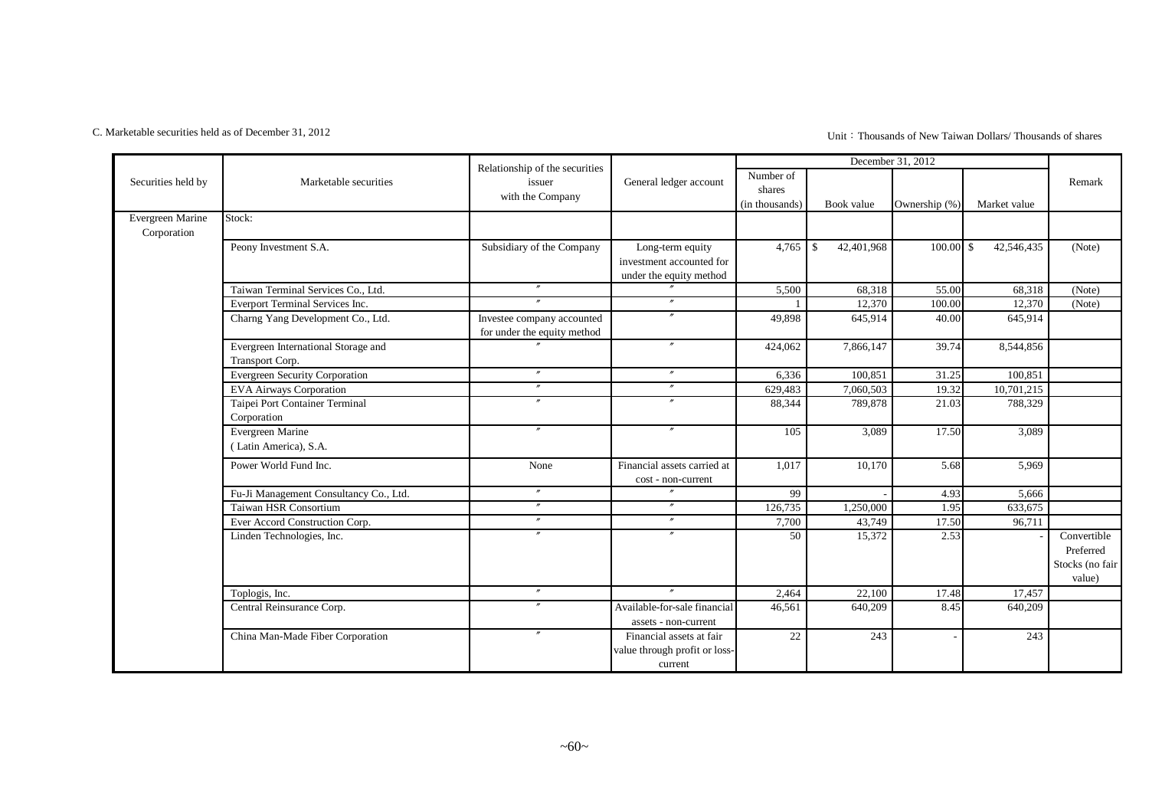#### C. Marketable securities held as of December 31, 2012

Unit:Thousands of New Taiwan Dollars/ Thousands of shares

|                                 |                                                        | Relationship of the securities                            |                                                                         |                                       |                   | December 31, 2012 |                            |                                                       |
|---------------------------------|--------------------------------------------------------|-----------------------------------------------------------|-------------------------------------------------------------------------|---------------------------------------|-------------------|-------------------|----------------------------|-------------------------------------------------------|
| Securities held by              | Marketable securities                                  | issuer<br>with the Company                                | General ledger account                                                  | Number of<br>shares<br>(in thousands) | Book value        | Ownership (%)     | Market value               | Remark                                                |
| Evergreen Marine<br>Corporation | Stock:                                                 |                                                           |                                                                         |                                       |                   |                   |                            |                                                       |
|                                 | Peony Investment S.A.                                  | Subsidiary of the Company                                 | Long-term equity<br>investment accounted for<br>under the equity method | 4,765                                 | 42,401,968<br>-\$ | 100.00            | $\mathbb{S}$<br>42,546,435 | (Note)                                                |
|                                 | Taiwan Terminal Services Co., Ltd.                     | $^{\prime\prime}$                                         |                                                                         | 5,500                                 | 68,318            | 55.00             | 68,318                     | (Note)                                                |
|                                 | Everport Terminal Services Inc.                        | $\boldsymbol{''}$                                         | $\prime\prime$                                                          |                                       | 12,370            | 100.00            | 12,370                     | (Note)                                                |
|                                 | Charng Yang Development Co., Ltd.                      | Investee company accounted<br>for under the equity method | $\theta$                                                                | 49,898                                | 645,914           | 40.00             | 645,914                    |                                                       |
|                                 | Evergreen International Storage and<br>Transport Corp. |                                                           | $\prime\prime$                                                          | 424,062                               | 7,866,147         | 39.74             | 8,544,856                  |                                                       |
|                                 | <b>Evergreen Security Corporation</b>                  | $\overline{''}$                                           | $\prime\prime$                                                          | 6,336                                 | 100,851           | 31.25             | 100,851                    |                                                       |
|                                 | <b>EVA Airways Corporation</b>                         | $^{\prime\prime}$                                         | $^{\prime\prime}$                                                       | 629,483                               | 7,060,503         | 19.32             | 10,701,215                 |                                                       |
|                                 | Taipei Port Container Terminal<br>Corporation          | $^{\prime\prime}$                                         | $^{\prime\prime}$                                                       | 88,344                                | 789,878           | 21.03             | 788,329                    |                                                       |
|                                 | Evergreen Marine<br>(Latin America), S.A.              | $^{\prime\prime}$                                         | $\prime\prime$                                                          | 105                                   | 3,089             | 17.50             | 3,089                      |                                                       |
|                                 | Power World Fund Inc.                                  | None                                                      | Financial assets carried at<br>cost - non-current                       | 1,017                                 | 10,170            | 5.68              | 5,969                      |                                                       |
|                                 | Fu-Ji Management Consultancy Co., Ltd.                 | $\overline{''}$                                           | $\prime\prime$                                                          | 99                                    |                   | 4.93              | 5,666                      |                                                       |
|                                 | Taiwan HSR Consortium                                  | $^{\prime\prime}$                                         | $\overline{''}$                                                         | 126,735                               | 1,250,000         | 1.95              | 633,675                    |                                                       |
|                                 | Ever Accord Construction Corp.                         | $^{\prime\prime}$                                         | $^{\prime\prime}$                                                       | 7,700                                 | 43,749            | 17.50             | 96,711                     |                                                       |
|                                 | Linden Technologies, Inc.                              | $\theta$                                                  | $\theta$                                                                | 50                                    | 15,372            | 2.53              |                            | Convertible<br>Preferred<br>Stocks (no fair<br>value) |
|                                 | Toplogis, Inc.                                         | $^{\prime\prime}$                                         | $\overline{v}$                                                          | 2,464                                 | 22,100            | 17.48             | 17,457                     |                                                       |
|                                 | Central Reinsurance Corp.                              |                                                           | Available-for-sale financial<br>assets - non-current                    | 46,561                                | 640,209           | 8.45              | 640,209                    |                                                       |
|                                 | China Man-Made Fiber Corporation                       | $^{\prime\prime}$                                         | Financial assets at fair<br>value through profit or loss-<br>current    | 22                                    | 243               |                   | 243                        |                                                       |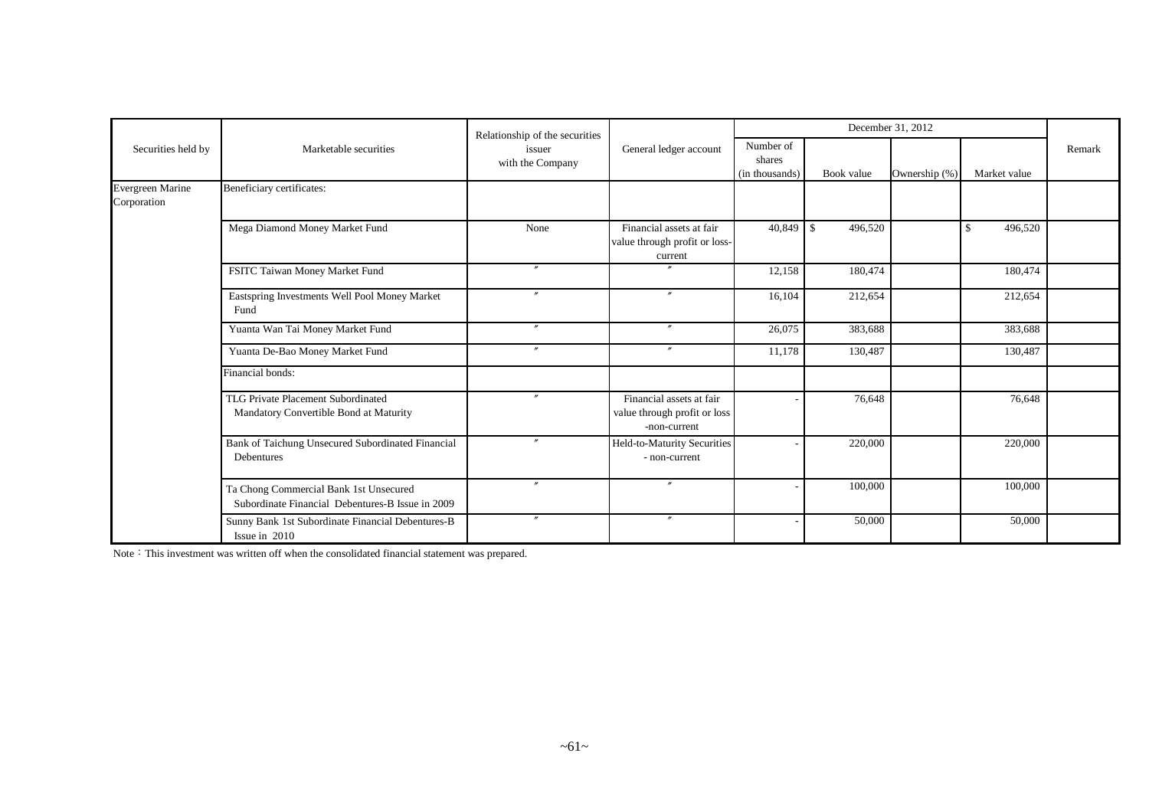|                                 |                                                                                            | Relationship of the securities |                                                                          |                                       |                         | December 31, 2012 |               |        |
|---------------------------------|--------------------------------------------------------------------------------------------|--------------------------------|--------------------------------------------------------------------------|---------------------------------------|-------------------------|-------------------|---------------|--------|
| Securities held by              | Marketable securities                                                                      | issuer<br>with the Company     | General ledger account                                                   | Number of<br>shares<br>(in thousands) | Book value              | Ownership (%)     | Market value  | Remark |
| Evergreen Marine<br>Corporation | Beneficiary certificates:                                                                  |                                |                                                                          |                                       |                         |                   |               |        |
|                                 | Mega Diamond Money Market Fund                                                             | None                           | Financial assets at fair<br>value through profit or loss-<br>current     | 40,849                                | $\mathbb{S}$<br>496,520 |                   | 496,520<br>-S |        |
|                                 | FSITC Taiwan Money Market Fund                                                             | $\overline{u}$                 |                                                                          | 12,158                                | 180,474                 |                   | 180,474       |        |
|                                 | Eastspring Investments Well Pool Money Market<br>Fund                                      | $\mathbf{r}$                   | $^{\prime\prime}$                                                        | 16,104                                | 212,654                 |                   | 212,654       |        |
|                                 | Yuanta Wan Tai Money Market Fund                                                           | $\overline{''}$                | $\mathbf{v}$                                                             | 26,075                                | 383,688                 |                   | 383,688       |        |
|                                 | Yuanta De-Bao Money Market Fund                                                            | $\overline{u}$                 | $\mathbf{m}$                                                             | 11,178                                | 130,487                 |                   | 130,487       |        |
|                                 | Financial bonds:                                                                           |                                |                                                                          |                                       |                         |                   |               |        |
|                                 | TLG Private Placement Subordinated<br>Mandatory Convertible Bond at Maturity               | $\mathbf{r}$                   | Financial assets at fair<br>value through profit or loss<br>-non-current |                                       | 76,648                  |                   | 76,648        |        |
|                                 | Bank of Taichung Unsecured Subordinated Financial<br>Debentures                            |                                | Held-to-Maturity Securities<br>- non-current                             |                                       | 220,000                 |                   | 220,000       |        |
|                                 | Ta Chong Commercial Bank 1st Unsecured<br>Subordinate Financial Debentures-B Issue in 2009 | $\overline{''}$                | $^{\prime\prime}$                                                        |                                       | 100,000                 |                   | 100,000       |        |
|                                 | Sunny Bank 1st Subordinate Financial Debentures-B<br>Issue in 2010                         | $\mathbf{r}$                   | $^{\prime\prime}$                                                        |                                       | 50,000                  |                   | 50,000        |        |

Note: This investment was written off when the consolidated financial statement was prepared.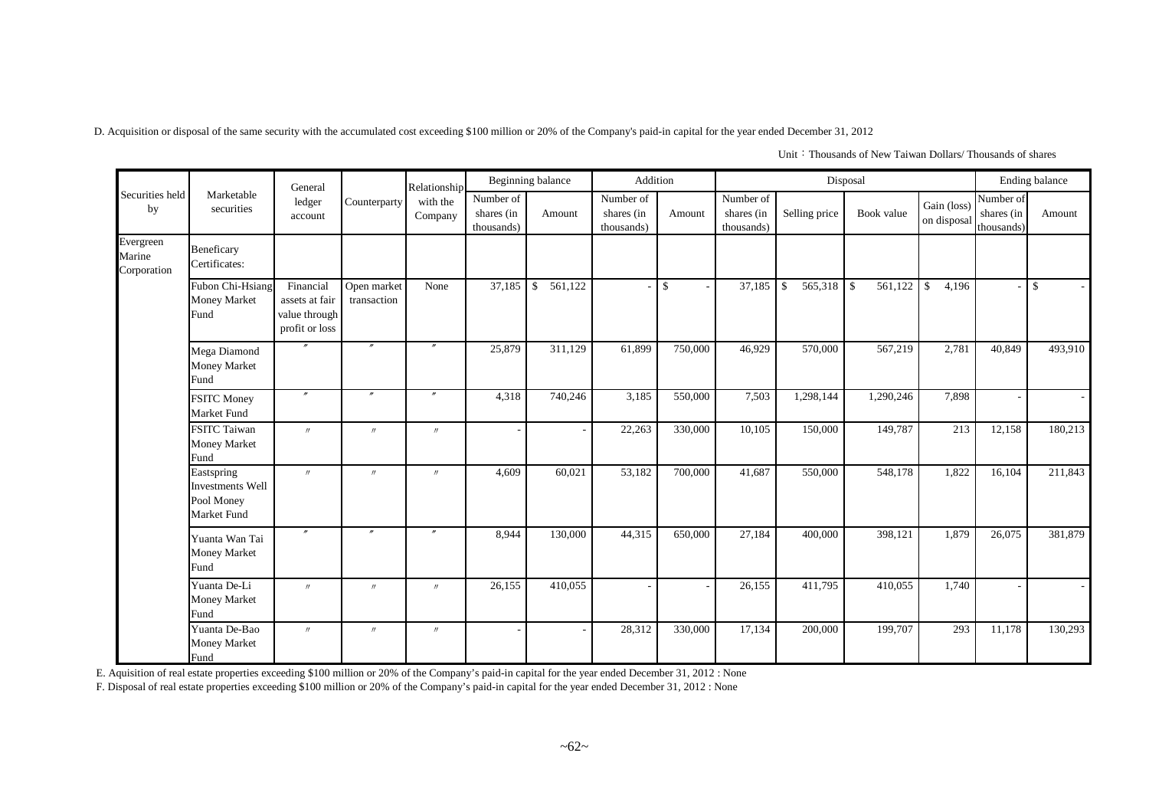D. Acquisition or disposal of the same security with the accumulated cost exceeding \$100 million or 20% of the Company's paid-in capital for the year ended December 31, 2012

|                                    |                                                             | General                                                        |                            | Relationship        |                                       | Beginning balance | Addition                              |                                           |                                       |                               | Disposal      |                            |                                       | Ending balance |
|------------------------------------|-------------------------------------------------------------|----------------------------------------------------------------|----------------------------|---------------------|---------------------------------------|-------------------|---------------------------------------|-------------------------------------------|---------------------------------------|-------------------------------|---------------|----------------------------|---------------------------------------|----------------|
| Securities held<br>by              | Marketable<br>securities                                    | ledger<br>account                                              | Counterparty               | with the<br>Company | Number of<br>shares (in<br>thousands) | Amount            | Number of<br>shares (in<br>thousands) | Amount                                    | Number of<br>shares (in<br>thousands) | Selling price                 | Book value    | Gain (loss)<br>on disposal | Number of<br>shares (in<br>thousands) | Amount         |
| Evergreen<br>Marine<br>Corporation | Beneficary<br>Certificates:                                 |                                                                |                            |                     |                                       |                   |                                       |                                           |                                       |                               |               |                            |                                       |                |
|                                    | Fubon Chi-Hsiang<br><b>Money Market</b><br>Fund             | Financial<br>assets at fair<br>value through<br>profit or loss | Open market<br>transaction | None                | 37,185                                | 561,122<br>\$     |                                       | $\mathcal{S}$<br>$\overline{\phantom{a}}$ | 37,185                                | $\mathbf{\hat{S}}$<br>565,318 | 561,122<br>-S | $\mathbb{S}$<br>4,196      |                                       | $\mathbb{S}$   |
|                                    | Mega Diamond<br>Money Market<br>Fund                        |                                                                | $\boldsymbol{''}$          | $^{\prime\prime}$   | 25,879                                | 311,129           | 61,899                                | 750,000                                   | 46,929                                | 570,000                       | 567,219       | 2,781                      | 40,849                                | 493,910        |
|                                    | <b>FSITC Money</b><br>Market Fund                           | $\prime\prime$                                                 |                            |                     | 4,318                                 | 740,246           | 3,185                                 | 550,000                                   | 7,503                                 | 1,298,144                     | 1,290,246     | 7,898                      |                                       |                |
|                                    | <b>FSITC Taiwan</b><br><b>Money Market</b><br>Fund          | $\prime\prime$                                                 | $^{\prime\prime}$          | $\prime$            |                                       |                   | 22,263                                | 330,000                                   | 10,105                                | 150,000                       | 149,787       | 213                        | 12,158                                | 180,213        |
|                                    | Eastspring<br>Investments Well<br>Pool Money<br>Market Fund | $^{\prime\prime}$                                              | $^{\prime\prime}$          | $\prime$            | 4,609                                 | 60,021            | 53,182                                | 700,000                                   | 41,687                                | 550,000                       | 548,178       | 1,822                      | 16,104                                | 211,843        |
|                                    | Yuanta Wan Tai<br><b>Money Market</b><br>Fund               | $^{\prime\prime}$                                              | $\prime\prime$             | $^{\prime\prime}$   | 8,944                                 | 130,000           | 44,315                                | 650,000                                   | 27,184                                | 400,000                       | 398,121       | 1,879                      | 26,075                                | 381,879        |
|                                    | Yuanta De-Li<br><b>Money Market</b><br>Fund                 | $^{\prime\prime}$                                              | $\prime$                   | $\prime\prime$      | 26,155                                | 410,055           |                                       |                                           | 26,155                                | 411,795                       | 410,055       | 1,740                      |                                       |                |
|                                    | Yuanta De-Bao<br><b>Money Market</b><br>Fund                | $^{\prime\prime}$                                              | $^{\prime\prime}$          | $\prime$            |                                       |                   | 28,312                                | 330,000                                   | 17,134                                | 200,000                       | 199,707       | 293                        | 11,178                                | 130,293        |

Unit: Thousands of New Taiwan Dollars/ Thousands of shares

E. Aquisition of real estate properties exceeding \$100 million or 20% of the Company's paid-in capital for the year ended December 31, 2012 : None

F. Disposal of real estate properties exceeding \$100 million or 20% of the Company's paid-in capital for the year ended December 31, 2012 : None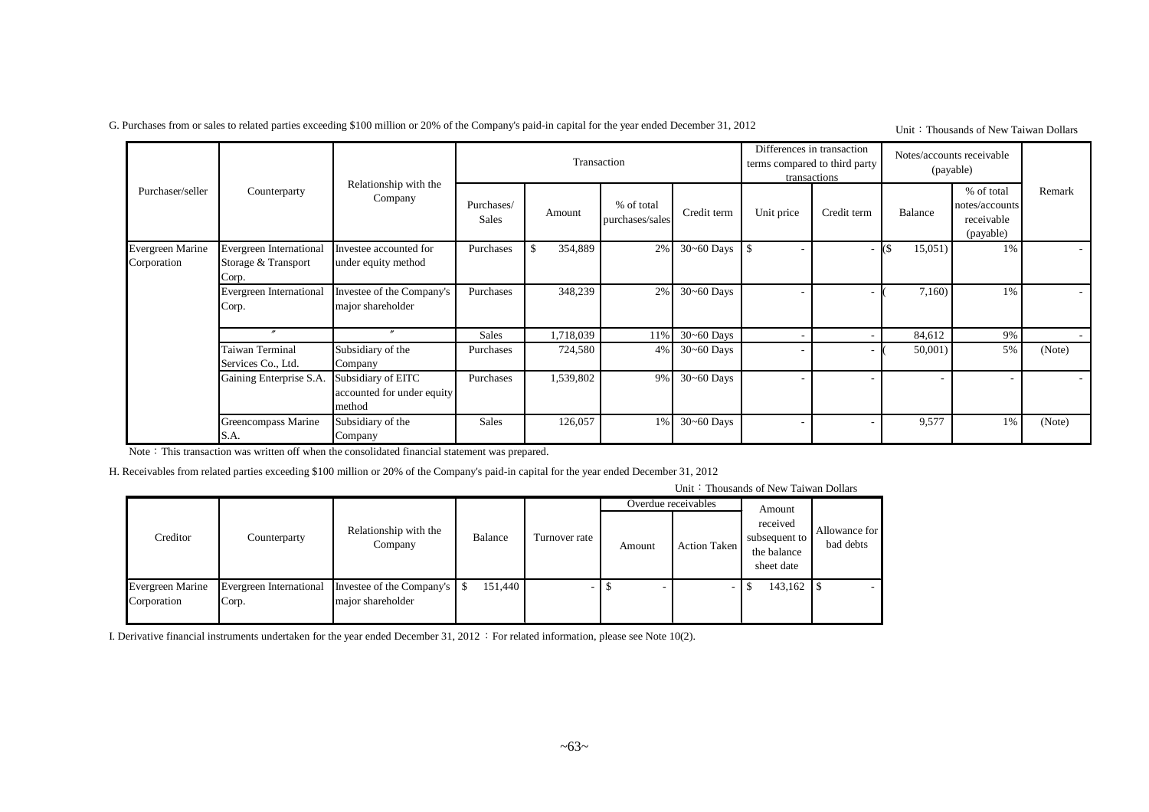G. Purchases from or sales to related parties exceeding \$100 million or 20% of the Company's paid-in capital for the year ended December 31, 2012

#### Unit: Thousands of New Taiwan Dollars

|                                        |                                                                                                                                                                  |                                                            |                            | Transaction   |                               |                | Differences in transaction | terms compared to third party<br>transactions |            | Notes/accounts receivable<br>(payable)                  |        |
|----------------------------------------|------------------------------------------------------------------------------------------------------------------------------------------------------------------|------------------------------------------------------------|----------------------------|---------------|-------------------------------|----------------|----------------------------|-----------------------------------------------|------------|---------------------------------------------------------|--------|
| Purchaser/seller                       | Counterparty                                                                                                                                                     | Relationship with the<br>Company                           | Purchases/<br><b>Sales</b> | Amount        | % of total<br>purchases/sales | Credit term    | Unit price                 | Credit term                                   | Balance    | % of total<br>notes/accounts<br>receivable<br>(payable) | Remark |
| <b>Evergreen Marine</b><br>Corporation | Evergreen International<br>Investee accounted for<br>Storage & Transport<br>under equity method<br>Corp.<br>Investee of the Company's<br>Evergreen International |                                                            | Purchases                  | \$<br>354,889 | 2%                            | $30 - 60$ Days | I \$                       |                                               | 15,051     | 1%                                                      |        |
|                                        | Corp.                                                                                                                                                            | major shareholder                                          | Purchases                  | 348,239       | 2%                            | $30 - 60$ Days |                            |                                               | 7,160      | 1%                                                      |        |
|                                        |                                                                                                                                                                  | $\boldsymbol{''}$                                          | <b>Sales</b>               | 1,718,039     | 11%                           | $30 - 60$ Days |                            |                                               | 84,612     | 9%                                                      |        |
|                                        | Taiwan Terminal<br>Services Co., Ltd.                                                                                                                            | Subsidiary of the<br>Company                               | Purchases                  | 724,580       | $4\%$                         | $30 - 60$ Days |                            |                                               | $50,001$ ) | 5%                                                      | (Note) |
|                                        | Gaining Enterprise S.A.                                                                                                                                          | Subsidiary of EITC<br>accounted for under equity<br>method | Purchases                  | 1,539,802     | 9%                            | $30 - 60$ Days |                            |                                               |            |                                                         |        |
|                                        | Greencompass Marine<br>S.A.                                                                                                                                      | Subsidiary of the<br>Company                               | <b>Sales</b>               | 126,057       | 1%                            | $30 - 60$ Days |                            |                                               | 9,577      | 1%                                                      | (Note) |

Note: This transaction was written off when the consolidated financial statement was prepared.

H. Receivables from related parties exceeding \$100 million or 20% of the Company's paid-in capital for the year ended December 31, 2012

Unit: Thousands of New Taiwan Dollars

|                                        |                                  |                                                  |         |               | Overdue receivables |                     | Amount                                                 |                            |
|----------------------------------------|----------------------------------|--------------------------------------------------|---------|---------------|---------------------|---------------------|--------------------------------------------------------|----------------------------|
| Creditor                               | Counterparty                     | Relationship with the<br>Company                 | Balance | Turnover rate | Amount              | <b>Action Taken</b> | received<br>subsequent to<br>the balance<br>sheet date | Allowance for<br>bad debts |
| <b>Evergreen Marine</b><br>Corporation | Evergreen International<br>Corp. | Investee of the Company's S<br>major shareholder | 151.440 |               |                     |                     | 143,162                                                |                            |

I. Derivative financial instruments undertaken for the year ended December 31, 2012 : For related information, please see Note 10(2).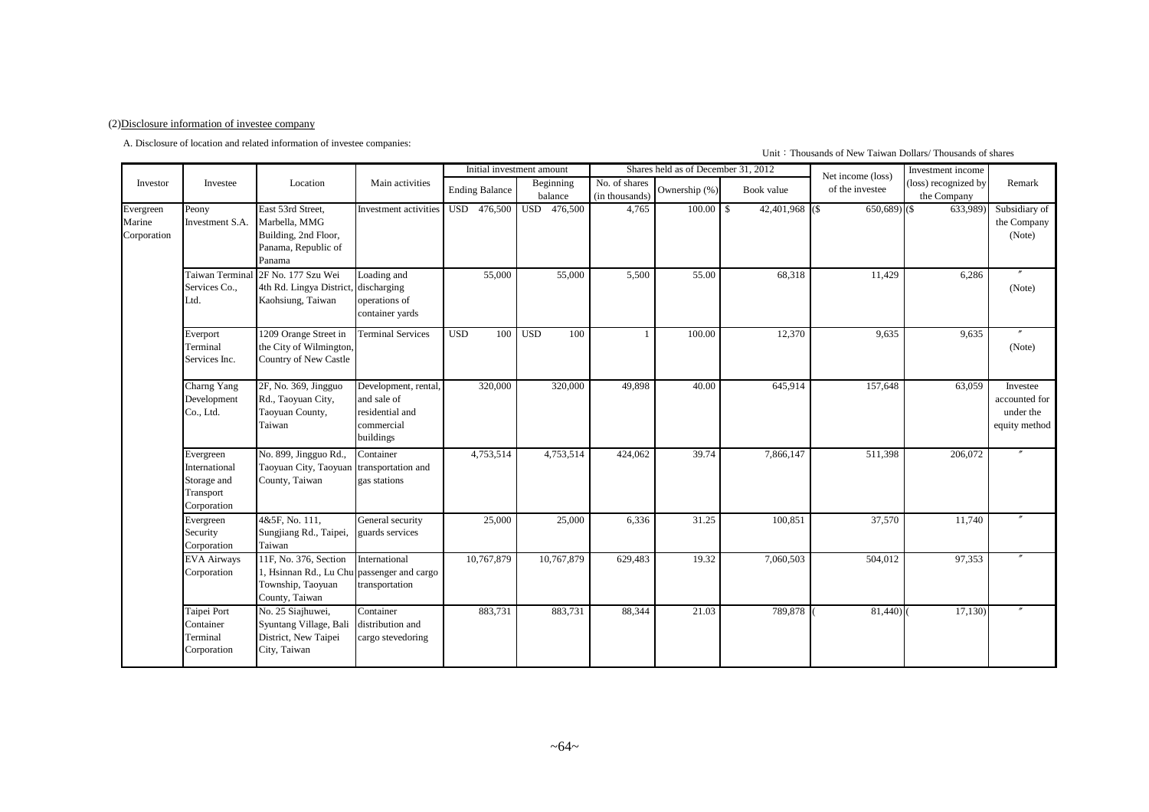#### (2)Disclosure information of investee company

A. Disclosure of location and related information of investee companies:

#### Unit: Thousands of New Taiwan Dollars/ Thousands of shares

|                                    |                                                                       |                                                                                                            |                                                                                  |                       | Initial investment amount |                                 | Shares held as of December 31, 2012 |                   | Net income (loss) | Investment income                   |                                                         |
|------------------------------------|-----------------------------------------------------------------------|------------------------------------------------------------------------------------------------------------|----------------------------------------------------------------------------------|-----------------------|---------------------------|---------------------------------|-------------------------------------|-------------------|-------------------|-------------------------------------|---------------------------------------------------------|
| Investor                           | Investee                                                              | Location                                                                                                   | Main activities                                                                  | <b>Ending Balance</b> | Beginning<br>balance      | No. of shares<br>(in thousands) | Ownership (%)                       | Book value        | of the investee   | (loss) recognized by<br>the Company | Remark                                                  |
| Evergreen<br>Marine<br>Corporation | Peony<br>Investment S.A.                                              | East 53rd Street,<br>Marbella, MMG<br>Building, 2nd Floor,<br>Panama, Republic of<br>Panama                | Investment activities                                                            | USD 476,500           | <b>USD</b><br>476,500     | 4,765                           | $100.00$ \$                         | $42,401,968$ (\$) | $650,689$ (\$)    | 633,989                             | Subsidiary of<br>the Company<br>(Note)                  |
|                                    | Taiwan Terminal<br>Services Co<br>Ltd.                                | 2F No. 177 Szu Wei<br>4th Rd. Lingya District,<br>Kaohsiung, Taiwan                                        | Loading and<br>discharging<br>operations of<br>container yards                   | 55,000                | 55,000                    | 5,500                           | 55.00                               | 68,318            | 11,429            | 6,286                               | (Note)                                                  |
|                                    | Everport<br>Terminal<br>Services Inc.                                 | 1209 Orange Street in<br>the City of Wilmington,<br>Country of New Castle                                  | <b>Terminal Services</b>                                                         | <b>USD</b><br>100     | <b>USD</b><br>100         |                                 | 100.00                              | 12,370            | 9,635             | 9,635                               | (Note)                                                  |
|                                    | Charng Yang<br>Development<br>Co., Ltd.                               | 2F, No. 369, Jingguo<br>Rd., Taoyuan City,<br>Taoyuan County,<br>Taiwan                                    | Development, rental<br>and sale of<br>residential and<br>commercial<br>buildings | 320,000               | 320,000                   | 49,898                          | 40.00                               | 645,914           | 157,648           | 63.059                              | Investee<br>accounted for<br>under the<br>equity method |
|                                    | Evergreen<br>International<br>Storage and<br>Transport<br>Corporation | No. 899, Jingguo Rd.,<br>Taoyuan City, Taoyuan<br>County, Taiwan                                           | Container<br>transportation and<br>gas stations                                  | 4,753,514             | 4,753,514                 | 424,062                         | 39.74                               | 7,866,147         | 511,398           | 206,072                             |                                                         |
|                                    | Evergreen<br>Security<br>Corporation                                  | 4&5F, No. 111.<br>Sungjiang Rd., Taipei,<br>Taiwan                                                         | General security<br>guards services                                              | 25,000                | 25,000                    | 6,336                           | 31.25                               | 100,851           | 37,570            | 11,740                              |                                                         |
|                                    | <b>EVA Airways</b><br>Corporation                                     | 11F, No. 376, Section<br>1, Hsinnan Rd., Lu Chu passenger and cargo<br>Township, Taoyuan<br>County, Taiwan | International<br>transportation                                                  | 10,767,879            | 10,767,879                | 629,483                         | 19.32                               | 7,060,503         | 504,012           | 97,353                              |                                                         |
|                                    | Taipei Port<br>Container<br>Terminal<br>Corporation                   | No. 25 Siajhuwei,<br>Syuntang Village, Bali<br>District, New Taipei<br>City, Taiwan                        | Container<br>distribution and<br>cargo stevedoring                               | 883,731               | 883,731                   | 88,344                          | 21.03                               | 789,878           | 81,440)           | 17,130                              |                                                         |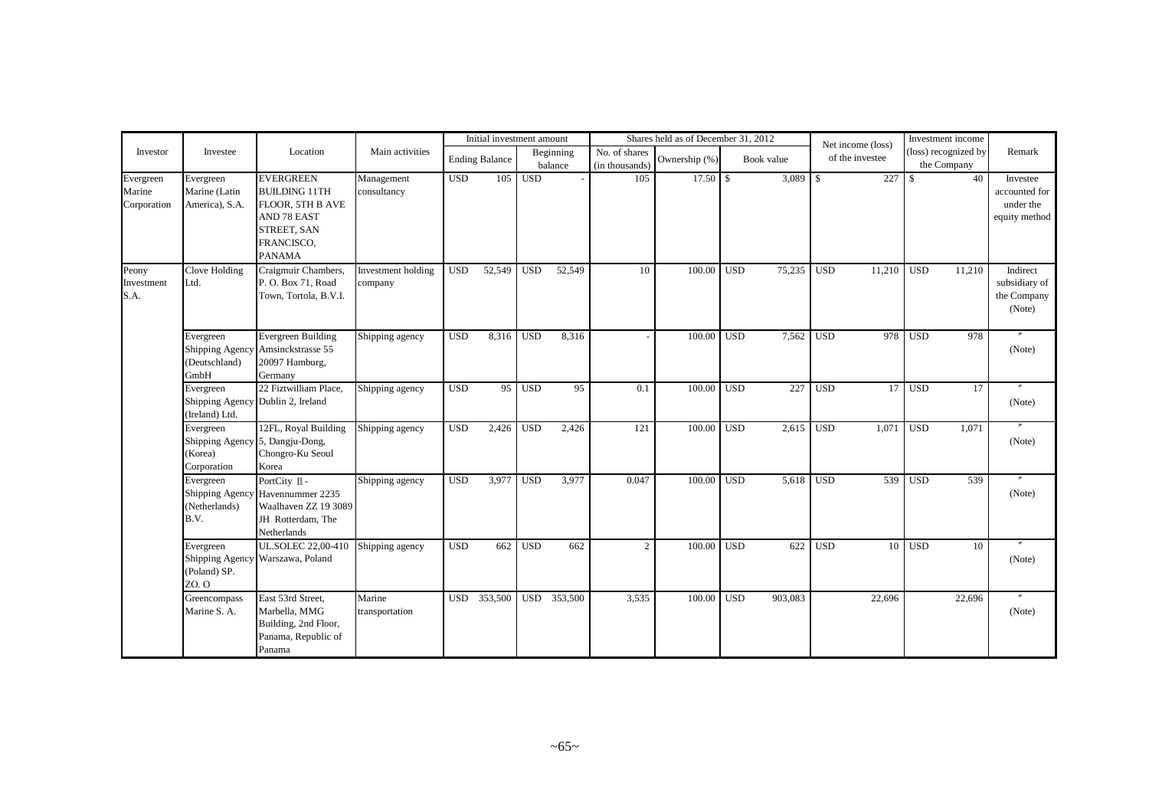|                                    |                                                                        |                                                                                                                                  |                               |                  | Initial investment amount |                  |                      |                                 | Shares held as of December 31, 2012 |                  |            |               | Net income (loss) |                  | Investment income                   |                                                         |
|------------------------------------|------------------------------------------------------------------------|----------------------------------------------------------------------------------------------------------------------------------|-------------------------------|------------------|---------------------------|------------------|----------------------|---------------------------------|-------------------------------------|------------------|------------|---------------|-------------------|------------------|-------------------------------------|---------------------------------------------------------|
| Investor                           | Investee                                                               | Location                                                                                                                         | Main activities               |                  | <b>Ending Balance</b>     |                  | Beginning<br>balance | No. of shares<br>(in thousands) | Ownership (%)                       |                  | Book value |               | of the investee   |                  | (loss) recognized by<br>the Company | Remark                                                  |
| Evergreen<br>Marine<br>Corporation | Evergreen<br>Marine (Latin<br>America), S.A.                           | <b>EVERGREEN</b><br><b>BUILDING 11TH</b><br>FLOOR. 5TH B AVE<br><b>AND 78 EAST</b><br>STREET, SAN<br>FRANCISCO,<br><b>PANAMA</b> | Management<br>consultancy     | <b>USD</b>       | 105                       | <b>USD</b>       |                      | 105                             |                                     |                  | 3,089      | $\mathcal{S}$ | 227               | $\mathbb{S}$     | 40                                  | Investee<br>accounted for<br>under the<br>equity method |
| Peony<br>Investment<br>S.A.        | Clove Holding<br>Ltd.                                                  | Craigmuir Chambers,<br>P. O. Box 71, Road<br>Town, Tortola, B.V.I.                                                               | Investment holding<br>company | <b>USD</b>       | 52,549                    | <b>USD</b>       | 52,549               | 10                              | 100.00                              | <b>USD</b>       | 75,235     | <b>USD</b>    | 11,210            | <b>USD</b>       | 11.210                              | Indirect<br>subsidiary of<br>the Company<br>(Note)      |
|                                    | Evergreen<br>(Deutschland)<br>GmbH                                     | <b>Evergreen Building</b><br>Shipping Agency Amsinckstrasse 55<br>20097 Hamburg,<br>Germany                                      | Shipping agency               | <b>USD</b>       | 8,316                     | $\overline{USD}$ | 8,316                |                                 | 100.00                              | <b>USD</b>       | 7,562      | <b>USD</b>    | 978               | <b>USD</b>       | 978                                 | (Note)                                                  |
|                                    | Evergreen<br>Shipping Agency Dublin 2, Ireland<br>(Ireland) Ltd.       | 22 Fiztwilliam Place.                                                                                                            | Shipping agency               | $\overline{USD}$ | 95                        | $\overline{USD}$ | 95                   | 0.1                             | 100.00                              | $\overline{USD}$ | 227        | <b>USD</b>    | 17                | $\overline{USD}$ | 17                                  | (Note)                                                  |
|                                    | Evergreen<br>Shipping Agency 5, Dangju-Dong,<br>(Korea)<br>Corporation | 12FL, Royal Building<br>Chongro-Ku Seoul<br>Korea                                                                                | Shipping agency               | <b>USD</b>       | 2,426                     | <b>USD</b>       | 2,426                | 121                             | 100.00                              | <b>USD</b>       | 2,615      | <b>USD</b>    | 1.071             | <b>USD</b>       | 1.071                               | (Note)                                                  |
|                                    | Evergreen<br>(Netherlands)<br>B.V.                                     | PortCity II -<br>Shipping Agency Havennummer 2235<br>Waalhaven ZZ 19 3089<br>JH Rotterdam, The<br>Netherlands                    | Shipping agency               | <b>USD</b>       | 3,977                     | <b>USD</b>       | 3,977                | 0.047                           | 100.00                              | <b>USD</b>       | 5,618      | <b>USD</b>    | 539               | <b>USD</b>       | 539                                 | (Note)                                                  |
|                                    | Evergreen<br>(Poland) SP.<br>ZO. O                                     | UL.SOLEC 22,00-410<br>Shipping Agency Warszawa, Poland                                                                           | Shipping agency               | <b>USD</b>       | 662                       | <b>USD</b>       | 662                  | $\mathcal{D}$                   | 100.00                              | <b>USD</b>       | 622        | <b>USD</b>    | 10 <sup>1</sup>   | <b>USD</b>       | 10                                  | (Note)                                                  |
|                                    | Greencompass<br>Marine S. A.                                           | East 53rd Street,<br>Marbella, MMG<br>Building, 2nd Floor,<br>Panama, Republic of<br>Panama                                      | Marine<br>transportation      | <b>USD</b>       | 353,500                   | <b>USD</b>       | 353,500              | 3,535                           | 100.00                              | <b>USD</b>       | 903,083    |               | 22,696            |                  | 22,696                              | (Note)                                                  |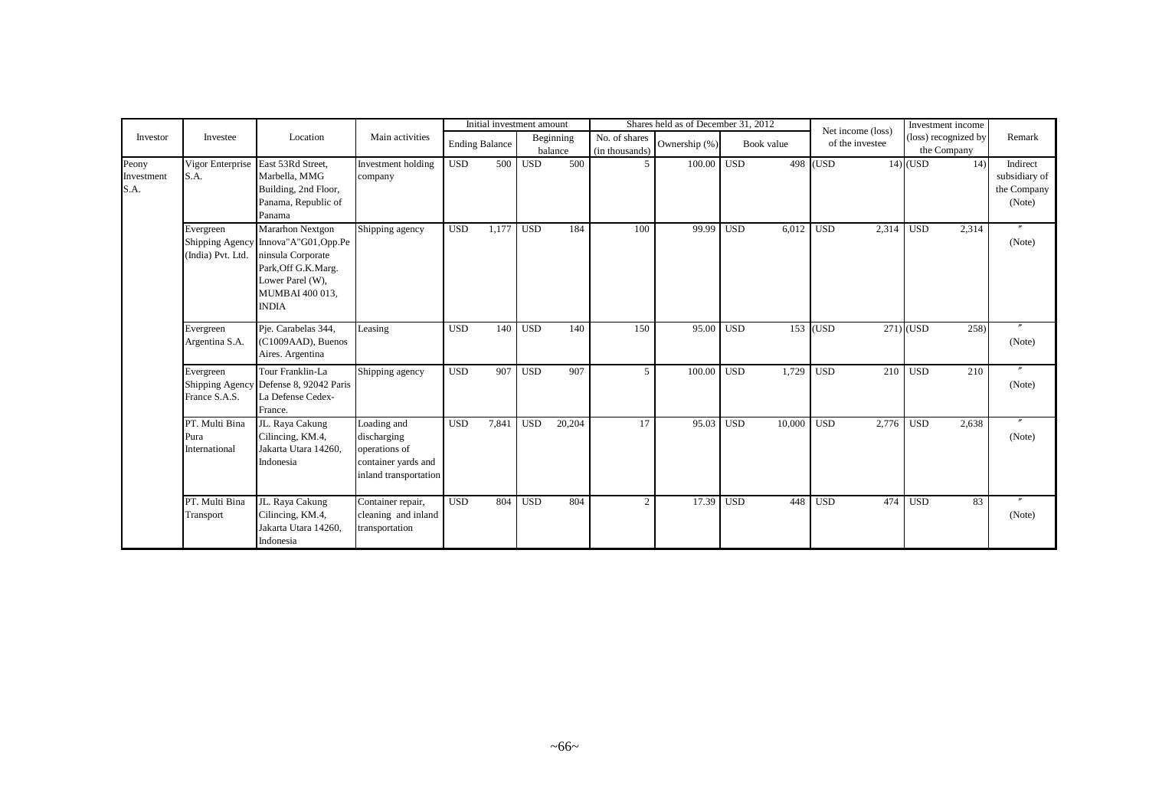|                             |                                         |                                                                                                                                                             |                                                                                             |            | Initial investment amount |                  |                      |                                 | Shares held as of December 31, 2012 |                  |            |            | Net income (loss) |                  | Investment income                   |                                                    |
|-----------------------------|-----------------------------------------|-------------------------------------------------------------------------------------------------------------------------------------------------------------|---------------------------------------------------------------------------------------------|------------|---------------------------|------------------|----------------------|---------------------------------|-------------------------------------|------------------|------------|------------|-------------------|------------------|-------------------------------------|----------------------------------------------------|
| Investor                    | Investee                                | Location                                                                                                                                                    | Main activities                                                                             |            | <b>Ending Balance</b>     |                  | Beginning<br>balance | No. of shares<br>(in thousands) | Ownership (%)                       |                  | Book value |            | of the investee   |                  | (loss) recognized by<br>the Company | Remark                                             |
| Peony<br>Investment<br>S.A. | S.A.                                    | Vigor Enterprise East 53Rd Street,<br>Marbella, MMG<br>Building, 2nd Floor,<br>Panama, Republic of<br>Panama                                                | Investment holding<br>company                                                               | <b>USD</b> | 500                       | <b>USD</b>       | 500                  |                                 | 100.00                              | USD <sub>1</sub> |            | $498$ (USD |                   | $14)$ (USD       | 14)                                 | Indirect<br>subsidiary of<br>the Company<br>(Note) |
|                             | Evergreen<br>(India) Pvt. Ltd.          | Mararhon Nextgon<br>Shipping Agency Innova"A"G01, Opp.Pe<br>ninsula Corporate<br>Park, Off G.K.Marg.<br>Lower Parel (W),<br>MUMBAI 400 013,<br><b>INDIA</b> | Shipping agency                                                                             | <b>USD</b> | 1,177                     | $\overline{USD}$ | 184                  | 100                             | 99.99                               | USD <sub>1</sub> | 6,012      | USD        | 2,314             | <b>USD</b>       | 2,314                               | (Note)                                             |
|                             | Evergreen<br>Argentina S.A.             | Pie. Carabelas 344,<br>(C1009AAD), Buenos<br>Aires. Argentina                                                                                               | Leasing                                                                                     | <b>USD</b> | 140                       | <b>USD</b>       | 140                  | 150                             | 95.00                               | <b>USD</b>       | 153        | (USD)      |                   | $271)$ (USD      | 258                                 | $^{\prime\prime}$<br>(Note)                        |
|                             | Evergreen<br>France S.A.S.              | Tour Franklin-La<br>Shipping Agency Defense 8, 92042 Paris<br>La Defense Cedex-<br>France.                                                                  | Shipping agency                                                                             | <b>USD</b> | 907                       | $\overline{USD}$ | 907                  | $\overline{\phantom{0}}$        | 100.00                              | $\overline{USD}$ | 1,729      | <b>USD</b> | 210               | <b>USD</b>       | 210                                 | $\prime\prime$<br>(Note)                           |
|                             | PT. Multi Bina<br>Pura<br>International | JL. Raya Cakung<br>Cilincing, KM.4,<br>Jakarta Utara 14260,<br>Indonesia                                                                                    | Loading and<br>discharging<br>operations of<br>container yards and<br>inland transportation | <b>USD</b> | 7,841                     | <b>USD</b>       | 20,204               | 17                              | 95.03                               | <b>USD</b>       | 10.000     | <b>USD</b> | 2,776             | $\overline{USD}$ | 2,638                               | (Note)                                             |
|                             | PT. Multi Bina<br>Transport             | JL. Raya Cakung<br>Cilincing, KM.4,<br>Jakarta Utara 14260.<br>Indonesia                                                                                    | Container repair,<br>cleaning and inland<br>transportation                                  | <b>USD</b> | 804                       | <b>USD</b>       | 804                  | $\mathfrak{D}$                  | 17.39                               | <b>USD</b>       | 448        | <b>USD</b> | 474               | <b>USD</b>       | 83                                  | $\prime\prime$<br>(Note)                           |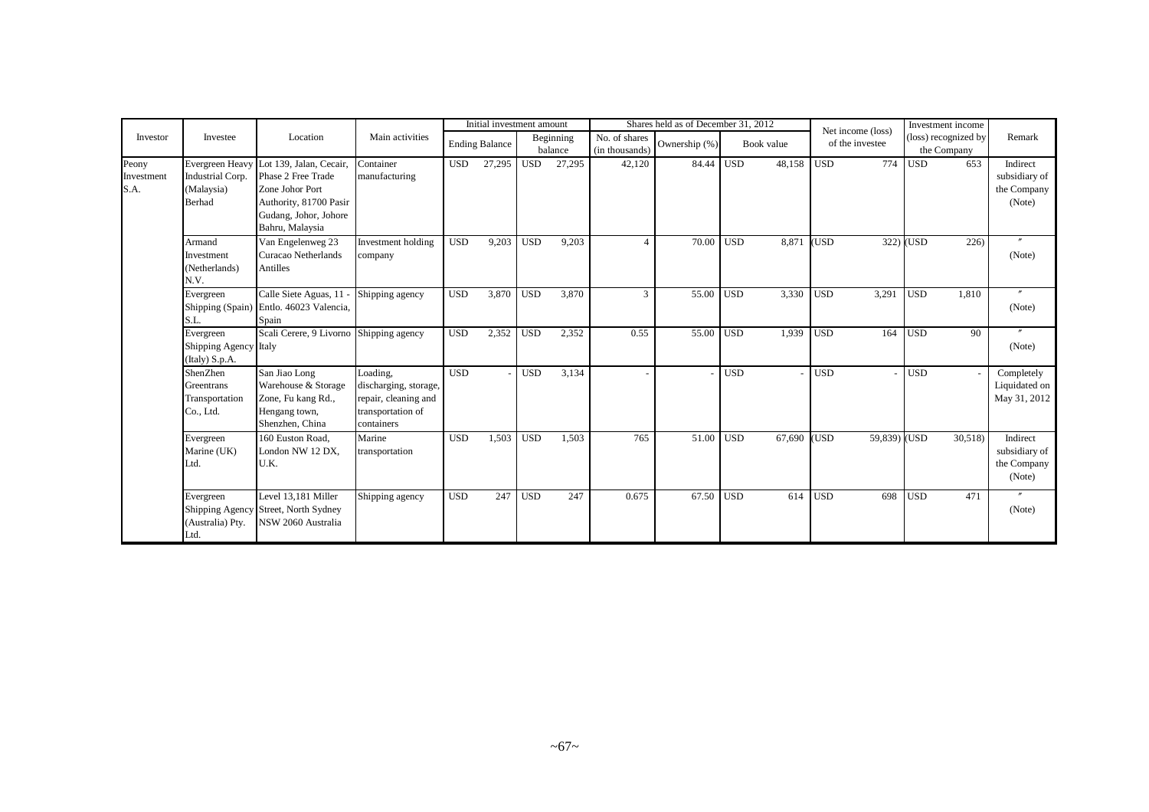|                             |                                                                    |                                                                                                                                        |                                                                                              |                  | Initial investment amount |            |                      |                                 | Shares held as of December 31, 2012 |                  |            |            | Net income (loss) |                  | Investment income                   |                                                    |
|-----------------------------|--------------------------------------------------------------------|----------------------------------------------------------------------------------------------------------------------------------------|----------------------------------------------------------------------------------------------|------------------|---------------------------|------------|----------------------|---------------------------------|-------------------------------------|------------------|------------|------------|-------------------|------------------|-------------------------------------|----------------------------------------------------|
| Investor                    | Investee                                                           | Location                                                                                                                               | Main activities                                                                              |                  | <b>Ending Balance</b>     |            | Beginning<br>balance | No. of shares<br>(in thousands) | Ownership (%)                       |                  | Book value |            | of the investee   |                  | (loss) recognized by<br>the Company | Remark                                             |
| Peony<br>Investment<br>S.A. | Evergreen Heavy<br>Industrial Corp.<br>(Malaysia)<br><b>Berhad</b> | Lot 139, Jalan, Cecair,<br>Phase 2 Free Trade<br>Zone Johor Port<br>Authority, 81700 Pasir<br>Gudang, Johor, Johore<br>Bahru, Malaysia | Container<br>manufacturing                                                                   | <b>USD</b>       | 27,295                    | <b>USD</b> | 27,295               | 42,120                          | 84.44                               | <b>USD</b>       | 48,158     | <b>USD</b> | 774               | <b>USD</b>       | 653                                 | Indirect<br>subsidiary of<br>the Company<br>(Note) |
|                             | Armand<br>Investment<br>(Netherlands)<br>N.V.                      | Van Engelenweg 23<br>Curacao Netherlands<br>Antilles                                                                                   | Investment holding<br>company                                                                | <b>USD</b>       | 9,203                     | <b>USD</b> | 9,203                |                                 | 70.00                               | <b>USD</b>       | 8,871      | (USD       |                   | 322) (USD        | 226                                 | $\boldsymbol{r}$<br>(Note)                         |
|                             | Evergreen<br>S.L.                                                  | Calle Siete Aguas, 11<br>Shipping (Spain) Entlo. 46023 Valencia,<br>Spain                                                              | Shipping agency                                                                              | <b>USD</b>       | 3,870                     | <b>USD</b> | 3,870                | 3                               | 55.00                               | <b>USD</b>       | 3,330      | <b>USD</b> | 3,291             | <b>USD</b>       | 1,810                               | $\overline{v}$<br>(Note)                           |
|                             | Evergreen<br>Shipping Agency Italy<br>(Italy) S.p.A.               | Scali Cerere, 9 Livorno Shipping agency                                                                                                |                                                                                              | <b>USD</b>       | 2,352                     | <b>USD</b> | 2,352                | 0.55                            | 55.00 USD                           |                  | 1.939      | <b>USD</b> | 164               | <b>USD</b>       | 90                                  | $^{\prime\prime}$<br>(Note)                        |
|                             | ShenZhen<br>Greentrans<br>Transportation<br>Co., Ltd.              | San Jiao Long<br>Warehouse & Storage<br>Zone, Fu kang Rd.,<br>Hengang town,<br>Shenzhen, China                                         | Loading,<br>discharging, storage,<br>repair, cleaning and<br>transportation of<br>containers | $\overline{USD}$ |                           | <b>USD</b> | 3,134                |                                 |                                     | $\overline{USD}$ |            | <b>USD</b> |                   | $\overline{USD}$ |                                     | Completely<br>Liquidated on<br>May 31, 2012        |
|                             | Evergreen<br>Marine (UK)<br>Ltd.                                   | 160 Euston Road,<br>London NW 12 DX.<br>U.K.                                                                                           | Marine<br>transportation                                                                     | <b>USD</b>       | 1,503                     | <b>USD</b> | 1,503                | 765                             | 51.00                               | <b>USD</b>       | 67,690     | (USD       | 59,839) (USD      |                  | 30,518)                             | Indirect<br>subsidiary of<br>the Company<br>(Note) |
|                             | Evergreen<br>(Australia) Pty.<br>Ltd.                              | Level 13.181 Miller<br>Shipping Agency Street, North Sydney<br>NSW 2060 Australia                                                      | Shipping agency                                                                              | <b>USD</b>       | 247                       | <b>USD</b> | 247                  | 0.675                           | 67.50                               | <b>USD</b>       | 614        | <b>USD</b> | 698               | <b>USD</b>       | 471                                 | (Note)                                             |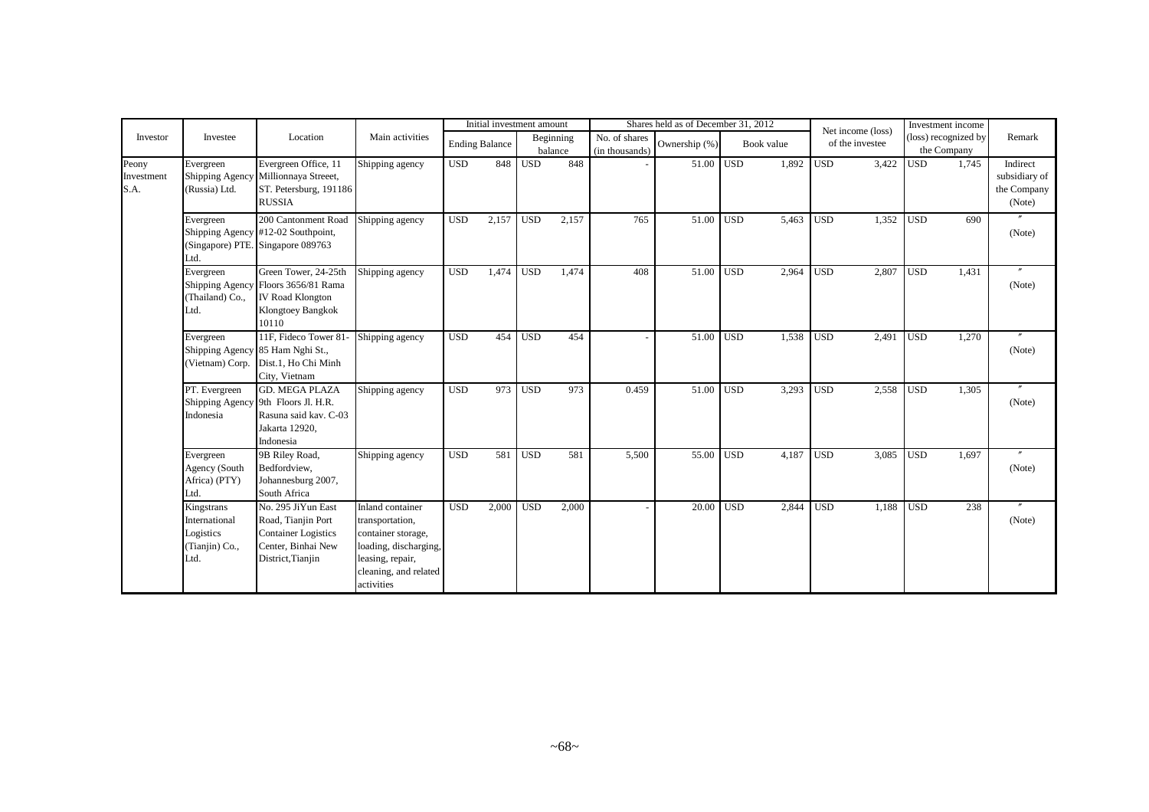|                             |                                                                    |                                                                                                                      |                                                                                                                                               |            | Initial investment amount |                  |                      |                                 | Shares held as of December 31, 2012 |                  |            |                  | Net income (loss) |                  | Investment income                   |                                                    |
|-----------------------------|--------------------------------------------------------------------|----------------------------------------------------------------------------------------------------------------------|-----------------------------------------------------------------------------------------------------------------------------------------------|------------|---------------------------|------------------|----------------------|---------------------------------|-------------------------------------|------------------|------------|------------------|-------------------|------------------|-------------------------------------|----------------------------------------------------|
| Investor                    | Investee                                                           | Location                                                                                                             | Main activities                                                                                                                               |            | <b>Ending Balance</b>     |                  | Beginning<br>balance | No. of shares<br>(in thousands) | Ownership (%)                       |                  | Book value |                  | of the investee   |                  | (loss) recognized by<br>the Company | Remark                                             |
| Peony<br>Investment<br>S.A. | Evergreen<br>Shipping Agency<br>(Russia) Ltd.                      | Evergreen Office, 11<br>Millionnaya Streeet,<br>ST. Petersburg, 191186<br><b>RUSSIA</b>                              | Shipping agency                                                                                                                               | <b>USD</b> | 848                       | <b>USD</b>       | 848                  |                                 | $51.00$ USD                         |                  | 1,892      | $\overline{USD}$ | 3,422             | <b>USD</b>       | 1,745                               | Indirect<br>subsidiary of<br>the Company<br>(Note) |
|                             | Evergreen<br>Ltd.                                                  | 200 Cantonment Road<br>Shipping Agency #12-02 Southpoint,<br>(Singapore) PTE. Singapore 089763                       | Shipping agency                                                                                                                               | <b>USD</b> | 2,157                     | <b>USD</b>       | 2,157                | 765                             | 51.00 USD                           |                  | 5,463      | <b>USD</b>       | 1,352             | <b>USD</b>       | 690                                 | (Note)                                             |
|                             | Evergreen<br>(Thailand) Co.,<br>Ltd.                               | Green Tower, 24-25th<br>Shipping Agency Floors 3656/81 Rama<br><b>IV Road Klongton</b><br>Klongtoey Bangkok<br>10110 | Shipping agency                                                                                                                               | <b>USD</b> | 1,474                     | <b>USD</b>       | 1,474                | 408                             | 51.00 USD                           |                  | 2,964      | <b>USD</b>       | 2,807             | <b>USD</b>       | 1,431                               | (Note)                                             |
|                             | Evergreen<br>(Vietnam) Corp.                                       | 11F. Fideco Tower 81<br>Shipping Agency 85 Ham Nghi St.,<br>Dist.1, Ho Chi Minh<br>City, Vietnam                     | Shipping agency                                                                                                                               | <b>USD</b> | 454                       | <b>USD</b>       | 454                  |                                 | 51.00                               | <b>USD</b>       | 1.538      | <b>USD</b>       | 2,491             | <b>USD</b>       | 1,270                               | (Note)                                             |
|                             | PT. Evergreen<br>Indonesia                                         | <b>GD. MEGA PLAZA</b><br>Shipping Agency 9th Floors Jl. H.R.<br>Rasuna said kav. C-03<br>Jakarta 12920,<br>Indonesia | Shipping agency                                                                                                                               | <b>USD</b> | 973                       | <b>USD</b>       | 973                  | 0.459                           | 51.00                               | <b>USD</b>       | 3,293      | <b>USD</b>       | 2,558             | <b>USD</b>       | 1.305                               | $^{\prime\prime}$<br>(Note)                        |
|                             | Evergreen<br>Agency (South<br>Africa) (PTY)<br>Ltd.                | 9B Riley Road,<br>Bedfordview,<br>Johannesburg 2007,<br>South Africa                                                 | Shipping agency                                                                                                                               | <b>USD</b> | 581                       | $\overline{USD}$ | 581                  | 5,500                           | 55.00                               | USD <sup>1</sup> | 4.187      | <b>USD</b>       | 3,085             | $\overline{USD}$ | 1.697                               | $^{\prime\prime}$<br>(Note)                        |
|                             | Kingstrans<br>International<br>Logistics<br>(Tianjin) Co.,<br>Ltd. | No. 295 JiYun East<br>Road, Tianjin Port<br><b>Container Logistics</b><br>Center, Binhai New<br>District, Tianjin    | Inland container<br>transportation,<br>container storage,<br>loading, discharging,<br>leasing, repair,<br>cleaning, and related<br>activities | <b>USD</b> | 2,000                     | <b>USD</b>       | 2,000                |                                 | 20.00                               | <b>USD</b>       | 2,844      | <b>USD</b>       | 1,188             | <b>USD</b>       | 238                                 | (Note)                                             |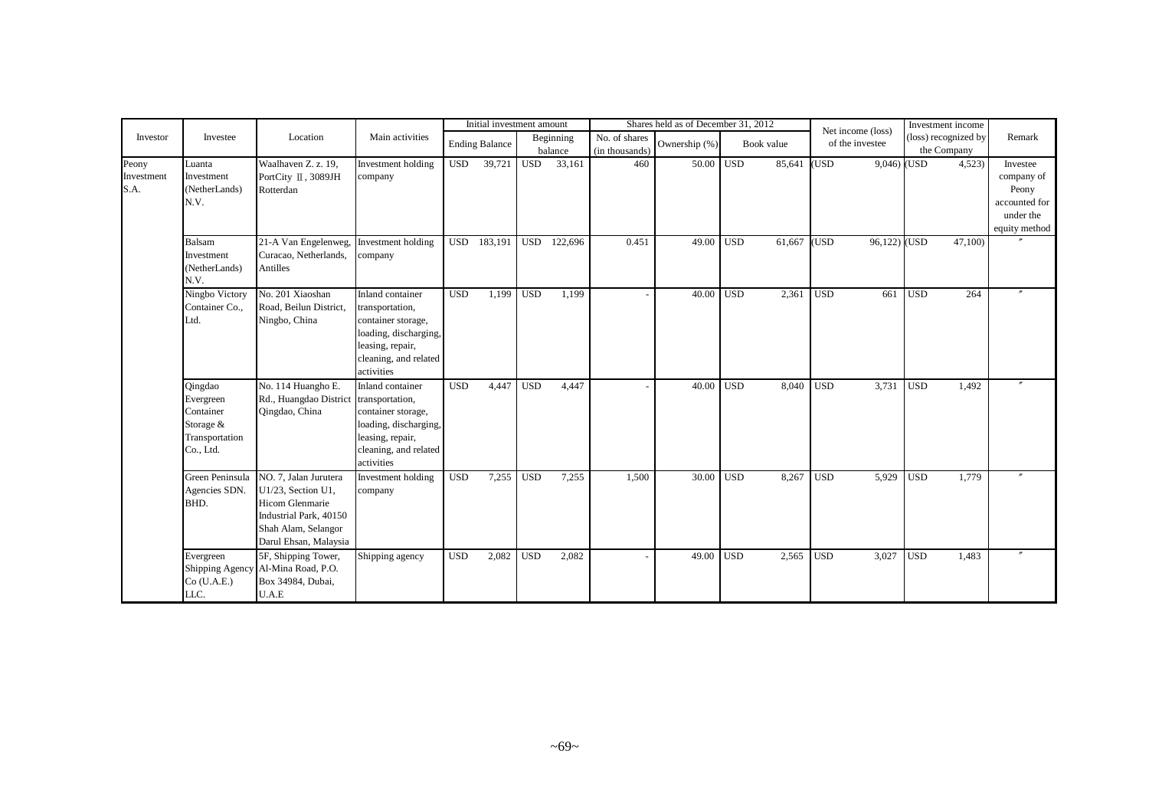|                             | Investee                                                                        | Location                                                                                                                                 | Main activities                                                                                                                               | Initial investment amount |                       |            |                      | Shares held as of December 31, 2012 |               |            |            | Net income (loss) |              | Investment income                   |        |                                                                                |
|-----------------------------|---------------------------------------------------------------------------------|------------------------------------------------------------------------------------------------------------------------------------------|-----------------------------------------------------------------------------------------------------------------------------------------------|---------------------------|-----------------------|------------|----------------------|-------------------------------------|---------------|------------|------------|-------------------|--------------|-------------------------------------|--------|--------------------------------------------------------------------------------|
| Investor                    |                                                                                 |                                                                                                                                          |                                                                                                                                               |                           | <b>Ending Balance</b> |            | Beginning<br>balance | No. of shares<br>(in thousands)     | Ownership (%) |            | Book value | of the investee   |              | (loss) recognized by<br>the Company |        | Remark                                                                         |
| Peony<br>Investment<br>S.A. | Luanta<br>Investment<br>(NetherLands)<br>N.V.                                   | Waalhaven Z. z. 19,<br>PortCity II, 3089JH<br>Rotterdan                                                                                  | Investment holding<br>company                                                                                                                 | <b>USD</b>                | 39,721                | <b>USD</b> | 33,161               | 460                                 | 50.00 USD     |            | 85,641     | (USD)             | 9,046) (USD  |                                     | 4,523  | Investee<br>company of<br>Peony<br>accounted for<br>under the<br>equity method |
|                             | Balsam<br>Investment<br>(NetherLands)<br>N.V.                                   | 21-A Van Engelenweg,<br>Curacao, Netherlands,<br>Antilles                                                                                | Investment holding<br>company                                                                                                                 |                           | USD 183,191           | <b>USD</b> | 122,696              | 0.451                               | 49.00         | <b>USD</b> | 61,667     | (USD)             | 96,122) (USD |                                     | 47,100 |                                                                                |
|                             | Ningbo Victory<br>Container Co.,<br>Ltd.                                        | No. 201 Xiaoshan<br>Road, Beilun District,<br>Ningbo, China                                                                              | Inland container<br>transportation,<br>container storage,<br>loading, discharging,<br>leasing, repair,<br>cleaning, and related<br>activities | <b>USD</b>                | 1,199                 | <b>USD</b> | 1,199                |                                     | 40.00         | <b>USD</b> | 2,361      | <b>USD</b>        | 661          | <b>USD</b>                          | 264    |                                                                                |
|                             | Qingdao<br>Evergreen<br>Container<br>Storage $&$<br>Transportation<br>Co., Ltd. | No. 114 Huangho E.<br>Rd., Huangdao District<br>Qingdao, China                                                                           | Inland container<br>transportation,<br>container storage,<br>loading, discharging,<br>leasing, repair,<br>cleaning, and related<br>activities | <b>USD</b>                | 4,447                 | <b>USD</b> | 4,447                |                                     | 40.00         | <b>USD</b> | 8,040      | <b>USD</b>        | 3,731        | <b>USD</b>                          | 1,492  |                                                                                |
|                             | Green Peninsula<br>Agencies SDN.<br>BHD.                                        | NO. 7, Jalan Jurutera<br>U1/23, Section U1,<br>Hicom Glenmarie<br>Industrial Park, 40150<br>Shah Alam, Selangor<br>Darul Ehsan, Malaysia | Investment holding<br>company                                                                                                                 | <b>USD</b>                | 7,255                 | <b>USD</b> | 7,255                | 1,500                               | 30.00         | <b>USD</b> | 8,267      | <b>USD</b>        | 5,929        | <b>USD</b>                          | 1,779  |                                                                                |
|                             | Evergreen<br>$Co$ (U.A.E.)<br>LLC.                                              | 5F, Shipping Tower,<br>Shipping Agency Al-Mina Road, P.O.<br>Box 34984, Dubai,<br>U.A.E                                                  | Shipping agency                                                                                                                               | <b>USD</b>                | 2,082                 | <b>USD</b> | 2,082                |                                     | 49.00         | <b>USD</b> | 2,565      | <b>USD</b>        | 3,027        | <b>USD</b>                          | 1,483  |                                                                                |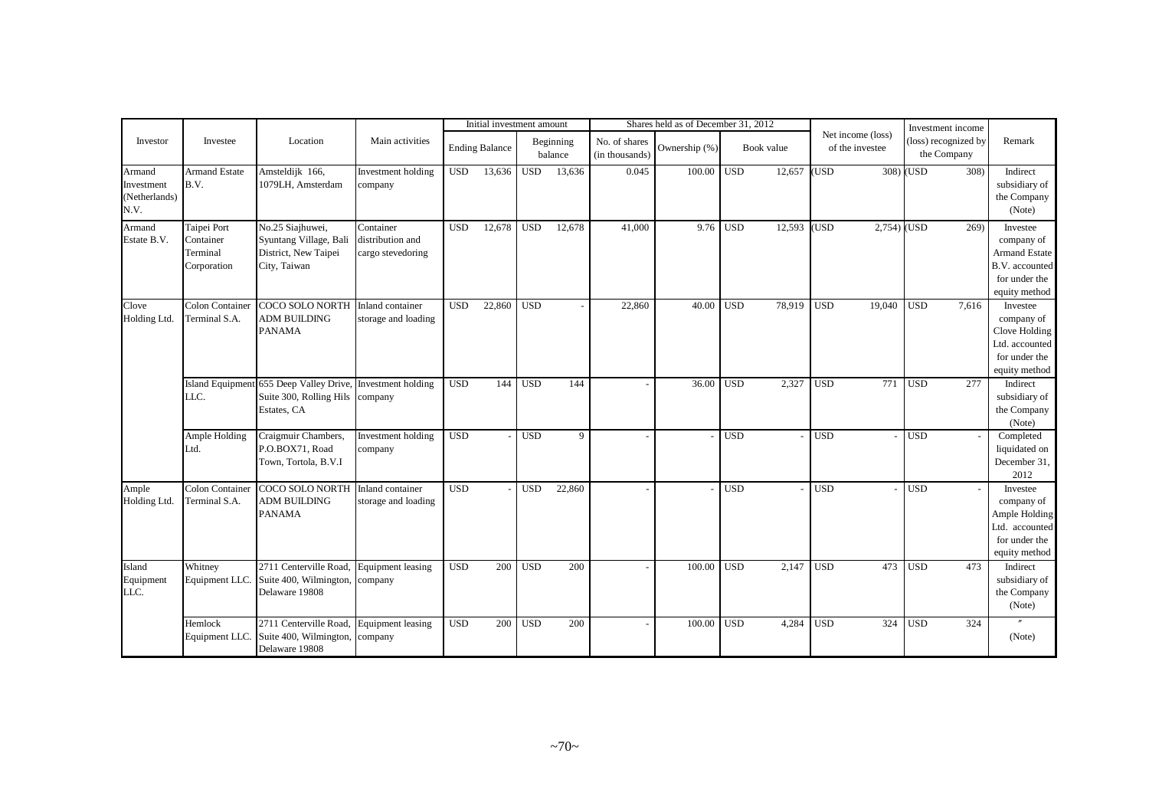|                                               | Investee                                            | Location                                                                                                     | Main activities                                    | Initial investment amount |                       |            |                      | Shares held as of December 31, 2012 |               |                  | Investment income |                                      |               |                                     |       |                                                                                                    |
|-----------------------------------------------|-----------------------------------------------------|--------------------------------------------------------------------------------------------------------------|----------------------------------------------------|---------------------------|-----------------------|------------|----------------------|-------------------------------------|---------------|------------------|-------------------|--------------------------------------|---------------|-------------------------------------|-------|----------------------------------------------------------------------------------------------------|
| Investor                                      |                                                     |                                                                                                              |                                                    |                           | <b>Ending Balance</b> |            | Beginning<br>balance | No. of shares<br>(in thousands)     | Ownership (%) |                  | Book value        | Net income (loss)<br>of the investee |               | (loss) recognized by<br>the Company |       | Remark                                                                                             |
| Armand<br>Investment<br>(Netherlands)<br>N.V. | <b>Armand Estate</b><br>B.V.                        | Amsteldijk 166,<br>1079LH, Amsterdam                                                                         | Investment holding<br>company                      | <b>USD</b>                | 13,636                | <b>USD</b> | 13.636               | 0.045                               | 100.00        | $\overline{USD}$ | 12,657            | (USD)                                |               | 308) (USD                           | 308)  | Indirect<br>subsidiary of<br>the Company<br>(Note)                                                 |
| Armand<br>Estate B.V.                         | Taipei Port<br>Container<br>Terminal<br>Corporation | No.25 Siajhuwei,<br>Syuntang Village, Bali<br>District, New Taipei<br>City, Taiwan                           | Container<br>distribution and<br>cargo stevedoring | <b>USD</b>                | 12,678                | <b>USD</b> | 12,678               | 41,000                              | 9.76          | <b>USD</b>       | 12,593            | (USD                                 | $2,754)$ (USD |                                     | 269)  | Investee<br>company of<br><b>Armand Estate</b><br>B.V. accounted<br>for under the<br>equity method |
| Clove<br>Holding Ltd.                         | <b>Colon Container</b><br>Terminal S.A.             | COCO SOLO NORTH<br><b>ADM BUILDING</b><br><b>PANAMA</b>                                                      | Inland container<br>storage and loading            | <b>USD</b>                | 22,860                | <b>USD</b> |                      | 22,860                              | 40.00         | <b>USD</b>       | 78,919            | <b>USD</b>                           | 19,040        | <b>USD</b>                          | 7,616 | Investee<br>company of<br>Clove Holding<br>Ltd. accounted<br>for under the<br>equity method        |
|                                               | LLC.                                                | Island Equipment 655 Deep Valley Drive, Investment holding<br>Suite 300, Rolling Hils company<br>Estates, CA |                                                    | <b>USD</b>                | 144                   | <b>USD</b> | 144                  |                                     | 36.00         | <b>USD</b>       | 2,327             | <b>USD</b>                           | 771           | <b>USD</b>                          | 277   | Indirect<br>subsidiary of<br>the Company<br>(Note)                                                 |
|                                               | Ample Holding<br>Ltd.                               | Craigmuir Chambers,<br>P.O.BOX71, Road<br>Town, Tortola, B.V.I                                               | Investment holding<br>company                      | <b>USD</b>                |                       | <b>USD</b> | 9                    |                                     |               | $\overline{USD}$ |                   | <b>USD</b>                           |               | $\overline{USD}$                    |       | Completed<br>liquidated on<br>December 31,<br>2012                                                 |
| Ample<br>Holding Ltd.                         | <b>Colon Container</b><br>Terminal S.A.             | <b>COCO SOLO NORTH</b><br><b>ADM BUILDING</b><br><b>PANAMA</b>                                               | Inland container<br>storage and loading            | USD <sub></sub>           |                       | <b>USD</b> | 22,860               |                                     |               | <b>USD</b>       |                   | <b>USD</b>                           |               | <b>USD</b>                          |       | Investee<br>company of<br>Ample Holding<br>Ltd. accounted<br>for under the<br>equity method        |
| Island<br>Equipment<br>LLC.                   | Whitney<br>Equipment LLC                            | 2711 Centerville Road.<br>Suite 400, Wilmington,<br>Delaware 19808                                           | Equipment leasing<br>company                       | <b>USD</b>                | 200                   | <b>USD</b> | 200                  |                                     | 100.00        | <b>USD</b>       | 2,147             | <b>USD</b>                           | 473           | <b>USD</b>                          | 473   | Indirect<br>subsidiary of<br>the Company<br>(Note)                                                 |
|                                               | Hemlock<br>Equipment LLC                            | 2711 Centerville Road<br>Suite 400, Wilmington,<br>Delaware 19808                                            | <b>Equipment</b> leasing<br>company                | <b>USD</b>                | 200                   | <b>USD</b> | 200                  |                                     | 100.00        | <b>USD</b>       | 4,284             | <b>USD</b>                           | 324           | <b>USD</b>                          | 324   | (Note)                                                                                             |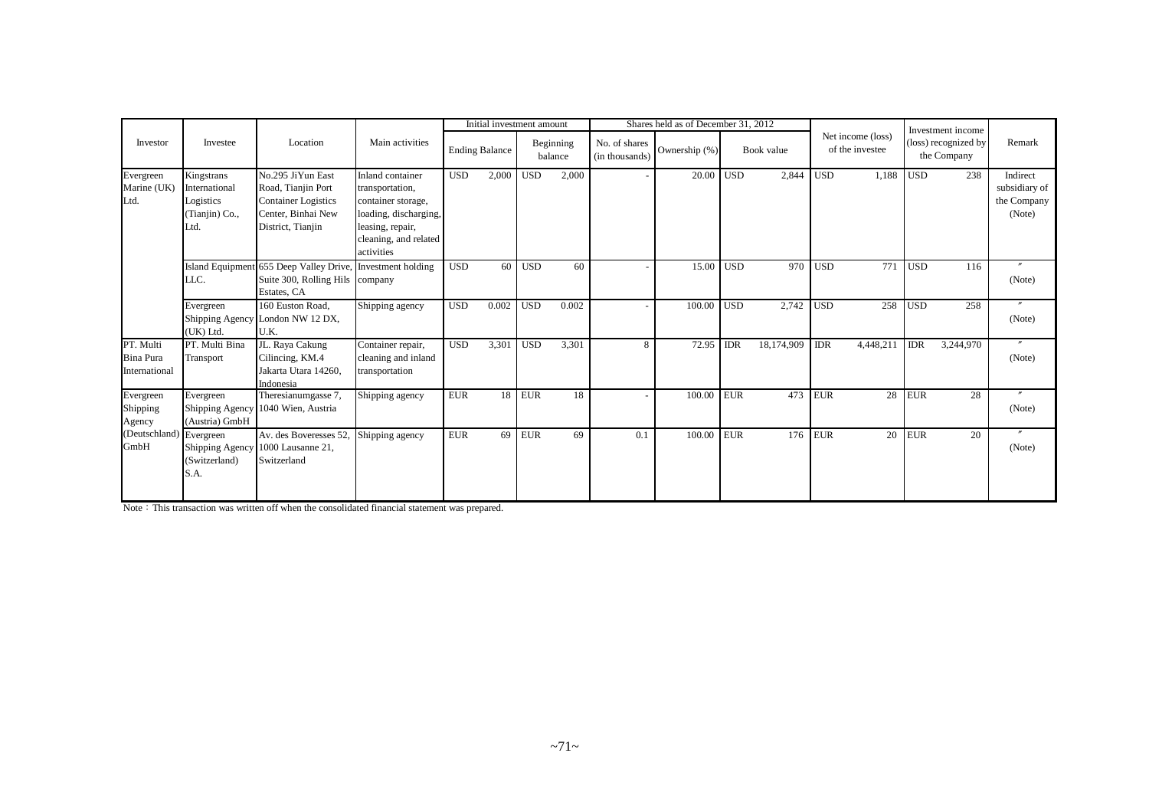|                                         | Investee                                                           | Location                                                                                                         | Main activities                                                                                                                               | Initial investment amount |                       |            |                      |                                 | Shares held as of December 31, 2012 |                  |            |             | Investment income                    |            |                                     |                                                    |
|-----------------------------------------|--------------------------------------------------------------------|------------------------------------------------------------------------------------------------------------------|-----------------------------------------------------------------------------------------------------------------------------------------------|---------------------------|-----------------------|------------|----------------------|---------------------------------|-------------------------------------|------------------|------------|-------------|--------------------------------------|------------|-------------------------------------|----------------------------------------------------|
| Investor                                |                                                                    |                                                                                                                  |                                                                                                                                               |                           | <b>Ending Balance</b> |            | Beginning<br>balance | No. of shares<br>(in thousands) | Ownership (%)                       |                  | Book value |             | Net income (loss)<br>of the investee |            | (loss) recognized by<br>the Company | Remark                                             |
| Evergreen<br>Marine (UK)<br>Ltd.        | Kingstrans<br>International<br>Logistics<br>(Tianjin) Co.,<br>Ltd. | No.295 JiYun East<br>Road, Tianjin Port<br><b>Container Logistics</b><br>Center, Binhai New<br>District, Tianjin | Inland container<br>transportation,<br>container storage,<br>loading, discharging,<br>leasing, repair,<br>cleaning, and related<br>activities | <b>USD</b>                | 2,000                 | <b>USD</b> | 2,000                |                                 | 20.00                               | USD <sup>1</sup> | 2,844      | <b>USD</b>  | 1,188                                | <b>USD</b> | 238                                 | Indirect<br>subsidiary of<br>the Company<br>(Note) |
|                                         | LLC.                                                               | Island Equipment 655 Deep Valley Drive,<br>Suite 300, Rolling Hils company<br>Estates, CA                        | Investment holding                                                                                                                            | <b>USD</b>                | 60                    | <b>USD</b> | 60                   |                                 | 15.00                               | <b>USD</b>       | 970        | <b>USD</b>  | 771                                  | <b>USD</b> | 116                                 | (Note)                                             |
|                                         | Evergreen<br>(UK) Ltd.                                             | 160 Euston Road,<br>Shipping Agency London NW 12 DX,<br>U.K.                                                     | Shipping agency                                                                                                                               | <b>USD</b>                | 0.002                 | <b>USD</b> | 0.002                |                                 | 100.00                              | <b>USD</b>       | 2,742      | <b>USD</b>  |                                      | 258 USD    | 258                                 | $^{\prime\prime}$<br>(Note)                        |
| PT. Multi<br>Bina Pura<br>International | PT. Multi Bina<br>Transport                                        | JL. Raya Cakung<br>Cilincing, KM.4<br>Jakarta Utara 14260,<br>Indonesia                                          | Container repair,<br>cleaning and inland<br>transportation                                                                                    | <b>USD</b>                | 3,301                 | <b>USD</b> | 3,301                | 8                               | 72.95                               | <b>IDR</b>       | 18,174,909 | <b>IDR</b>  | 4,448,211                            | <b>IDR</b> | 3,244,970                           | $^{\prime\prime}$<br>(Note)                        |
| Evergreen<br>Shipping<br>Agency         | Evergreen<br>(Austria) GmbH                                        | Theresianumgasse 7,<br>Shipping Agency 1040 Wien, Austria                                                        | Shipping agency                                                                                                                               | <b>EUR</b>                | 18                    | <b>EUR</b> | 18                   |                                 | 100.00                              | <b>EUR</b>       | 473        | ${\rm EUR}$ | 28                                   | <b>EUR</b> | 28                                  | $^{\prime\prime}$<br>(Note)                        |
| (Deutschland) Evergreen<br>GmbH         | (Switzerland)<br>S.A.                                              | Av. des Boveresses 52.<br>Shipping Agency 1000 Lausanne 21,<br>Switzerland                                       | Shipping agency                                                                                                                               | <b>EUR</b>                | 69                    | <b>EUR</b> | 69                   | 0.1                             | 100.00                              | <b>EUR</b>       | 176        | <b>EUR</b>  | 20 l                                 | <b>EUR</b> | 20                                  | $^{\prime\prime}$<br>(Note)                        |

Note: This transaction was written off when the consolidated financial statement was prepared.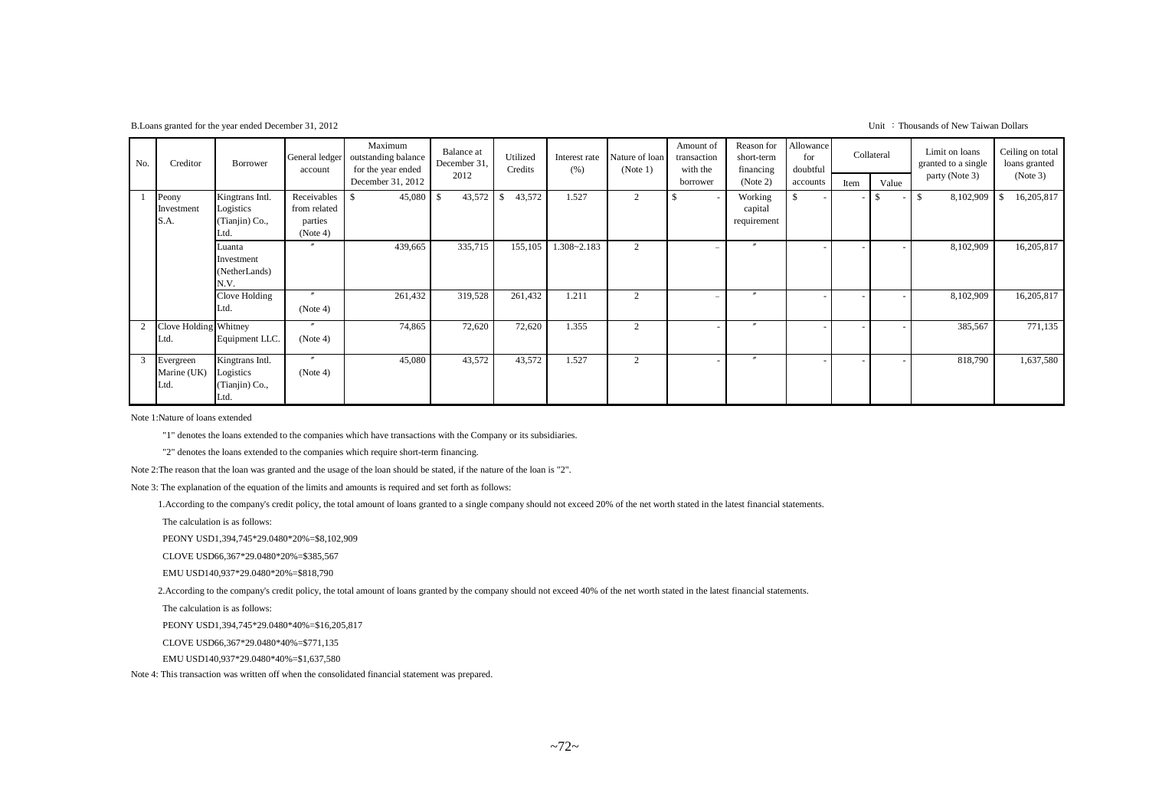B.Loans granted for the year ended December 31, 2012 Unit : Thousands of New Taiwan Dollars

| No. | Creditor                            | Borrower                                               | General ledger<br>account                          | Maximum<br>outstanding balance<br>for the year ended | Balance at<br>December 31,<br>2012 | Utilized<br>Credits     | Interest rate<br>(% ) | Nature of loan<br>(Note 1) | Amount of<br>transaction<br>with the | Reason for<br>short-term<br>financing | Allowance<br>for<br>doubtful |      | Collateral | Limit on loans<br>granted to a single<br>party (Note 3) | Ceiling on total<br>loans granted<br>(Note 3) |
|-----|-------------------------------------|--------------------------------------------------------|----------------------------------------------------|------------------------------------------------------|------------------------------------|-------------------------|-----------------------|----------------------------|--------------------------------------|---------------------------------------|------------------------------|------|------------|---------------------------------------------------------|-----------------------------------------------|
|     |                                     |                                                        |                                                    | December 31, 2012                                    |                                    |                         |                       |                            | borrower                             | (Note 2)                              | accounts                     | Item | Value      |                                                         |                                               |
|     | Peony<br>Investment<br>S.A.         | Kingtrans Intl.<br>Logistics<br>(Tianjin) Co.,<br>.td. | Receivables<br>from related<br>parties<br>(Note 4) | 45,080                                               | 43,572<br>- \$                     | 43,572<br><sup>\$</sup> | 1.527                 | 2                          |                                      | Working<br>capital<br>requirement     | $\mathbb{S}$                 |      |            | 8,102,909<br>$\mathcal{S}$                              | 16,205,817                                    |
|     |                                     | Luanta<br>Investment<br>(NetherLands)<br>N.V.          |                                                    | 439,665                                              | 335,715                            | 155,105                 | $1.308 - 2.183$       | 2                          |                                      |                                       |                              |      |            | 8,102,909                                               | 16,205,817                                    |
|     |                                     | Clove Holding<br>Ltd.                                  | $^{\prime\prime}$<br>(Note 4)                      | 261,432                                              | 319,528                            | 261,432                 | 1.211                 | 2                          |                                      |                                       |                              |      |            | 8,102,909                                               | 16,205,817                                    |
|     | <b>Tove Holding Whitney</b><br>Ltd. | Equipment LLC.                                         | $^{\prime\prime}$<br>(Note 4)                      | 74,865                                               | 72,620                             | 72,620                  | 1.355                 | 2                          |                                      | $\boldsymbol{''}$                     |                              |      |            | 385,567                                                 | 771,135                                       |
| 3   | Evergreen<br>Marine (UK)<br>Ltd.    | Kingtrans Intl.<br>Logistics<br>(Tianjin) Co.,<br>Ltd. | $^{\prime\prime}$<br>(Note 4)                      | 45,080                                               | 43,572                             | 43,572                  | 1.527                 | $\overline{2}$             |                                      |                                       |                              |      |            | 818,790                                                 | 1,637,580                                     |

Note 1:Nature of loans extended

"1" denotes the loans extended to the companies which have transactions with the Company or its subsidiaries.

"2" denotes the loans extended to the companies which require short-term financing.

Note 2:The reason that the loan was granted and the usage of the loan should be stated, if the nature of the loan is "2".

Note 3: The explanation of the equation of the limits and amounts is required and set forth as follows:

1.According to the company's credit policy, the total amount of loans granted to a single company should not exceed 20% of the net worth stated in the latest financial statements.

The calculation is as follows:

PEONY USD1,394,745\*29.0480\*20%=\$8,102,909

CLOVE USD66,367\*29.0480\*20%=\$385,567

EMU USD140,937\*29.0480\*20%=\$818,790

2.According to the company's credit policy, the total amount of loans granted by the company should not exceed 40% of the net worth stated in the latest financial statements.

The calculation is as follows:

PEONY USD1,394,745\*29.0480\*40%=\$16,205,817

CLOVE USD66,367\*29.0480\*40%=\$771,135

EMU USD140,937\*29.0480\*40%=\$1,637,580

Note 4: This transaction was written off when the consolidated financial statement was prepared.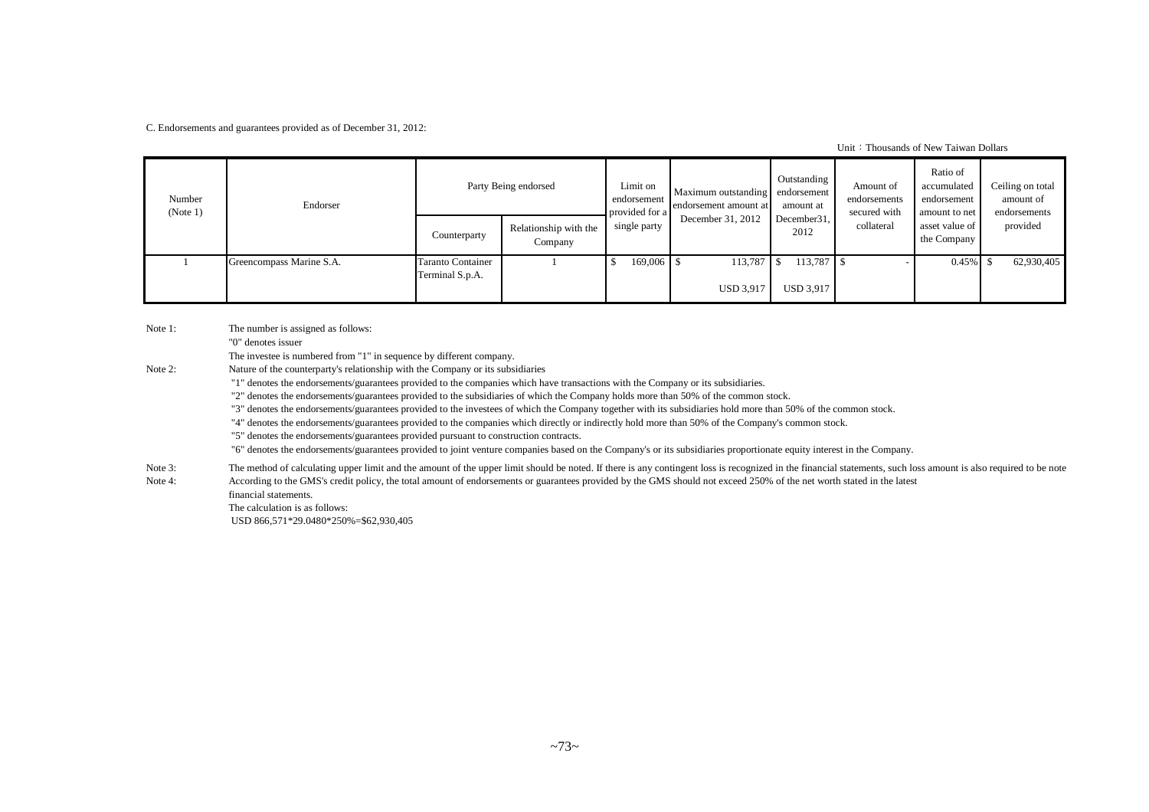C. Endorsements and guarantees provided as of December 31, 2012:

Unit: Thousands of New Taiwan Dollars

| Number<br>(Note 1) | Endorser                 |                                      | Party Being endorsed             | Limit on<br>endorsement<br>provided for a | Maximum outstanding endorsement<br>endorsement amount at | Outstanding<br>amount at | Amount of<br>endorsements<br>secured with | Ratio of<br>accumulated<br>endorsement<br>amount to net | Ceiling on total<br>amount of<br>endorsements |
|--------------------|--------------------------|--------------------------------------|----------------------------------|-------------------------------------------|----------------------------------------------------------|--------------------------|-------------------------------------------|---------------------------------------------------------|-----------------------------------------------|
|                    |                          | Counterparty                         | Relationship with the<br>Company | single party                              | December 31, 2012                                        | December 31,<br>2012     | collateral                                | asset value of<br>the Company                           | provided                                      |
|                    | Greencompass Marine S.A. | Taranto Container<br>Terminal S.p.A. |                                  | 169,006 \$                                | $113,787$ \$                                             | $113,787$ \$             |                                           | $0.45\%$ \$                                             | 62,930,405                                    |
|                    |                          |                                      |                                  |                                           | <b>USD 3,917</b>                                         | <b>USD 3,917</b>         |                                           |                                                         |                                               |

Note 1: The number is assigned as follows:

"0" denotes issuer

The investee is numbered from "1" in sequence by different company.

Note 2: Nature of the counterparty's relationship with the Company or its subsidiaries

"1" denotes the endorsements/guarantees provided to the companies which have transactions with the Company or its subsidiaries.

"2" denotes the endorsements/guarantees provided to the subsidiaries of which the Company holds more than 50% of the common stock.

"3" denotes the endorsements/guarantees provided to the investees of which the Company together with its subsidiaries hold more than 50% of the common stock.

"4" denotes the endorsements/guarantees provided to the companies which directly or indirectly hold more than 50% of the Company's common stock.

"5" denotes the endorsements/guarantees provided pursuant to construction contracts.

"6" denotes the endorsements/guarantees provided to joint venture companies based on the Company's or its subsidiaries proportionate equity interest in the Company.

Note 3: The method of calculating upper limit and the amount of the upper limit should be noted. If there is any contingent loss is recognized in the financial statements, such loss amount is also required to be note Note 4: According to the GMS's credit policy, the total amount of endorsements or guarantees provided by the GMS should not exceed 250% of the net worth stated in the latest

financial statements. The calculation is as follows:

USD 866,571\*29.0480\*250%=\$62,930,405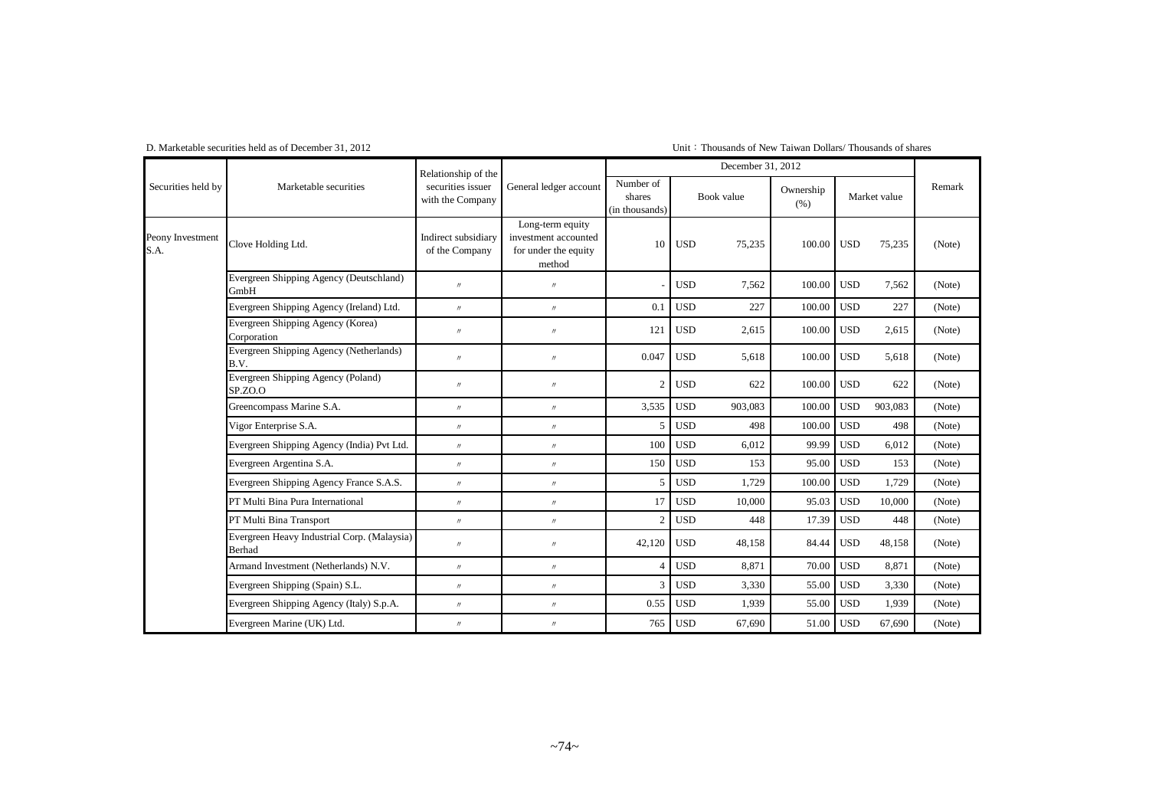### Unit: Thousands of New Taiwan Dollars/ Thousands of shares

| Securities held by       |                                                       | Relationship of the                   |                                                                            |                                       |            | December 31, 2012 |                   |            |              |        |
|--------------------------|-------------------------------------------------------|---------------------------------------|----------------------------------------------------------------------------|---------------------------------------|------------|-------------------|-------------------|------------|--------------|--------|
|                          | Marketable securities                                 | securities issuer<br>with the Company | General ledger account                                                     | Number of<br>shares<br>(in thousands) | Book value |                   | Ownership<br>(% ) |            | Market value | Remark |
| Peony Investment<br>S.A. | Clove Holding Ltd.                                    | Indirect subsidiary<br>of the Company | Long-term equity<br>investment accounted<br>for under the equity<br>method | 10                                    | <b>USD</b> | 75,235            | 100.00            | <b>USD</b> | 75,235       | (Note) |
|                          | Evergreen Shipping Agency (Deutschland)<br>GmbH       | $\prime$                              | $^{\prime\prime}$                                                          |                                       | <b>USD</b> | 7,562             | 100.00            | <b>USD</b> | 7,562        | (Note) |
|                          | Evergreen Shipping Agency (Ireland) Ltd.              | $^{\prime\prime}$                     | $^{\prime\prime}$                                                          | 0.1                                   | <b>USD</b> | 227               | 100.00            | <b>USD</b> | 227          | (Note) |
|                          | Evergreen Shipping Agency (Korea)<br>Corporation      | $^{\prime\prime}$                     | $^{\prime\prime}$                                                          | 121                                   | <b>USD</b> | 2,615             | 100.00            | <b>USD</b> | 2,615        | (Note) |
|                          | Evergreen Shipping Agency (Netherlands)<br>B.V.       | $\prime$                              | $^{\prime\prime}$                                                          | 0.047                                 | <b>USD</b> | 5,618             | 100.00            | <b>USD</b> | 5,618        | (Note) |
|                          | Evergreen Shipping Agency (Poland)<br>SP.ZO.O         | $\prime\prime$                        | $^{\prime\prime}$                                                          | $\overline{2}$                        | <b>USD</b> | 622               | 100.00            | <b>USD</b> | 622          | (Note) |
|                          | Greencompass Marine S.A.                              | $^{\prime\prime}$                     | $^{\prime\prime}$                                                          | 3,535                                 | <b>USD</b> | 903,083           | 100.00            | <b>USD</b> | 903,083      | (Note) |
|                          | Vigor Enterprise S.A.                                 | $^{\prime\prime}$                     | $^{\prime\prime}$                                                          | 5                                     | <b>USD</b> | 498               | 100.00            | <b>USD</b> | 498          | (Note) |
|                          | Evergreen Shipping Agency (India) Pvt Ltd.            | $^{\prime\prime}$                     | $^{\prime\prime}$                                                          | 100                                   | <b>USD</b> | 6,012             | 99.99             | <b>USD</b> | 6,012        | (Note) |
|                          | Evergreen Argentina S.A.                              | $^{\prime\prime}$                     | $\prime\prime$                                                             | 150                                   | <b>USD</b> | 153               | 95.00             | <b>USD</b> | 153          | (Note) |
|                          | Evergreen Shipping Agency France S.A.S.               | $\prime$                              | $^{\prime\prime}$                                                          | 5                                     | <b>USD</b> | 1,729             | 100.00            | <b>USD</b> | 1.729        | (Note) |
|                          | PT Multi Bina Pura International                      | $^{\prime\prime}$                     | $^{\prime\prime}$                                                          | 17                                    | <b>USD</b> | 10.000            | 95.03             | <b>USD</b> | 10.000       | (Note) |
|                          | PT Multi Bina Transport                               | $\prime$                              | $^{\prime\prime}$                                                          | $\overline{2}$                        | <b>USD</b> | 448               | 17.39             | <b>USD</b> | 448          | (Note) |
|                          | Evergreen Heavy Industrial Corp. (Malaysia)<br>Berhad | $^{\prime\prime}$                     | $^{\prime\prime}$                                                          | 42,120                                | <b>USD</b> | 48,158            | 84.44             | <b>USD</b> | 48,158       | (Note) |
|                          | Armand Investment (Netherlands) N.V.                  | $^{\prime\prime}$                     | $^{\prime\prime}$                                                          | $\overline{4}$                        | <b>USD</b> | 8,871             | 70.00             | <b>USD</b> | 8,871        | (Note) |
|                          | Evergreen Shipping (Spain) S.L.                       | $^{\prime\prime}$                     | $^{\prime\prime}$                                                          | 3                                     | <b>USD</b> | 3,330             | 55.00             | <b>USD</b> | 3,330        | (Note) |
|                          | Evergreen Shipping Agency (Italy) S.p.A.              | $^{\prime\prime}$                     | $\prime\prime$                                                             | 0.55                                  | <b>USD</b> | 1,939             | 55.00             | <b>USD</b> | 1.939        | (Note) |
|                          | Evergreen Marine (UK) Ltd.                            | $^{\prime\prime}$                     | $\prime\prime$                                                             | 765                                   | <b>USD</b> | 67,690            | 51.00             | <b>USD</b> | 67,690       | (Note) |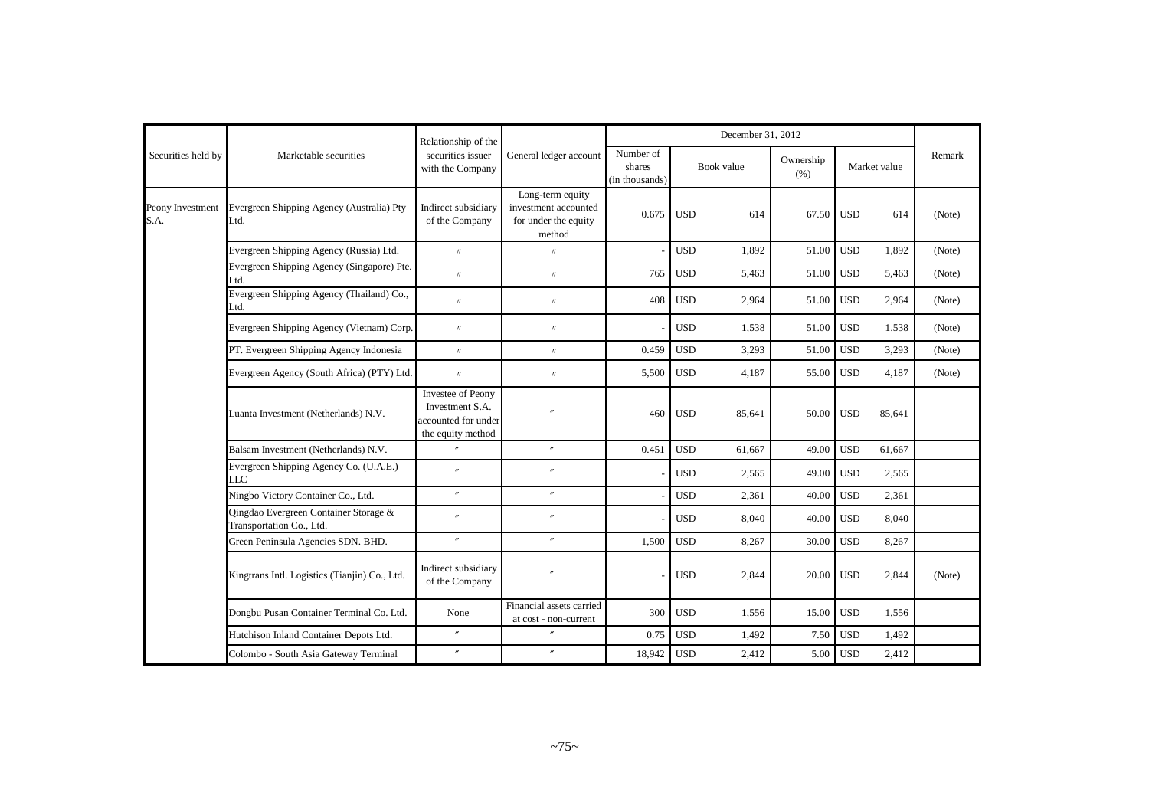|                          |                                                                   | Relationship of the                                                              |                                                                            |                                       |            | December 31, 2012 |                   |            |              |        |
|--------------------------|-------------------------------------------------------------------|----------------------------------------------------------------------------------|----------------------------------------------------------------------------|---------------------------------------|------------|-------------------|-------------------|------------|--------------|--------|
| Securities held by       | Marketable securities                                             | securities issuer<br>with the Company                                            | General ledger account                                                     | Number of<br>shares<br>(in thousands) | Book value |                   | Ownership<br>(% ) |            | Market value | Remark |
| Peony Investment<br>S.A. | Evergreen Shipping Agency (Australia) Pty<br>Ltd.                 | Indirect subsidiary<br>of the Company                                            | Long-term equity<br>investment accounted<br>for under the equity<br>method | 0.675                                 | <b>USD</b> | 614               | 67.50             | <b>USD</b> | 614          | (Note) |
|                          | Evergreen Shipping Agency (Russia) Ltd.                           | $^{\prime\prime}$                                                                | $^{\prime\prime}$                                                          |                                       | <b>USD</b> | 1,892             | 51.00             | <b>USD</b> | 1,892        | (Note) |
|                          | Evergreen Shipping Agency (Singapore) Pte.<br>Ltd.                | $^{\prime\prime}$                                                                | $^{\prime\prime}$                                                          | 765                                   | <b>USD</b> | 5,463             | 51.00             | <b>USD</b> | 5,463        | (Note) |
|                          | Evergreen Shipping Agency (Thailand) Co.,<br>Ltd.                 | $^{\prime\prime}$                                                                | $^{\prime\prime}$                                                          | 408                                   | <b>USD</b> | 2,964             | 51.00             | <b>USD</b> | 2,964        | (Note) |
|                          | Evergreen Shipping Agency (Vietnam) Corp.                         | $^{\prime\prime}$                                                                | $^{\prime\prime}$                                                          |                                       | <b>USD</b> | 1,538             | 51.00             | <b>USD</b> | 1,538        | (Note) |
|                          | PT. Evergreen Shipping Agency Indonesia                           | $^{\prime\prime}$                                                                | $^{\prime\prime}$                                                          | 0.459                                 | <b>USD</b> | 3.293             | 51.00             | <b>USD</b> | 3,293        | (Note) |
|                          | Evergreen Agency (South Africa) (PTY) Ltd.                        | $^{\prime\prime}$                                                                | $^{\prime\prime}$                                                          | 5,500                                 | <b>USD</b> | 4,187             | 55.00             | <b>USD</b> | 4,187        | (Note) |
|                          | Luanta Investment (Netherlands) N.V.                              | Investee of Peony<br>Investment S.A.<br>accounted for under<br>the equity method | $\overline{''}$                                                            | 460                                   | <b>USD</b> | 85,641            | 50.00             | <b>USD</b> | 85,641       |        |
|                          | Balsam Investment (Netherlands) N.V.                              |                                                                                  | $\prime\prime$                                                             | 0.451                                 | <b>USD</b> | 61,667            | 49.00             | <b>USD</b> | 61,667       |        |
|                          | Evergreen Shipping Agency Co. (U.A.E.)<br>LLC                     | $\overline{r}$                                                                   | $\overline{''}$                                                            |                                       | <b>USD</b> | 2,565             | 49.00             | <b>USD</b> | 2,565        |        |
|                          | Ningbo Victory Container Co., Ltd.                                | $\prime\prime$                                                                   | $^{\prime\prime}$                                                          |                                       | <b>USD</b> | 2,361             | 40.00             | <b>USD</b> | 2,361        |        |
|                          | Oingdao Evergreen Container Storage &<br>Transportation Co., Ltd. | $\overline{''}$                                                                  | $\prime\prime$                                                             |                                       | <b>USD</b> | 8,040             | 40.00             | <b>USD</b> | 8,040        |        |
|                          | Green Peninsula Agencies SDN. BHD.                                | $^{\prime\prime}$                                                                | $^{\prime\prime}$                                                          | 1,500                                 | <b>USD</b> | 8,267             | 30.00             | <b>USD</b> | 8,267        |        |
|                          | Kingtrans Intl. Logistics (Tianjin) Co., Ltd.                     | Indirect subsidiary<br>of the Company                                            |                                                                            |                                       | <b>USD</b> | 2,844             | 20.00             | <b>USD</b> | 2,844        | (Note) |
|                          | Dongbu Pusan Container Terminal Co. Ltd.                          | None                                                                             | Financial assets carried<br>at cost - non-current                          | 300                                   | <b>USD</b> | 1,556             | 15.00             | <b>USD</b> | 1,556        |        |
|                          | Hutchison Inland Container Depots Ltd.                            | $\prime\prime$                                                                   | $\overline{''}$                                                            | 0.75                                  | <b>USD</b> | 1.492             | 7.50              | <b>USD</b> | 1,492        |        |
|                          | Colombo - South Asia Gateway Terminal                             | $\prime$                                                                         | $\overline{v}$                                                             | 18,942                                | <b>USD</b> | 2,412             | 5.00              | <b>USD</b> | 2,412        |        |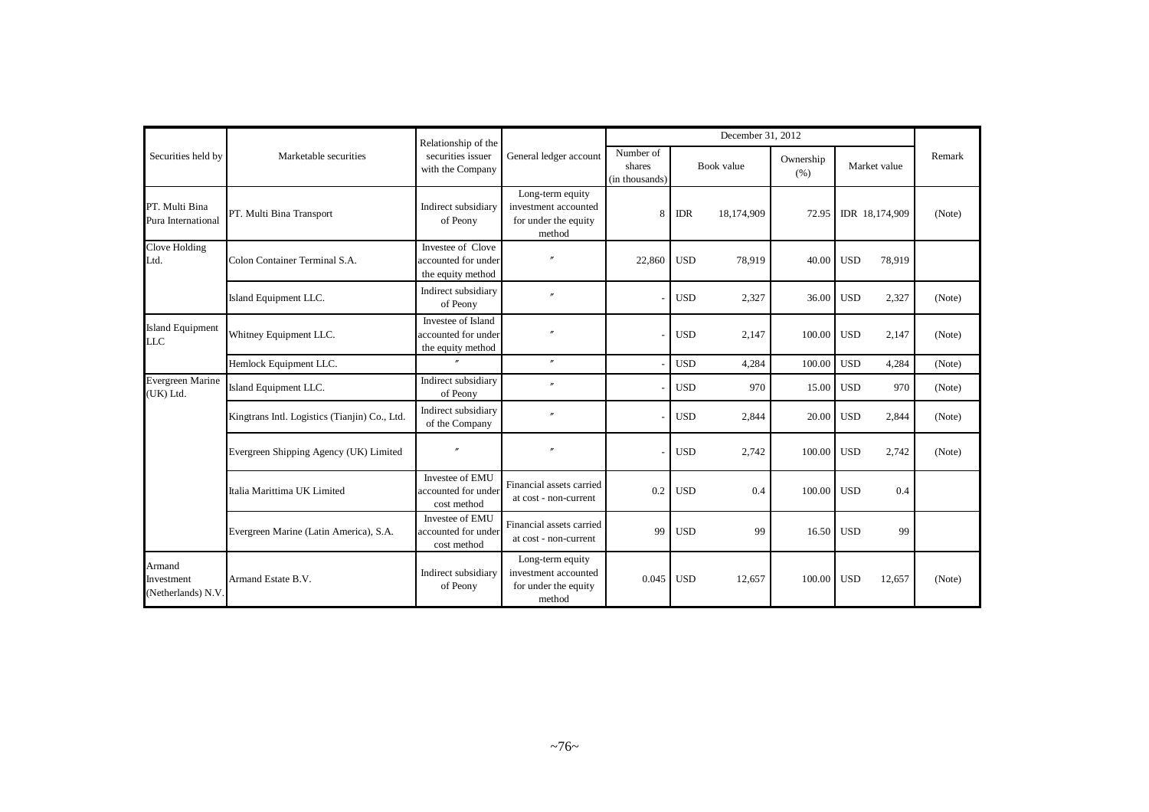| Securities held by                         |                                               | Relationship of the                                            |                                                                            |                                       |            | December 31, 2012 |                   |            |                |        |
|--------------------------------------------|-----------------------------------------------|----------------------------------------------------------------|----------------------------------------------------------------------------|---------------------------------------|------------|-------------------|-------------------|------------|----------------|--------|
|                                            | Marketable securities                         | securities issuer<br>with the Company                          | General ledger account                                                     | Number of<br>shares<br>(in thousands) |            | Book value        | Ownership<br>(96) |            | Market value   | Remark |
| PT. Multi Bina<br>Pura International       | PT. Multi Bina Transport                      | Indirect subsidiary<br>of Peony                                | Long-term equity<br>investment accounted<br>for under the equity<br>method | 8                                     | <b>IDR</b> | 18,174,909        | 72.95             |            | IDR 18,174,909 | (Note) |
| Clove Holding<br>Ltd.                      | Colon Container Terminal S.A.                 | Investee of Clove<br>accounted for under<br>the equity method  |                                                                            | 22,860                                | <b>USD</b> | 78,919            | 40.00             | <b>USD</b> | 78,919         |        |
|                                            | Island Equipment LLC.                         | Indirect subsidiary<br>of Peony                                | $\overline{v}$                                                             |                                       | <b>USD</b> | 2,327             | 36.00             | <b>USD</b> | 2,327          | (Note) |
| <b>Island Equipment</b><br><b>LLC</b>      | Whitney Equipment LLC.                        | Investee of Island<br>accounted for under<br>the equity method |                                                                            |                                       | <b>USD</b> | 2,147             | 100.00            | <b>USD</b> | 2,147          | (Note) |
|                                            | Hemlock Equipment LLC.                        | $\theta$                                                       | $^{\prime\prime}$                                                          |                                       | <b>USD</b> | 4,284             | 100.00            | <b>USD</b> | 4,284          | (Note) |
| Evergreen Marine<br>(UK) Ltd.              | Island Equipment LLC.                         | Indirect subsidiary<br>of Peony                                | $^{\prime\prime}$                                                          |                                       | <b>USD</b> | 970               | 15.00             | <b>USD</b> | 970            | (Note) |
|                                            | Kingtrans Intl. Logistics (Tianjin) Co., Ltd. | Indirect subsidiary<br>of the Company                          | $\overline{v}$                                                             |                                       | <b>USD</b> | 2,844             | 20.00             | <b>USD</b> | 2,844          | (Note) |
|                                            | Evergreen Shipping Agency (UK) Limited        | $\theta$                                                       | $\theta$                                                                   |                                       | <b>USD</b> | 2,742             | 100.00            | <b>USD</b> | 2,742          | (Note) |
|                                            | Italia Marittima UK Limited                   | Investee of EMU<br>accounted for under<br>cost method          | Financial assets carried<br>at cost - non-current                          | 0.2                                   | <b>USD</b> | 0.4               | 100.00            | <b>USD</b> | 0.4            |        |
|                                            | Evergreen Marine (Latin America), S.A.        | Investee of EMU<br>accounted for under<br>cost method          | Financial assets carried<br>at cost - non-current                          | 99                                    | <b>USD</b> | 99                | 16.50             | <b>USD</b> | 99             |        |
| Armand<br>Investment<br>(Netherlands) N.V. | Armand Estate B.V.                            | Indirect subsidiary<br>of Peony                                | Long-term equity<br>investment accounted<br>for under the equity<br>method | 0.045                                 | <b>USD</b> | 12,657            | 100.00            | <b>USD</b> | 12,657         | (Note) |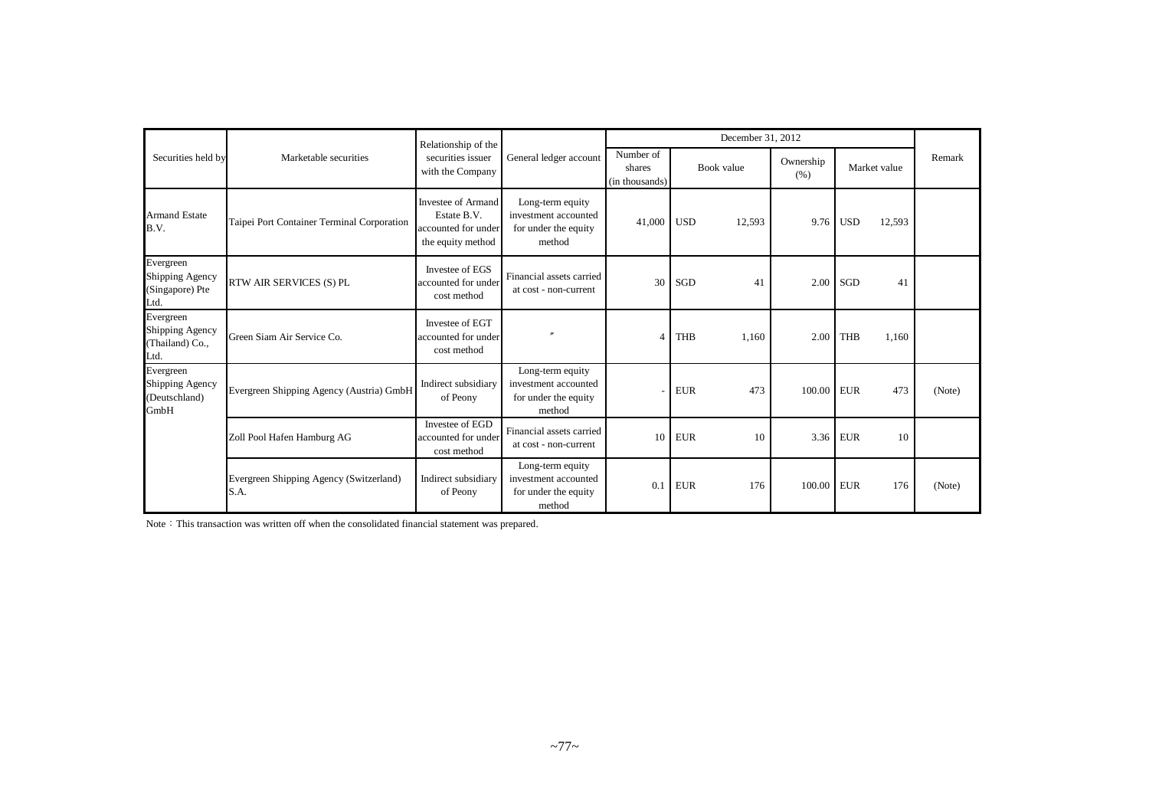|                                                               |                                                 | Relationship of the                                                           |                                                                            |                                       | December 31, 2012    |                   |                      |        |
|---------------------------------------------------------------|-------------------------------------------------|-------------------------------------------------------------------------------|----------------------------------------------------------------------------|---------------------------------------|----------------------|-------------------|----------------------|--------|
| Securities held by                                            | Marketable securities                           | securities issuer<br>with the Company                                         | General ledger account                                                     | Number of<br>shares<br>(in thousands) | Book value           | Ownership<br>(% ) | Market value         | Remark |
| <b>Armand Estate</b><br>B.V.                                  | Taipei Port Container Terminal Corporation      | Investee of Armand<br>Estate B.V.<br>accounted for under<br>the equity method | Long-term equity<br>investment accounted<br>for under the equity<br>method | 41,000                                | <b>USD</b><br>12,593 | 9.76              | <b>USD</b><br>12,593 |        |
| Evergreen<br>Shipping Agency<br>(Singapore) Pte               | RTW AIR SERVICES (S) PL                         | Investee of EGS<br>accounted for under<br>cost method                         | Financial assets carried<br>at cost - non-current                          | 30                                    | <b>SGD</b><br>41     | 2.00              | SGD<br>41            |        |
| Ltd.<br>Evergreen<br>Shipping Agency<br>(Thailand) Co.,       | Green Siam Air Service Co.                      | Investee of EGT<br>accounted for under<br>cost method                         |                                                                            | Δ                                     | <b>THB</b><br>1,160  | 2.00              | <b>THB</b><br>1,160  |        |
| Ltd.<br>Evergreen<br>Shipping Agency<br>(Deutschland)<br>GmbH | Evergreen Shipping Agency (Austria) GmbH        | Indirect subsidiary<br>of Peony                                               | Long-term equity<br>investment accounted<br>for under the equity<br>method |                                       | 473<br><b>EUR</b>    | 100.00            | 473<br><b>EUR</b>    | (Note) |
|                                                               | Zoll Pool Hafen Hamburg AG                      | Investee of EGD<br>accounted for under<br>cost method                         | Financial assets carried<br>at cost - non-current                          | 10                                    | <b>EUR</b><br>10     | 3.36              | <b>EUR</b><br>10     |        |
|                                                               | Evergreen Shipping Agency (Switzerland)<br>S.A. | Indirect subsidiary<br>of Peony                                               | Long-term equity<br>investment accounted<br>for under the equity<br>method | $\overline{0}$ .                      | <b>EUR</b><br>176    | 100.00            | 176<br><b>EUR</b>    | (Note) |

Note: This transaction was written off when the consolidated financial statement was prepared.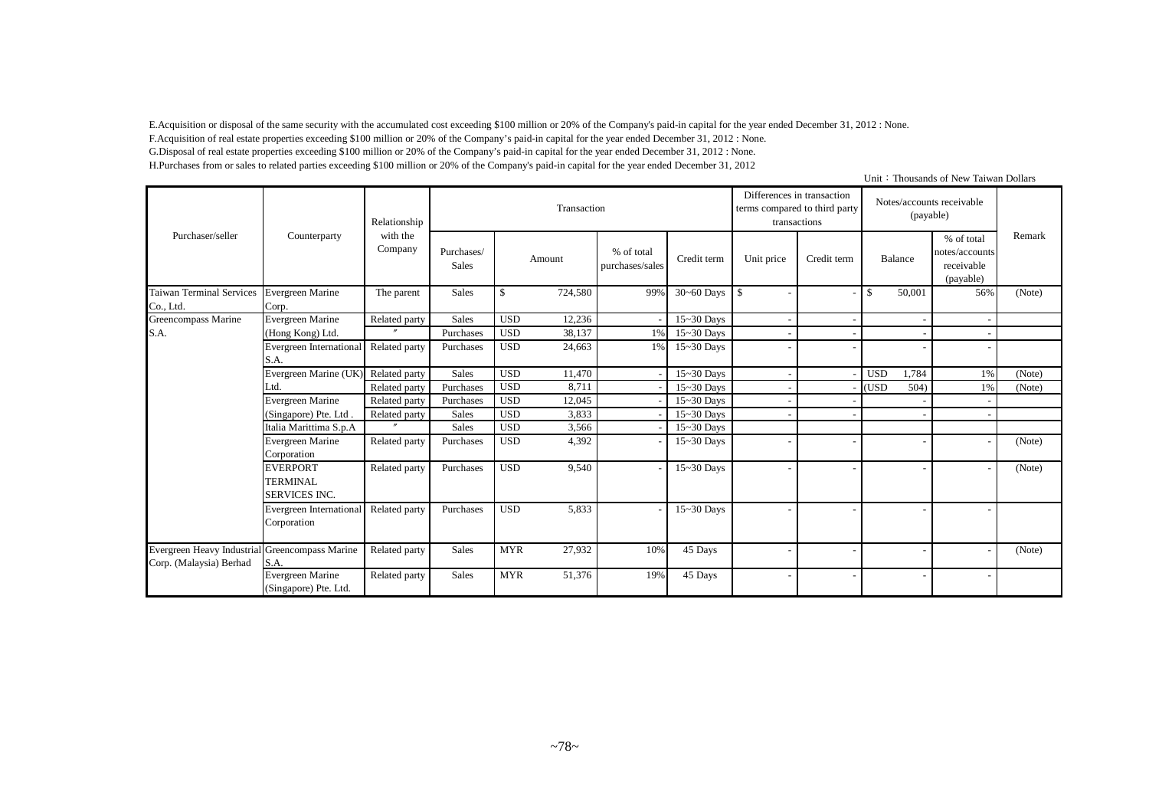E.Acquisition or disposal of the same security with the accumulated cost exceeding \$100 million or 20% of the Company's paid-in capital for the year ended December 31, 2012 : None.

F.Acquisition of real estate properties exceeding \$100 million or 20% of the Company's paid-in capital for the year ended December 31, 2012 : None.

G.Disposal of real estate properties exceeding \$100 million or 20% of the Company's paid-in capital for the year ended December 31, 2012 : None. H.Purchases from or sales to related parties exceeding \$100 million or 20% of the Company's paid-in capital for the year ended December 31, 2012

Unit: Thousands of New Taiwan Dollars

|                                                                           |                                                            | Relationship        |                            |            | Transaction |                               |                | Differences in transaction<br>terms compared to third party<br>transactions |             |            | (payable) | Notes/accounts receivable                               |        |
|---------------------------------------------------------------------------|------------------------------------------------------------|---------------------|----------------------------|------------|-------------|-------------------------------|----------------|-----------------------------------------------------------------------------|-------------|------------|-----------|---------------------------------------------------------|--------|
| Purchaser/seller                                                          | Counterparty                                               | with the<br>Company | Purchases/<br><b>Sales</b> |            | Amount      | % of total<br>purchases/sales | Credit term    | Unit price                                                                  | Credit term |            | Balance   | % of total<br>notes/accounts<br>receivable<br>(payable) | Remark |
| <b>Taiwan Terminal Services</b><br>Co., Ltd.                              | Evergreen Marine<br>Corp.                                  | The parent          | <b>Sales</b>               | \$         | 724,580     | 99%                           | 30~60 Days     | $\mathbf{\hat{S}}$                                                          |             | \$         | 50,001    | 56%                                                     | (Note) |
| Greencompass Marine                                                       | Evergreen Marine                                           | Related party       | <b>Sales</b>               | <b>USD</b> | 12,236      |                               | $15-30$ Days   |                                                                             |             |            |           |                                                         |        |
| S.A.                                                                      | (Hong Kong) Ltd.                                           |                     | Purchases                  | <b>USD</b> | 38,137      | 1%                            | $15 - 30$ Days |                                                                             |             |            |           |                                                         |        |
|                                                                           | <b>Evergreen International</b><br>S.A.                     | Related party       | Purchases                  | <b>USD</b> | 24,663      | 1%                            | $15 - 30$ Days |                                                                             |             |            |           |                                                         |        |
|                                                                           | Evergreen Marine (UK)                                      | Related party       | <b>Sales</b>               | <b>USD</b> | 11,470      |                               | $15 - 30$ Days |                                                                             |             | <b>USD</b> | 1,784     | 1%                                                      | (Note) |
|                                                                           | Ltd.                                                       | Related party       | Purchases                  | <b>USD</b> | 8,711       |                               | $15 - 30$ Days |                                                                             |             | (USD)      | 504)      | 1%                                                      | (Note) |
|                                                                           | Evergreen Marine                                           | Related party       | Purchases                  | <b>USD</b> | 12,045      |                               | $15-30$ Days   |                                                                             |             |            |           |                                                         |        |
|                                                                           | (Singapore) Pte. Ltd                                       | Related party       | Sales                      | <b>USD</b> | 3,833       |                               | $15 - 30$ Days |                                                                             |             |            |           |                                                         |        |
|                                                                           | Italia Marittima S.p.A                                     | $\overline{ }$      | Sales                      | <b>USD</b> | 3,566       |                               | 15~30 Days     |                                                                             |             |            |           |                                                         |        |
|                                                                           | Evergreen Marine<br>Corporation                            | Related party       | Purchases                  | <b>USD</b> | 4,392       |                               | $15 - 30$ Days |                                                                             |             |            |           |                                                         | (Note) |
|                                                                           | <b>EVERPORT</b><br><b>TERMINAL</b><br><b>SERVICES INC.</b> | Related party       | Purchases                  | <b>USD</b> | 9,540       |                               | 15~30 Days     |                                                                             |             |            |           |                                                         | (Note) |
|                                                                           | Evergreen International<br>Corporation                     | Related party       | Purchases                  | <b>USD</b> | 5,833       |                               | 15~30 Days     |                                                                             |             |            |           |                                                         |        |
| Evergreen Heavy Industrial Greencompass Marine<br>Corp. (Malaysia) Berhad | S.A.                                                       | Related party       | <b>Sales</b>               | <b>MYR</b> | 27,932      | 10%                           | 45 Days        |                                                                             |             |            |           |                                                         | (Note) |
|                                                                           | Evergreen Marine<br>(Singapore) Pte. Ltd.                  | Related party       | <b>Sales</b>               | <b>MYR</b> | 51,376      | 19%                           | 45 Days        |                                                                             |             |            |           |                                                         |        |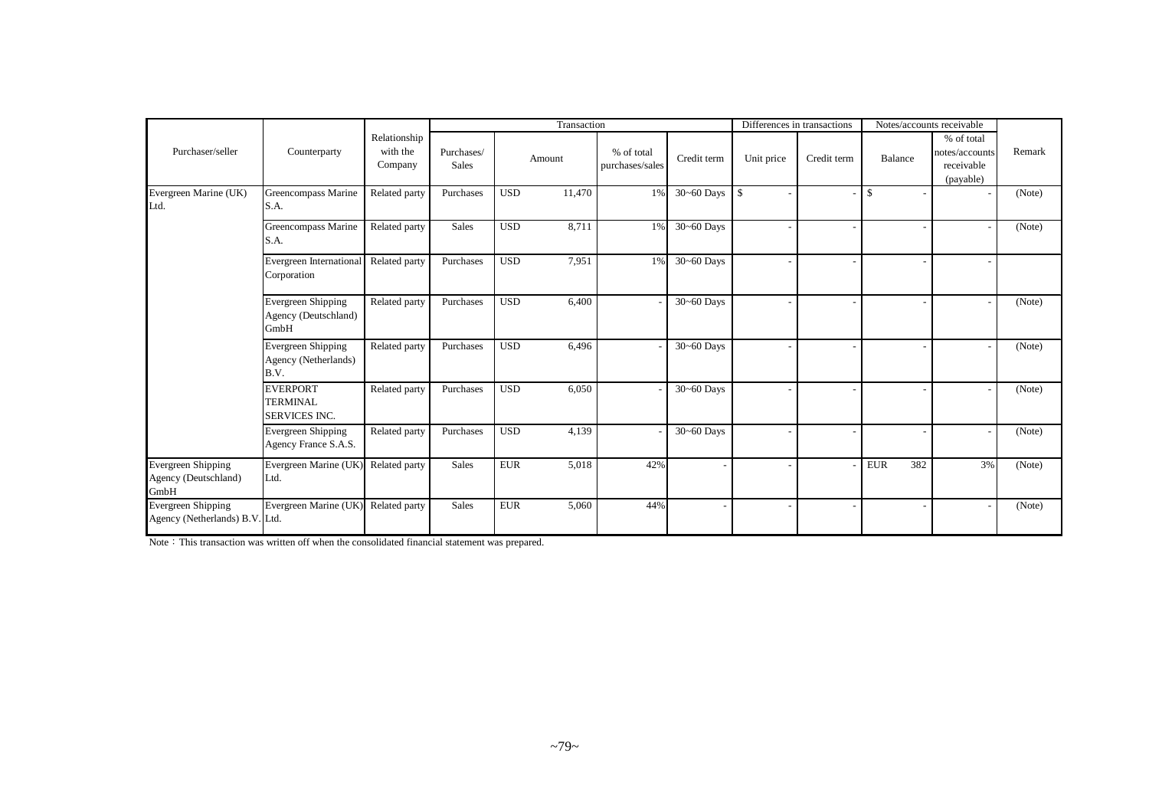|                                                      |                                                            |                                     |                            |            | Transaction |                               |                | Differences in transactions |             | Notes/accounts receivable |                                                         |        |
|------------------------------------------------------|------------------------------------------------------------|-------------------------------------|----------------------------|------------|-------------|-------------------------------|----------------|-----------------------------|-------------|---------------------------|---------------------------------------------------------|--------|
| Purchaser/seller                                     | Counterparty                                               | Relationship<br>with the<br>Company | Purchases/<br><b>Sales</b> |            | Amount      | % of total<br>purchases/sales | Credit term    | Unit price                  | Credit term | Balance                   | % of total<br>notes/accounts<br>receivable<br>(payable) | Remark |
| Evergreen Marine (UK)<br>Ltd.                        | Greencompass Marine<br>S.A.                                | Related party                       | Purchases                  | <b>USD</b> | 11,470      | 1%                            | $30 - 60$ Days | $\vert$ s                   |             | \$                        |                                                         | (Note) |
|                                                      | Greencompass Marine<br>S.A.                                | Related party                       | <b>Sales</b>               | <b>USD</b> | 8,711       | 1%                            | $30 - 60$ Days |                             |             |                           |                                                         | (Note) |
|                                                      | Evergreen International<br>Corporation                     | Related party                       | Purchases                  | <b>USD</b> | 7,951       | 1%                            | $30 - 60$ Days |                             |             |                           |                                                         |        |
|                                                      | Evergreen Shipping<br>Agency (Deutschland)<br>GmbH         | Related party                       | Purchases                  | <b>USD</b> | 6,400       |                               | $30 - 60$ Days |                             |             |                           |                                                         | (Note) |
|                                                      | Evergreen Shipping<br>Agency (Netherlands)<br>B.V.         | Related party                       | Purchases                  | <b>USD</b> | 6,496       |                               | 30~60 Days     |                             |             |                           |                                                         | (Note) |
|                                                      | <b>EVERPORT</b><br><b>TERMINAL</b><br><b>SERVICES INC.</b> | Related party                       | Purchases                  | <b>USD</b> | 6,050       |                               | $30 - 60$ Days |                             |             |                           |                                                         | (Note) |
|                                                      | <b>Evergreen Shipping</b><br>Agency France S.A.S.          | Related party                       | Purchases                  | <b>USD</b> | 4,139       |                               | $30 - 60$ Days |                             |             |                           |                                                         | (Note) |
| Evergreen Shipping<br>Agency (Deutschland)<br>GmbH   | Evergreen Marine (UK)<br>Ltd.                              | Related party                       | <b>Sales</b>               | <b>EUR</b> | 5,018       | 42%                           |                |                             |             | <b>EUR</b><br>382         | 3%                                                      | (Note) |
| Evergreen Shipping<br>Agency (Netherlands) B.V. Ltd. | Evergreen Marine (UK)                                      | Related party                       | <b>Sales</b>               | <b>EUR</b> | 5,060       | 44%                           |                |                             |             |                           |                                                         | (Note) |

Note: This transaction was written off when the consolidated financial statement was prepared.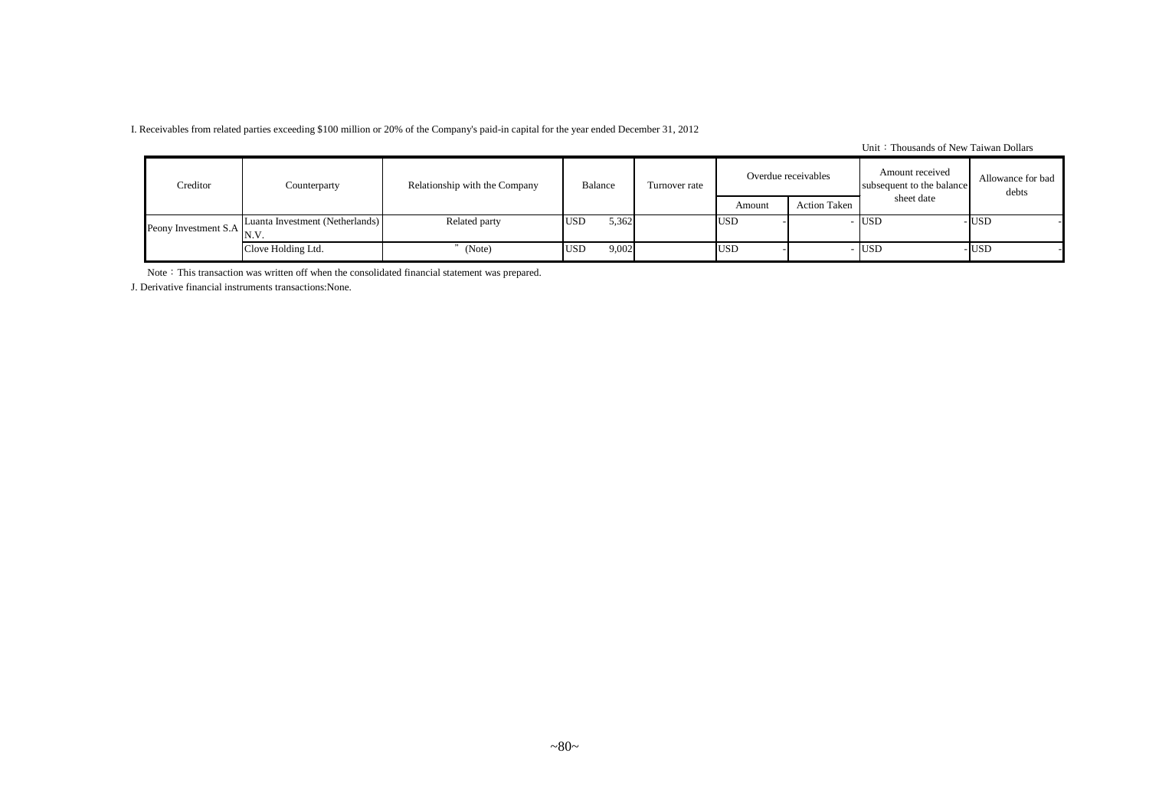I. Receivables from related parties exceeding \$100 million or 20% of the Company's paid-in capital for the year ended December 31, 2012

Unit: Thousands of New Taiwan Dollars

| Creditor                    | Counterparty                    | Relationship with the Company | Balance             | Turnover rate |            | Overdue receivables | Amount received<br>subsequent to the balance | Allowance for bad<br>debts |
|-----------------------------|---------------------------------|-------------------------------|---------------------|---------------|------------|---------------------|----------------------------------------------|----------------------------|
|                             |                                 |                               |                     |               | Amount     | <b>Action Taken</b> | sheet date                                   |                            |
| Peony Investment S.A $N.V.$ | Luanta Investment (Netherlands) | Related party                 | 5,362<br><b>USD</b> |               | <b>USD</b> |                     | - USD                                        | - IUSD                     |
|                             | Clove Holding Ltd.              | (Note)                        | 9,002<br><b>USD</b> |               | <b>USD</b> |                     | $-$ USD                                      | -lusd                      |

Note: This transaction was written off when the consolidated financial statement was prepared.

J. Derivative financial instruments transactions:None.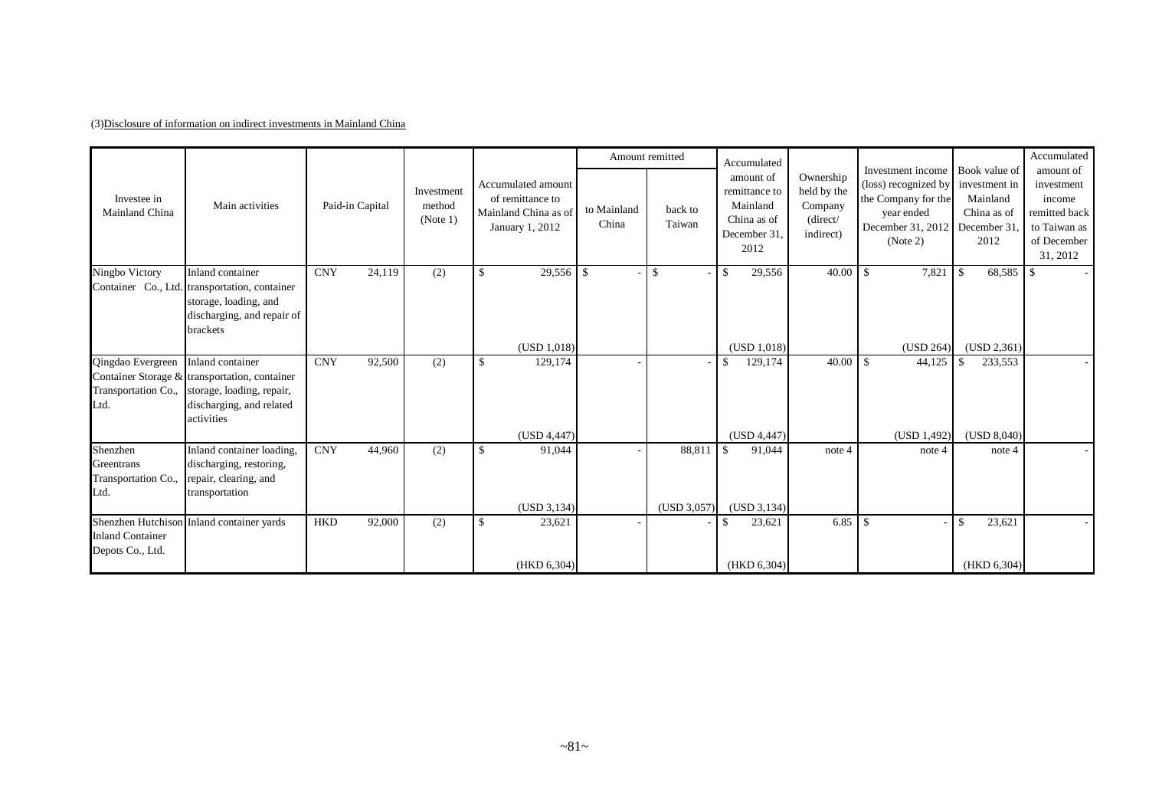## (3)Disclosure of information on indirect investments in Mainland China

|                                                       |                                                                                                                      |                      |                                  |                                                                                   |                      | Amount remitted   | Accumulated                                                                  |                                                              |                                                                                                                                           |                                                  | Accumulated                                                                                   |
|-------------------------------------------------------|----------------------------------------------------------------------------------------------------------------------|----------------------|----------------------------------|-----------------------------------------------------------------------------------|----------------------|-------------------|------------------------------------------------------------------------------|--------------------------------------------------------------|-------------------------------------------------------------------------------------------------------------------------------------------|--------------------------------------------------|-----------------------------------------------------------------------------------------------|
| Investee in<br>Mainland China                         | Main activities                                                                                                      | Paid-in Capital      | Investment<br>method<br>(Note 1) | Accumulated amount<br>of remittance to<br>Mainland China as of<br>January 1, 2012 | to Mainland<br>China | back to<br>Taiwan | amount of<br>remittance to<br>Mainland<br>China as of<br>December 31<br>2012 | Ownership<br>held by the<br>Company<br>(direct/<br>indirect) | Investment income Book value of<br>(loss) recognized by<br>the Company for the<br>year ended<br>December 31, 2012 December 31<br>(Note 2) | investment in<br>Mainland<br>China as of<br>2012 | amount of<br>investment<br>income<br>remitted back<br>to Taiwan as<br>of December<br>31, 2012 |
| Ningbo Victory                                        | Inland container                                                                                                     | <b>CNY</b><br>24,119 | (2)                              | $29,556$ \$<br>\$                                                                 |                      | \$                | 29,556<br>$\mathbf{\hat{S}}$                                                 |                                                              | 7,821                                                                                                                                     | 68,585<br>-\$                                    | - \$                                                                                          |
|                                                       | Container Co., Ltd. transportation, container<br>storage, loading, and<br>discharging, and repair of<br>brackets     |                      |                                  |                                                                                   |                      |                   |                                                                              |                                                              |                                                                                                                                           |                                                  |                                                                                               |
|                                                       | Inland container                                                                                                     | <b>CNY</b><br>92,500 |                                  | (USD 1,018)<br>129,174<br>$\mathbf{\hat{S}}$                                      |                      |                   | (USD 1,018)                                                                  | 40.00                                                        | (USD 264)<br>$\mathbf{s}$                                                                                                                 | (USD 2,361)                                      |                                                                                               |
| Qingdao Evergreen<br>Transportation Co.,<br>Ltd.      | Container Storage & transportation, container<br>storage, loading, repair,<br>discharging, and related<br>activities |                      | (2)                              |                                                                                   |                      |                   | 129,174<br>$\mathbf{\$}$                                                     |                                                              | 44,125                                                                                                                                    | 233,553                                          |                                                                                               |
|                                                       |                                                                                                                      |                      |                                  | (USD 4,447)                                                                       |                      |                   | (USD 4, 447)                                                                 |                                                              | (USD 1,492)                                                                                                                               | (USD 8,040)                                      |                                                                                               |
| Shenzhen<br>Greentrans<br>Transportation Co.,<br>Ltd. | Inland container loading,<br>discharging, restoring,<br>repair, clearing, and<br>transportation                      | <b>CNY</b><br>44,960 | (2)                              | \$<br>91,044                                                                      |                      | 88,811            | 91,044<br><sup>\$</sup>                                                      | note 4                                                       | note 4                                                                                                                                    | note 4                                           |                                                                                               |
|                                                       |                                                                                                                      | <b>HKD</b>           |                                  | (USD 3, 134)                                                                      |                      | (USD 3,057)       | (USD 3, 134)                                                                 |                                                              |                                                                                                                                           |                                                  |                                                                                               |
| <b>Inland Container</b><br>Depots Co., Ltd.           | Shenzhen Hutchison Inland container yards                                                                            | 92,000               | (2)                              | \$<br>23,621                                                                      |                      |                   | 23,621<br><sup>\$</sup>                                                      |                                                              |                                                                                                                                           | 23,621                                           |                                                                                               |
|                                                       |                                                                                                                      |                      |                                  | (HKD 6, 304)                                                                      |                      |                   | (HKD 6,304)                                                                  |                                                              |                                                                                                                                           | (HKD 6,304)                                      |                                                                                               |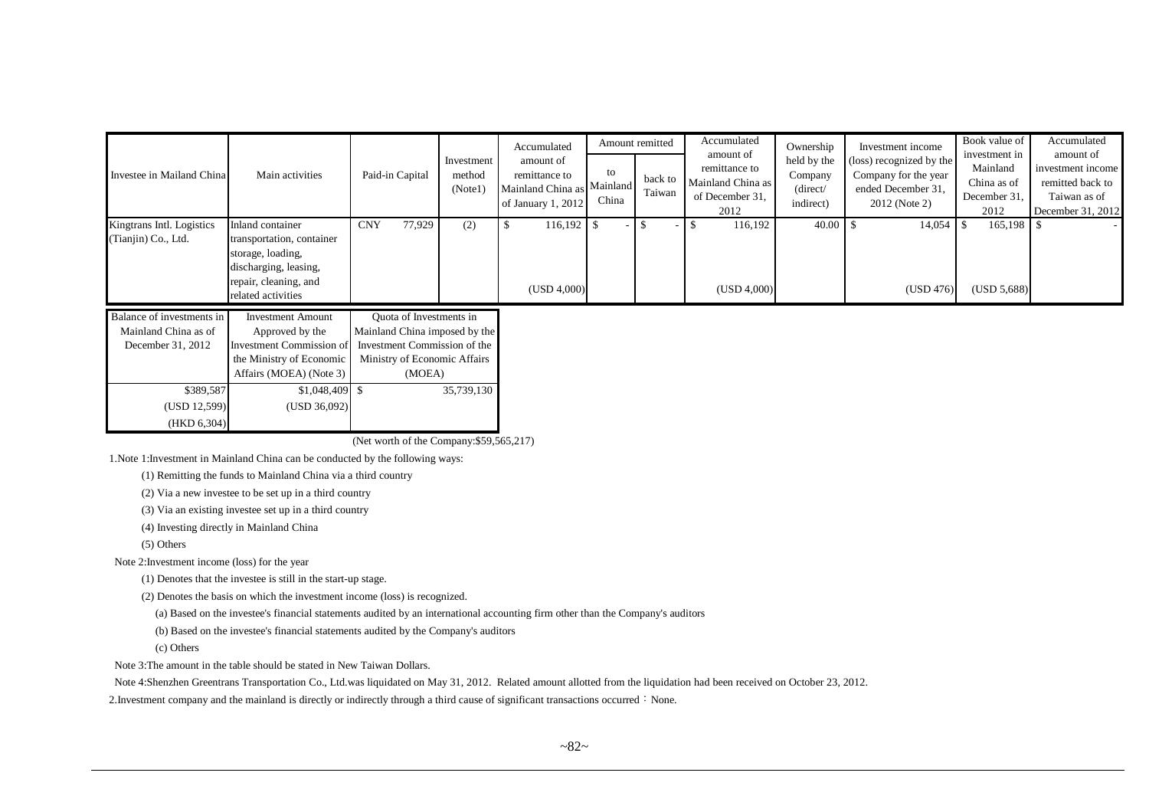|                                                                        |                                                                                                                                            |                                                                                                                                    |                                 | Accumulated                                                                    |             | Amount remitted   | Accumulated                                                                | Ownership                                                | Investment income                                                                       | Book value of                                                    | Accumulated                                                                             |
|------------------------------------------------------------------------|--------------------------------------------------------------------------------------------------------------------------------------------|------------------------------------------------------------------------------------------------------------------------------------|---------------------------------|--------------------------------------------------------------------------------|-------------|-------------------|----------------------------------------------------------------------------|----------------------------------------------------------|-----------------------------------------------------------------------------------------|------------------------------------------------------------------|-----------------------------------------------------------------------------------------|
| Investee in Mailand China                                              | Main activities                                                                                                                            | Paid-in Capital                                                                                                                    | Investment<br>method<br>(Note1) | amount of<br>remittance to<br>Mainland China as Mainland<br>of January 1, 2012 | to<br>China | back to<br>Taiwan | amount of<br>remittance to<br>Mainland China as<br>of December 31,<br>2012 | held by the<br>Company<br>$\langle$ direct/<br>indirect) | (loss) recognized by the<br>Company for the year<br>ended December 31,<br>2012 (Note 2) | investment in<br>Mainland<br>China as of<br>December 31.<br>2012 | amount of<br>investment income<br>remitted back to<br>Taiwan as of<br>December 31, 2012 |
| Kingtrans Intl. Logistics<br>(Tianjin) Co., Ltd.                       | Inland container<br>transportation, container<br>storage, loading,<br>discharging, leasing,<br>repair, cleaning, and<br>related activities | 77,929<br><b>CNY</b>                                                                                                               | (2)                             | 116,192<br>(USD 4,000)                                                         |             |                   | 116,192<br>(USD 4,000)                                                     | 40.00                                                    | 14,054<br>(USD 476)                                                                     | $165,198$ \$<br>(USD 5,688)                                      |                                                                                         |
| Balance of investments in<br>Mainland China as of<br>December 31, 2012 | <b>Investment Amount</b><br>Approved by the<br>Investment Commission of<br>the Ministry of Economic<br>Affairs (MOEA) (Note 3)             | Quota of Investments in<br>Mainland China imposed by the<br>Investment Commission of the<br>Ministry of Economic Affairs<br>(MOEA) |                                 |                                                                                |             |                   |                                                                            |                                                          |                                                                                         |                                                                  |                                                                                         |
| \$389,587                                                              | $$1,048,409$ \$                                                                                                                            |                                                                                                                                    | 35,739,130                      |                                                                                |             |                   |                                                                            |                                                          |                                                                                         |                                                                  |                                                                                         |

(Net worth of the Company:\$59,565,217)

1.Note 1:Investment in Mainland China can be conducted by the following ways:

(1) Remitting the funds to Mainland China via a third country

(2) Via a new investee to be set up in a third country

(USD 12,599) (USD 36,092)

(3) Via an existing investee set up in a third country

(4) Investing directly in Mainland China

(5) Others

Note 2:Investment income (loss) for the year

(HKD 6,304)

(1) Denotes that the investee is still in the start-up stage.

(2) Denotes the basis on which the investment income (loss) is recognized.

(a) Based on the investee's financial statements audited by an international accounting firm other than the Company's auditors

(b) Based on the investee's financial statements audited by the Company's auditors

(c) Others

Note 3:The amount in the table should be stated in New Taiwan Dollars.

Note 4:Shenzhen Greentrans Transportation Co., Ltd.was liquidated on May 31, 2012. Related amount allotted from the liquidation had been received on October 23, 2012.

2. Investment company and the mainland is directly or indirectly through a third cause of significant transactions occurred: None.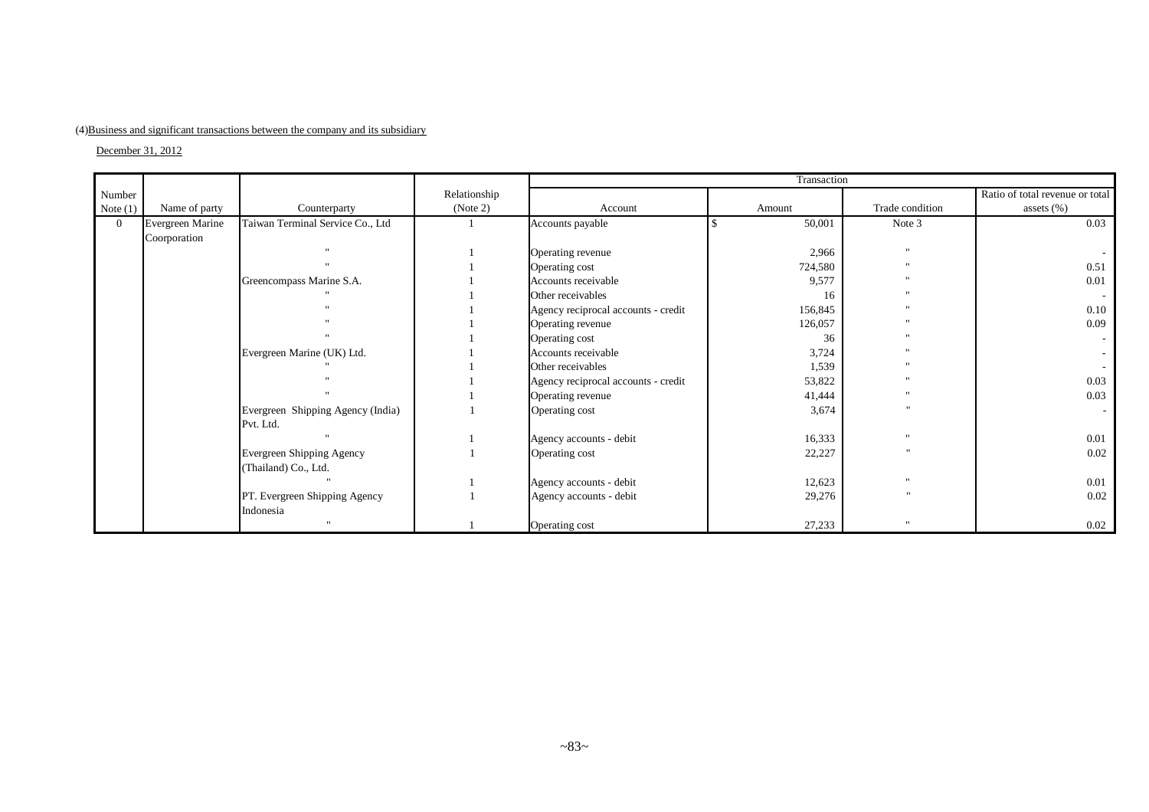## (4)Business and significant transactions between the company and its subsidiary

December 31, 2012

|                |                  |                                                |              |                                     | Transaction |                 |                                 |
|----------------|------------------|------------------------------------------------|--------------|-------------------------------------|-------------|-----------------|---------------------------------|
| Number         |                  |                                                | Relationship |                                     |             |                 | Ratio of total revenue or total |
| Note $(1)$     | Name of party    | Counterparty                                   | (Note 2)     | Account                             | Amount      | Trade condition | assets $(\%)$                   |
| $\overline{0}$ | Evergreen Marine | Taiwan Terminal Service Co., Ltd               |              | Accounts payable                    | 50,001      | Note 3          | 0.03                            |
|                | Coorporation     |                                                |              |                                     |             |                 |                                 |
|                |                  |                                                |              | Operating revenue                   | 2,966       | $\mathbf{u}$    |                                 |
|                |                  |                                                |              | Operating cost                      | 724,580     | $\mathbf{u}$    | 0.51                            |
|                |                  | Greencompass Marine S.A.                       |              | Accounts receivable                 | 9,577       | $\mathbf{u}$    | 0.01                            |
|                |                  |                                                |              | Other receivables                   | 16          | $\mathbf{u}$    |                                 |
|                |                  |                                                |              | Agency reciprocal accounts - credit | 156,845     | $^{\prime}$     | 0.10                            |
|                |                  |                                                |              | Operating revenue                   | 126,057     |                 | 0.09                            |
|                |                  |                                                |              | Operating cost                      | 36          | $\mathbf{u}$    |                                 |
|                |                  | Evergreen Marine (UK) Ltd.                     |              | Accounts receivable                 | 3,724       | $\mathbf{u}$    |                                 |
|                |                  |                                                |              | Other receivables                   | 1,539       | $\mathbf{u}$    |                                 |
|                |                  |                                                |              | Agency reciprocal accounts - credit | 53,822      | $\cdots$        | 0.03                            |
|                |                  |                                                |              | Operating revenue                   | 41,444      | $\mathbf{H}$    | 0.03                            |
|                |                  | Evergreen Shipping Agency (India)<br>Pvt. Ltd. |              | Operating cost                      | 3,674       |                 |                                 |
|                |                  |                                                |              | Agency accounts - debit             | 16,333      | $^{\prime}$     | 0.01                            |
|                |                  | Evergreen Shipping Agency                      |              | Operating cost                      | 22,227      |                 | 0.02                            |
|                |                  | (Thailand) Co., Ltd.                           |              |                                     |             |                 |                                 |
|                |                  | $\mathbf{u}$                                   |              | Agency accounts - debit             | 12,623      | $\mathbf{H}$    | 0.01                            |
|                |                  | PT. Evergreen Shipping Agency                  |              | Agency accounts - debit             | 29,276      |                 | 0.02                            |
|                |                  | Indonesia                                      |              |                                     |             |                 |                                 |
|                |                  | $\mathbf{u}$                                   |              | Operating cost                      | 27,233      | $\mathbf{u}$    | 0.02                            |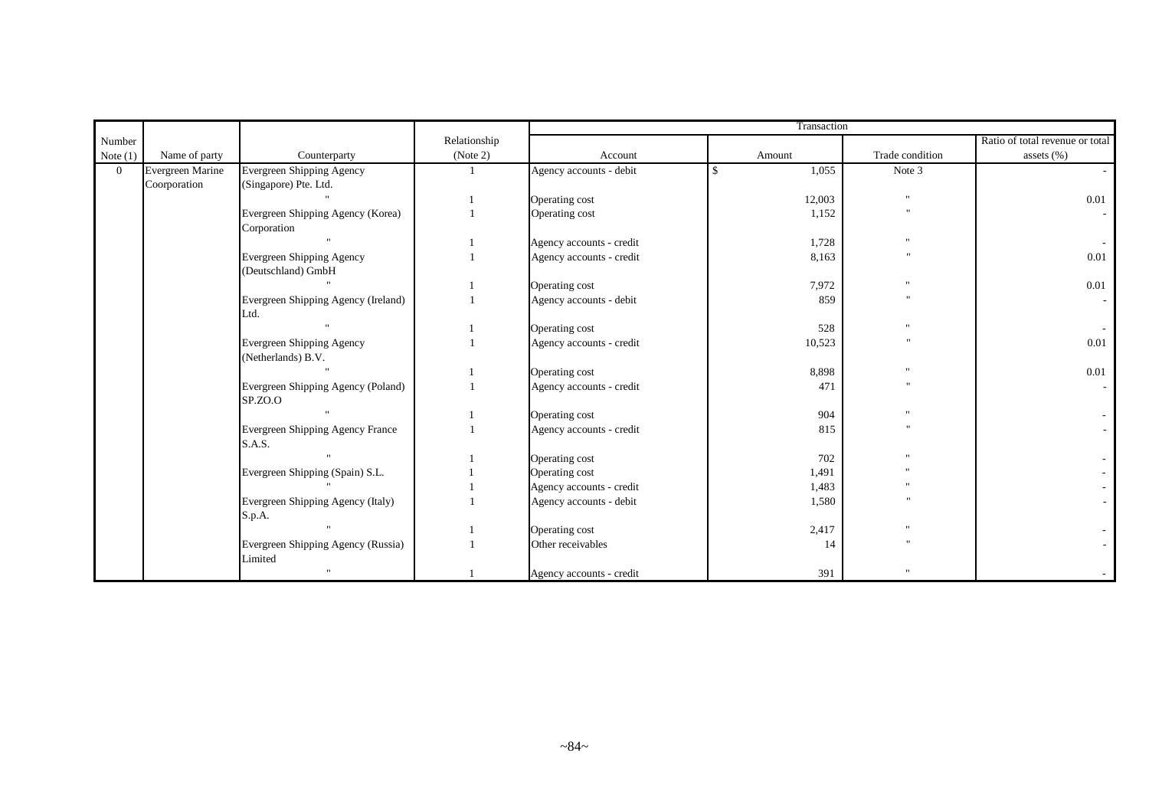|                |                  |                                     |              |                          | Transaction  |                      |                                 |
|----------------|------------------|-------------------------------------|--------------|--------------------------|--------------|----------------------|---------------------------------|
| Number         |                  |                                     | Relationship |                          |              |                      | Ratio of total revenue or total |
| Note $(1)$     | Name of party    | Counterparty                        | (Note 2)     | Account                  | Amount       | Trade condition      | assets (%)                      |
| $\overline{0}$ | Evergreen Marine | Evergreen Shipping Agency           |              | Agency accounts - debit  | 1,055<br>-\$ | Note 3               |                                 |
|                | Coorporation     | (Singapore) Pte. Ltd.               |              |                          |              |                      |                                 |
|                |                  |                                     |              | Operating cost           | 12,003       | $\mathbf{u}$         | 0.01                            |
|                |                  | Evergreen Shipping Agency (Korea)   |              | Operating cost           | 1,152        | $^{\prime}$          |                                 |
|                |                  | Corporation                         |              |                          |              |                      |                                 |
|                |                  |                                     |              | Agency accounts - credit | 1,728        |                      |                                 |
|                |                  | <b>Evergreen Shipping Agency</b>    |              | Agency accounts - credit | 8,163        |                      | 0.01                            |
|                |                  | (Deutschland) GmbH                  |              |                          |              |                      |                                 |
|                |                  |                                     |              | Operating cost           | 7,972        | $\ddot{\phantom{0}}$ | 0.01                            |
|                |                  | Evergreen Shipping Agency (Ireland) |              | Agency accounts - debit  | 859          | $^{\prime}$          |                                 |
|                |                  | Ltd.                                |              |                          |              |                      |                                 |
|                |                  |                                     |              | Operating cost           | 528          |                      |                                 |
|                |                  | Evergreen Shipping Agency           |              | Agency accounts - credit | 10,523       |                      | 0.01                            |
|                |                  | (Netherlands) B.V.                  |              |                          |              |                      |                                 |
|                |                  |                                     |              | Operating cost           | 8,898        |                      | 0.01                            |
|                |                  | Evergreen Shipping Agency (Poland)  |              | Agency accounts - credit | 471          | $^{\prime}$          |                                 |
|                |                  | SP.ZO.O                             |              |                          |              |                      |                                 |
|                |                  |                                     |              | Operating cost           | 904          |                      |                                 |
|                |                  | Evergreen Shipping Agency France    |              | Agency accounts - credit | 815          | $^{\prime}$          |                                 |
|                |                  | S.A.S.                              |              |                          |              |                      |                                 |
|                |                  |                                     |              | Operating cost           | 702          |                      |                                 |
|                |                  | Evergreen Shipping (Spain) S.L.     |              | Operating cost           | 1,491        |                      |                                 |
|                |                  |                                     |              | Agency accounts - credit | 1,483        |                      |                                 |
|                |                  | Evergreen Shipping Agency (Italy)   |              | Agency accounts - debit  | 1,580        |                      |                                 |
|                |                  | S.p.A.                              |              |                          |              |                      |                                 |
|                |                  |                                     |              | Operating cost           | 2,417        |                      |                                 |
|                |                  | Evergreen Shipping Agency (Russia)  |              | Other receivables        | 14           |                      |                                 |
|                |                  | Limited                             |              |                          |              |                      |                                 |
|                |                  |                                     |              | Agency accounts - credit | 391          |                      |                                 |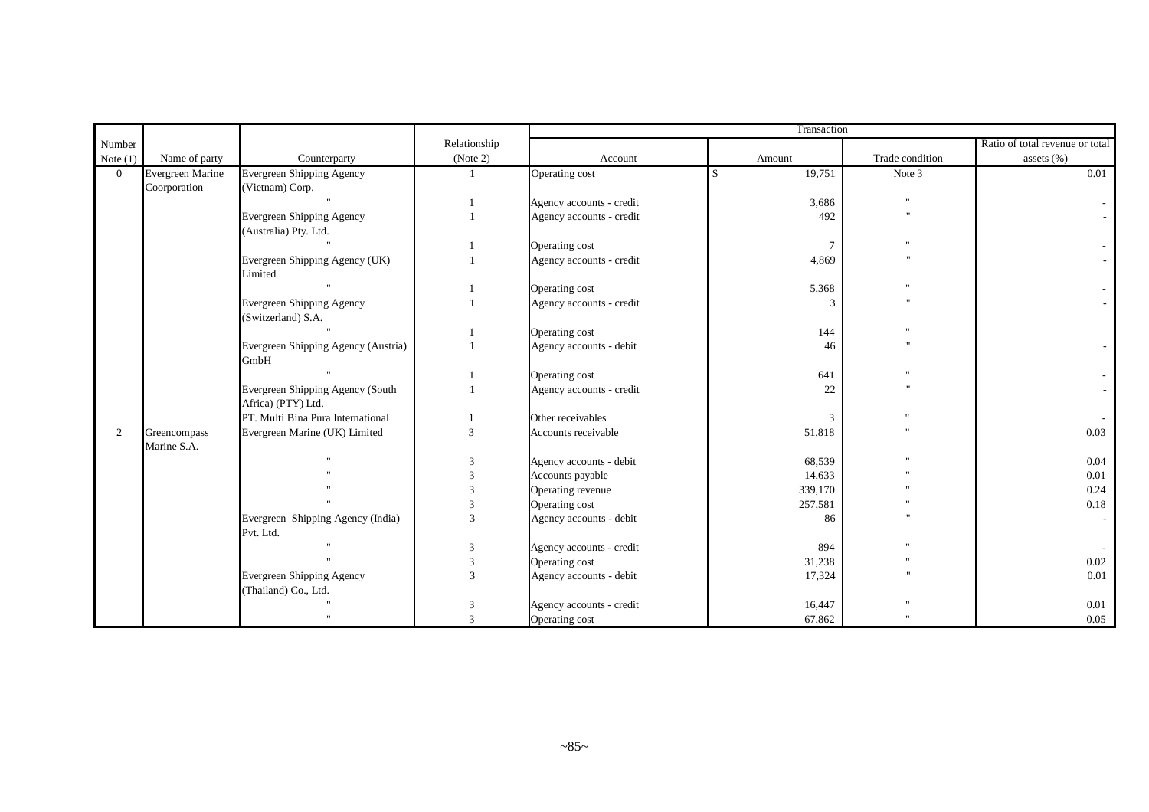|                |                             |                                                        |              | Transaction              |                         |                      |                                 |  |  |
|----------------|-----------------------------|--------------------------------------------------------|--------------|--------------------------|-------------------------|----------------------|---------------------------------|--|--|
| Number         |                             |                                                        | Relationship |                          |                         |                      | Ratio of total revenue or total |  |  |
| Note $(1)$     | Name of party               | Counterparty                                           | (Note 2)     | Account                  | Amount                  | Trade condition      | assets (%)                      |  |  |
| $\overline{0}$ | Evergreen Marine            | <b>Evergreen Shipping Agency</b>                       |              | Operating cost           | 19,751<br>$\mathcal{S}$ | Note 3               | 0.01                            |  |  |
|                | Coorporation                | (Vietnam) Corp.                                        |              |                          |                         |                      |                                 |  |  |
|                |                             |                                                        |              | Agency accounts - credit | 3,686                   |                      |                                 |  |  |
|                |                             | Evergreen Shipping Agency                              |              | Agency accounts - credit | 492                     | $\ddot{\phantom{0}}$ |                                 |  |  |
|                |                             | (Australia) Pty. Ltd.                                  |              |                          |                         |                      |                                 |  |  |
|                |                             |                                                        |              | Operating cost           | -7                      |                      |                                 |  |  |
|                |                             | Evergreen Shipping Agency (UK)<br>Limited              |              | Agency accounts - credit | 4,869                   |                      |                                 |  |  |
|                |                             |                                                        |              | Operating cost           | 5,368                   |                      |                                 |  |  |
|                |                             | <b>Evergreen Shipping Agency</b><br>(Switzerland) S.A. |              | Agency accounts - credit |                         |                      |                                 |  |  |
|                |                             |                                                        |              | Operating cost           | 144                     |                      |                                 |  |  |
|                |                             | Evergreen Shipping Agency (Austria)<br>GmbH            |              | Agency accounts - debit  | 46                      |                      |                                 |  |  |
|                |                             |                                                        |              | Operating cost           | 641                     |                      |                                 |  |  |
|                |                             | Evergreen Shipping Agency (South<br>Africa) (PTY) Ltd. |              | Agency accounts - credit | 22                      |                      |                                 |  |  |
|                |                             | PT. Multi Bina Pura International                      |              | Other receivables        | 3                       |                      |                                 |  |  |
| $\overline{c}$ | Greencompass<br>Marine S.A. | Evergreen Marine (UK) Limited                          | 3            | Accounts receivable      | 51,818                  |                      | 0.03                            |  |  |
|                |                             |                                                        | 3            | Agency accounts - debit  | 68,539                  |                      | 0.04                            |  |  |
|                |                             |                                                        | 3            | Accounts payable         | 14,633                  |                      | 0.01                            |  |  |
|                |                             |                                                        | $\mathbf{3}$ | Operating revenue        | 339,170                 |                      | 0.24                            |  |  |
|                |                             |                                                        | 3            | Operating cost           | 257,581                 |                      | 0.18                            |  |  |
|                |                             | Evergreen Shipping Agency (India)<br>Pvt. Ltd.         | 3            | Agency accounts - debit  | 86                      |                      |                                 |  |  |
|                |                             |                                                        | 3            | Agency accounts - credit | 894                     |                      |                                 |  |  |
|                |                             |                                                        | 3            | Operating cost           | 31,238                  |                      | 0.02                            |  |  |
|                |                             | <b>Evergreen Shipping Agency</b>                       | 3            | Agency accounts - debit  | 17,324                  |                      | 0.01                            |  |  |
|                |                             | (Thailand) Co., Ltd.                                   |              |                          |                         |                      |                                 |  |  |
|                |                             |                                                        | 3            | Agency accounts - credit | 16,447                  |                      | 0.01                            |  |  |
|                |                             |                                                        | 3            | Operating cost           | 67,862                  |                      | 0.05                            |  |  |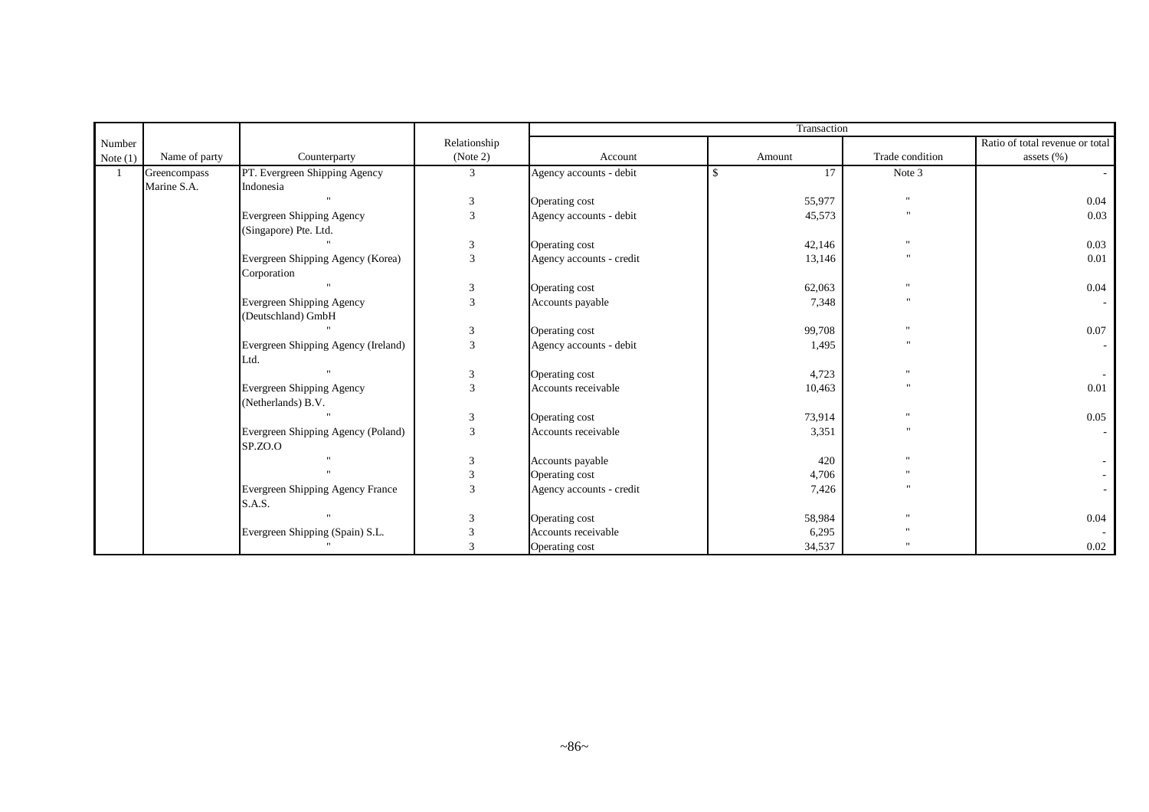|            |               |                                     |                | Transaction              |                     |                 |                                 |  |  |
|------------|---------------|-------------------------------------|----------------|--------------------------|---------------------|-----------------|---------------------------------|--|--|
| Number     |               |                                     | Relationship   |                          |                     |                 | Ratio of total revenue or total |  |  |
| Note $(1)$ | Name of party | Counterparty                        | (Note 2)       | Account                  | Amount              | Trade condition | assets $(\% )$                  |  |  |
|            | Greencompass  | PT. Evergreen Shipping Agency       | 3              | Agency accounts - debit  | 17<br>$\mathcal{S}$ | Note 3          |                                 |  |  |
|            | Marine S.A.   | Indonesia                           |                |                          |                     |                 |                                 |  |  |
|            |               |                                     | 3              | Operating cost           | 55,977              | $^{\prime}$     | 0.04                            |  |  |
|            |               | Evergreen Shipping Agency           | 3              | Agency accounts - debit  | 45,573              |                 | 0.03                            |  |  |
|            |               | (Singapore) Pte. Ltd.               |                |                          |                     |                 |                                 |  |  |
|            |               |                                     | 3              | Operating cost           | 42,146              | $^{\prime}$     | 0.03                            |  |  |
|            |               | Evergreen Shipping Agency (Korea)   | 3              | Agency accounts - credit | 13,146              |                 | 0.01                            |  |  |
|            |               | Corporation                         |                |                          |                     |                 |                                 |  |  |
|            |               |                                     | $\mathfrak{Z}$ | Operating cost           | 62,063              | $^{\prime}$     | 0.04                            |  |  |
|            |               | Evergreen Shipping Agency           | $\mathcal{R}$  | Accounts payable         | 7,348               |                 |                                 |  |  |
|            |               | (Deutschland) GmbH                  |                |                          |                     |                 |                                 |  |  |
|            |               |                                     | 3              | Operating cost           | 99,708              | $^{\prime}$     | 0.07                            |  |  |
|            |               | Evergreen Shipping Agency (Ireland) | 3              | Agency accounts - debit  | 1,495               |                 |                                 |  |  |
|            |               | Ltd.                                |                |                          |                     |                 |                                 |  |  |
|            |               |                                     | 3              | Operating cost           | 4,723               | $^{\prime}$     |                                 |  |  |
|            |               | Evergreen Shipping Agency           | 3              | Accounts receivable      | 10,463              | $\mathbf{u}$    | 0.01                            |  |  |
|            |               | (Netherlands) B.V.                  |                |                          |                     |                 |                                 |  |  |
|            |               |                                     | 3              | Operating cost           | 73,914              | $^{\prime}$     | 0.05                            |  |  |
|            |               | Evergreen Shipping Agency (Poland)  | 3              | Accounts receivable      | 3,351               |                 |                                 |  |  |
|            |               | SP.ZO.O                             |                |                          |                     |                 |                                 |  |  |
|            |               |                                     | 3              | Accounts payable         | 420                 | $^{\prime}$     |                                 |  |  |
|            |               |                                     | 3              | Operating cost           | 4,706               | $^{\rm{u}}$     |                                 |  |  |
|            |               | Evergreen Shipping Agency France    | $\mathcal{R}$  | Agency accounts - credit | 7,426               |                 |                                 |  |  |
|            |               | S.A.S.                              |                |                          |                     |                 |                                 |  |  |
|            |               |                                     | 3              | Operating cost           | 58,984              | $^{\prime}$     | 0.04                            |  |  |
|            |               | Evergreen Shipping (Spain) S.L.     | 3              | Accounts receivable      | 6,295               |                 |                                 |  |  |
|            |               |                                     | $\mathcal{R}$  | Operating cost           | 34,537              |                 | 0.02                            |  |  |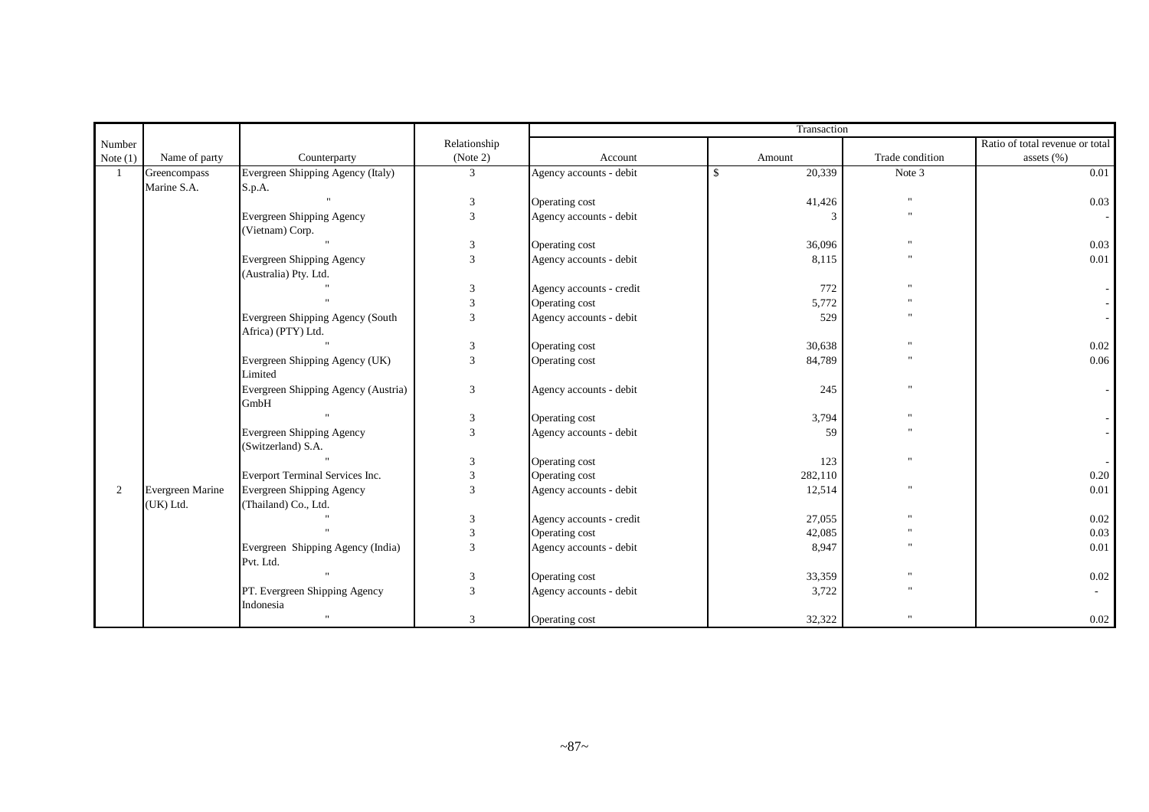|            |                  |                                                        |                | Transaction              |               |                 |                                 |  |  |
|------------|------------------|--------------------------------------------------------|----------------|--------------------------|---------------|-----------------|---------------------------------|--|--|
| Number     |                  |                                                        | Relationship   |                          |               |                 | Ratio of total revenue or total |  |  |
| Note $(1)$ | Name of party    | Counterparty                                           | (Note 2)       | Account                  | Amount        | Trade condition | assets $(\% )$                  |  |  |
| 1          | Greencompass     | Evergreen Shipping Agency (Italy)                      | $\mathfrak{Z}$ | Agency accounts - debit  | 20,339<br>-\$ | Note 3          | 0.01                            |  |  |
|            | Marine S.A.      | S.p.A.                                                 |                |                          |               |                 |                                 |  |  |
|            |                  |                                                        | 3              | Operating cost           | 41,426        | $^{\prime}$     | 0.03                            |  |  |
|            |                  | <b>Evergreen Shipping Agency</b>                       | 3              | Agency accounts - debit  | 3             | $\mathbf{u}$    |                                 |  |  |
|            |                  | (Vietnam) Corp.                                        |                |                          |               |                 |                                 |  |  |
|            |                  |                                                        | 3              | Operating cost           | 36,096        |                 | 0.03                            |  |  |
|            |                  | <b>Evergreen Shipping Agency</b>                       | $\overline{3}$ | Agency accounts - debit  | 8,115         |                 | 0.01                            |  |  |
|            |                  | (Australia) Pty. Ltd.                                  |                |                          |               |                 |                                 |  |  |
|            |                  |                                                        | 3              | Agency accounts - credit | 772           | $^{\prime}$     |                                 |  |  |
|            |                  |                                                        | 3              | Operating cost           | 5,772         |                 |                                 |  |  |
|            |                  | Evergreen Shipping Agency (South                       | 3              | Agency accounts - debit  | 529           |                 |                                 |  |  |
|            |                  | Africa) (PTY) Ltd.                                     |                |                          |               |                 |                                 |  |  |
|            |                  |                                                        | 3              | Operating cost           | 30,638        | $\mathbf{u}$    | 0.02                            |  |  |
|            |                  | Evergreen Shipping Agency (UK)<br>Limited              | 3              | Operating cost           | 84,789        | $^{\prime}$     | 0.06                            |  |  |
|            |                  | Evergreen Shipping Agency (Austria)<br>GmbH            | 3              | Agency accounts - debit  | 245           | $^{\prime}$     |                                 |  |  |
|            |                  |                                                        | 3              | Operating cost           | 3,794         | $^{\prime}$     |                                 |  |  |
|            |                  | <b>Evergreen Shipping Agency</b><br>(Switzerland) S.A. | 3              | Agency accounts - debit  | 59            | $^{\prime}$     |                                 |  |  |
|            |                  |                                                        | 3              | Operating cost           | 123           | $^{\prime}$     |                                 |  |  |
|            |                  | Everport Terminal Services Inc.                        | 3              | Operating cost           | 282,110       |                 | 0.20                            |  |  |
| 2          | Evergreen Marine | Evergreen Shipping Agency                              | 3              | Agency accounts - debit  | 12,514        | $^{\prime}$     | 0.01                            |  |  |
|            | (UK) Ltd.        | (Thailand) Co., Ltd.                                   |                |                          |               |                 |                                 |  |  |
|            |                  |                                                        | 3              | Agency accounts - credit | 27,055        | $^{\prime}$     | 0.02                            |  |  |
|            |                  |                                                        | 3              | Operating cost           | 42,085        | $^{\prime}$     | 0.03                            |  |  |
|            |                  | Evergreen Shipping Agency (India)                      | 3              | Agency accounts - debit  | 8,947         |                 | 0.01                            |  |  |
|            |                  | Pvt. Ltd.                                              |                |                          |               |                 |                                 |  |  |
|            |                  |                                                        | 3              | Operating cost           | 33,359        | $^{\prime}$     | 0.02                            |  |  |
|            |                  | PT. Evergreen Shipping Agency<br>Indonesia             | 3              | Agency accounts - debit  | 3,722         | $\mathbf{u}$    | $\sim$                          |  |  |
|            |                  |                                                        | 3              | Operating cost           | 32,322        |                 | 0.02                            |  |  |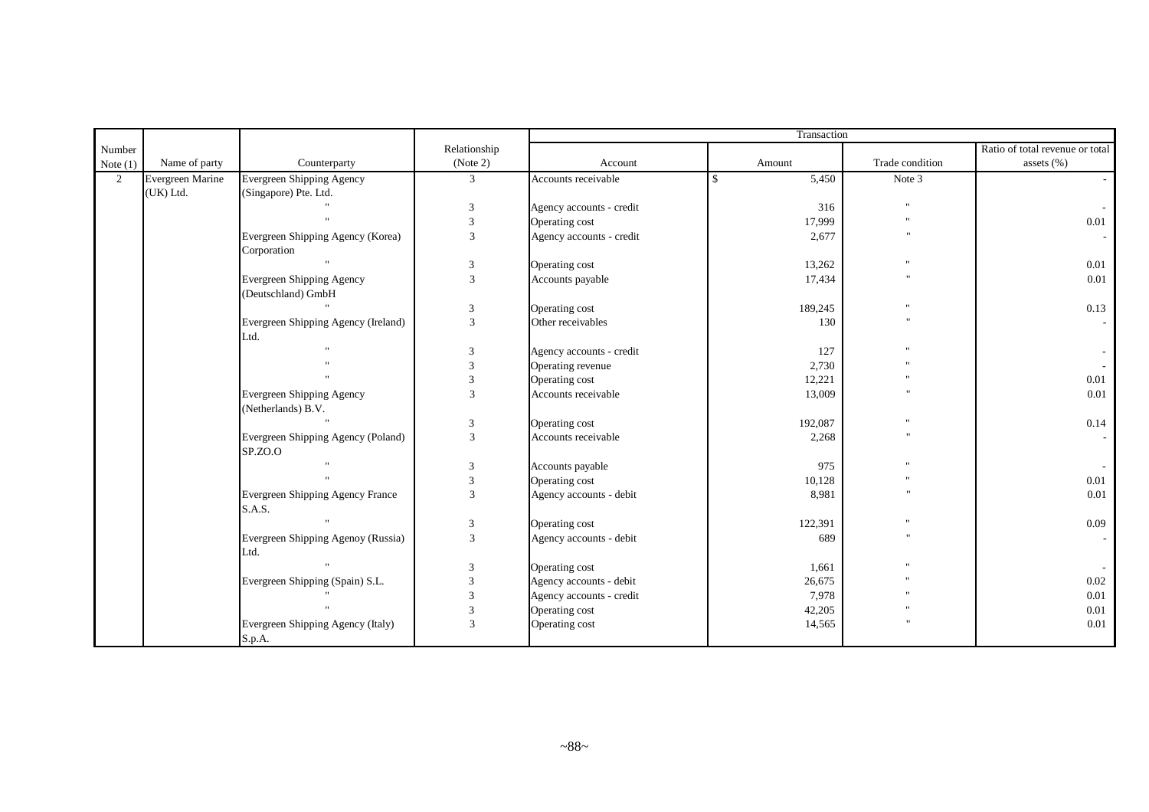|                |                  |                                                        |                |                          | Transaction |                 |                                 |  |
|----------------|------------------|--------------------------------------------------------|----------------|--------------------------|-------------|-----------------|---------------------------------|--|
| Number         |                  |                                                        | Relationship   |                          |             |                 | Ratio of total revenue or total |  |
| Note $(1)$     | Name of party    | Counterparty                                           | (Note 2)       | Account                  | Amount      | Trade condition | assets $(\%)$                   |  |
| $\overline{2}$ | Evergreen Marine | <b>Evergreen Shipping Agency</b>                       | 3              | Accounts receivable      | 5,450<br>S  | Note 3          |                                 |  |
|                | (UK) Ltd.        | (Singapore) Pte. Ltd.                                  |                |                          |             |                 |                                 |  |
|                |                  |                                                        | 3              | Agency accounts - credit | 316         | $\overline{1}$  |                                 |  |
|                |                  |                                                        | $\overline{3}$ | Operating cost           | 17,999      |                 | 0.01                            |  |
|                |                  | Evergreen Shipping Agency (Korea)<br>Corporation       | $\overline{3}$ | Agency accounts - credit | 2,677       |                 |                                 |  |
|                |                  |                                                        | 3              | Operating cost           | 13,262      |                 | 0.01                            |  |
|                |                  | Evergreen Shipping Agency<br>(Deutschland) GmbH        | $\mathfrak{Z}$ | Accounts payable         | 17,434      |                 | 0.01                            |  |
|                |                  |                                                        | 3              | Operating cost           | 189,245     |                 | 0.13                            |  |
|                |                  | Evergreen Shipping Agency (Ireland)<br>Ltd.            | 3              | Other receivables        | 130         | $^{\circ}$      |                                 |  |
|                |                  |                                                        | 3              | Agency accounts - credit | 127         |                 |                                 |  |
|                |                  |                                                        | 3              | Operating revenue        | 2,730       |                 |                                 |  |
|                |                  |                                                        | 3              | Operating cost           | 12,221      |                 | 0.01                            |  |
|                |                  | <b>Evergreen Shipping Agency</b><br>(Netherlands) B.V. | 3              | Accounts receivable      | 13,009      |                 | 0.01                            |  |
|                |                  |                                                        | 3              | Operating cost           | 192,087     |                 | 0.14                            |  |
|                |                  | Evergreen Shipping Agency (Poland)<br>SP.ZO.O          | $\overline{3}$ | Accounts receivable      | 2,268       |                 |                                 |  |
|                |                  |                                                        | $\overline{3}$ | Accounts payable         | 975         |                 |                                 |  |
|                |                  |                                                        | 3              | Operating cost           | 10,128      |                 | 0.01                            |  |
|                |                  | Evergreen Shipping Agency France<br>S.A.S.             | 3              | Agency accounts - debit  | 8,981       |                 | 0.01                            |  |
|                |                  |                                                        | $\sqrt{3}$     | Operating cost           | 122,391     |                 | 0.09                            |  |
|                |                  | Evergreen Shipping Agenoy (Russia)<br>Ltd.             | $\overline{3}$ | Agency accounts - debit  | 689         |                 |                                 |  |
|                |                  |                                                        | 3              | Operating cost           | 1,661       |                 |                                 |  |
|                |                  | Evergreen Shipping (Spain) S.L.                        | 3              | Agency accounts - debit  | 26,675      |                 | $0.02\,$                        |  |
|                |                  |                                                        | 3              | Agency accounts - credit | 7,978       |                 | 0.01                            |  |
|                |                  |                                                        | 3              | Operating cost           | 42,205      |                 | 0.01                            |  |
|                |                  | Evergreen Shipping Agency (Italy)<br>S.p.A.            | 3              | Operating cost           | 14,565      |                 | 0.01                            |  |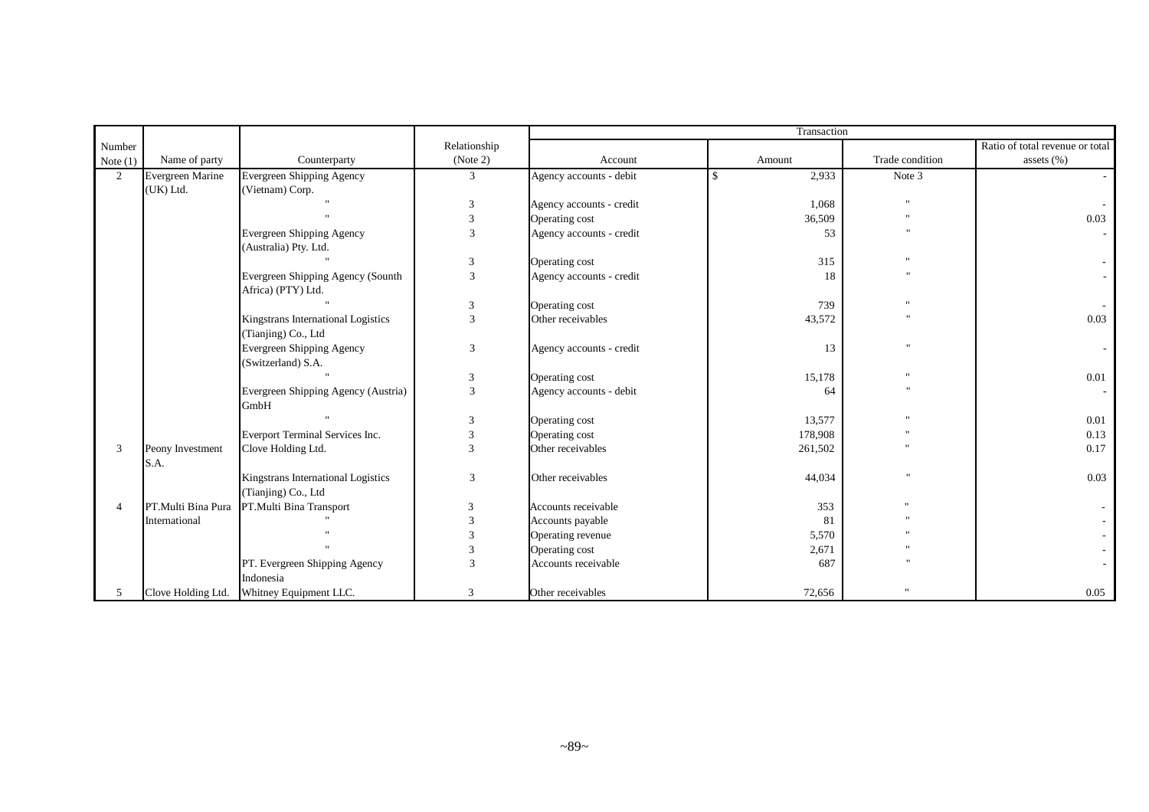|                |                          |                                                           |                | Transaction              |         |                 |                                 |  |  |
|----------------|--------------------------|-----------------------------------------------------------|----------------|--------------------------|---------|-----------------|---------------------------------|--|--|
| Number         |                          |                                                           | Relationship   |                          |         |                 | Ratio of total revenue or total |  |  |
| Note $(1)$     | Name of party            | Counterparty                                              | (Note 2)       | Account                  | Amount  | Trade condition | assets (%)                      |  |  |
| $\overline{2}$ | Evergreen Marine         | <b>Evergreen Shipping Agency</b>                          | 3              | Agency accounts - debit  | 2,933   | Note 3          |                                 |  |  |
|                | (UK) Ltd.                | (Vietnam) Corp.                                           |                |                          |         |                 |                                 |  |  |
|                |                          |                                                           | 3              | Agency accounts - credit | 1,068   |                 |                                 |  |  |
|                |                          |                                                           | 3              | Operating cost           | 36,509  |                 | 0.03                            |  |  |
|                |                          | Evergreen Shipping Agency<br>(Australia) Pty. Ltd.        | 3              | Agency accounts - credit | 53      | $^{\prime}$     |                                 |  |  |
|                |                          |                                                           | 3              | Operating cost           | 315     |                 |                                 |  |  |
|                |                          | Evergreen Shipping Agency (Sounth<br>Africa) (PTY) Ltd.   | 3              | Agency accounts - credit | 18      |                 |                                 |  |  |
|                |                          |                                                           | 3              | Operating cost           | 739     |                 |                                 |  |  |
|                |                          | Kingstrans International Logistics                        | 3              | Other receivables        | 43,572  | $^{\prime}$     | 0.03                            |  |  |
|                |                          | (Tianjing) Co., Ltd                                       |                |                          |         |                 |                                 |  |  |
|                |                          | <b>Evergreen Shipping Agency</b>                          | 3              | Agency accounts - credit | 13      | $^{\prime}$     |                                 |  |  |
|                |                          | (Switzerland) S.A.                                        |                |                          |         |                 |                                 |  |  |
|                |                          |                                                           | 3              | Operating cost           | 15,178  |                 | 0.01                            |  |  |
|                |                          | Evergreen Shipping Agency (Austria)<br>GmbH               | $\mathfrak{Z}$ | Agency accounts - debit  | 64      |                 |                                 |  |  |
|                |                          |                                                           | 3              | Operating cost           | 13,577  |                 | 0.01                            |  |  |
|                |                          | Everport Terminal Services Inc.                           | 3              | Operating cost           | 178,908 |                 | 0.13                            |  |  |
| 3              | Peony Investment<br>S.A. | Clove Holding Ltd.                                        | $\mathcal{R}$  | Other receivables        | 261,502 |                 | 0.17                            |  |  |
|                |                          | Kingstrans International Logistics<br>(Tianjing) Co., Ltd | 3              | Other receivables        | 44,034  |                 | 0.03                            |  |  |
| $\overline{4}$ | PT.Multi Bina Pura       | PT.Multi Bina Transport                                   | 3              | Accounts receivable      | 353     |                 |                                 |  |  |
|                | International            |                                                           | $\mathbf{3}$   | Accounts payable         | 81      |                 |                                 |  |  |
|                |                          |                                                           |                | Operating revenue        | 5,570   |                 |                                 |  |  |
|                |                          |                                                           |                | Operating cost           | 2,671   |                 |                                 |  |  |
|                |                          | PT. Evergreen Shipping Agency<br>Indonesia                | 3              | Accounts receivable      | 687     |                 |                                 |  |  |
| 5              |                          | Clove Holding Ltd. Whitney Equipment LLC.                 | 3              | Other receivables        | 72,656  |                 | 0.05                            |  |  |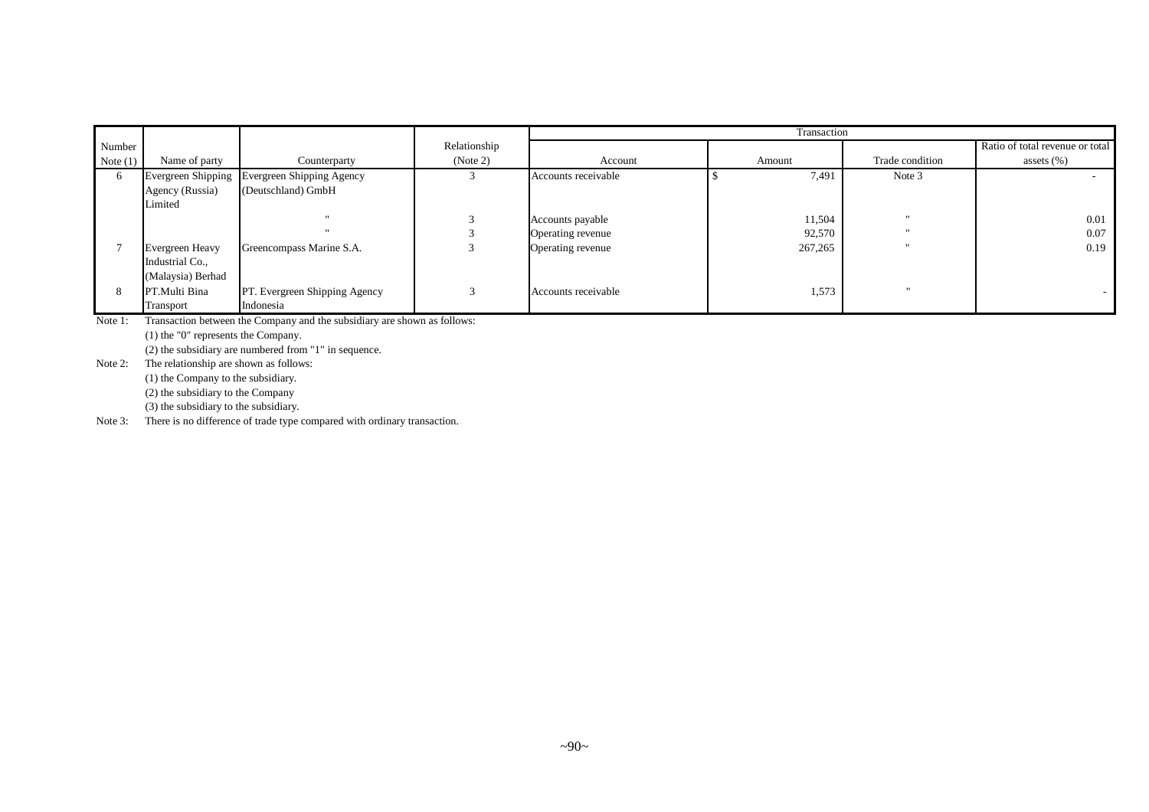|            |                   |                                              |              | Transaction         |         |                      |                                 |  |  |  |
|------------|-------------------|----------------------------------------------|--------------|---------------------|---------|----------------------|---------------------------------|--|--|--|
| Number     |                   |                                              | Relationship |                     |         |                      | Ratio of total revenue or total |  |  |  |
| Note $(1)$ | Name of party     | Counterparty                                 | (Note 2)     | Account             | Amount  | Trade condition      | assets $(\%)$                   |  |  |  |
|            |                   | Evergreen Shipping Evergreen Shipping Agency |              | Accounts receivable | 7.491   | Note 3               | ۰                               |  |  |  |
|            | Agency (Russia)   | (Deutschland) GmbH                           |              |                     |         |                      |                                 |  |  |  |
|            | Limited           |                                              |              |                     |         |                      |                                 |  |  |  |
|            |                   |                                              |              | Accounts payable    | 11,504  | .                    | 0.01                            |  |  |  |
|            |                   |                                              |              | Operating revenue   | 92,570  | $\cdot$              | 0.07                            |  |  |  |
|            | Evergreen Heavy   | Greencompass Marine S.A.                     |              | Operating revenue   | 267,265 |                      | 0.19                            |  |  |  |
|            | Industrial Co.,   |                                              |              |                     |         |                      |                                 |  |  |  |
|            | (Malaysia) Berhad |                                              |              |                     |         |                      |                                 |  |  |  |
| 8          | PT.Multi Bina     | PT. Evergreen Shipping Agency                |              | Accounts receivable | 1,573   | $\ddot{\phantom{0}}$ |                                 |  |  |  |
|            | Transport         | Indonesia                                    |              |                     |         |                      |                                 |  |  |  |

Note 1: Transaction between the Company and the subsidiary are shown as follows: (1) the "0" represents the Company.

(2) the subsidiary are numbered from "1" in sequence.

Note 2: The relationship are shown as follows:

(1) the Company to the subsidiary.

(2) the subsidiary to the Company

(3) the subsidiary to the subsidiary.

Note 3: There is no difference of trade type compared with ordinary transaction.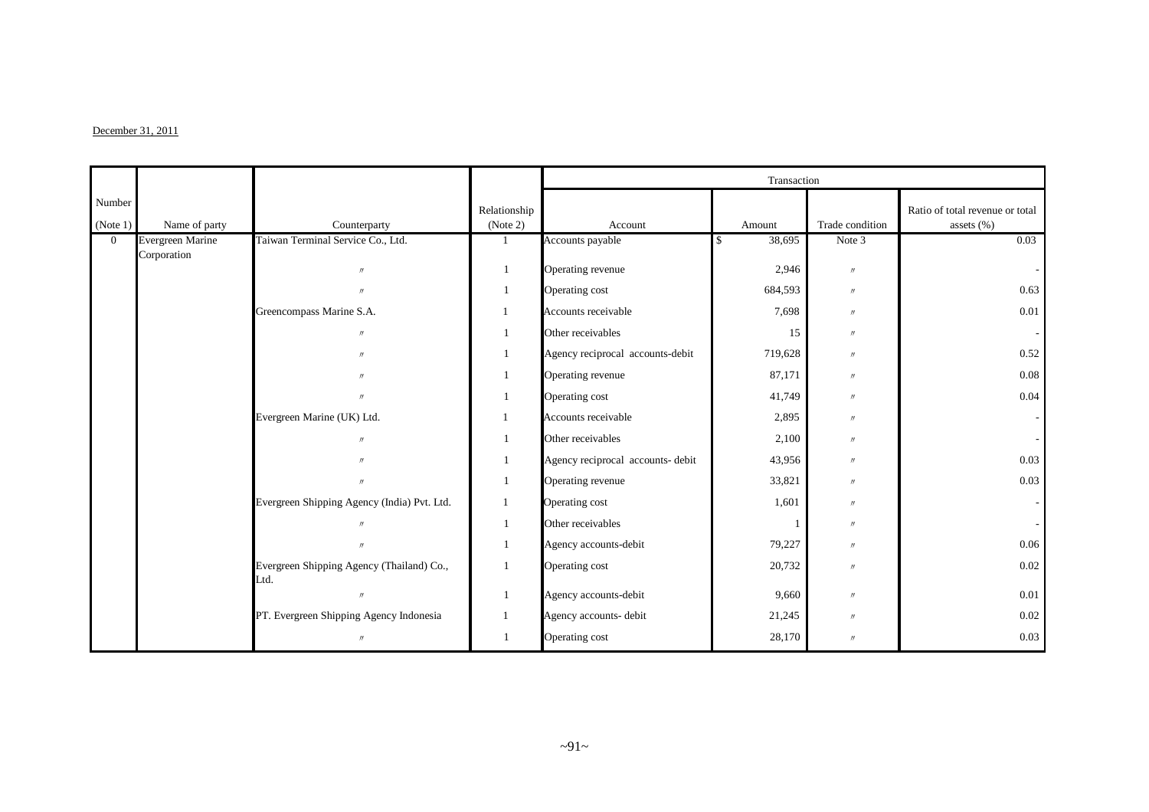#### $December 31, 2011$

|                    |                  |                                                   |                          |                                   | Transaction |                   |                                               |
|--------------------|------------------|---------------------------------------------------|--------------------------|-----------------------------------|-------------|-------------------|-----------------------------------------------|
| Number<br>(Note 1) | Name of party    | Counterparty                                      | Relationship<br>(Note 2) | Account                           | Amount      | Trade condition   | Ratio of total revenue or total<br>assets (%) |
| $\overline{0}$     | Evergreen Marine | Taiwan Terminal Service Co., Ltd.                 |                          | Accounts payable                  | 38,695<br>S | Note 3            | 0.03                                          |
|                    | Corporation      | $^{\prime\prime}$                                 |                          | Operating revenue                 | 2,946       | $\prime\prime$    |                                               |
|                    |                  | $^{\prime\prime}$                                 | 1                        | Operating cost                    | 684,593     | $\prime\prime$    | 0.63                                          |
|                    |                  | Greencompass Marine S.A.                          |                          | Accounts receivable               | 7,698       | $^{\prime\prime}$ | 0.01                                          |
|                    |                  | $\prime\prime$                                    | 1                        | Other receivables                 | 15          | $\prime\prime$    |                                               |
|                    |                  | $^{\prime\prime}$                                 |                          | Agency reciprocal accounts-debit  | 719,628     | $^{\prime\prime}$ | 0.52                                          |
|                    |                  | $^{\prime\prime}$                                 |                          | Operating revenue                 | 87,171      | $\prime\prime$    | 0.08                                          |
|                    |                  | $^{\prime\prime}$                                 |                          | Operating cost                    | 41,749      | $\prime\prime$    | 0.04                                          |
|                    |                  | Evergreen Marine (UK) Ltd.                        |                          | Accounts receivable               | 2,895       | $\prime\prime$    |                                               |
|                    |                  | $^{\prime\prime}$                                 |                          | Other receivables                 | 2,100       | $\prime\prime$    |                                               |
|                    |                  | $^{\prime\prime}$                                 |                          | Agency reciprocal accounts- debit | 43,956      | $^{\prime\prime}$ | 0.03                                          |
|                    |                  | $^{\prime\prime}$                                 | 1                        | Operating revenue                 | 33,821      | $\prime\prime$    | 0.03                                          |
|                    |                  | Evergreen Shipping Agency (India) Pvt. Ltd.       | 1                        | Operating cost                    | 1,601       | $^{\prime\prime}$ |                                               |
|                    |                  | $^{\prime\prime}$                                 | $\mathbf{1}$             | Other receivables                 |             | $^{\prime\prime}$ |                                               |
|                    |                  | $^{\prime\prime}$                                 |                          | Agency accounts-debit             | 79,227      | $^{\prime\prime}$ | 0.06                                          |
|                    |                  | Evergreen Shipping Agency (Thailand) Co.,<br>Ltd. |                          | Operating cost                    | 20,732      | $\prime\prime$    | 0.02                                          |
|                    |                  | $\mathbf{u}$                                      | 1                        | Agency accounts-debit             | 9,660       | $\prime\prime$    | 0.01                                          |
|                    |                  | PT. Evergreen Shipping Agency Indonesia           |                          | Agency accounts- debit            | 21,245      | $\prime\prime$    | 0.02                                          |
|                    |                  | $^{\prime\prime}$                                 |                          | Operating cost                    | 28,170      | $^{\prime\prime}$ | 0.03                                          |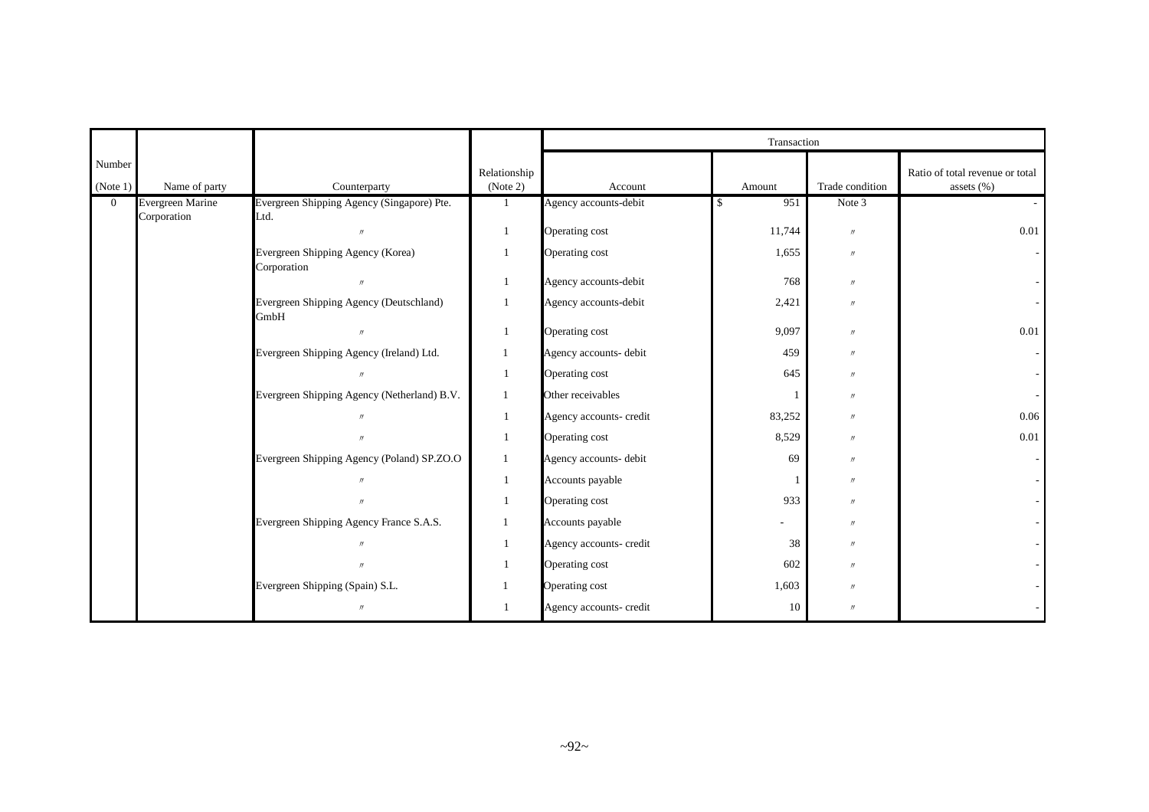|                    |                                 |                                                    |                          | Transaction             |           |                   |                                                  |  |
|--------------------|---------------------------------|----------------------------------------------------|--------------------------|-------------------------|-----------|-------------------|--------------------------------------------------|--|
| Number<br>(Note 1) | Name of party                   | Counterparty                                       | Relationship<br>(Note 2) | Account                 | Amount    | Trade condition   | Ratio of total revenue or total<br>assets $(\%)$ |  |
| $\Omega$           | Evergreen Marine<br>Corporation | Evergreen Shipping Agency (Singapore) Pte.<br>Ltd. |                          | Agency accounts-debit   | 951<br>\$ | Note 3            |                                                  |  |
|                    |                                 | $^{\prime\prime}$                                  | $\mathbf{1}$             | Operating cost          | 11,744    | $^{\prime\prime}$ | 0.01                                             |  |
|                    |                                 | Evergreen Shipping Agency (Korea)<br>Corporation   | $\mathbf{1}$             | Operating cost          | 1,655     | $^{\prime\prime}$ |                                                  |  |
|                    |                                 |                                                    | -1                       | Agency accounts-debit   | 768       | $\prime$          |                                                  |  |
|                    |                                 | Evergreen Shipping Agency (Deutschland)<br>GmbH    |                          | Agency accounts-debit   | 2,421     | $^{\prime\prime}$ |                                                  |  |
|                    |                                 | $^{\prime\prime}$                                  | $\mathbf{1}$             | Operating cost          | 9,097     | $^{\prime\prime}$ | 0.01                                             |  |
|                    |                                 | Evergreen Shipping Agency (Ireland) Ltd.           | $\mathbf{1}$             | Agency accounts- debit  | 459       | $^{\prime\prime}$ |                                                  |  |
|                    |                                 |                                                    |                          | Operating cost          | 645       | $^{\prime\prime}$ |                                                  |  |
|                    |                                 | Evergreen Shipping Agency (Netherland) B.V.        | -1                       | Other receivables       |           | $^{\prime\prime}$ |                                                  |  |
|                    |                                 |                                                    | $\mathbf{1}$             | Agency accounts- credit | 83,252    | $^{\prime\prime}$ | 0.06                                             |  |
|                    |                                 |                                                    |                          | Operating cost          | 8,529     | $^{\prime\prime}$ | 0.01                                             |  |
|                    |                                 | Evergreen Shipping Agency (Poland) SP.ZO.O         | $\mathbf{1}$             | Agency accounts- debit  | 69        | $^{\prime\prime}$ |                                                  |  |
|                    |                                 |                                                    | $\overline{1}$           | Accounts payable        |           | $^{\prime\prime}$ |                                                  |  |
|                    |                                 |                                                    | $\mathbf{1}$             | Operating cost          | 933       | $^{\prime\prime}$ |                                                  |  |
|                    |                                 | Evergreen Shipping Agency France S.A.S.            |                          | Accounts payable        |           | $^{\prime\prime}$ |                                                  |  |
|                    |                                 |                                                    |                          | Agency accounts- credit | 38        | $^{\prime\prime}$ |                                                  |  |
|                    |                                 |                                                    |                          | Operating cost          | 602       | $^{\prime\prime}$ |                                                  |  |
|                    |                                 | Evergreen Shipping (Spain) S.L.                    |                          | Operating cost          | 1,603     | $^{\prime\prime}$ |                                                  |  |
|                    |                                 |                                                    |                          | Agency accounts- credit | 10        | $^{\prime\prime}$ |                                                  |  |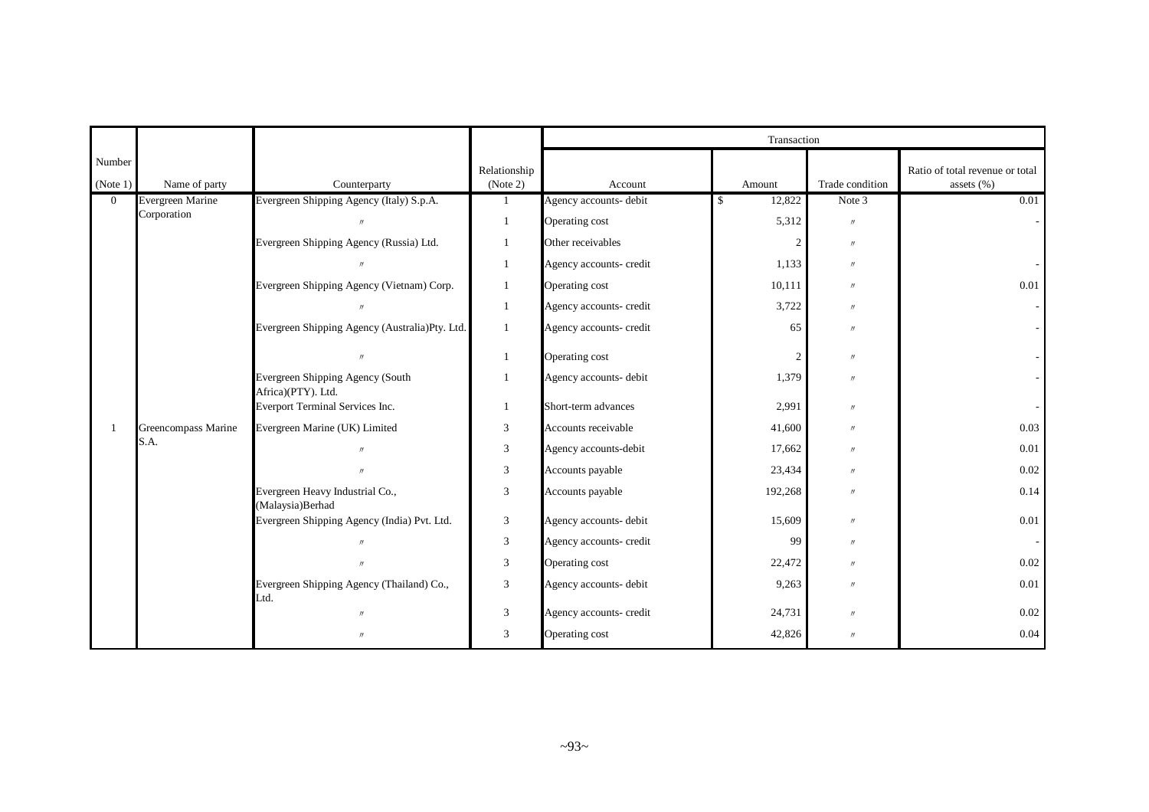|                    |                         |                                                        |                          |                         | Transaction    |                   |                                               |  |  |
|--------------------|-------------------------|--------------------------------------------------------|--------------------------|-------------------------|----------------|-------------------|-----------------------------------------------|--|--|
| Number<br>(Note 1) | Name of party           | Counterparty                                           | Relationship<br>(Note 2) | Account                 | Amount         | Trade condition   | Ratio of total revenue or total<br>assets (%) |  |  |
| $\overline{0}$     | <b>Evergreen Marine</b> | Evergreen Shipping Agency (Italy) S.p.A.               | 1                        | Agency accounts-debit   | 12,822<br>S.   | Note 3            | 0.01                                          |  |  |
|                    | Corporation             | $^{\prime\prime}$                                      | 1                        | Operating cost          | 5,312          | $\prime\prime$    |                                               |  |  |
|                    |                         | Evergreen Shipping Agency (Russia) Ltd.                | 1                        | Other receivables       | 2              | $\prime\prime$    |                                               |  |  |
|                    |                         |                                                        | 1                        | Agency accounts- credit | 1,133          | $^{\prime\prime}$ |                                               |  |  |
|                    |                         | Evergreen Shipping Agency (Vietnam) Corp.              | 1                        | Operating cost          | 10,111         | $^{\prime\prime}$ | 0.01                                          |  |  |
|                    |                         |                                                        | $\mathbf{1}$             | Agency accounts- credit | 3,722          | $\prime$          |                                               |  |  |
|                    |                         | Evergreen Shipping Agency (Australia)Pty. Ltd.         | 1                        | Agency accounts- credit | 65             | $\prime$          |                                               |  |  |
|                    |                         | $\mathbf{u}$                                           | $\mathbf{1}$             | Operating cost          | $\mathfrak{2}$ | $\prime\prime$    |                                               |  |  |
|                    |                         | Evergreen Shipping Agency (South<br>Africa)(PTY). Ltd. | 1                        | Agency accounts- debit  | 1,379          | $\prime$          |                                               |  |  |
|                    |                         | Everport Terminal Services Inc.                        | 1                        | Short-term advances     | 2,991          | $\prime$          |                                               |  |  |
|                    | Greencompass Marine     | Evergreen Marine (UK) Limited                          | 3                        | Accounts receivable     | 41,600         | $^{\prime\prime}$ | 0.03                                          |  |  |
|                    | S.A.                    | $^{\prime\prime}$                                      | $\mathfrak{Z}$           | Agency accounts-debit   | 17,662         | $\prime$          | 0.01                                          |  |  |
|                    |                         | $^{\prime\prime}$                                      | 3                        | Accounts payable        | 23,434         | $^{\prime\prime}$ | 0.02                                          |  |  |
|                    |                         | Evergreen Heavy Industrial Co.,<br>(Malaysia)Berhad    | $\mathfrak{Z}$           | Accounts payable        | 192,268        | $\prime$          | 0.14                                          |  |  |
|                    |                         | Evergreen Shipping Agency (India) Pvt. Ltd.            | $\mathfrak{Z}$           | Agency accounts- debit  | 15,609         | $\prime$          | 0.01                                          |  |  |
|                    |                         | $^{\prime\prime}$                                      | $\mathfrak{Z}$           | Agency accounts- credit | 99             | $^{\prime\prime}$ |                                               |  |  |
|                    |                         | $^{\prime\prime}$                                      | $\mathfrak{Z}$           | Operating cost          | 22,472         | $\prime$          | 0.02                                          |  |  |
|                    |                         | Evergreen Shipping Agency (Thailand) Co.,<br>Ltd.      | $\mathfrak{Z}$           | Agency accounts- debit  | 9,263          | $\prime$          | 0.01                                          |  |  |
|                    |                         | $^{\prime\prime}$                                      | 3                        | Agency accounts- credit | 24,731         | $\prime\prime$    | 0.02                                          |  |  |
|                    |                         | $^{\prime\prime}$                                      | 3                        | Operating cost          | 42,826         | $^{\prime\prime}$ | 0.04                                          |  |  |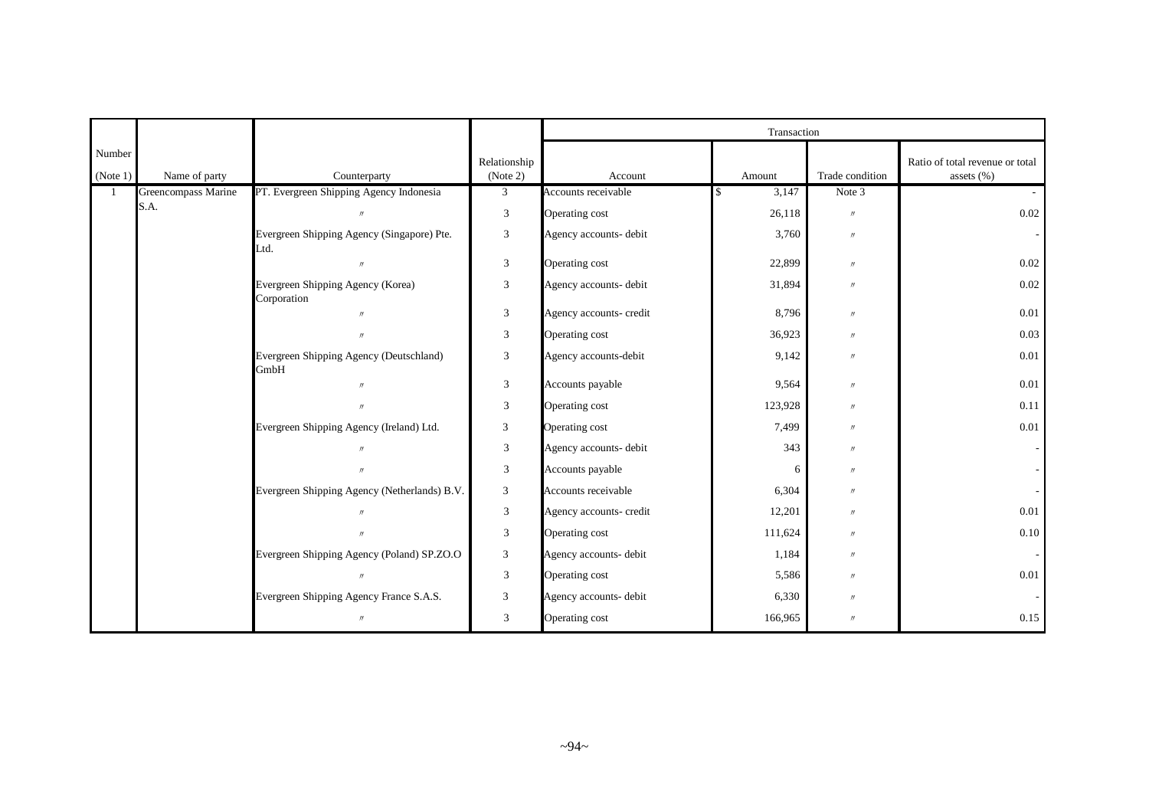|                    |                     |                                                    |                          | Transaction             |             |                   |                                                   |  |
|--------------------|---------------------|----------------------------------------------------|--------------------------|-------------------------|-------------|-------------------|---------------------------------------------------|--|
| Number<br>(Note 1) | Name of party       | Counterparty                                       | Relationship<br>(Note 2) | Account                 | Amount      | Trade condition   | Ratio of total revenue or total<br>assets $(\% )$ |  |
|                    | Greencompass Marine | PT. Evergreen Shipping Agency Indonesia            | $\mathfrak{Z}$           | Accounts receivable     | 3,147<br>\$ | Note 3            |                                                   |  |
|                    | S.A.                |                                                    | 3                        | Operating cost          | 26,118      | $^{\prime\prime}$ | 0.02                                              |  |
|                    |                     | Evergreen Shipping Agency (Singapore) Pte.<br>Ltd. | 3                        | Agency accounts- debit  | 3,760       | $^{\prime\prime}$ |                                                   |  |
|                    |                     |                                                    | $\mathfrak{Z}$           | Operating cost          | 22,899      | $^{\prime\prime}$ | 0.02                                              |  |
|                    |                     | Evergreen Shipping Agency (Korea)<br>Corporation   | $\mathfrak{Z}$           | Agency accounts- debit  | 31,894      | $^{\prime\prime}$ | 0.02                                              |  |
|                    |                     | $\overline{u}$                                     | $\mathfrak{Z}$           | Agency accounts- credit | 8,796       | $^{\prime\prime}$ | 0.01                                              |  |
|                    |                     |                                                    | $\mathfrak{Z}$           | Operating cost          | 36,923      | $^{\prime\prime}$ | 0.03                                              |  |
|                    |                     | Evergreen Shipping Agency (Deutschland)<br>GmbH    | $\mathfrak{Z}$           | Agency accounts-debit   | 9,142       | $^{\prime\prime}$ | 0.01                                              |  |
|                    |                     | $^{\prime\prime}$                                  | $\mathfrak{Z}$           | Accounts payable        | 9,564       | $^{\prime\prime}$ | 0.01                                              |  |
|                    |                     |                                                    | $\sqrt{3}$               | Operating cost          | 123,928     | $^{\prime\prime}$ | 0.11                                              |  |
|                    |                     | Evergreen Shipping Agency (Ireland) Ltd.           | 3                        | Operating cost          | 7,499       | $^{\prime\prime}$ | 0.01                                              |  |
|                    |                     | $^{\prime\prime}$                                  | $\mathfrak{Z}$           | Agency accounts- debit  | 343         | $^{\prime\prime}$ |                                                   |  |
|                    |                     |                                                    | 3                        | Accounts payable        | 6           | $\prime$          |                                                   |  |
|                    |                     | Evergreen Shipping Agency (Netherlands) B.V.       | 3                        | Accounts receivable     | 6,304       | $^{\prime\prime}$ |                                                   |  |
|                    |                     |                                                    | 3                        | Agency accounts- credit | 12,201      | $^{\prime\prime}$ | 0.01                                              |  |
|                    |                     |                                                    | $\mathfrak{Z}$           | Operating cost          | 111,624     | $^{\prime\prime}$ | 0.10                                              |  |
|                    |                     | Evergreen Shipping Agency (Poland) SP.ZO.O         | $\mathfrak{Z}$           | Agency accounts- debit  | 1,184       | $^{\prime\prime}$ |                                                   |  |
|                    |                     |                                                    | 3                        | Operating cost          | 5,586       | $^{\prime\prime}$ | 0.01                                              |  |
|                    |                     | Evergreen Shipping Agency France S.A.S.            | $\overline{3}$           | Agency accounts- debit  | 6,330       | $^{\prime\prime}$ |                                                   |  |
|                    |                     | $\prime\prime$                                     | 3                        | Operating cost          | 166,965     | $^{\prime\prime}$ | 0.15                                              |  |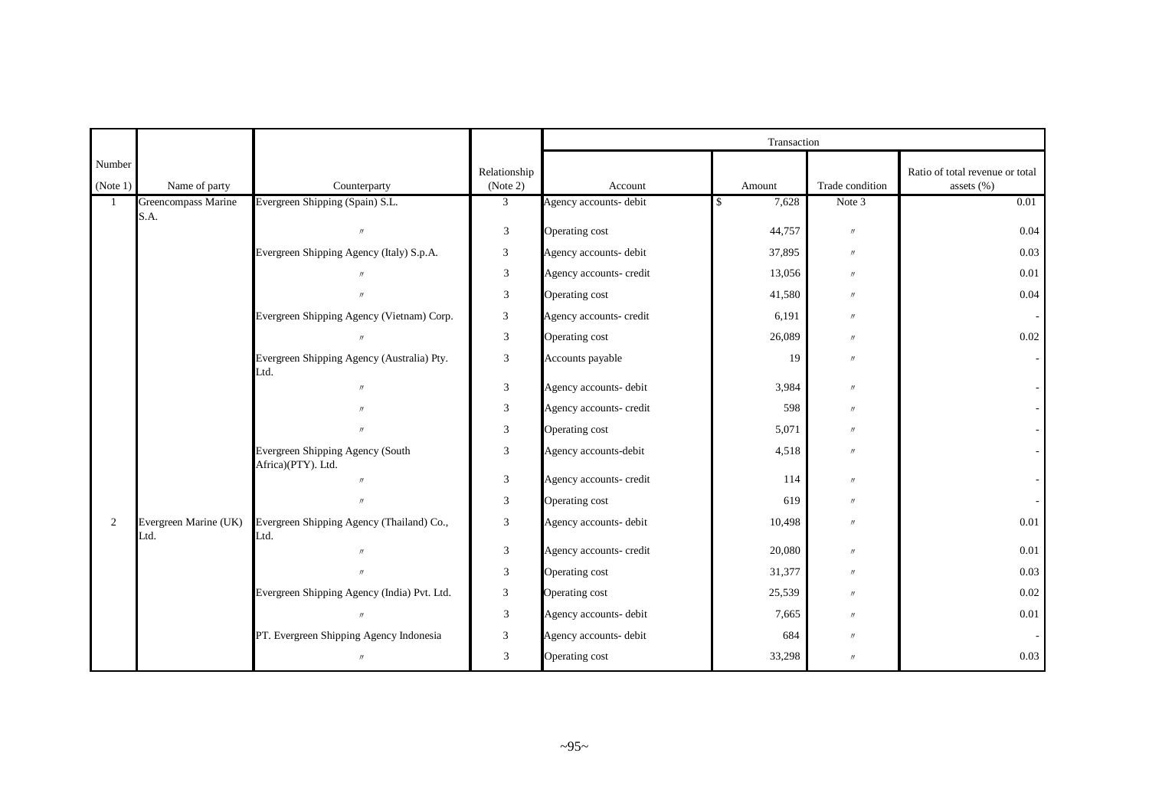|                    |                               |                                                        |                          | Transaction             |        |                   |                                                  |  |  |
|--------------------|-------------------------------|--------------------------------------------------------|--------------------------|-------------------------|--------|-------------------|--------------------------------------------------|--|--|
| Number<br>(Note 1) | Name of party                 | Counterparty                                           | Relationship<br>(Note 2) | Account                 | Amount | Trade condition   | Ratio of total revenue or total<br>assets $(\%)$ |  |  |
| $\mathbf{1}$       | Greencompass Marine           | Evergreen Shipping (Spain) S.L.                        | $\mathfrak{Z}$           | Agency accounts- debit  | 7,628  | Note 3            | 0.01                                             |  |  |
|                    | S.A.                          | $\prime\prime$                                         | 3                        | Operating cost          | 44,757 | $\prime\prime$    | 0.04                                             |  |  |
|                    |                               | Evergreen Shipping Agency (Italy) S.p.A.               | 3                        | Agency accounts- debit  | 37,895 | $\prime\prime$    | 0.03                                             |  |  |
|                    |                               |                                                        | 3                        | Agency accounts- credit | 13,056 | $\prime$          | $0.01\,$                                         |  |  |
|                    |                               | $^{\prime}$                                            | 3                        | Operating cost          | 41,580 | $\prime\prime$    | 0.04                                             |  |  |
|                    |                               | Evergreen Shipping Agency (Vietnam) Corp.              | $\mathfrak{Z}$           | Agency accounts- credit | 6,191  | $^{\prime\prime}$ |                                                  |  |  |
|                    |                               | $^{\prime\prime}$                                      | 3                        | Operating cost          | 26,089 | $^{\prime\prime}$ | 0.02                                             |  |  |
|                    |                               | Evergreen Shipping Agency (Australia) Pty.<br>Ltd.     | 3                        | Accounts payable        | 19     | $^{\prime\prime}$ |                                                  |  |  |
|                    |                               | $\prime$                                               | 3                        | Agency accounts- debit  | 3,984  | $^{\prime\prime}$ |                                                  |  |  |
|                    |                               | $^{\prime\prime}$                                      | 3                        | Agency accounts- credit | 598    | $^{\prime\prime}$ |                                                  |  |  |
|                    |                               | $\prime$                                               | 3                        | Operating cost          | 5,071  | $^{\prime\prime}$ |                                                  |  |  |
|                    |                               | Evergreen Shipping Agency (South<br>Africa)(PTY). Ltd. | 3                        | Agency accounts-debit   | 4,518  | $^{\prime\prime}$ |                                                  |  |  |
|                    |                               | $\prime$                                               | 3                        | Agency accounts- credit | 114    | $^{\prime\prime}$ |                                                  |  |  |
|                    |                               |                                                        | 3                        | Operating cost          | 619    | $^{\prime\prime}$ |                                                  |  |  |
| 2                  | Evergreen Marine (UK)<br>Ltd. | Evergreen Shipping Agency (Thailand) Co.,<br>Ltd.      | 3                        | Agency accounts- debit  | 10,498 | $^{\prime\prime}$ | $0.01\,$                                         |  |  |
|                    |                               | $\mathcal{U}$                                          | $\mathfrak{Z}$           | Agency accounts- credit | 20,080 | $^{\prime\prime}$ | 0.01                                             |  |  |
|                    |                               | $\boldsymbol{\eta}$                                    | 3                        | Operating cost          | 31,377 | $^{\prime\prime}$ | 0.03                                             |  |  |
|                    |                               | Evergreen Shipping Agency (India) Pvt. Ltd.            | $\mathfrak{Z}$           | Operating cost          | 25,539 | $\prime\prime$    | 0.02                                             |  |  |
|                    |                               |                                                        | 3                        | Agency accounts- debit  | 7,665  | $\prime\prime$    | $0.01\,$                                         |  |  |
|                    |                               | PT. Evergreen Shipping Agency Indonesia                | $\mathfrak{Z}$           | Agency accounts- debit  | 684    | $\prime\prime$    |                                                  |  |  |
|                    |                               | $^{\prime\prime}$                                      | 3                        | Operating cost          | 33,298 | $^{\prime\prime}$ | 0.03                                             |  |  |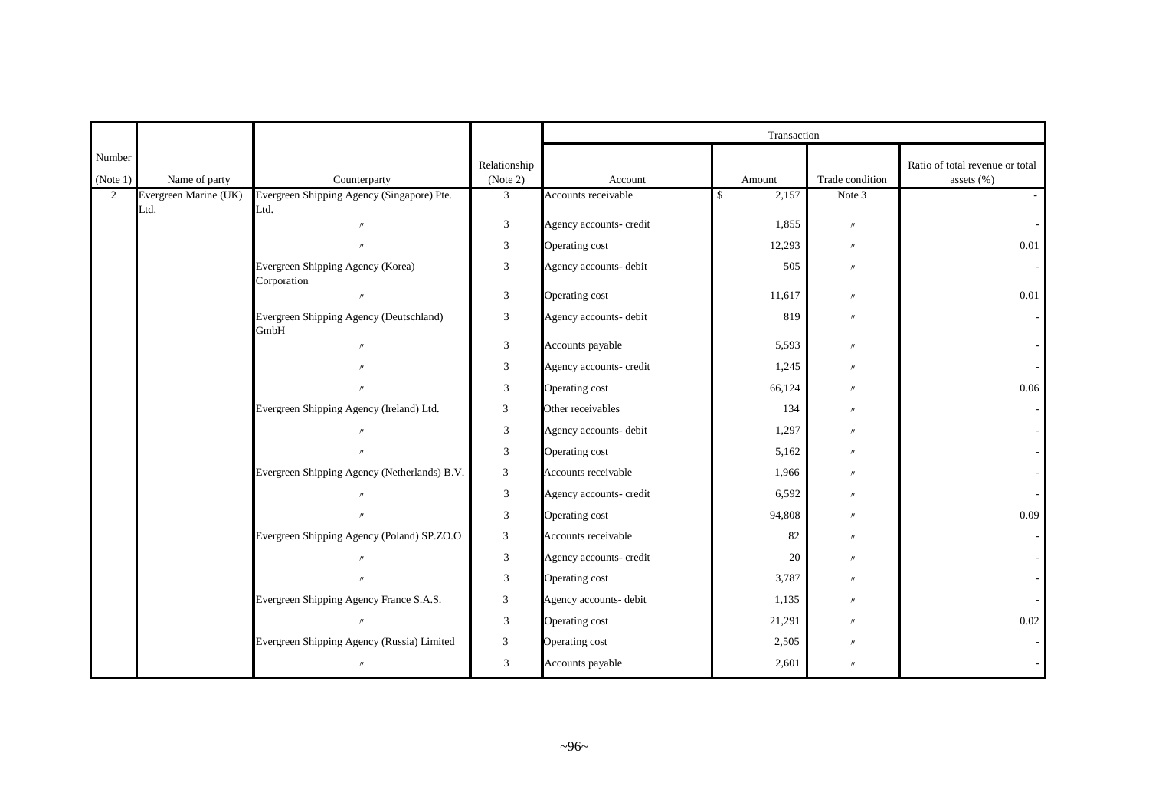|                    |                       |                                                  |                          |                         | Transaction |                   |                                               |
|--------------------|-----------------------|--------------------------------------------------|--------------------------|-------------------------|-------------|-------------------|-----------------------------------------------|
| Number<br>(Note 1) | Name of party         | Counterparty                                     | Relationship<br>(Note 2) | Account                 | Amount      | Trade condition   | Ratio of total revenue or total<br>assets (%) |
| $\overline{2}$     | Evergreen Marine (UK) | Evergreen Shipping Agency (Singapore) Pte.       | $\mathfrak{Z}$           | Accounts receivable     | 2,157<br>\$ | Note 3            |                                               |
|                    | Ltd.                  | Ltd.                                             |                          |                         |             |                   |                                               |
|                    |                       | $\prime\prime$                                   | $\mathfrak{Z}$           | Agency accounts- credit | 1,855       | $\prime\prime$    |                                               |
|                    |                       | $\prime\prime$                                   | $\overline{3}$           | Operating cost          | 12,293      | $^{\prime\prime}$ | 0.01                                          |
|                    |                       | Evergreen Shipping Agency (Korea)<br>Corporation | $\mathfrak{Z}$           | Agency accounts- debit  | 505         | $^{\prime\prime}$ |                                               |
|                    |                       |                                                  | $\overline{3}$           | Operating cost          | 11,617      | $^{\prime\prime}$ | 0.01                                          |
|                    |                       | Evergreen Shipping Agency (Deutschland)<br>GmbH  | 3                        | Agency accounts- debit  | 819         | $^{\prime\prime}$ |                                               |
|                    |                       | $\prime$                                         | $\mathfrak{Z}$           | Accounts payable        | 5,593       | $\prime$          |                                               |
|                    |                       |                                                  | $\overline{3}$           | Agency accounts- credit | 1,245       | $\prime$          |                                               |
|                    |                       | $^{\prime\prime}$                                | $\overline{3}$           | Operating cost          | 66,124      | $^{\prime\prime}$ | 0.06                                          |
|                    |                       | Evergreen Shipping Agency (Ireland) Ltd.         | 3                        | Other receivables       | 134         | $^{\prime\prime}$ |                                               |
|                    |                       |                                                  | $\mathfrak{Z}$           | Agency accounts- debit  | 1,297       | $^{\prime\prime}$ |                                               |
|                    |                       |                                                  | 3                        | Operating cost          | 5,162       | $^{\prime\prime}$ |                                               |
|                    |                       | Evergreen Shipping Agency (Netherlands) B.V.     | 3                        | Accounts receivable     | 1,966       | $^{\prime\prime}$ |                                               |
|                    |                       | $\prime$                                         | 3                        | Agency accounts- credit | 6,592       | $^{\prime\prime}$ |                                               |
|                    |                       | $^{\prime\prime}$                                | 3                        | Operating cost          | 94,808      | $\prime$          | 0.09                                          |
|                    |                       | Evergreen Shipping Agency (Poland) SP.ZO.O       | 3                        | Accounts receivable     | 82          | $\prime$          |                                               |
|                    |                       |                                                  | 3                        | Agency accounts- credit | 20          | $^{\prime\prime}$ |                                               |
|                    |                       |                                                  | 3                        | Operating cost          | 3,787       | $^{\prime\prime}$ |                                               |
|                    |                       | Evergreen Shipping Agency France S.A.S.          | 3                        | Agency accounts- debit  | 1,135       | $^{\prime\prime}$ |                                               |
|                    |                       |                                                  | $\mathfrak{Z}$           | Operating cost          | 21,291      | $^{\prime\prime}$ | $0.02\,$                                      |
|                    |                       | Evergreen Shipping Agency (Russia) Limited       | $\mathfrak{Z}$           | Operating cost          | 2,505       | $^{\prime\prime}$ |                                               |
|                    |                       | $\prime$                                         | 3                        | Accounts payable        | 2,601       | $^{\prime\prime}$ |                                               |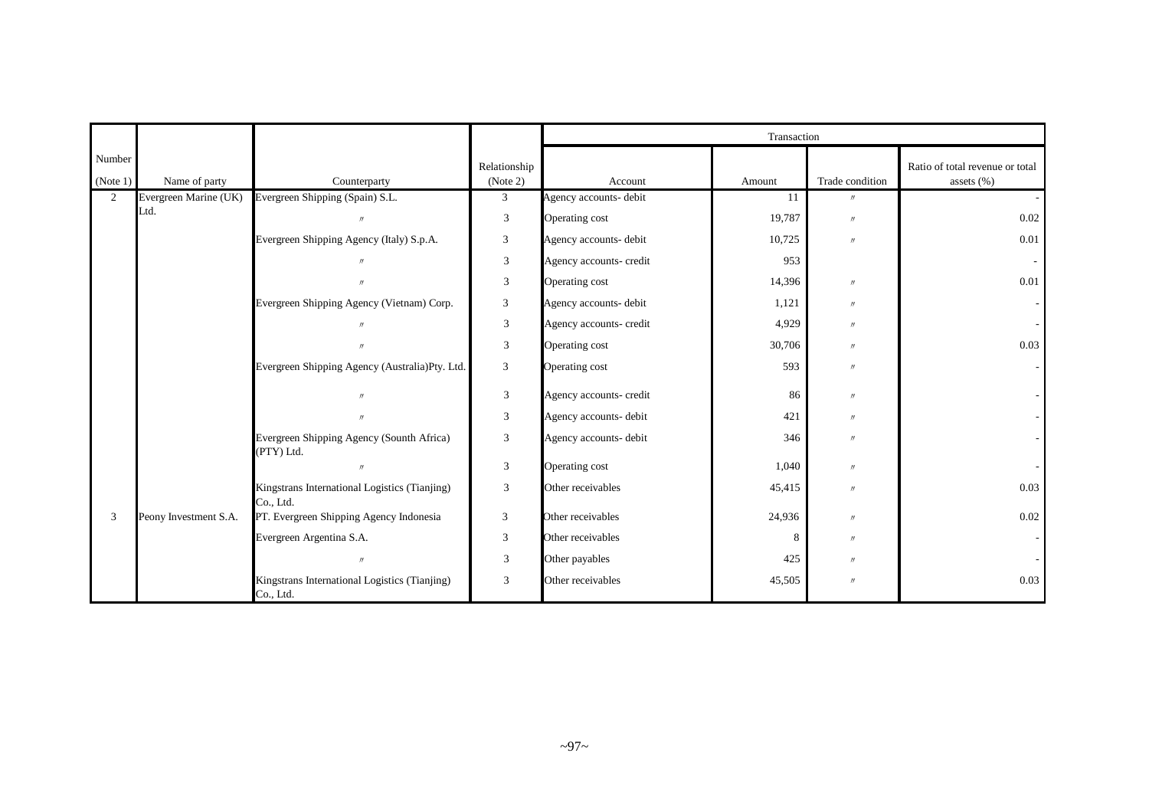|                    |                       |                                                            |                          | Transaction             |        |                   |                                                  |  |  |
|--------------------|-----------------------|------------------------------------------------------------|--------------------------|-------------------------|--------|-------------------|--------------------------------------------------|--|--|
| Number<br>(Note 1) | Name of party         | Counterparty                                               | Relationship<br>(Note 2) | Account                 | Amount | Trade condition   | Ratio of total revenue or total<br>assets $(\%)$ |  |  |
| $\overline{2}$     | Evergreen Marine (UK) | Evergreen Shipping (Spain) S.L.                            | $\mathfrak{Z}$           | Agency accounts- debit  | 11     | $^{\prime\prime}$ |                                                  |  |  |
|                    | Ltd.                  | $\overline{u}$                                             | $\mathfrak{Z}$           | Operating cost          | 19,787 | $\prime\prime$    | 0.02                                             |  |  |
|                    |                       | Evergreen Shipping Agency (Italy) S.p.A.                   | 3                        | Agency accounts- debit  | 10,725 | $\prime\prime$    | 0.01                                             |  |  |
|                    |                       |                                                            | $\mathfrak z$            | Agency accounts- credit | 953    |                   |                                                  |  |  |
|                    |                       |                                                            | $\mathfrak z$            | Operating cost          | 14,396 | $\prime\prime$    | 0.01                                             |  |  |
|                    |                       | Evergreen Shipping Agency (Vietnam) Corp.                  | $\mathfrak{Z}$           | Agency accounts- debit  | 1,121  | $\prime\prime$    |                                                  |  |  |
|                    |                       |                                                            | 3                        | Agency accounts- credit | 4,929  | $\prime$          |                                                  |  |  |
|                    |                       |                                                            | $\mathfrak{Z}$           | Operating cost          | 30,706 | $\prime$          | 0.03                                             |  |  |
|                    |                       | Evergreen Shipping Agency (Australia)Pty. Ltd.             | 3                        | Operating cost          | 593    | $^{\prime\prime}$ |                                                  |  |  |
|                    |                       | $\prime$                                                   | $\sqrt{3}$               | Agency accounts- credit | 86     | $^{\prime\prime}$ |                                                  |  |  |
|                    |                       |                                                            | $\mathfrak{Z}$           | Agency accounts- debit  | 421    | $^{\prime\prime}$ |                                                  |  |  |
|                    |                       | Evergreen Shipping Agency (Sounth Africa)<br>(PTY) Ltd.    | 3                        | Agency accounts- debit  | 346    | $^{\prime\prime}$ |                                                  |  |  |
|                    |                       |                                                            | 3                        | Operating cost          | 1,040  | $\prime$          |                                                  |  |  |
|                    |                       | Kingstrans International Logistics (Tianjing)<br>Co., Ltd. | 3                        | Other receivables       | 45,415 | $^{\prime\prime}$ | 0.03                                             |  |  |
| 3                  | Peony Investment S.A. | PT. Evergreen Shipping Agency Indonesia                    | 3                        | Other receivables       | 24,936 | $\prime$          | 0.02                                             |  |  |
|                    |                       | Evergreen Argentina S.A.                                   | 3                        | Other receivables       | 8      | $^{\prime\prime}$ |                                                  |  |  |
|                    |                       |                                                            | $\mathfrak{Z}$           | Other payables          | 425    | $^{\prime\prime}$ |                                                  |  |  |
|                    |                       | Kingstrans International Logistics (Tianjing)<br>Co., Ltd. | 3                        | Other receivables       | 45,505 | $^{\prime\prime}$ | 0.03                                             |  |  |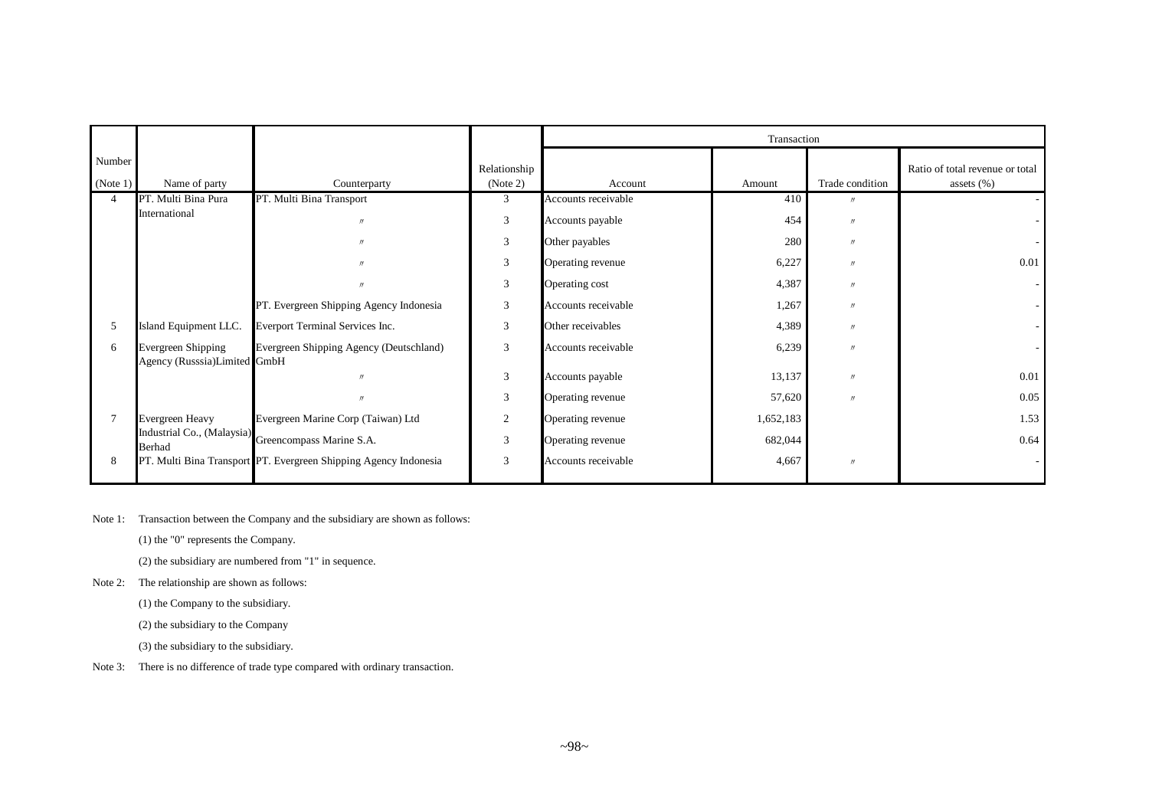|                    |                                                           |                                                                  |                          | Transaction         |           |                   |                                                  |  |  |  |
|--------------------|-----------------------------------------------------------|------------------------------------------------------------------|--------------------------|---------------------|-----------|-------------------|--------------------------------------------------|--|--|--|
| Number<br>(Note 1) | Name of party                                             | Counterparty                                                     | Relationship<br>(Note 2) | Account             | Amount    | Trade condition   | Ratio of total revenue or total<br>assets $(\%)$ |  |  |  |
| 4                  | PT. Multi Bina Pura                                       | PT. Multi Bina Transport                                         | 3                        | Accounts receivable | 410       | $^{\prime\prime}$ |                                                  |  |  |  |
|                    | International                                             | $^{\prime\prime}$                                                | 3                        | Accounts payable    | 454       | $^{\prime\prime}$ |                                                  |  |  |  |
|                    |                                                           |                                                                  | 3                        | Other payables      | 280       | $^{\prime\prime}$ |                                                  |  |  |  |
|                    |                                                           | $^{\prime\prime}$                                                | 3                        | Operating revenue   | 6,227     | $^{\prime\prime}$ | 0.01                                             |  |  |  |
|                    |                                                           | $^{\prime\prime}$                                                | 3                        | Operating cost      | 4,387     | $^{\prime\prime}$ |                                                  |  |  |  |
|                    |                                                           | PT. Evergreen Shipping Agency Indonesia                          | 3                        | Accounts receivable | 1,267     | $^{\prime\prime}$ |                                                  |  |  |  |
| 5                  | Island Equipment LLC.                                     | Everport Terminal Services Inc.                                  | 3                        | Other receivables   | 4,389     | $^{\prime\prime}$ |                                                  |  |  |  |
| 6                  | <b>Evergreen Shipping</b><br>Agency (Russsia)Limited GmbH | Evergreen Shipping Agency (Deutschland)                          | 3                        | Accounts receivable | 6,239     | $^{\prime\prime}$ |                                                  |  |  |  |
|                    |                                                           |                                                                  | 3                        | Accounts payable    | 13,137    | $^{\prime\prime}$ | 0.01                                             |  |  |  |
|                    |                                                           | $^{\prime\prime}$                                                | 3                        | Operating revenue   | 57,620    | $^{\prime\prime}$ | 0.05                                             |  |  |  |
| $\tau$             | <b>Evergreen Heavy</b>                                    | Evergreen Marine Corp (Taiwan) Ltd                               | 2                        | Operating revenue   | 1,652,183 |                   | 1.53                                             |  |  |  |
|                    | <b>Berhad</b>                                             | Industrial Co., (Malaysia) Greencompass Marine S.A.              | 3                        | Operating revenue   | 682,044   |                   | 0.64                                             |  |  |  |
| 8                  |                                                           | PT. Multi Bina Transport PT. Evergreen Shipping Agency Indonesia | 3                        | Accounts receivable | 4,667     | $\prime\prime$    |                                                  |  |  |  |

Note 1: Transaction between the Company and the subsidiary are shown as follows:

(1) the "0" represents the Company.

(2) the subsidiary are numbered from "1" in sequence.

Note 2: The relationship are shown as follows:

(1) the Company to the subsidiary.

(2) the subsidiary to the Company

(3) the subsidiary to the subsidiary.

Note 3: There is no difference of trade type compared with ordinary transaction.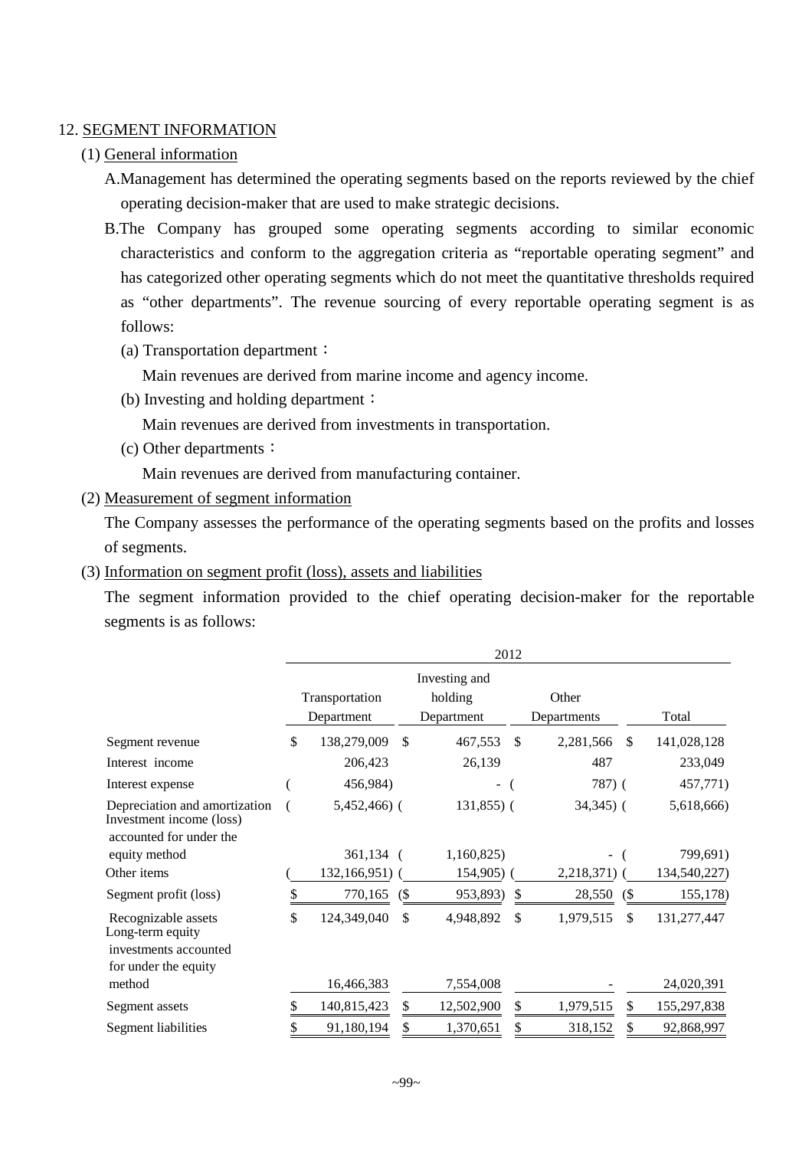## 12. SEGMENT INFORMATION

## (1) General information

- A.Management has determined the operating segments based on the reports reviewed by the chief operating decision-maker that are used to make strategic decisions.
- B.The Company has grouped some operating segments according to similar economic characteristics and conform to the aggregation criteria as "reportable operating segment" and has categorized other operating segments which do not meet the quantitative thresholds required as "other departments". The revenue sourcing of every reportable operating segment is as follows:
	- (a) Transportation department:

Main revenues are derived from marine income and agency income.

(b) Investing and holding department:

Main revenues are derived from investments in transportation.

(c) Other departments:

Main revenues are derived from manufacturing container.

(2) Measurement of segment information

The Company assesses the performance of the operating segments based on the profits and losses of segments.

(3) Information on segment profit (loss), assets and liabilities

The segment information provided to the chief operating decision-maker for the reportable segments is as follows:

|                                                                                          |                              |    |                                        | 2012 |                      |                             |              |
|------------------------------------------------------------------------------------------|------------------------------|----|----------------------------------------|------|----------------------|-----------------------------|--------------|
|                                                                                          | Transportation<br>Department |    | Investing and<br>holding<br>Department |      | Other<br>Departments |                             | Total        |
| Segment revenue                                                                          | \$<br>138,279,009            | \$ | 467,553                                | -S   | 2,281,566            | <sup>\$</sup>               | 141,028,128  |
| Interest income                                                                          | 206,423                      |    | 26,139                                 |      | 487                  |                             | 233,049      |
| Interest expense                                                                         | 456,984)                     |    |                                        |      | 787) (               |                             | 457,771)     |
| Depreciation and amortization<br>Investment income (loss)<br>accounted for under the     | $5,452,466$ ) (              |    | $131,855$ ) (                          |      | $34,345$ ) (         |                             | 5,618,666)   |
| equity method                                                                            | 361,134                      |    | 1,160,825                              |      |                      |                             | 799,691)     |
| Other items                                                                              | 132,166,951) (               |    | $154,905$ )                            |      | 2,218,371)           |                             | 134,540,227) |
| Segment profit (loss)                                                                    | 770,165                      | (S | 953,893)                               | \$   | 28,550               | $\left( \mathcal{S}\right)$ | 155,178)     |
| Recognizable assets<br>Long-term equity<br>investments accounted<br>for under the equity | \$<br>124,349,040            | \$ | 4,948,892                              | \$   | 1,979,515            | \$                          | 131,277,447  |
| method                                                                                   | 16,466,383                   |    | 7,554,008                              |      |                      |                             | 24,020,391   |
| Segment assets                                                                           | 140,815,423                  | \$ | 12,502,900                             | \$   | 1,979,515            |                             | 155,297,838  |
| Segment liabilities                                                                      | 91,180,194                   | \$ | 1,370,651                              | \$   | 318,152              |                             | 92,868,997   |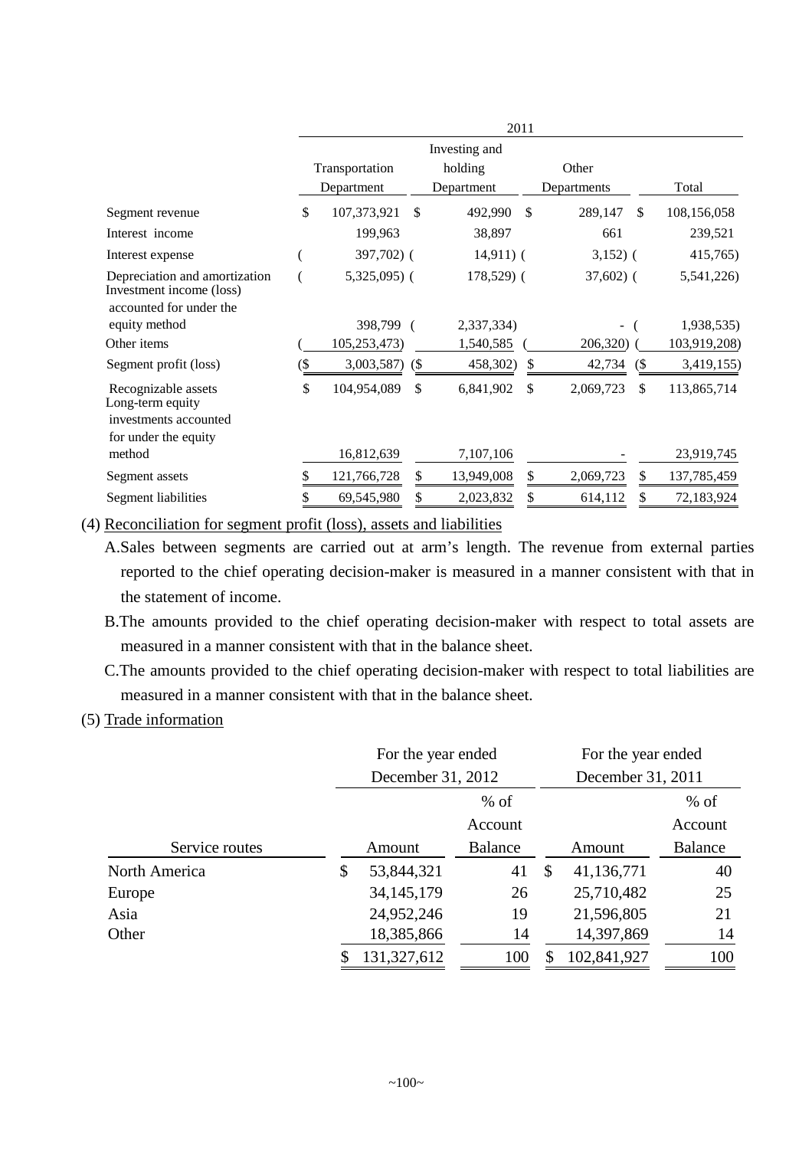|                                                                                      |        | 2011           |               |             |               |                |        |              |
|--------------------------------------------------------------------------------------|--------|----------------|---------------|-------------|---------------|----------------|--------|--------------|
|                                                                                      |        | Investing and  |               |             |               |                |        |              |
|                                                                                      |        | Transportation |               | holding     |               | Other          |        |              |
|                                                                                      |        | Department     |               | Department  |               | Departments    |        | Total        |
| Segment revenue                                                                      | \$     | 107,373,921    | $\mathcal{S}$ | 492,990     | $\mathcal{S}$ | 289,147        | \$.    | 108,156,058  |
| Interest income                                                                      |        | 199,963        |               | 38,897      |               | 661            |        | 239,521      |
| Interest expense                                                                     |        | 397,702) (     |               | $14,911)$ ( |               | $3,152)$ (     |        | 415,765)     |
| Depreciation and amortization<br>Investment income (loss)<br>accounted for under the |        | $5,325,095$ (  |               | 178,529) (  |               | $37,602$ (     |        | 5,541,226)   |
| equity method                                                                        |        | 398,799 (      |               | 2,337,334)  |               | $\overline{a}$ |        | 1,938,535)   |
| Other items                                                                          |        | 105,253,473)   |               | 1,540,585   |               | 206,320)       |        | 103,919,208) |
| Segment profit (loss)                                                                | $($ \$ | 3,003,587)     | (S)           | 458,302)    | \$            | 42,734         | $($ \$ | 3,419,155)   |
| Recognizable assets<br>Long-term equity                                              | \$     | 104,954,089    | \$            | 6,841,902   | \$            | 2,069,723      | \$     | 113,865,714  |
| investments accounted                                                                |        |                |               |             |               |                |        |              |
| for under the equity<br>method                                                       |        |                |               |             |               |                |        |              |
|                                                                                      |        | 16,812,639     |               | 7,107,106   |               |                |        | 23,919,745   |
| Segment assets                                                                       |        | 121,766,728    |               | 13,949,008  | \$            | 2,069,723      | \$     | 137,785,459  |
| Segment liabilities                                                                  |        | 69,545,980     |               | 2,023,832   | \$            | 614,112        |        | 72,183,924   |

(4) Reconciliation for segment profit (loss), assets and liabilities

A.Sales between segments are carried out at arm's length. The revenue from external parties reported to the chief operating decision-maker is measured in a manner consistent with that in the statement of income.

- B.The amounts provided to the chief operating decision-maker with respect to total assets are measured in a manner consistent with that in the balance sheet.
- C.The amounts provided to the chief operating decision-maker with respect to total liabilities are measured in a manner consistent with that in the balance sheet.

# (5) Trade information

|                | For the year ended |                |          | For the year ended |                |  |
|----------------|--------------------|----------------|----------|--------------------|----------------|--|
|                | December 31, 2012  |                |          | December 31, 2011  |                |  |
|                |                    | $%$ of         |          |                    | $%$ of         |  |
|                |                    | Account        |          |                    | Account        |  |
| Service routes | Amount             | <b>Balance</b> |          | Amount             | <b>Balance</b> |  |
| North America  | \$<br>53,844,321   | 41             | <b>S</b> | 41,136,771         | 40             |  |
| Europe         | 34, 145, 179       | 26             |          | 25,710,482         | 25             |  |
| Asia           | 24,952,246         | 19             |          | 21,596,805         | 21             |  |
| Other          | 18,385,866         | 14             |          | 14,397,869         | 14             |  |
|                | 131,327,612        | 100            |          | 102,841,927        | 100            |  |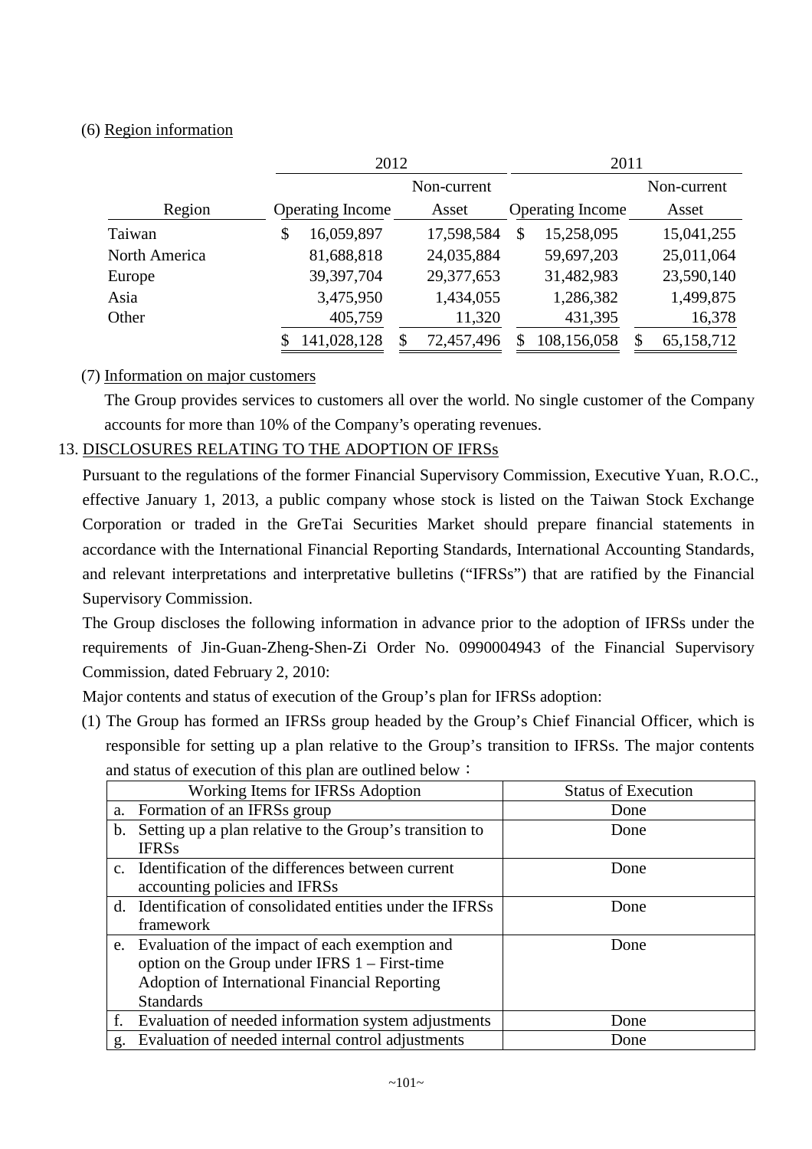# (6) Region information

|               |                         | 2012        | 2011                    |             |
|---------------|-------------------------|-------------|-------------------------|-------------|
|               |                         | Non-current |                         | Non-current |
| Region        | <b>Operating Income</b> | Asset       | <b>Operating Income</b> | Asset       |
| Taiwan        | 16,059,897              | 17,598,584  | 15,258,095<br>\$        | 15,041,255  |
| North America | 81,688,818              | 24,035,884  | 59,697,203              | 25,011,064  |
| Europe        | 39,397,704              | 29,377,653  | 31,482,983              | 23,590,140  |
| Asia          | 3,475,950               | 1,434,055   | 1,286,382               | 1,499,875   |
| Other         | 405,759                 | 11,320      | 431,395                 | 16,378      |
|               | 141,028,128             | 72,457,496  | 108,156,058             | 65,158,712  |

# (7) Information on major customers

The Group provides services to customers all over the world. No single customer of the Company accounts for more than 10% of the Company's operating revenues.

# 13. DISCLOSURES RELATING TO THE ADOPTION OF IFRSs

Pursuant to the regulations of the former Financial Supervisory Commission, Executive Yuan, R.O.C., effective January 1, 2013, a public company whose stock is listed on the Taiwan Stock Exchange Corporation or traded in the GreTai Securities Market should prepare financial statements in accordance with the International Financial Reporting Standards, International Accounting Standards, and relevant interpretations and interpretative bulletins ("IFRSs") that are ratified by the Financial Supervisory Commission.

The Group discloses the following information in advance prior to the adoption of IFRSs under the requirements of Jin-Guan-Zheng-Shen-Zi Order No. 0990004943 of the Financial Supervisory Commission, dated February 2, 2010:

Major contents and status of execution of the Group's plan for IFRSs adoption:

(1) The Group has formed an IFRSs group headed by the Group's Chief Financial Officer, which is responsible for setting up a plan relative to the Group's transition to IFRSs. The major contents and status of execution of this plan are outlined below:

|    | Working Items for IFRSs Adoption                           | <b>Status of Execution</b> |
|----|------------------------------------------------------------|----------------------------|
|    | a. Formation of an IFRSs group                             | Done                       |
| b. | Setting up a plan relative to the Group's transition to    | Done                       |
|    | <b>IFRSs</b>                                               |                            |
|    | c. Identification of the differences between current       | Done                       |
|    | accounting policies and IFRSs                              |                            |
|    | d. Identification of consolidated entities under the IFRSs | Done                       |
|    | framework                                                  |                            |
|    | e. Evaluation of the impact of each exemption and          | Done                       |
|    | option on the Group under IFRS $1 -$ First-time            |                            |
|    | Adoption of International Financial Reporting              |                            |
|    | <b>Standards</b>                                           |                            |
| f. | Evaluation of needed information system adjustments        | Done                       |
| g. | Evaluation of needed internal control adjustments          | Done                       |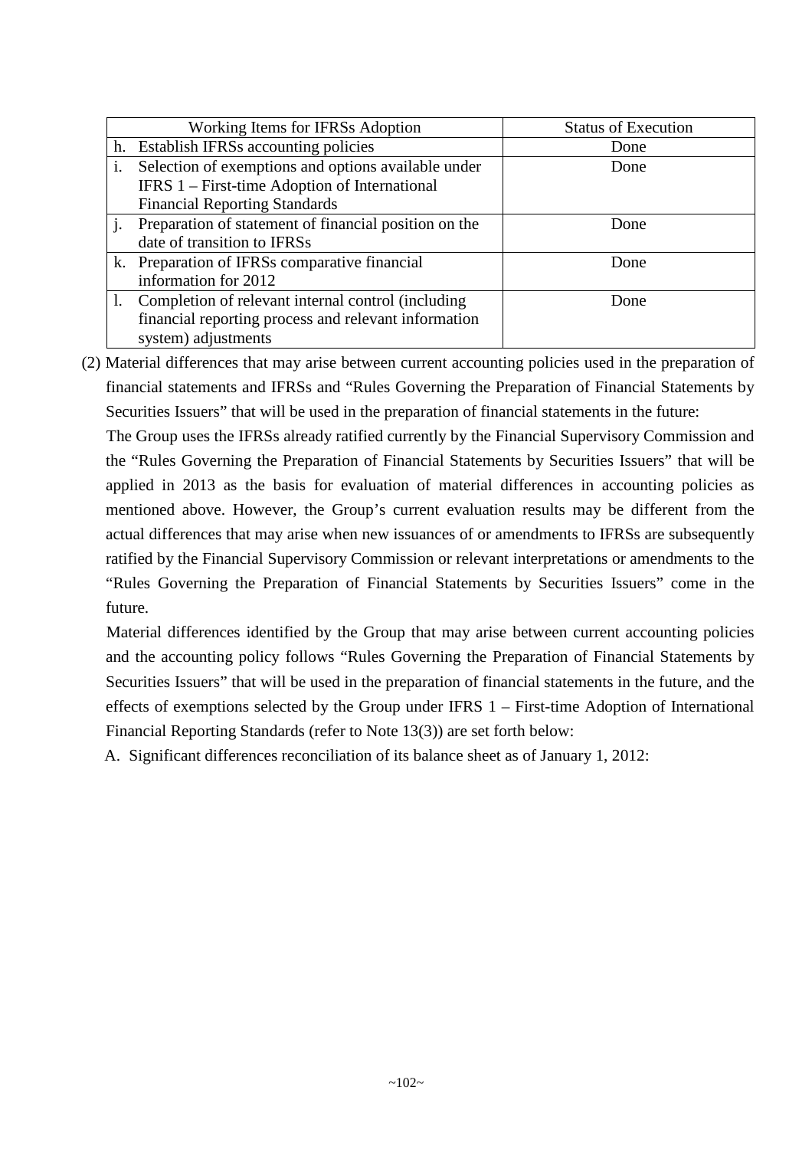|    | Working Items for IFRSs Adoption                      | <b>Status of Execution</b> |
|----|-------------------------------------------------------|----------------------------|
| h. | Establish IFRSs accounting policies                   | Done                       |
| i. | Selection of exemptions and options available under   | Done                       |
|    | IFRS 1 – First-time Adoption of International         |                            |
|    | <b>Financial Reporting Standards</b>                  |                            |
|    | Preparation of statement of financial position on the | Done                       |
|    | date of transition to IFRSs                           |                            |
|    | k. Preparation of IFRSs comparative financial         | Done                       |
|    | information for 2012                                  |                            |
|    | Completion of relevant internal control (including    | Done                       |
|    | financial reporting process and relevant information  |                            |
|    | system) adjustments                                   |                            |

(2) Material differences that may arise between current accounting policies used in the preparation of financial statements and IFRSs and "Rules Governing the Preparation of Financial Statements by Securities Issuers" that will be used in the preparation of financial statements in the future:

The Group uses the IFRSs already ratified currently by the Financial Supervisory Commission and the "Rules Governing the Preparation of Financial Statements by Securities Issuers" that will be applied in 2013 as the basis for evaluation of material differences in accounting policies as mentioned above. However, the Group's current evaluation results may be different from the actual differences that may arise when new issuances of or amendments to IFRSs are subsequently ratified by the Financial Supervisory Commission or relevant interpretations or amendments to the "Rules Governing the Preparation of Financial Statements by Securities Issuers" come in the future.

Material differences identified by the Group that may arise between current accounting policies and the accounting policy follows "Rules Governing the Preparation of Financial Statements by Securities Issuers" that will be used in the preparation of financial statements in the future, and the effects of exemptions selected by the Group under IFRS 1 – First-time Adoption of International Financial Reporting Standards (refer to Note 13(3)) are set forth below:

A. Significant differences reconciliation of its balance sheet as of January 1, 2012: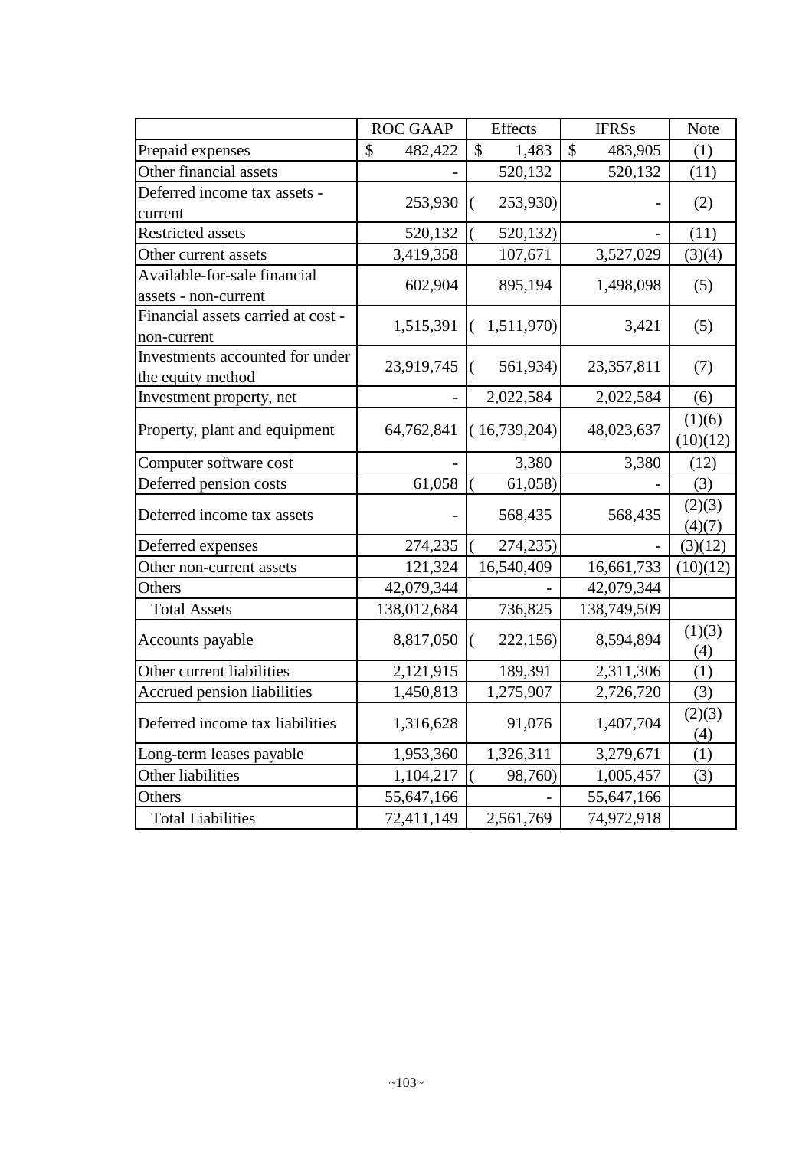|                                    | <b>ROC GAAP</b> | Effects                | <b>IFRSs</b>                         | Note             |
|------------------------------------|-----------------|------------------------|--------------------------------------|------------------|
| Prepaid expenses                   | \$<br>482,422   | $\mathcal{S}$<br>1,483 | $\boldsymbol{\mathsf{S}}$<br>483,905 | (1)              |
| Other financial assets             |                 | 520,132                | 520,132                              | (11)             |
| Deferred income tax assets -       |                 |                        |                                      |                  |
| current                            | 253,930         | 253,930)<br>€          |                                      | (2)              |
| <b>Restricted assets</b>           | 520,132         | 520,132                |                                      | (11)             |
| Other current assets               | 3,419,358       | 107,671                | 3,527,029                            | (3)(4)           |
| Available-for-sale financial       | 602,904         | 895,194                | 1,498,098                            |                  |
| assets - non-current               |                 |                        |                                      | (5)              |
| Financial assets carried at cost - | 1,515,391       | 1,511,970)<br>€        | 3,421                                | (5)              |
| non-current                        |                 |                        |                                      |                  |
| Investments accounted for under    | 23,919,745      | 561,934)<br>(          | 23,357,811                           | (7)              |
| the equity method                  |                 |                        |                                      |                  |
| Investment property, net           |                 | 2,022,584              | 2,022,584                            | (6)              |
|                                    |                 | (16,739,204)           |                                      | (1)(6)           |
| Property, plant and equipment      | 64,762,841      |                        | 48,023,637                           | (10)(12)         |
| Computer software cost             |                 | 3,380                  | 3,380                                | (12)             |
| Deferred pension costs             | 61,058          | 61,058)                |                                      | (3)              |
| Deferred income tax assets         |                 | 568,435                | 568,435                              | (2)(3)<br>(4)(7) |
| Deferred expenses                  | 274,235         | 274,235)               |                                      | (3)(12)          |
| Other non-current assets           | 121,324         | 16,540,409             | 16,661,733                           | (10)(12)         |
| Others                             | 42,079,344      |                        | 42,079,344                           |                  |
| <b>Total Assets</b>                | 138,012,684     | 736,825                | 138,749,509                          |                  |
|                                    |                 |                        |                                      | (1)(3)           |
| Accounts payable                   | 8,817,050       | 222,156)<br>€          | 8,594,894                            | (4)              |
| Other current liabilities          | 2,121,915       | 189,391                | 2,311,306                            | (1)              |
| Accrued pension liabilities        | 1,450,813       | 1,275,907              | 2,726,720                            | (3)              |
| Deferred income tax liabilities    | 1,316,628       | 91,076                 | 1,407,704                            | (2)(3)<br>(4)    |
| Long-term leases payable           | 1,953,360       | 1,326,311              | 3,279,671                            | (1)              |
| Other liabilities                  | 1,104,217       | 98,760)                | 1,005,457                            | (3)              |
| Others                             | 55,647,166      |                        | 55,647,166                           |                  |
| <b>Total Liabilities</b>           | 72,411,149      | 2,561,769              | 74,972,918                           |                  |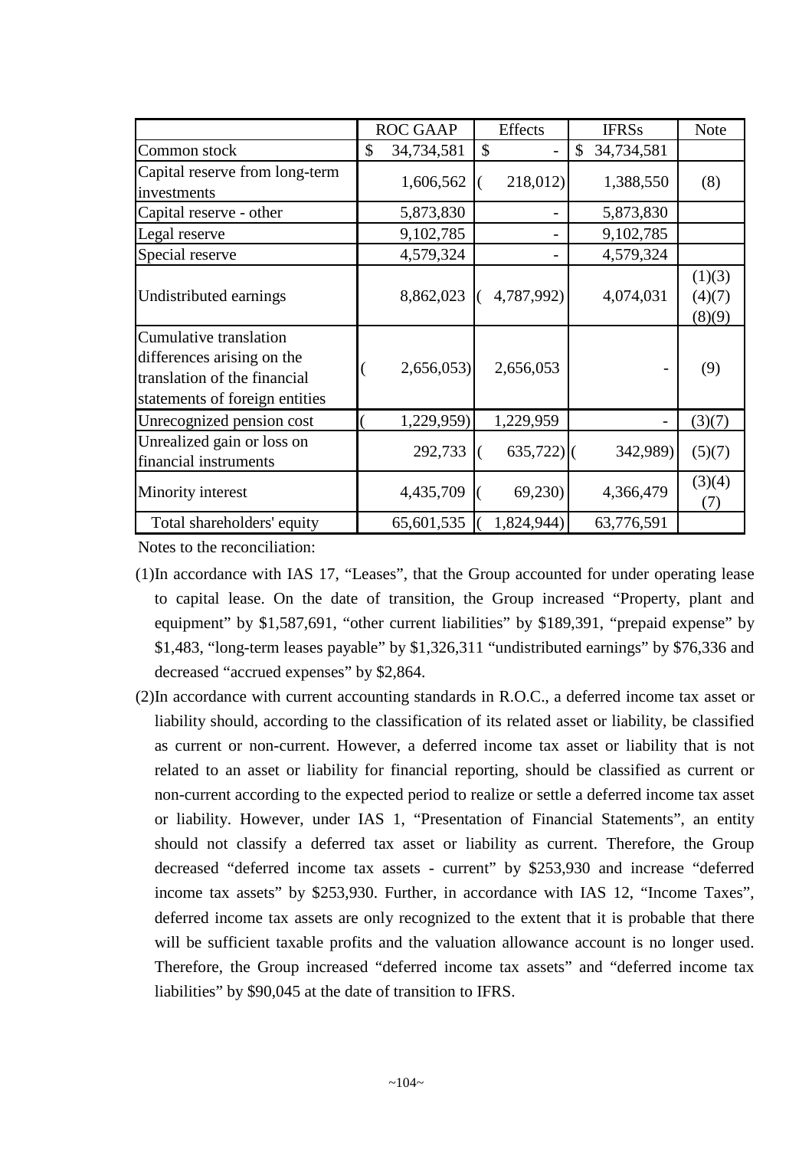|                                                                                                                        | <b>ROC GAAP</b>  | <b>Effects</b> | <b>IFRSs</b>     | <b>Note</b>                |
|------------------------------------------------------------------------------------------------------------------------|------------------|----------------|------------------|----------------------------|
| Common stock                                                                                                           | \$<br>34,734,581 | \$             | \$<br>34,734,581 |                            |
| Capital reserve from long-term<br>investments                                                                          | 1,606,562        | 218,012)       | 1,388,550        | (8)                        |
| Capital reserve - other                                                                                                | 5,873,830        |                | 5,873,830        |                            |
| Legal reserve                                                                                                          | 9,102,785        |                | 9,102,785        |                            |
| Special reserve                                                                                                        | 4,579,324        |                | 4,579,324        |                            |
| Undistributed earnings                                                                                                 | 8,862,023        | 4,787,992)     | 4,074,031        | (1)(3)<br>(4)(7)<br>(8)(9) |
| Cumulative translation<br>differences arising on the<br>translation of the financial<br>statements of foreign entities | 2,656,053        | 2,656,053      |                  | (9)                        |
| Unrecognized pension cost                                                                                              | 1,229,959)       | 1,229,959      |                  | (3)(7)                     |
| Unrealized gain or loss on<br>financial instruments                                                                    | 292,733          | $635,722$ ]    | 342,989)         | (5)(7)                     |
| Minority interest                                                                                                      | 4,435,709        | 69,230         | 4,366,479        | (3)(4)<br>(T)              |
| Total shareholders' equity                                                                                             | 65,601,535       | 1,824,944)     | 63,776,591       |                            |

Notes to the reconciliation:

- (1)In accordance with IAS 17, "Leases", that the Group accounted for under operating lease to capital lease. On the date of transition, the Group increased "Property, plant and equipment" by \$1,587,691, "other current liabilities" by \$189,391, "prepaid expense" by \$1,483, "long-term leases payable" by \$1,326,311 "undistributed earnings" by \$76,336 and decreased "accrued expenses" by \$2,864.
- (2)In accordance with current accounting standards in R.O.C., a deferred income tax asset or liability should, according to the classification of its related asset or liability, be classified as current or non-current. However, a deferred income tax asset or liability that is not related to an asset or liability for financial reporting, should be classified as current or non-current according to the expected period to realize or settle a deferred income tax asset or liability. However, under IAS 1, "Presentation of Financial Statements", an entity should not classify a deferred tax asset or liability as current. Therefore, the Group decreased "deferred income tax assets - current" by \$253,930 and increase "deferred income tax assets" by \$253,930. Further, in accordance with IAS 12, "Income Taxes", deferred income tax assets are only recognized to the extent that it is probable that there will be sufficient taxable profits and the valuation allowance account is no longer used. Therefore, the Group increased "deferred income tax assets" and "deferred income tax liabilities" by \$90,045 at the date of transition to IFRS.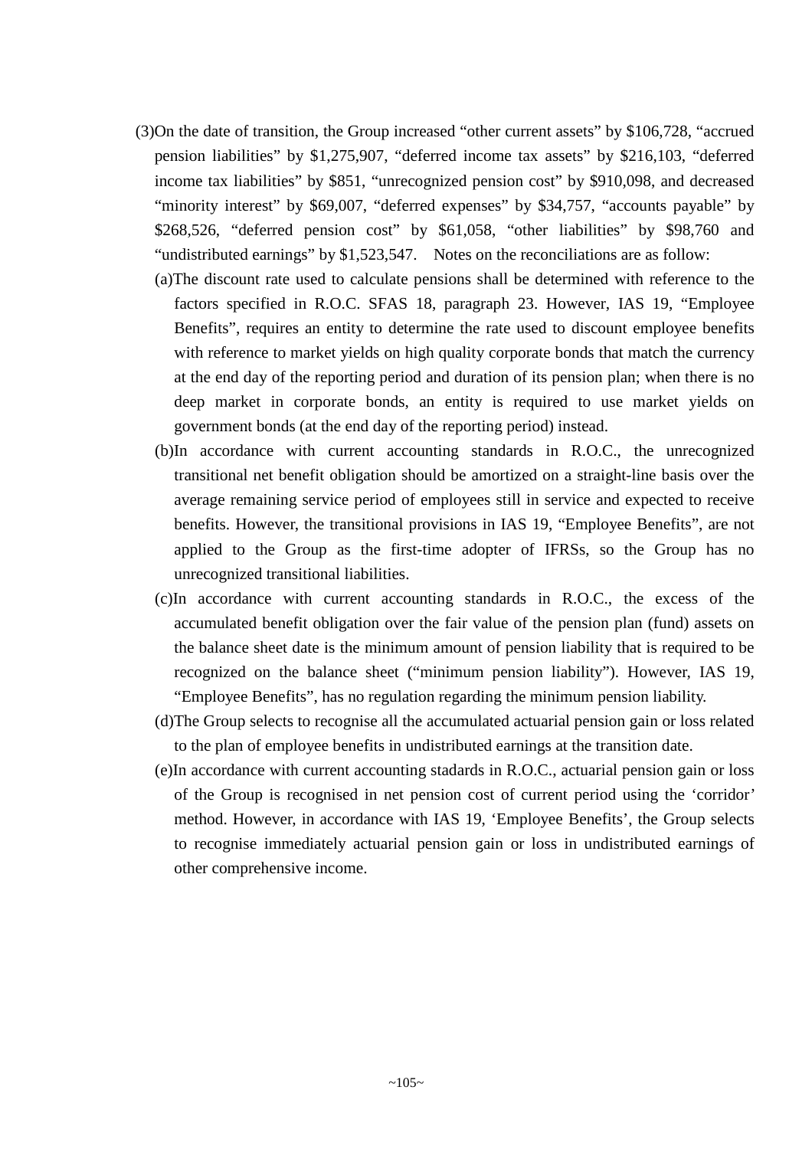- (3)On the date of transition, the Group increased "other current assets" by \$106,728, "accrued pension liabilities" by \$1,275,907, "deferred income tax assets" by \$216,103, "deferred income tax liabilities" by \$851, "unrecognized pension cost" by \$910,098, and decreased "minority interest" by \$69,007, "deferred expenses" by \$34,757, "accounts payable" by \$268,526, "deferred pension cost" by \$61,058, "other liabilities" by \$98,760 and "undistributed earnings" by \$1,523,547. Notes on the reconciliations are as follow:
	- (a)The discount rate used to calculate pensions shall be determined with reference to the factors specified in R.O.C. SFAS 18, paragraph 23. However, IAS 19, "Employee Benefits", requires an entity to determine the rate used to discount employee benefits with reference to market yields on high quality corporate bonds that match the currency at the end day of the reporting period and duration of its pension plan; when there is no deep market in corporate bonds, an entity is required to use market yields on government bonds (at the end day of the reporting period) instead.
	- (b)In accordance with current accounting standards in R.O.C., the unrecognized transitional net benefit obligation should be amortized on a straight-line basis over the average remaining service period of employees still in service and expected to receive benefits. However, the transitional provisions in IAS 19, "Employee Benefits", are not applied to the Group as the first-time adopter of IFRSs, so the Group has no unrecognized transitional liabilities.
	- (c)In accordance with current accounting standards in R.O.C., the excess of the accumulated benefit obligation over the fair value of the pension plan (fund) assets on the balance sheet date is the minimum amount of pension liability that is required to be recognized on the balance sheet ("minimum pension liability"). However, IAS 19, "Employee Benefits", has no regulation regarding the minimum pension liability.
	- (d)The Group selects to recognise all the accumulated actuarial pension gain or loss related to the plan of employee benefits in undistributed earnings at the transition date.
	- (e)In accordance with current accounting stadards in R.O.C., actuarial pension gain or loss of the Group is recognised in net pension cost of current period using the 'corridor' method. However, in accordance with IAS 19, 'Employee Benefits', the Group selects to recognise immediately actuarial pension gain or loss in undistributed earnings of other comprehensive income.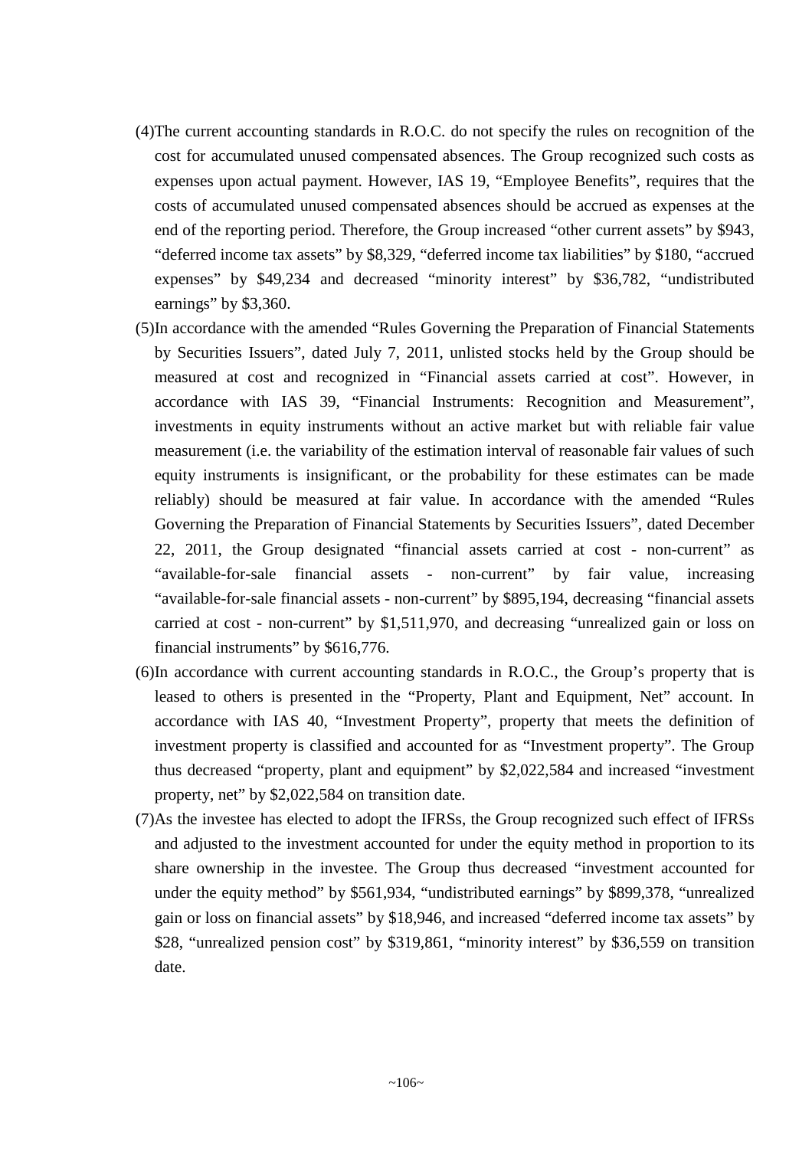- (4)The current accounting standards in R.O.C. do not specify the rules on recognition of the cost for accumulated unused compensated absences. The Group recognized such costs as expenses upon actual payment. However, IAS 19, "Employee Benefits", requires that the costs of accumulated unused compensated absences should be accrued as expenses at the end of the reporting period. Therefore, the Group increased "other current assets" by \$943, "deferred income tax assets" by \$8,329, "deferred income tax liabilities" by \$180, "accrued expenses" by \$49,234 and decreased "minority interest" by \$36,782, "undistributed earnings" by \$3,360.
- (5)In accordance with the amended "Rules Governing the Preparation of Financial Statements by Securities Issuers", dated July 7, 2011, unlisted stocks held by the Group should be measured at cost and recognized in "Financial assets carried at cost". However, in accordance with IAS 39, "Financial Instruments: Recognition and Measurement", investments in equity instruments without an active market but with reliable fair value measurement (i.e. the variability of the estimation interval of reasonable fair values of such equity instruments is insignificant, or the probability for these estimates can be made reliably) should be measured at fair value. In accordance with the amended "Rules Governing the Preparation of Financial Statements by Securities Issuers", dated December 22, 2011, the Group designated "financial assets carried at cost - non-current" as "available-for-sale financial assets - non-current" by fair value, increasing "available-for-sale financial assets - non-current" by \$895,194, decreasing "financial assets carried at cost - non-current" by \$1,511,970, and decreasing "unrealized gain or loss on financial instruments" by \$616,776.
- (6)In accordance with current accounting standards in R.O.C., the Group's property that is leased to others is presented in the "Property, Plant and Equipment, Net" account. In accordance with IAS 40, "Investment Property", property that meets the definition of investment property is classified and accounted for as "Investment property". The Group thus decreased "property, plant and equipment" by \$2,022,584 and increased "investment property, net" by \$2,022,584 on transition date.
- (7)As the investee has elected to adopt the IFRSs, the Group recognized such effect of IFRSs and adjusted to the investment accounted for under the equity method in proportion to its share ownership in the investee. The Group thus decreased "investment accounted for under the equity method" by \$561,934, "undistributed earnings" by \$899,378, "unrealized gain or loss on financial assets" by \$18,946, and increased "deferred income tax assets" by \$28, "unrealized pension cost" by \$319,861, "minority interest" by \$36,559 on transition date.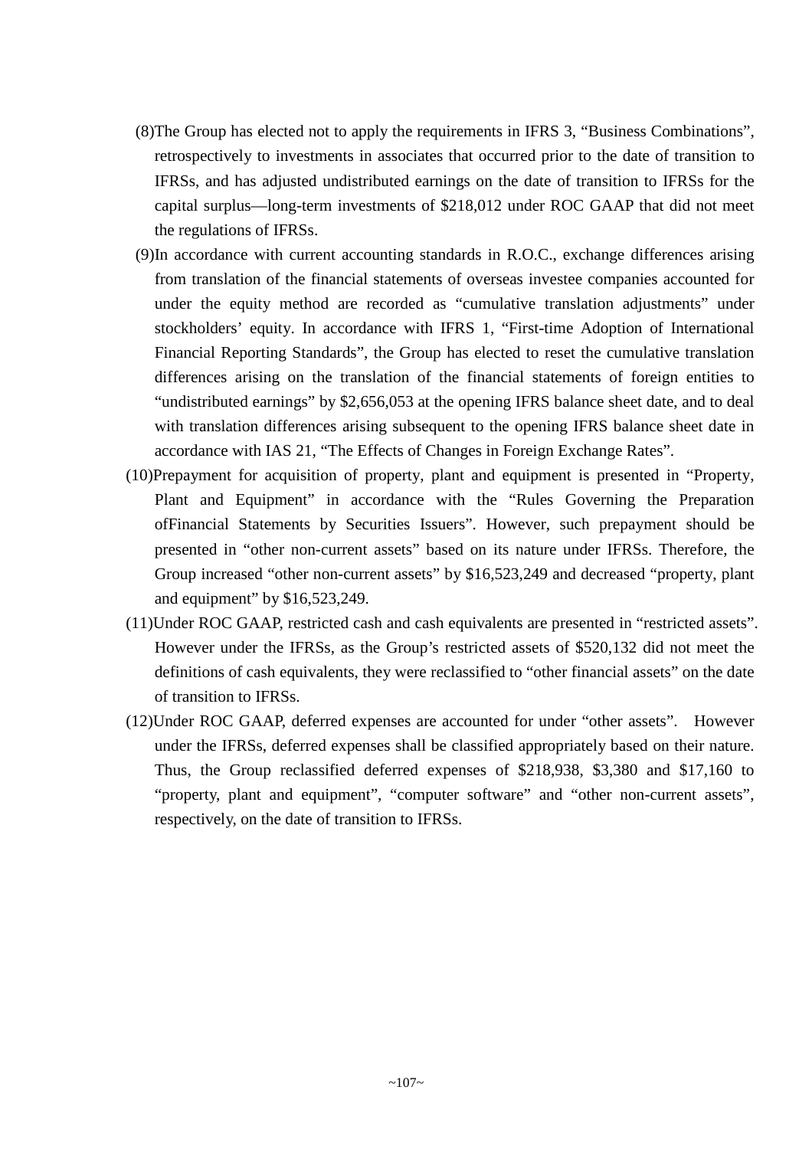- (8)The Group has elected not to apply the requirements in IFRS 3, "Business Combinations", retrospectively to investments in associates that occurred prior to the date of transition to IFRSs, and has adjusted undistributed earnings on the date of transition to IFRSs for the capital surplus—long-term investments of \$218,012 under ROC GAAP that did not meet the regulations of IFRSs.
- (9)In accordance with current accounting standards in R.O.C., exchange differences arising from translation of the financial statements of overseas investee companies accounted for under the equity method are recorded as "cumulative translation adjustments" under stockholders' equity. In accordance with IFRS 1, "First-time Adoption of International Financial Reporting Standards", the Group has elected to reset the cumulative translation differences arising on the translation of the financial statements of foreign entities to "undistributed earnings" by \$2,656,053 at the opening IFRS balance sheet date, and to deal with translation differences arising subsequent to the opening IFRS balance sheet date in accordance with IAS 21, "The Effects of Changes in Foreign Exchange Rates".
- (10)Prepayment for acquisition of property, plant and equipment is presented in "Property, Plant and Equipment" in accordance with the "Rules Governing the Preparation ofFinancial Statements by Securities Issuers". However, such prepayment should be presented in "other non-current assets" based on its nature under IFRSs. Therefore, the Group increased "other non-current assets" by \$16,523,249 and decreased "property, plant and equipment" by \$16,523,249.
- (11)Under ROC GAAP, restricted cash and cash equivalents are presented in "restricted assets". However under the IFRSs, as the Group's restricted assets of \$520,132 did not meet the definitions of cash equivalents, they were reclassified to "other financial assets" on the date of transition to IFRSs.
- (12)Under ROC GAAP, deferred expenses are accounted for under "other assets". However under the IFRSs, deferred expenses shall be classified appropriately based on their nature. Thus, the Group reclassified deferred expenses of \$218,938, \$3,380 and \$17,160 to "property, plant and equipment", "computer software" and "other non-current assets", respectively, on the date of transition to IFRSs.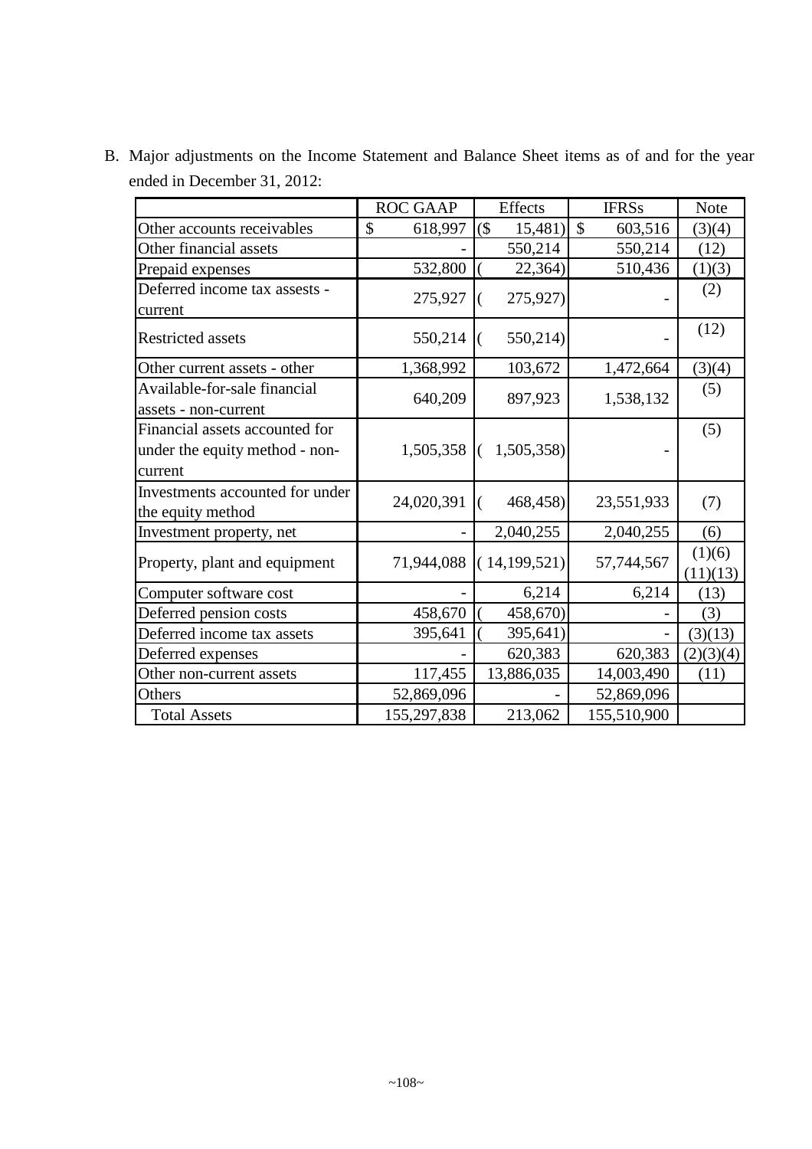ROC GAAP | Effects | IFRSs | Note Other accounts receivables  $\begin{vmatrix} 8 & 618,997 \\ 15,481 \end{vmatrix}$  (3)(4)  $\binom{3}{4}$ Other financial assets  $550,214$   $550,214$   $(12)$ Prepaid expenses  $532,800$   $(22,364)$   $510,436$   $(1)(3)$ Deferred income tax assests current  $275.927$   $\begin{pmatrix} 275.927 \end{pmatrix}$  (2) Restricted assets  $550,214$   $(550,214)$  (12) Other current assets - other 1,368,992 103,672 1,472,664 (3)(4) Available-for-sale financial assets - non-current  $640,209$  897,923 1,538,132 (5) Financial assets accounted for under the equity method - noncurrent  $1,505,358$  (  $1,505,358$ ) (5) Investments accounted for under the equity method  $24,020,391$   $(468,458)$   $23,551,933$  (7) Investment property, net  $2,040,255$   $2,040,255$  (6) Property, plant and equipment  $\begin{bmatrix} 71,944,088 \\ (14,199,521) \end{bmatrix}$  57,744,567 (1)(6)  $(11)(13)$ Computer software cost  $\begin{array}{|c|c|c|c|c|c|c|c|c|} \hline \text{Computer software cost} & & - & 6,214 & 6,214 & (13) \ \hline \end{array}$ Deferred pension costs  $458,670 | (-458,670) |$  (3)

Deferred income tax assets  $395,641 | (-395,641) | (-1)(3)(13)$ Deferred expenses  $-$  620,383 620,383 (2)(3)(4) Other non-current assets 117,455 | 13,886,035 | 14,003,490 | (11)

Others 52,869,096 - 52,869,096 Total Assets 155,297,838 213,062 155,510,900

B. Major adjustments on the Income Statement and Balance Sheet items as of and for the year ended in December 31, 2012: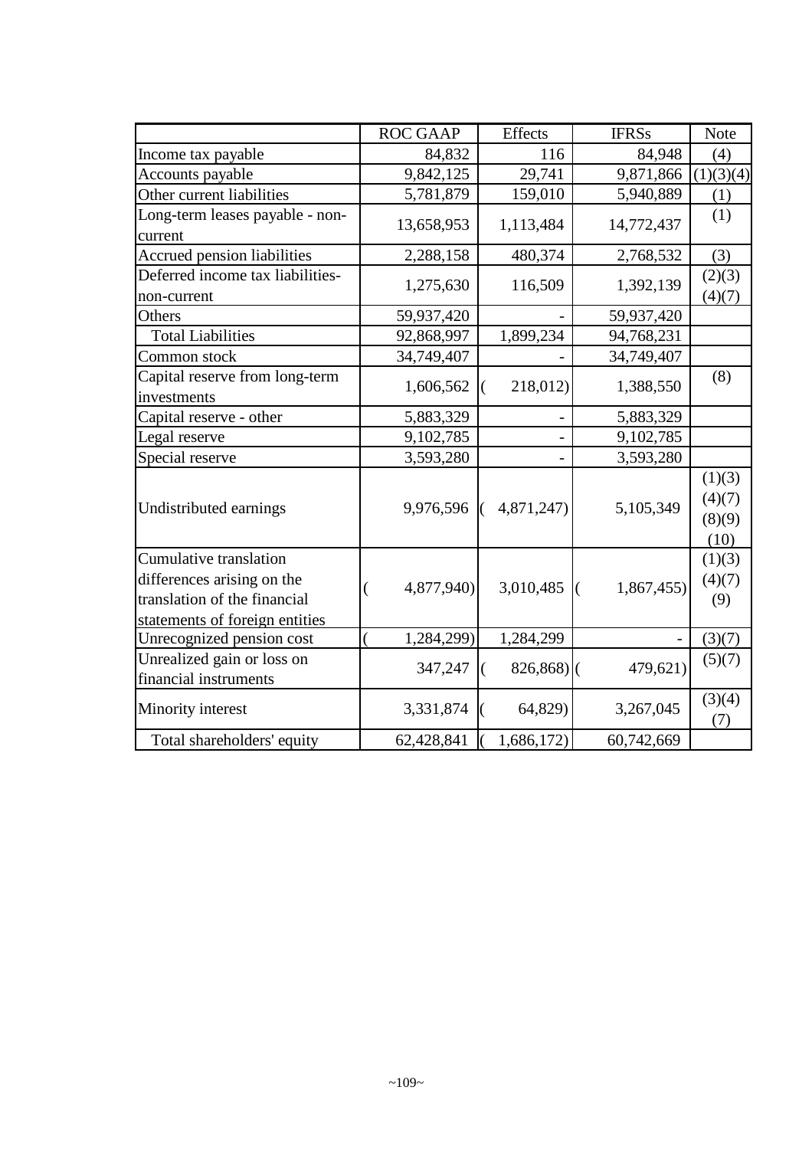|                                  | <b>ROC GAAP</b>                        | Effects              | <b>IFRSs</b>                | <b>Note</b> |
|----------------------------------|----------------------------------------|----------------------|-----------------------------|-------------|
| Income tax payable               | 84,832                                 | 116                  | 84,948                      | (4)         |
| Accounts payable                 | 9,842,125                              | 29,741               | 9,871,866                   | (1)(3)(4)   |
| Other current liabilities        | 5,781,879                              | 159,010              | 5,940,889                   | (1)         |
| Long-term leases payable - non-  |                                        |                      |                             | (1)         |
| current                          | 13,658,953                             | 1,113,484            | 14,772,437                  |             |
| Accrued pension liabilities      | 2,288,158                              | 480,374              | 2,768,532                   | (3)         |
| Deferred income tax liabilities- | 1,275,630                              | 116,509              | 1,392,139                   | (2)(3)      |
| non-current                      |                                        |                      |                             | (4)(7)      |
| Others                           | 59,937,420                             |                      | 59,937,420                  |             |
| <b>Total Liabilities</b>         | 92,868,997                             | 1,899,234            | 94,768,231                  |             |
| Common stock                     | 34,749,407                             |                      | 34,749,407                  |             |
| Capital reserve from long-term   | 1,606,562                              | 218,012)<br>$\left($ |                             | (8)         |
| investments                      |                                        |                      | 1,388,550                   |             |
| Capital reserve - other          | 5,883,329                              |                      | 5,883,329                   |             |
| Legal reserve                    | 9,102,785                              |                      | 9,102,785                   |             |
| Special reserve                  | 3,593,280                              |                      | 3,593,280                   |             |
| Undistributed earnings           |                                        |                      |                             | (1)(3)      |
|                                  | 9,976,596                              | 4,871,247)           | 5,105,349                   | (4)(7)      |
|                                  |                                        |                      |                             | (8)(9)      |
|                                  |                                        |                      |                             | (10)        |
| Cumulative translation           |                                        |                      |                             | (1)(3)      |
| differences arising on the       | 4,877,940)<br>$\overline{\mathcal{L}}$ | 3,010,485            | 1,867,455)<br>$\mathcal{L}$ | (4)(7)      |
| translation of the financial     |                                        |                      |                             | (9)         |
| statements of foreign entities   |                                        |                      |                             |             |
| Unrecognized pension cost        | 1,284,299)                             | 1,284,299            |                             | (3)(7)      |
| Unrealized gain or loss on       | 347,247                                | $826,868$ ](         | 479,621)                    | (5)(7)      |
| financial instruments            |                                        | $\left($             |                             |             |
| Minority interest                | 3,331,874                              | 64,829)              | 3,267,045                   | (3)(4)      |
|                                  |                                        |                      |                             | (7)         |
| Total shareholders' equity       | 62,428,841                             | 1,686,172)           | 60,742,669                  |             |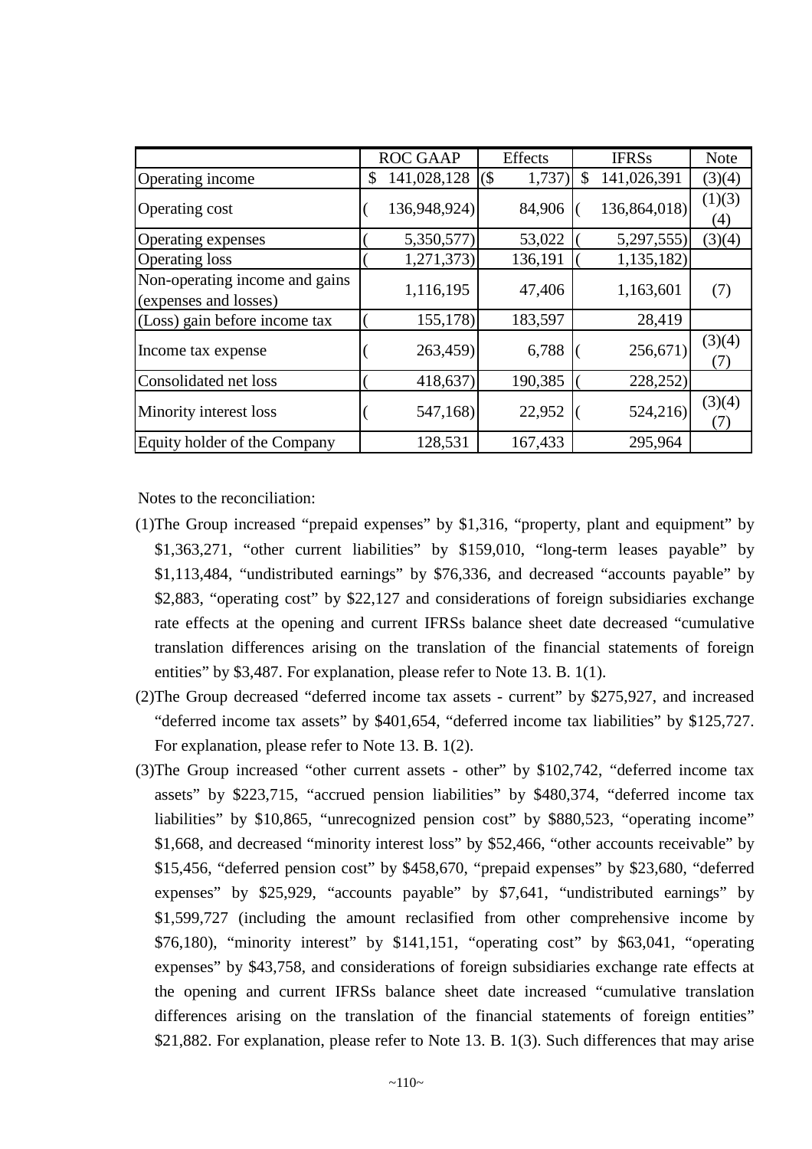|                                                         | <b>ROC GAAP</b>   |        | Effects | <b>IFRSs</b>      | <b>Note</b>   |
|---------------------------------------------------------|-------------------|--------|---------|-------------------|---------------|
| Operating income                                        | \$<br>141,028,128 | $($ \$ | 1,737)  | \$<br>141,026,391 | (3)(4)        |
| Operating cost                                          | 136,948,924)      |        | 84,906  | 136,864,018)      | (1)(3)<br>(4) |
| Operating expenses                                      | 5,350,577)        |        | 53,022  | 5,297,555)        | (3)(4)        |
| <b>Operating loss</b>                                   | 1,271,373)        |        | 136,191 | 1,135,182)        |               |
| Non-operating income and gains<br>(expenses and losses) | 1,116,195         |        | 47,406  | 1,163,601         | (7)           |
| (Loss) gain before income tax                           | 155,178)          |        | 183,597 | 28,419            |               |
| Income tax expense                                      | 263,459)          |        | 6,788   | 256,671           | (3)(4)<br>(7) |
| Consolidated net loss                                   | 418,637)          |        | 190,385 | 228,252           |               |
| Minority interest loss                                  | 547,168)          |        | 22,952  | 524,216)          | (3)(4)<br>(7) |
| Equity holder of the Company                            | 128,531           |        | 167,433 | 295,964           |               |

Notes to the reconciliation:

- (1)The Group increased "prepaid expenses" by \$1,316, "property, plant and equipment" by \$1,363,271, "other current liabilities" by \$159,010, "long-term leases payable" by \$1,113,484, "undistributed earnings" by \$76,336, and decreased "accounts payable" by \$2,883, "operating cost" by \$22,127 and considerations of foreign subsidiaries exchange rate effects at the opening and current IFRSs balance sheet date decreased "cumulative translation differences arising on the translation of the financial statements of foreign entities" by \$3,487. For explanation, please refer to Note 13. B. 1(1).
- (2)The Group decreased "deferred income tax assets current" by \$275,927, and increased "deferred income tax assets" by \$401,654, "deferred income tax liabilities" by \$125,727. For explanation, please refer to Note 13. B. 1(2).
- (3)The Group increased "other current assets other" by \$102,742, "deferred income tax assets" by \$223,715, "accrued pension liabilities" by \$480,374, "deferred income tax liabilities" by \$10,865, "unrecognized pension cost" by \$880,523, "operating income" \$1,668, and decreased "minority interest loss" by \$52,466, "other accounts receivable" by \$15,456, "deferred pension cost" by \$458,670, "prepaid expenses" by \$23,680, "deferred expenses" by \$25,929, "accounts payable" by \$7,641, "undistributed earnings" by \$1,599,727 (including the amount reclasified from other comprehensive income by \$76,180), "minority interest" by \$141,151, "operating cost" by \$63,041, "operating expenses" by \$43,758, and considerations of foreign subsidiaries exchange rate effects at the opening and current IFRSs balance sheet date increased "cumulative translation differences arising on the translation of the financial statements of foreign entities" \$21,882. For explanation, please refer to Note 13, B, 1(3). Such differences that may arise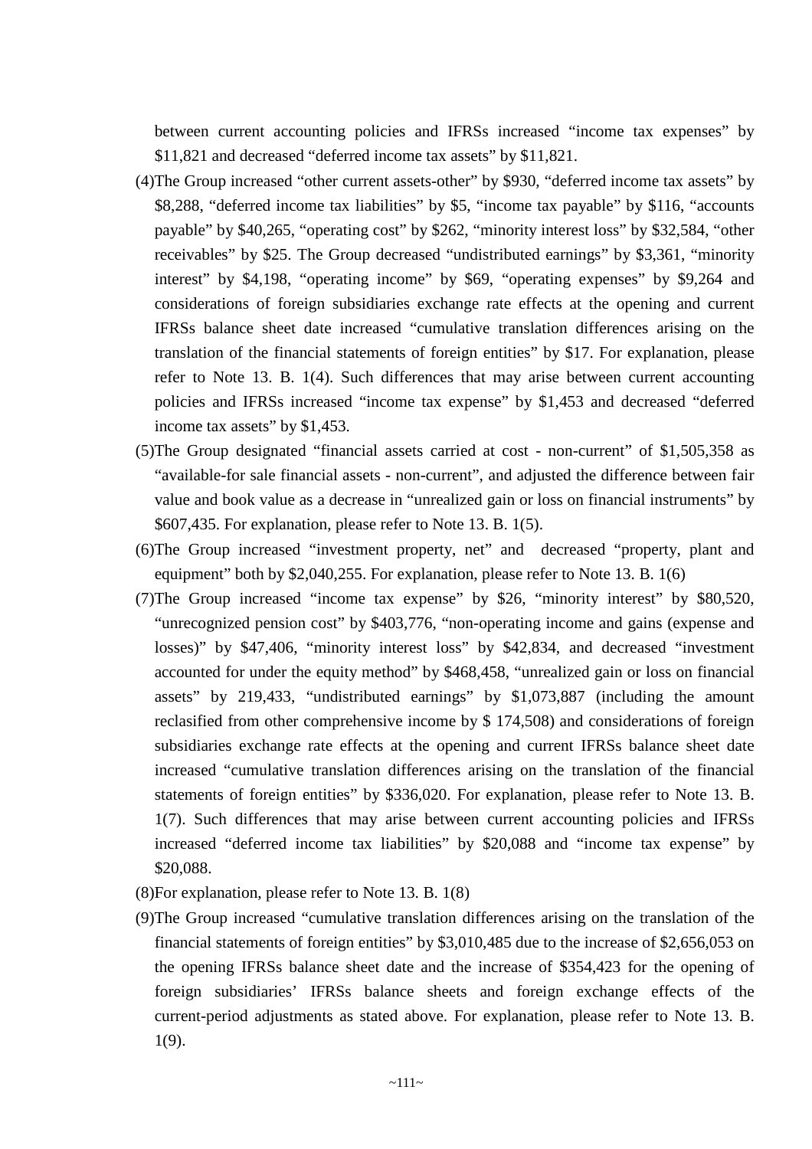between current accounting policies and IFRSs increased "income tax expenses" by \$11,821 and decreased "deferred income tax assets" by \$11,821.

- (4)The Group increased "other current assets-other" by \$930, "deferred income tax assets" by \$8,288, "deferred income tax liabilities" by \$5, "income tax payable" by \$116, "accounts payable" by \$40,265, "operating cost" by \$262, "minority interest loss" by \$32,584, "other receivables" by \$25. The Group decreased "undistributed earnings" by \$3,361, "minority interest" by \$4,198, "operating income" by \$69, "operating expenses" by \$9,264 and considerations of foreign subsidiaries exchange rate effects at the opening and current IFRSs balance sheet date increased "cumulative translation differences arising on the translation of the financial statements of foreign entities" by \$17. For explanation, please refer to Note 13. B. 1(4). Such differences that may arise between current accounting policies and IFRSs increased "income tax expense" by \$1,453 and decreased "deferred income tax assets" by \$1,453.
- (5)The Group designated "financial assets carried at cost non-current" of \$1,505,358 as "available-for sale financial assets - non-current", and adjusted the difference between fair value and book value as a decrease in "unrealized gain or loss on financial instruments" by \$607,435. For explanation, please refer to Note 13. B. 1(5).
- (6)The Group increased "investment property, net" and decreased "property, plant and equipment" both by \$2,040,255. For explanation, please refer to Note 13. B. 1(6)
- (7)The Group increased "income tax expense" by \$26, "minority interest" by \$80,520, "unrecognized pension cost" by \$403,776, "non-operating income and gains (expense and losses)" by \$47,406, "minority interest loss" by \$42,834, and decreased "investment accounted for under the equity method" by \$468,458, "unrealized gain or loss on financial assets" by 219,433, "undistributed earnings" by \$1,073,887 (including the amount reclasified from other comprehensive income by \$ 174,508) and considerations of foreign subsidiaries exchange rate effects at the opening and current IFRSs balance sheet date increased "cumulative translation differences arising on the translation of the financial statements of foreign entities" by \$336,020. For explanation, please refer to Note 13. B. 1(7). Such differences that may arise between current accounting policies and IFRSs increased "deferred income tax liabilities" by \$20,088 and "income tax expense" by \$20,088.
- (8)For explanation, please refer to Note 13. B. 1(8)
- (9)The Group increased "cumulative translation differences arising on the translation of the financial statements of foreign entities" by \$3,010,485 due to the increase of \$2,656,053 on the opening IFRSs balance sheet date and the increase of \$354,423 for the opening of foreign subsidiaries' IFRSs balance sheets and foreign exchange effects of the current-period adjustments as stated above. For explanation, please refer to Note 13. B. 1(9).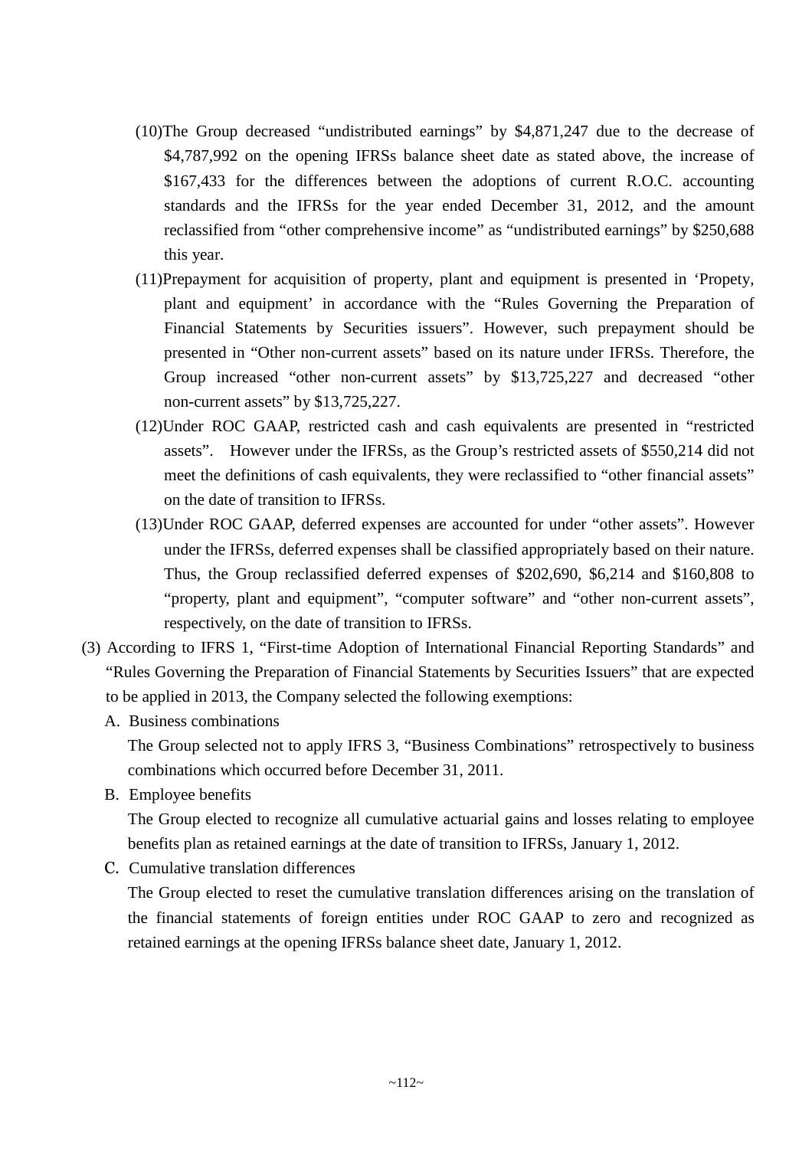- (10)The Group decreased "undistributed earnings" by \$4,871,247 due to the decrease of \$4,787,992 on the opening IFRSs balance sheet date as stated above, the increase of \$167,433 for the differences between the adoptions of current R.O.C. accounting standards and the IFRSs for the year ended December 31, 2012, and the amount reclassified from "other comprehensive income" as "undistributed earnings" by \$250,688 this year.
- (11)Prepayment for acquisition of property, plant and equipment is presented in 'Propety, plant and equipment' in accordance with the "Rules Governing the Preparation of Financial Statements by Securities issuers". However, such prepayment should be presented in "Other non-current assets" based on its nature under IFRSs. Therefore, the Group increased "other non-current assets" by \$13,725,227 and decreased "other non-current assets" by \$13,725,227.
- (12)Under ROC GAAP, restricted cash and cash equivalents are presented in "restricted assets". However under the IFRSs, as the Group's restricted assets of \$550,214 did not meet the definitions of cash equivalents, they were reclassified to "other financial assets" on the date of transition to IFRSs.
- (13)Under ROC GAAP, deferred expenses are accounted for under "other assets". However under the IFRSs, deferred expenses shall be classified appropriately based on their nature. Thus, the Group reclassified deferred expenses of \$202,690, \$6,214 and \$160,808 to "property, plant and equipment", "computer software" and "other non-current assets", respectively, on the date of transition to IFRSs.
- (3) According to IFRS 1, "First-time Adoption of International Financial Reporting Standards" and "Rules Governing the Preparation of Financial Statements by Securities Issuers" that are expected to be applied in 2013, the Company selected the following exemptions:
	- A. Business combinations

The Group selected not to apply IFRS 3, "Business Combinations" retrospectively to business combinations which occurred before December 31, 2011.

B. Employee benefits

The Group elected to recognize all cumulative actuarial gains and losses relating to employee benefits plan as retained earnings at the date of transition to IFRSs, January 1, 2012.

C. Cumulative translation differences

The Group elected to reset the cumulative translation differences arising on the translation of the financial statements of foreign entities under ROC GAAP to zero and recognized as retained earnings at the opening IFRSs balance sheet date, January 1, 2012.